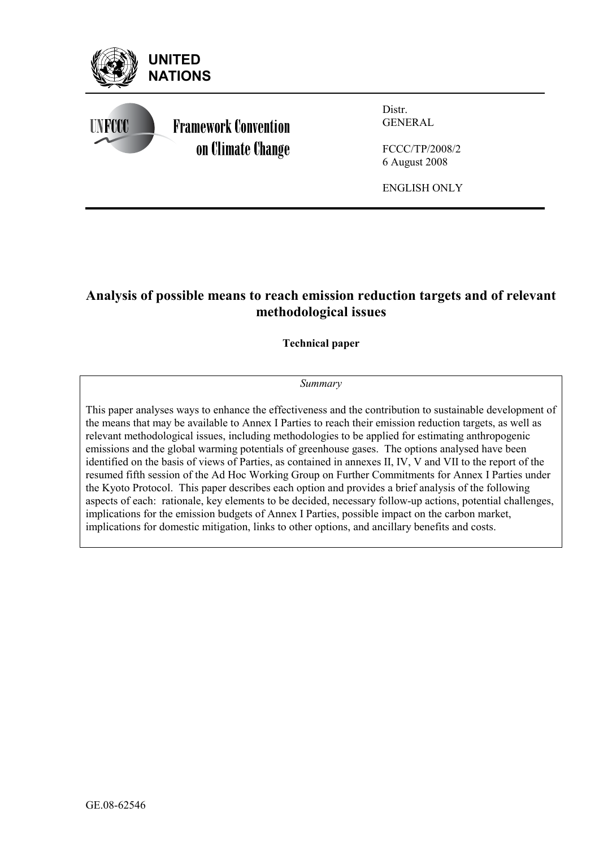

# **Analysis of possible means to reach emission reduction targets and of relevant methodological issues**

**Technical paper** 

# *Summary*

This paper analyses ways to enhance the effectiveness and the contribution to sustainable development of the means that may be available to Annex I Parties to reach their emission reduction targets, as well as relevant methodological issues, including methodologies to be applied for estimating anthropogenic emissions and the global warming potentials of greenhouse gases. The options analysed have been identified on the basis of views of Parties, as contained in annexes II, IV, V and VII to the report of the resumed fifth session of the Ad Hoc Working Group on Further Commitments for Annex I Parties under the Kyoto Protocol. This paper describes each option and provides a brief analysis of the following aspects of each: rationale, key elements to be decided, necessary follow-up actions, potential challenges, implications for the emission budgets of Annex I Parties, possible impact on the carbon market, implications for domestic mitigation, links to other options, and ancillary benefits and costs.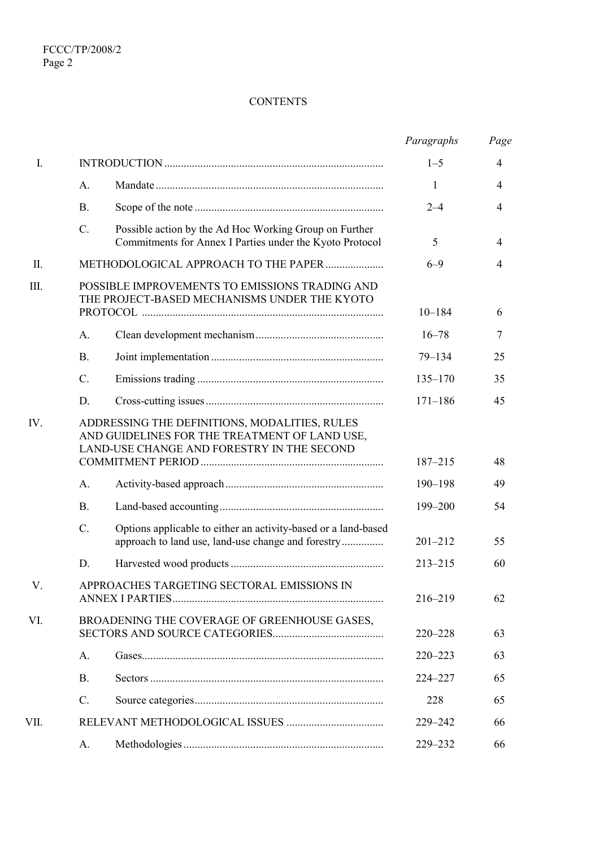# **CONTENTS**

|           |             |                                                                                                                                              | Paragraphs  | Page |
|-----------|-------------|----------------------------------------------------------------------------------------------------------------------------------------------|-------------|------|
| I.        |             |                                                                                                                                              | $1 - 5$     | 4    |
|           | A.          |                                                                                                                                              | 1           | 4    |
|           | <b>B.</b>   |                                                                                                                                              | $2 - 4$     | 4    |
|           | $C$ .       | Possible action by the Ad Hoc Working Group on Further<br>Commitments for Annex I Parties under the Kyoto Protocol                           | 5           | 4    |
| $\prod$ . |             | METHODOLOGICAL APPROACH TO THE PAPER                                                                                                         | $6 - 9$     | 4    |
| Ш.        |             | POSSIBLE IMPROVEMENTS TO EMISSIONS TRADING AND<br>THE PROJECT-BASED MECHANISMS UNDER THE KYOTO                                               | $10 - 184$  | 6    |
|           | A.          |                                                                                                                                              | $16 - 78$   | 7    |
|           | <b>B.</b>   |                                                                                                                                              | $79 - 134$  | 25   |
|           | $C$ .       |                                                                                                                                              | $135 - 170$ | 35   |
|           | D.          |                                                                                                                                              | $171 - 186$ | 45   |
| IV.       |             | ADDRESSING THE DEFINITIONS, MODALITIES, RULES<br>AND GUIDELINES FOR THE TREATMENT OF LAND USE,<br>LAND-USE CHANGE AND FORESTRY IN THE SECOND | 187-215     | 48   |
|           | A.          |                                                                                                                                              | 190-198     | 49   |
|           | <b>B.</b>   |                                                                                                                                              | 199-200     | 54   |
|           | $C_{\cdot}$ | Options applicable to either an activity-based or a land-based<br>approach to land use, land-use change and forestry                         | $201 - 212$ | 55   |
|           | D.          |                                                                                                                                              | $213 - 215$ | 60   |
| V.        |             | APPROACHES TARGETING SECTORAL EMISSIONS IN                                                                                                   | 216-219     | 62   |
| VI.       |             | BROADENING THE COVERAGE OF GREENHOUSE GASES,                                                                                                 | $220 - 228$ | 63   |
|           | A.          |                                                                                                                                              | $220 - 223$ | 63   |
|           | <b>B.</b>   |                                                                                                                                              | 224-227     | 65   |
|           | C.          |                                                                                                                                              | 228         | 65   |
| VII.      |             |                                                                                                                                              | 229-242     | 66   |
|           | A.          |                                                                                                                                              | 229-232     | 66   |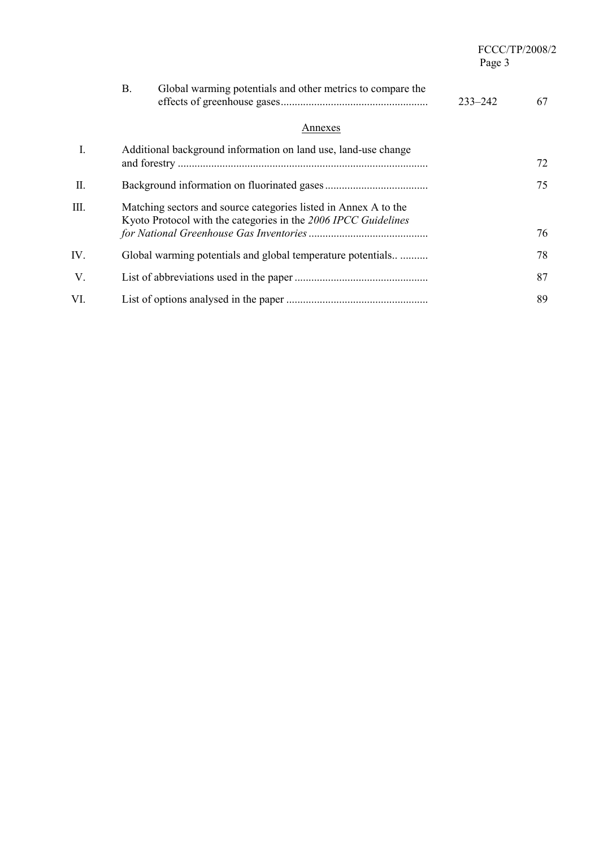| FCCC/TP/2008/2 |
|----------------|
| Page 3         |

|             | Global warming potentials and other metrics to compare the<br><b>B.</b><br>$233 - 242$                                            | 67 |
|-------------|-----------------------------------------------------------------------------------------------------------------------------------|----|
|             | Annexes                                                                                                                           |    |
| $I_{\cdot}$ | Additional background information on land use, land-use change                                                                    | 72 |
| Π.          |                                                                                                                                   | 75 |
| Ш.          | Matching sectors and source categories listed in Annex A to the<br>Kyoto Protocol with the categories in the 2006 IPCC Guidelines | 76 |
| IV.         | Global warming potentials and global temperature potentials                                                                       | 78 |
| V.          |                                                                                                                                   | 87 |
| VI.         |                                                                                                                                   | 89 |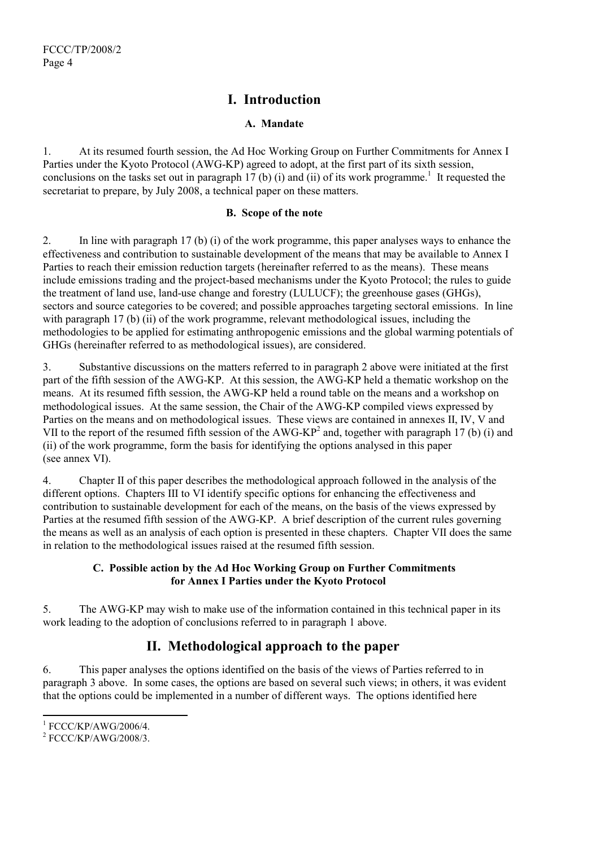# **I. Introduction**

# **A. Mandate**

1. At its resumed fourth session, the Ad Hoc Working Group on Further Commitments for Annex I Parties under the Kyoto Protocol (AWG-KP) agreed to adopt, at the first part of its sixth session, conclusions on the tasks set out in paragraph 17 (b) (i) and (ii) of its work programme.<sup>1</sup> It requested the secretariat to prepare, by July 2008, a technical paper on these matters.

# **B. Scope of the note**

2. In line with paragraph 17 (b) (i) of the work programme, this paper analyses ways to enhance the effectiveness and contribution to sustainable development of the means that may be available to Annex I Parties to reach their emission reduction targets (hereinafter referred to as the means). These means include emissions trading and the project-based mechanisms under the Kyoto Protocol; the rules to guide the treatment of land use, land-use change and forestry (LULUCF); the greenhouse gases (GHGs), sectors and source categories to be covered; and possible approaches targeting sectoral emissions. In line with paragraph 17 (b) (ii) of the work programme, relevant methodological issues, including the methodologies to be applied for estimating anthropogenic emissions and the global warming potentials of GHGs (hereinafter referred to as methodological issues), are considered.

3. Substantive discussions on the matters referred to in paragraph 2 above were initiated at the first part of the fifth session of the AWG-KP. At this session, the AWG-KP held a thematic workshop on the means. At its resumed fifth session, the AWG-KP held a round table on the means and a workshop on methodological issues. At the same session, the Chair of the AWG-KP compiled views expressed by Parties on the means and on methodological issues. These views are contained in annexes II, IV, V and VII to the report of the resumed fifth session of the AWG-KP<sup>2</sup> and, together with paragraph 17 (b) (i) and (ii) of the work programme, form the basis for identifying the options analysed in this paper (see annex VI).

4. Chapter II of this paper describes the methodological approach followed in the analysis of the different options. Chapters III to VI identify specific options for enhancing the effectiveness and contribution to sustainable development for each of the means, on the basis of the views expressed by Parties at the resumed fifth session of the AWG-KP. A brief description of the current rules governing the means as well as an analysis of each option is presented in these chapters. Chapter VII does the same in relation to the methodological issues raised at the resumed fifth session.

# **C. Possible action by the Ad Hoc Working Group on Further Commitments for Annex I Parties under the Kyoto Protocol**

5. The AWG-KP may wish to make use of the information contained in this technical paper in its work leading to the adoption of conclusions referred to in paragraph 1 above.

# **II. Methodological approach to the paper**

6. This paper analyses the options identified on the basis of the views of Parties referred to in paragraph 3 above. In some cases, the options are based on several such views; in others, it was evident that the options could be implemented in a number of different ways. The options identified here

<sup>&</sup>lt;sup>1</sup> FCCC/KP/AWG/2006/4.

 $2$  FCCC/KP/AWG/2008/3.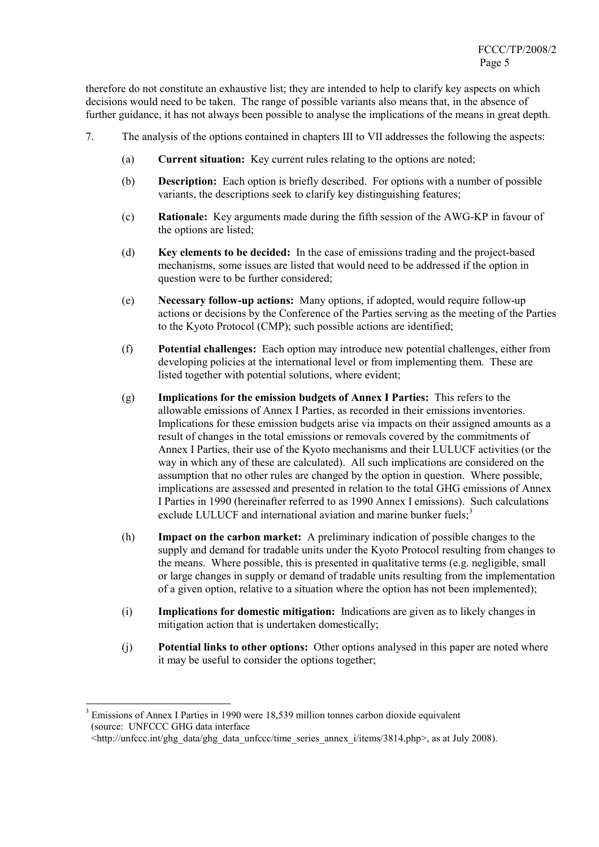therefore do not constitute an exhaustive list; they are intended to help to clarify key aspects on which decisions would need to be taken. The range of possible variants also means that, in the absence of further guidance, it has not always been possible to analyse the implications of the means in great depth.

- 7. The analysis of the options contained in chapters III to VII addresses the following the aspects:
	- (a) **Current situation:** Key current rules relating to the options are noted;
	- (b) **Description:** Each option is briefly described. For options with a number of possible variants, the descriptions seek to clarify key distinguishing features;
	- (c) **Rationale:** Key arguments made during the fifth session of the AWG-KP in favour of the options are listed;
	- (d) **Key elements to be decided:** In the case of emissions trading and the project-based mechanisms, some issues are listed that would need to be addressed if the option in question were to be further considered;
	- (e) **Necessary follow-up actions:** Many options, if adopted, would require follow-up actions or decisions by the Conference of the Parties serving as the meeting of the Parties to the Kyoto Protocol (CMP); such possible actions are identified;
	- (f) **Potential challenges:** Each option may introduce new potential challenges, either from developing policies at the international level or from implementing them. These are listed together with potential solutions, where evident;
	- (g) **Implications for the emission budgets of Annex I Parties:** This refers to the allowable emissions of Annex I Parties, as recorded in their emissions inventories. Implications for these emission budgets arise via impacts on their assigned amounts as a result of changes in the total emissions or removals covered by the commitments of Annex I Parties, their use of the Kyoto mechanisms and their LULUCF activities (or the way in which any of these are calculated). All such implications are considered on the assumption that no other rules are changed by the option in question. Where possible, implications are assessed and presented in relation to the total GHG emissions of Annex I Parties in 1990 (hereinafter referred to as 1990 Annex I emissions). Such calculations exclude LULUCF and international aviation and marine bunker fuels; $3$
	- (h) **Impact on the carbon market:** A preliminary indication of possible changes to the supply and demand for tradable units under the Kyoto Protocol resulting from changes to the means. Where possible, this is presented in qualitative terms (e.g. negligible, small or large changes in supply or demand of tradable units resulting from the implementation of a given option, relative to a situation where the option has not been implemented);
	- (i) **Implications for domestic mitigation:** Indications are given as to likely changes in mitigation action that is undertaken domestically;
	- (j) **Potential links to other options:** Other options analysed in this paper are noted where it may be useful to consider the options together;

<sup>&</sup>lt;sup>3</sup> Emissions of Annex I Parties in 1990 were 18,539 million tonnes carbon dioxide equivalent (source: UNFCCC GHG data interface

 $\text{Khttp://unfccc.int/ghg-data/ghg-data unfccc/time series}$  annex i/items/3814.php>, as at July 2008).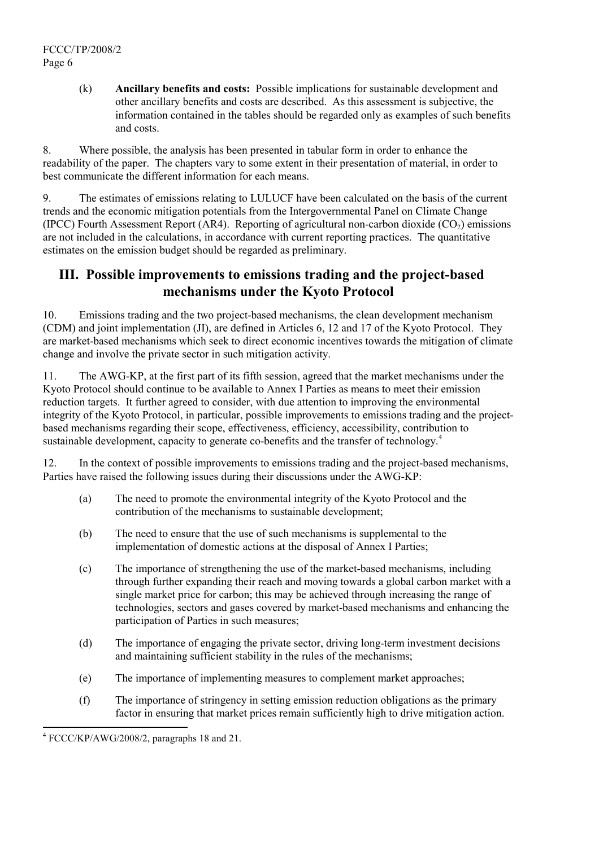FCCC/TP/2008/2 Page 6

> (k) **Ancillary benefits and costs:** Possible implications for sustainable development and other ancillary benefits and costs are described. As this assessment is subjective, the information contained in the tables should be regarded only as examples of such benefits and costs.

8. Where possible, the analysis has been presented in tabular form in order to enhance the readability of the paper. The chapters vary to some extent in their presentation of material, in order to best communicate the different information for each means.

9. The estimates of emissions relating to LULUCF have been calculated on the basis of the current trends and the economic mitigation potentials from the Intergovernmental Panel on Climate Change (IPCC) Fourth Assessment Report (AR4). Reporting of agricultural non-carbon dioxide ( $CO<sub>2</sub>$ ) emissions are not included in the calculations, in accordance with current reporting practices. The quantitative estimates on the emission budget should be regarded as preliminary.

# **III. Possible improvements to emissions trading and the project-based mechanisms under the Kyoto Protocol**

10. Emissions trading and the two project-based mechanisms, the clean development mechanism (CDM) and joint implementation (JI), are defined in Articles 6, 12 and 17 of the Kyoto Protocol. They are market-based mechanisms which seek to direct economic incentives towards the mitigation of climate change and involve the private sector in such mitigation activity.

11. The AWG-KP, at the first part of its fifth session, agreed that the market mechanisms under the Kyoto Protocol should continue to be available to Annex I Parties as means to meet their emission reduction targets. It further agreed to consider, with due attention to improving the environmental integrity of the Kyoto Protocol, in particular, possible improvements to emissions trading and the projectbased mechanisms regarding their scope, effectiveness, efficiency, accessibility, contribution to sustainable development, capacity to generate co-benefits and the transfer of technology.<sup>4</sup>

12. In the context of possible improvements to emissions trading and the project-based mechanisms, Parties have raised the following issues during their discussions under the AWG-KP:

- (a) The need to promote the environmental integrity of the Kyoto Protocol and the contribution of the mechanisms to sustainable development;
- (b) The need to ensure that the use of such mechanisms is supplemental to the implementation of domestic actions at the disposal of Annex I Parties;
- (c) The importance of strengthening the use of the market-based mechanisms, including through further expanding their reach and moving towards a global carbon market with a single market price for carbon; this may be achieved through increasing the range of technologies, sectors and gases covered by market-based mechanisms and enhancing the participation of Parties in such measures;
- (d) The importance of engaging the private sector, driving long-term investment decisions and maintaining sufficient stability in the rules of the mechanisms;
- (e) The importance of implementing measures to complement market approaches;
- (f) The importance of stringency in setting emission reduction obligations as the primary factor in ensuring that market prices remain sufficiently high to drive mitigation action.

<sup>4</sup> FCCC/KP/AWG/2008/2, paragraphs 18 and 21.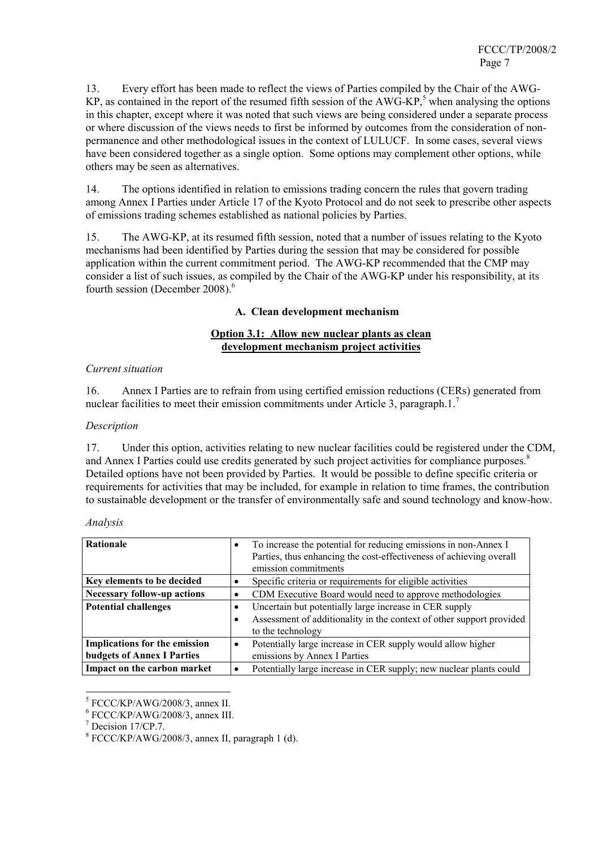13. Every effort has been made to reflect the views of Parties compiled by the Chair of the AWG-KP, as contained in the report of the resumed fifth session of the  $AWG-KP$ ,<sup>5</sup> when analysing the options in this chapter, except where it was noted that such views are being considered under a separate process or where discussion of the views needs to first be informed by outcomes from the consideration of nonpermanence and other methodological issues in the context of LULUCF. In some cases, several views have been considered together as a single option. Some options may complement other options, while others may be seen as alternatives.

14. The options identified in relation to emissions trading concern the rules that govern trading among Annex I Parties under Article 17 of the Kyoto Protocol and do not seek to prescribe other aspects of emissions trading schemes established as national policies by Parties.

15. The AWG-KP, at its resumed fifth session, noted that a number of issues relating to the Kyoto mechanisms had been identified by Parties during the session that may be considered for possible application within the current commitment period. The AWG-KP recommended that the CMP may consider a list of such issues, as compiled by the Chair of the AWG-KP under his responsibility, at its fourth session (December 2008).<sup>6</sup>

## **A. Clean development mechanism**

## **Option 3.1: Allow new nuclear plants as clean development mechanism project activities**

## *Current situation*

16. Annex I Parties are to refrain from using certified emission reductions (CERs) generated from nuclear facilities to meet their emission commitments under Article 3, paragraph.1.<sup>7</sup>

#### *Description*

17. Under this option, activities relating to new nuclear facilities could be registered under the CDM, and Annex I Parties could use credits generated by such project activities for compliance purposes.<sup>8</sup> Detailed options have not been provided by Parties. It would be possible to define specific criteria or requirements for activities that may be included, for example in relation to time frames, the contribution to sustainable development or the transfer of environmentally safe and sound technology and know-how.

| Analysis |  |
|----------|--|
|          |  |

| <b>Rationale</b>                                                          | To increase the potential for reducing emissions in non-Annex I<br>Parties, thus enhancing the cost-effectiveness of achieving overall<br>emission commitments |
|---------------------------------------------------------------------------|----------------------------------------------------------------------------------------------------------------------------------------------------------------|
| Key elements to be decided                                                | Specific criteria or requirements for eligible activities                                                                                                      |
| <b>Necessary follow-up actions</b>                                        | CDM Executive Board would need to approve methodologies                                                                                                        |
| <b>Potential challenges</b>                                               | Uncertain but potentially large increase in CER supply<br>Assessment of additionality in the context of other support provided<br>to the technology            |
| <b>Implications for the emission</b><br><b>budgets of Annex I Parties</b> | Potentially large increase in CER supply would allow higher<br>٠<br>emissions by Annex I Parties                                                               |
| Impact on the carbon market                                               | Potentially large increase in CER supply; new nuclear plants could                                                                                             |

 $^{5}$  FCCC/KP/AWG/2008/3, annex II.

 $6$  FCCC/KP/AWG/2008/3, annex III.

Decision 17/CP.7.

<sup>8</sup> FCCC/KP/AWG/2008/3, annex II, paragraph 1 (d).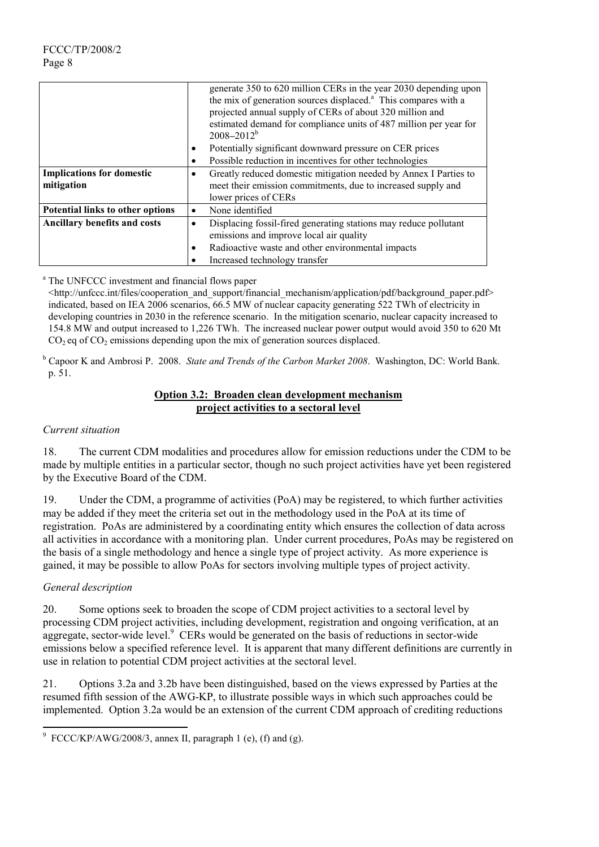|                                         |           | generate 350 to 620 million CERs in the year 2030 depending upon<br>the mix of generation sources displaced. <sup>a</sup> This compares with a   |
|-----------------------------------------|-----------|--------------------------------------------------------------------------------------------------------------------------------------------------|
|                                         |           | projected annual supply of CERs of about 320 million and<br>estimated demand for compliance units of 487 million per year for<br>$2008 - 2012^b$ |
|                                         | ٠         | Potentially significant downward pressure on CER prices                                                                                          |
|                                         |           | Possible reduction in incentives for other technologies                                                                                          |
| <b>Implications for domestic</b>        |           | Greatly reduced domestic mitigation needed by Annex I Parties to                                                                                 |
| mitigation                              |           | meet their emission commitments, due to increased supply and                                                                                     |
|                                         |           | lower prices of CERs                                                                                                                             |
| <b>Potential links to other options</b> | $\bullet$ | None identified                                                                                                                                  |
| <b>Ancillary benefits and costs</b>     | $\bullet$ | Displacing fossil-fired generating stations may reduce pollutant<br>emissions and improve local air quality                                      |
|                                         | ٠         | Radioactive waste and other environmental impacts                                                                                                |
|                                         |           | Increased technology transfer                                                                                                                    |

<sup>a</sup> The UNFCCC investment and financial flows paper

<http://unfccc.int/files/cooperation\_and\_support/financial\_mechanism/application/pdf/background\_paper.pdf> indicated, based on IEA 2006 scenarios, 66.5 MW of nuclear capacity generating 522 TWh of electricity in developing countries in 2030 in the reference scenario. In the mitigation scenario, nuclear capacity increased to 154.8 MW and output increased to 1,226 TWh. The increased nuclear power output would avoid 350 to 620 Mt  $CO<sub>2</sub>$  eq of  $CO<sub>2</sub>$  emissions depending upon the mix of generation sources displaced.

b Capoor K and Ambrosi P. 2008. *State and Trends of the Carbon Market 2008*. Washington, DC: World Bank. p. 51.

# **Option 3.2: Broaden clean development mechanism project activities to a sectoral level**

# *Current situation*

18. The current CDM modalities and procedures allow for emission reductions under the CDM to be made by multiple entities in a particular sector, though no such project activities have yet been registered by the Executive Board of the CDM.

19. Under the CDM, a programme of activities (PoA) may be registered, to which further activities may be added if they meet the criteria set out in the methodology used in the PoA at its time of registration. PoAs are administered by a coordinating entity which ensures the collection of data across all activities in accordance with a monitoring plan. Under current procedures, PoAs may be registered on the basis of a single methodology and hence a single type of project activity. As more experience is gained, it may be possible to allow PoAs for sectors involving multiple types of project activity.

# *General description*

20. Some options seek to broaden the scope of CDM project activities to a sectoral level by processing CDM project activities, including development, registration and ongoing verification, at an aggregate, sector-wide level. $\degree$  CERs would be generated on the basis of reductions in sector-wide emissions below a specified reference level. It is apparent that many different definitions are currently in use in relation to potential CDM project activities at the sectoral level.

21. Options 3.2a and 3.2b have been distinguished, based on the views expressed by Parties at the resumed fifth session of the AWG-KP, to illustrate possible ways in which such approaches could be implemented. Option 3.2a would be an extension of the current CDM approach of crediting reductions

 9 FCCC/KP/AWG/2008/3, annex II, paragraph 1 (e), (f) and (g).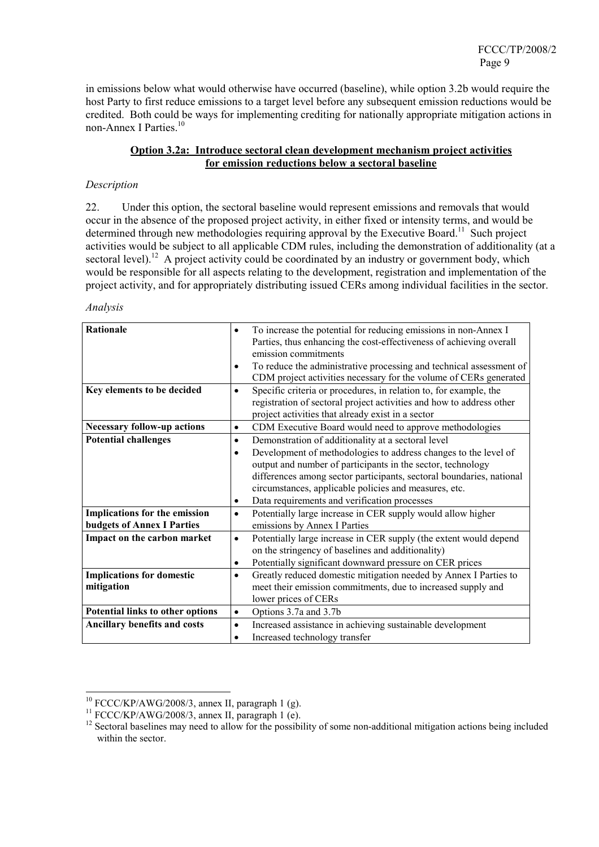in emissions below what would otherwise have occurred (baseline), while option 3.2b would require the host Party to first reduce emissions to a target level before any subsequent emission reductions would be credited. Both could be ways for implementing crediting for nationally appropriate mitigation actions in non-Annex I Parties.<sup>10</sup>

## **Option 3.2a: Introduce sectoral clean development mechanism project activities for emission reductions below a sectoral baseline**

## *Description*

22. Under this option, the sectoral baseline would represent emissions and removals that would occur in the absence of the proposed project activity, in either fixed or intensity terms, and would be determined through new methodologies requiring approval by the Executive Board.<sup>11</sup> Such project activities would be subject to all applicable CDM rules, including the demonstration of additionality (at a sectoral level).<sup>12</sup> A project activity could be coordinated by an industry or government body, which would be responsible for all aspects relating to the development, registration and implementation of the project activity, and for appropriately distributing issued CERs among individual facilities in the sector.

#### *Analysis*

| <b>Rationale</b>                    | To increase the potential for reducing emissions in non-Annex I<br>٠<br>Parties, thus enhancing the cost-effectiveness of achieving overall<br>emission commitments<br>To reduce the administrative processing and technical assessment of<br>$\bullet$<br>CDM project activities necessary for the volume of CERs generated |
|-------------------------------------|------------------------------------------------------------------------------------------------------------------------------------------------------------------------------------------------------------------------------------------------------------------------------------------------------------------------------|
| Key elements to be decided          | Specific criteria or procedures, in relation to, for example, the<br>$\bullet$                                                                                                                                                                                                                                               |
|                                     | registration of sectoral project activities and how to address other                                                                                                                                                                                                                                                         |
|                                     | project activities that already exist in a sector                                                                                                                                                                                                                                                                            |
| <b>Necessary follow-up actions</b>  | CDM Executive Board would need to approve methodologies<br>$\bullet$                                                                                                                                                                                                                                                         |
| <b>Potential challenges</b>         | Demonstration of additionality at a sectoral level<br>$\bullet$                                                                                                                                                                                                                                                              |
|                                     | Development of methodologies to address changes to the level of<br>$\bullet$                                                                                                                                                                                                                                                 |
|                                     | output and number of participants in the sector, technology                                                                                                                                                                                                                                                                  |
|                                     | differences among sector participants, sectoral boundaries, national                                                                                                                                                                                                                                                         |
|                                     | circumstances, applicable policies and measures, etc.                                                                                                                                                                                                                                                                        |
|                                     | Data requirements and verification processes<br>$\bullet$                                                                                                                                                                                                                                                                    |
| Implications for the emission       | Potentially large increase in CER supply would allow higher<br>$\bullet$                                                                                                                                                                                                                                                     |
| <b>budgets of Annex I Parties</b>   | emissions by Annex I Parties                                                                                                                                                                                                                                                                                                 |
| Impact on the carbon market         | Potentially large increase in CER supply (the extent would depend<br>$\bullet$<br>on the stringency of baselines and additionality)                                                                                                                                                                                          |
|                                     | Potentially significant downward pressure on CER prices<br>$\bullet$                                                                                                                                                                                                                                                         |
| <b>Implications for domestic</b>    | Greatly reduced domestic mitigation needed by Annex I Parties to<br>$\bullet$                                                                                                                                                                                                                                                |
| mitigation                          | meet their emission commitments, due to increased supply and                                                                                                                                                                                                                                                                 |
|                                     | lower prices of CERs                                                                                                                                                                                                                                                                                                         |
| Potential links to other options    | Options 3.7a and 3.7b<br>$\bullet$                                                                                                                                                                                                                                                                                           |
| <b>Ancillary benefits and costs</b> | Increased assistance in achieving sustainable development<br>$\bullet$                                                                                                                                                                                                                                                       |
|                                     | Increased technology transfer<br>$\bullet$                                                                                                                                                                                                                                                                                   |

<sup>&</sup>lt;sup>10</sup> FCCC/KP/AWG/2008/3, annex II, paragraph 1 (g).<br><sup>11</sup> FCCC/KP/AWG/2008/3, annex II, paragraph 1 (e).

 $12$  Sectoral baselines may need to allow for the possibility of some non-additional mitigation actions being included within the sector.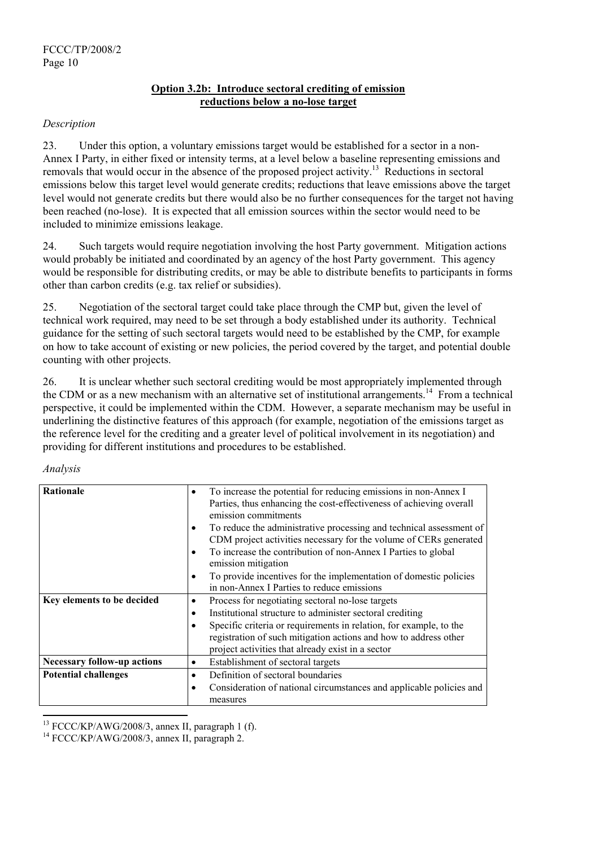# **Option 3.2b: Introduce sectoral crediting of emission reductions below a no-lose target**

## *Description*

23. Under this option, a voluntary emissions target would be established for a sector in a non-Annex I Party, in either fixed or intensity terms, at a level below a baseline representing emissions and removals that would occur in the absence of the proposed project activity.<sup>13</sup> Reductions in sectoral emissions below this target level would generate credits; reductions that leave emissions above the target level would not generate credits but there would also be no further consequences for the target not having been reached (no-lose). It is expected that all emission sources within the sector would need to be included to minimize emissions leakage.

24. Such targets would require negotiation involving the host Party government. Mitigation actions would probably be initiated and coordinated by an agency of the host Party government. This agency would be responsible for distributing credits, or may be able to distribute benefits to participants in forms other than carbon credits (e.g. tax relief or subsidies).

25. Negotiation of the sectoral target could take place through the CMP but, given the level of technical work required, may need to be set through a body established under its authority. Technical guidance for the setting of such sectoral targets would need to be established by the CMP, for example on how to take account of existing or new policies, the period covered by the target, and potential double counting with other projects.

26. It is unclear whether such sectoral crediting would be most appropriately implemented through the CDM or as a new mechanism with an alternative set of institutional arrangements.<sup>14</sup> From a technical perspective, it could be implemented within the CDM. However, a separate mechanism may be useful in underlining the distinctive features of this approach (for example, negotiation of the emissions target as the reference level for the crediting and a greater level of political involvement in its negotiation) and providing for different institutions and procedures to be established.

#### *Analysis*

l

| <b>Rationale</b>                   | To increase the potential for reducing emissions in non-Annex I<br>٠     |
|------------------------------------|--------------------------------------------------------------------------|
|                                    | Parties, thus enhancing the cost-effectiveness of achieving overall      |
|                                    | emission commitments                                                     |
|                                    | To reduce the administrative processing and technical assessment of<br>٠ |
|                                    | CDM project activities necessary for the volume of CERs generated        |
|                                    | To increase the contribution of non-Annex I Parties to global<br>٠       |
|                                    | emission mitigation                                                      |
|                                    | To provide incentives for the implementation of domestic policies<br>٠   |
|                                    | in non-Annex I Parties to reduce emissions                               |
| Key elements to be decided         | Process for negotiating sectoral no-lose targets<br>$\bullet$            |
|                                    | Institutional structure to administer sectoral crediting<br>٠            |
|                                    | Specific criteria or requirements in relation, for example, to the<br>٠  |
|                                    | registration of such mitigation actions and how to address other         |
|                                    | project activities that already exist in a sector                        |
| <b>Necessary follow-up actions</b> | Establishment of sectoral targets<br>$\bullet$                           |
| <b>Potential challenges</b>        | Definition of sectoral boundaries<br>$\bullet$                           |
|                                    | Consideration of national circumstances and applicable policies and<br>٠ |
|                                    | measures                                                                 |

<sup>&</sup>lt;sup>13</sup> FCCC/KP/AWG/2008/3, annex II, paragraph 1 (f).<br><sup>14</sup> FCCC/KP/AWG/2008/3, annex II, paragraph 2.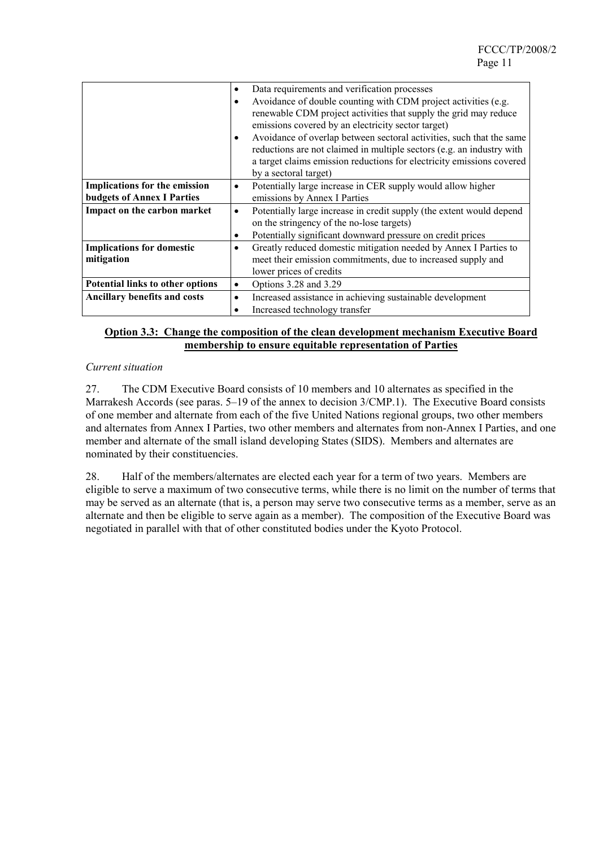|                                      | Data requirements and verification processes<br>$\bullet$                                                                                                  |
|--------------------------------------|------------------------------------------------------------------------------------------------------------------------------------------------------------|
|                                      | Avoidance of double counting with CDM project activities (e.g.<br>$\bullet$                                                                                |
|                                      | renewable CDM project activities that supply the grid may reduce                                                                                           |
|                                      | emissions covered by an electricity sector target)                                                                                                         |
|                                      | Avoidance of overlap between sectoral activities, such that the same<br>$\bullet$<br>reductions are not claimed in multiple sectors (e.g. an industry with |
|                                      | a target claims emission reductions for electricity emissions covered                                                                                      |
|                                      | by a sectoral target)                                                                                                                                      |
| <b>Implications for the emission</b> | Potentially large increase in CER supply would allow higher<br>$\bullet$                                                                                   |
| <b>budgets of Annex I Parties</b>    | emissions by Annex I Parties                                                                                                                               |
| Impact on the carbon market          | Potentially large increase in credit supply (the extent would depend<br>$\bullet$                                                                          |
|                                      | on the stringency of the no-lose targets)                                                                                                                  |
|                                      | Potentially significant downward pressure on credit prices<br>$\bullet$                                                                                    |
| <b>Implications for domestic</b>     | Greatly reduced domestic mitigation needed by Annex I Parties to<br>٠                                                                                      |
| mitigation                           | meet their emission commitments, due to increased supply and                                                                                               |
|                                      | lower prices of credits                                                                                                                                    |
| Potential links to other options     | Options 3.28 and 3.29<br>$\bullet$                                                                                                                         |
| <b>Ancillary benefits and costs</b>  | Increased assistance in achieving sustainable development<br>$\bullet$                                                                                     |
|                                      | Increased technology transfer<br>٠                                                                                                                         |

# **Option 3.3: Change the composition of the clean development mechanism Executive Board membership to ensure equitable representation of Parties**

## *Current situation*

27. The CDM Executive Board consists of 10 members and 10 alternates as specified in the Marrakesh Accords (see paras. 5–19 of the annex to decision 3/CMP.1). The Executive Board consists of one member and alternate from each of the five United Nations regional groups, two other members and alternates from Annex I Parties, two other members and alternates from non-Annex I Parties, and one member and alternate of the small island developing States (SIDS). Members and alternates are nominated by their constituencies.

28. Half of the members/alternates are elected each year for a term of two years. Members are eligible to serve a maximum of two consecutive terms, while there is no limit on the number of terms that may be served as an alternate (that is, a person may serve two consecutive terms as a member, serve as an alternate and then be eligible to serve again as a member). The composition of the Executive Board was negotiated in parallel with that of other constituted bodies under the Kyoto Protocol.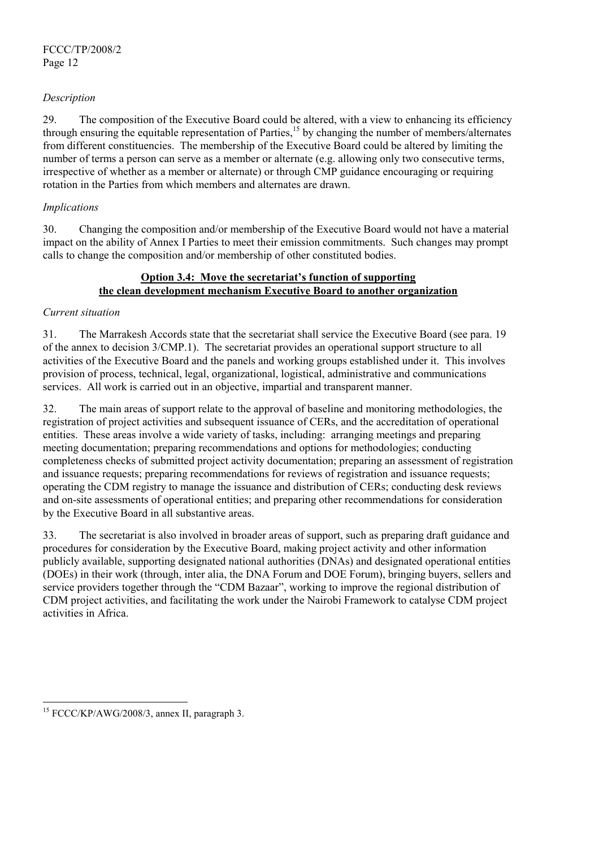# *Description*

29. The composition of the Executive Board could be altered, with a view to enhancing its efficiency through ensuring the equitable representation of Parties,<sup>15</sup> by changing the number of members/alternates from different constituencies. The membership of the Executive Board could be altered by limiting the number of terms a person can serve as a member or alternate (e.g. allowing only two consecutive terms, irrespective of whether as a member or alternate) or through CMP guidance encouraging or requiring rotation in the Parties from which members and alternates are drawn.

#### *Implications*

30. Changing the composition and/or membership of the Executive Board would not have a material impact on the ability of Annex I Parties to meet their emission commitments. Such changes may prompt calls to change the composition and/or membership of other constituted bodies.

# **Option 3.4: Move the secretariat's function of supporting the clean development mechanism Executive Board to another organization**

## *Current situation*

31. The Marrakesh Accords state that the secretariat shall service the Executive Board (see para. 19 of the annex to decision 3/CMP.1). The secretariat provides an operational support structure to all activities of the Executive Board and the panels and working groups established under it. This involves provision of process, technical, legal, organizational, logistical, administrative and communications services. All work is carried out in an objective, impartial and transparent manner.

32. The main areas of support relate to the approval of baseline and monitoring methodologies, the registration of project activities and subsequent issuance of CERs, and the accreditation of operational entities. These areas involve a wide variety of tasks, including: arranging meetings and preparing meeting documentation; preparing recommendations and options for methodologies; conducting completeness checks of submitted project activity documentation; preparing an assessment of registration and issuance requests; preparing recommendations for reviews of registration and issuance requests; operating the CDM registry to manage the issuance and distribution of CERs; conducting desk reviews and on-site assessments of operational entities; and preparing other recommendations for consideration by the Executive Board in all substantive areas.

33. The secretariat is also involved in broader areas of support, such as preparing draft guidance and procedures for consideration by the Executive Board, making project activity and other information publicly available, supporting designated national authorities (DNAs) and designated operational entities (DOEs) in their work (through, inter alia, the DNA Forum and DOE Forum), bringing buyers, sellers and service providers together through the "CDM Bazaar", working to improve the regional distribution of CDM project activities, and facilitating the work under the Nairobi Framework to catalyse CDM project activities in Africa.

l

<sup>&</sup>lt;sup>15</sup> FCCC/KP/AWG/2008/3, annex II, paragraph 3.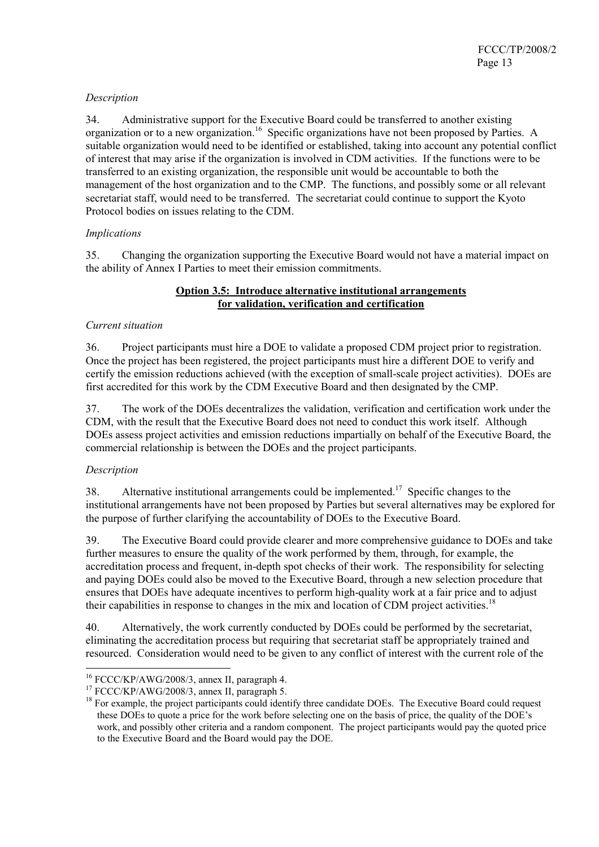# *Description*

34. Administrative support for the Executive Board could be transferred to another existing organization or to a new organization.<sup>16</sup> Specific organizations have not been proposed by Parties. A suitable organization would need to be identified or established, taking into account any potential conflict of interest that may arise if the organization is involved in CDM activities. If the functions were to be transferred to an existing organization, the responsible unit would be accountable to both the management of the host organization and to the CMP. The functions, and possibly some or all relevant secretariat staff, would need to be transferred. The secretariat could continue to support the Kyoto Protocol bodies on issues relating to the CDM.

# *Implications*

35. Changing the organization supporting the Executive Board would not have a material impact on the ability of Annex I Parties to meet their emission commitments.

## **Option 3.5: Introduce alternative institutional arrangements for validation, verification and certification**

# *Current situation*

36. Project participants must hire a DOE to validate a proposed CDM project prior to registration. Once the project has been registered, the project participants must hire a different DOE to verify and certify the emission reductions achieved (with the exception of small-scale project activities). DOEs are first accredited for this work by the CDM Executive Board and then designated by the CMP.

37. The work of the DOEs decentralizes the validation, verification and certification work under the CDM, with the result that the Executive Board does not need to conduct this work itself. Although DOEs assess project activities and emission reductions impartially on behalf of the Executive Board, the commercial relationship is between the DOEs and the project participants.

# *Description*

38. Alternative institutional arrangements could be implemented.<sup>17</sup> Specific changes to the institutional arrangements have not been proposed by Parties but several alternatives may be explored for the purpose of further clarifying the accountability of DOEs to the Executive Board.

39. The Executive Board could provide clearer and more comprehensive guidance to DOEs and take further measures to ensure the quality of the work performed by them, through, for example, the accreditation process and frequent, in-depth spot checks of their work. The responsibility for selecting and paying DOEs could also be moved to the Executive Board, through a new selection procedure that ensures that DOEs have adequate incentives to perform high-quality work at a fair price and to adjust their capabilities in response to changes in the mix and location of CDM project activities.<sup>18</sup>

40. Alternatively, the work currently conducted by DOEs could be performed by the secretariat, eliminating the accreditation process but requiring that secretariat staff be appropriately trained and resourced. Consideration would need to be given to any conflict of interest with the current role of the

 $16$  FCCC/KP/AWG/2008/3, annex II, paragraph 4.

<sup>&</sup>lt;sup>17</sup> FCCC/KP/AWG/2008/3, annex II, paragraph 5.<br><sup>18</sup> For example, the project participants could identify three candidate DOEs. The Executive Board could request these DOEs to quote a price for the work before selecting one on the basis of price, the quality of the DOE's work, and possibly other criteria and a random component. The project participants would pay the quoted price to the Executive Board and the Board would pay the DOE.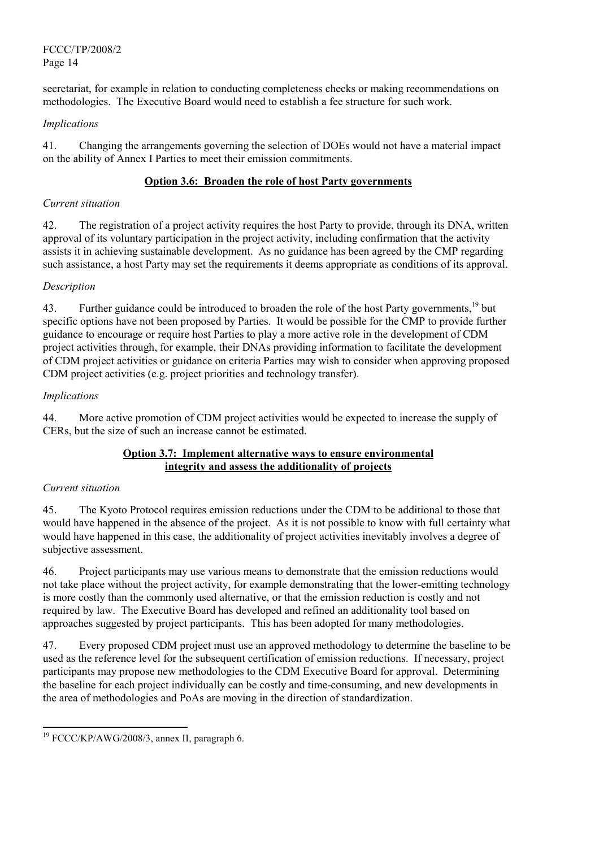FCCC/TP/2008/2 Page 14

secretariat, for example in relation to conducting completeness checks or making recommendations on methodologies. The Executive Board would need to establish a fee structure for such work.

# *Implications*

41. Changing the arrangements governing the selection of DOEs would not have a material impact on the ability of Annex I Parties to meet their emission commitments.

# **Option 3.6: Broaden the role of host Party governments**

## *Current situation*

42. The registration of a project activity requires the host Party to provide, through its DNA, written approval of its voluntary participation in the project activity, including confirmation that the activity assists it in achieving sustainable development. As no guidance has been agreed by the CMP regarding such assistance, a host Party may set the requirements it deems appropriate as conditions of its approval.

# *Description*

43. Further guidance could be introduced to broaden the role of the host Party governments.<sup>19</sup> but specific options have not been proposed by Parties. It would be possible for the CMP to provide further guidance to encourage or require host Parties to play a more active role in the development of CDM project activities through, for example, their DNAs providing information to facilitate the development of CDM project activities or guidance on criteria Parties may wish to consider when approving proposed CDM project activities (e.g. project priorities and technology transfer).

## *Implications*

44. More active promotion of CDM project activities would be expected to increase the supply of CERs, but the size of such an increase cannot be estimated.

## **Option 3.7: Implement alternative ways to ensure environmental integrity and assess the additionality of projects**

# *Current situation*

l

45. The Kyoto Protocol requires emission reductions under the CDM to be additional to those that would have happened in the absence of the project. As it is not possible to know with full certainty what would have happened in this case, the additionality of project activities inevitably involves a degree of subjective assessment.

46. Project participants may use various means to demonstrate that the emission reductions would not take place without the project activity, for example demonstrating that the lower-emitting technology is more costly than the commonly used alternative, or that the emission reduction is costly and not required by law. The Executive Board has developed and refined an additionality tool based on approaches suggested by project participants. This has been adopted for many methodologies.

47. Every proposed CDM project must use an approved methodology to determine the baseline to be used as the reference level for the subsequent certification of emission reductions. If necessary, project participants may propose new methodologies to the CDM Executive Board for approval. Determining the baseline for each project individually can be costly and time-consuming, and new developments in the area of methodologies and PoAs are moving in the direction of standardization.

<sup>&</sup>lt;sup>19</sup> FCCC/KP/AWG/2008/3, annex II, paragraph 6.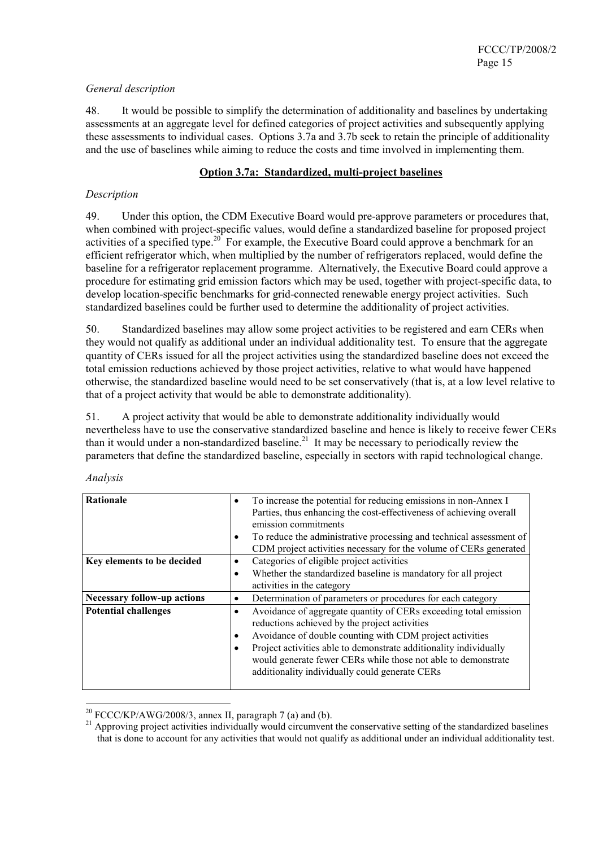# *General description*

48. It would be possible to simplify the determination of additionality and baselines by undertaking assessments at an aggregate level for defined categories of project activities and subsequently applying these assessments to individual cases. Options 3.7a and 3.7b seek to retain the principle of additionality and the use of baselines while aiming to reduce the costs and time involved in implementing them.

## **Option 3.7a: Standardized, multi-project baselines**

## *Description*

49. Under this option, the CDM Executive Board would pre-approve parameters or procedures that, when combined with project-specific values, would define a standardized baseline for proposed project activities of a specified type.<sup>20</sup> For example, the Executive Board could approve a benchmark for an efficient refrigerator which, when multiplied by the number of refrigerators replaced, would define the baseline for a refrigerator replacement programme. Alternatively, the Executive Board could approve a procedure for estimating grid emission factors which may be used, together with project-specific data, to develop location-specific benchmarks for grid-connected renewable energy project activities. Such standardized baselines could be further used to determine the additionality of project activities.

50. Standardized baselines may allow some project activities to be registered and earn CERs when they would not qualify as additional under an individual additionality test. To ensure that the aggregate quantity of CERs issued for all the project activities using the standardized baseline does not exceed the total emission reductions achieved by those project activities, relative to what would have happened otherwise, the standardized baseline would need to be set conservatively (that is, at a low level relative to that of a project activity that would be able to demonstrate additionality).

51. A project activity that would be able to demonstrate additionality individually would nevertheless have to use the conservative standardized baseline and hence is likely to receive fewer CERs than it would under a non-standardized baseline.<sup>21</sup> It may be necessary to periodically review the parameters that define the standardized baseline, especially in sectors with rapid technological change.

| <b>Rationale</b>                   | To increase the potential for reducing emissions in non-Annex I<br>$\bullet$<br>Parties, thus enhancing the cost-effectiveness of achieving overall<br>emission commitments                                                                                                                                                                                                                          |
|------------------------------------|------------------------------------------------------------------------------------------------------------------------------------------------------------------------------------------------------------------------------------------------------------------------------------------------------------------------------------------------------------------------------------------------------|
|                                    | To reduce the administrative processing and technical assessment of<br>٠<br>CDM project activities necessary for the volume of CERs generated                                                                                                                                                                                                                                                        |
| Key elements to be decided         | Categories of eligible project activities<br>$\bullet$<br>Whether the standardized baseline is mandatory for all project<br>٠<br>activities in the category                                                                                                                                                                                                                                          |
| <b>Necessary follow-up actions</b> | Determination of parameters or procedures for each category<br>$\bullet$                                                                                                                                                                                                                                                                                                                             |
| <b>Potential challenges</b>        | Avoidance of aggregate quantity of CERs exceeding total emission<br>$\bullet$<br>reductions achieved by the project activities<br>Avoidance of double counting with CDM project activities<br>٠<br>Project activities able to demonstrate additionality individually<br>$\bullet$<br>would generate fewer CERs while those not able to demonstrate<br>additionality individually could generate CERs |

*Analysis*

<sup>&</sup>lt;sup>20</sup> FCCC/KP/AWG/2008/3, annex II, paragraph 7 (a) and (b).

 $^{21}$  Approving project activities individually would circumvent the conservative setting of the standardized baselines that is done to account for any activities that would not qualify as additional under an individual additionality test.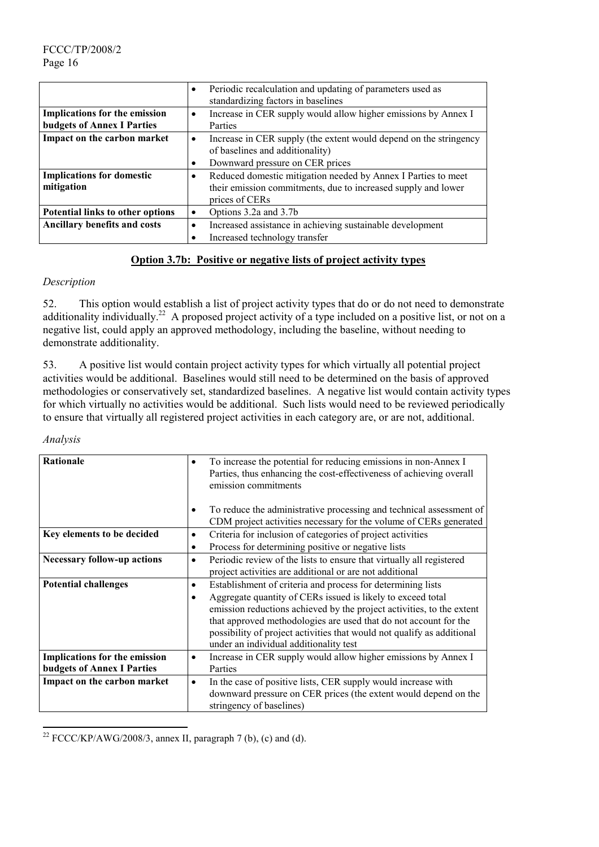|                                                                           | $\bullet$ | Periodic recalculation and updating of parameters used as<br>standardizing factors in baselines                                                  |
|---------------------------------------------------------------------------|-----------|--------------------------------------------------------------------------------------------------------------------------------------------------|
| <b>Implications for the emission</b><br><b>budgets of Annex I Parties</b> | $\bullet$ | Increase in CER supply would allow higher emissions by Annex I<br>Parties                                                                        |
| Impact on the carbon market                                               | $\bullet$ | Increase in CER supply (the extent would depend on the stringency<br>of baselines and additionality)<br>Downward pressure on CER prices          |
| <b>Implications for domestic</b><br>mitigation                            | $\bullet$ | Reduced domestic mitigation needed by Annex I Parties to meet<br>their emission commitments, due to increased supply and lower<br>prices of CERs |
| Potential links to other options                                          | $\bullet$ | Options 3.2a and 3.7b                                                                                                                            |
| <b>Ancillary benefits and costs</b>                                       | $\bullet$ | Increased assistance in achieving sustainable development<br>Increased technology transfer                                                       |

# **Option 3.7b: Positive or negative lists of project activity types**

# *Description*

52. This option would establish a list of project activity types that do or do not need to demonstrate additionality individually.<sup>22</sup> A proposed project activity of a type included on a positive list, or not on a negative list, could apply an approved methodology, including the baseline, without needing to demonstrate additionality.

53. A positive list would contain project activity types for which virtually all potential project activities would be additional. Baselines would still need to be determined on the basis of approved methodologies or conservatively set, standardized baselines. A negative list would contain activity types for which virtually no activities would be additional. Such lists would need to be reviewed periodically to ensure that virtually all registered project activities in each category are, or are not, additional.

#### *Analysis*

l

| <b>Rationale</b>                                                          | $\bullet$              | To increase the potential for reducing emissions in non-Annex I<br>Parties, thus enhancing the cost-effectiveness of achieving overall<br>emission commitments<br>To reduce the administrative processing and technical assessment of                                                                                                                                                       |
|---------------------------------------------------------------------------|------------------------|---------------------------------------------------------------------------------------------------------------------------------------------------------------------------------------------------------------------------------------------------------------------------------------------------------------------------------------------------------------------------------------------|
|                                                                           |                        | CDM project activities necessary for the volume of CERs generated                                                                                                                                                                                                                                                                                                                           |
| Key elements to be decided                                                | $\bullet$<br>$\bullet$ | Criteria for inclusion of categories of project activities<br>Process for determining positive or negative lists                                                                                                                                                                                                                                                                            |
| <b>Necessary follow-up actions</b>                                        | $\bullet$              | Periodic review of the lists to ensure that virtually all registered<br>project activities are additional or are not additional                                                                                                                                                                                                                                                             |
| <b>Potential challenges</b>                                               | $\bullet$<br>$\bullet$ | Establishment of criteria and process for determining lists<br>Aggregate quantity of CERs issued is likely to exceed total<br>emission reductions achieved by the project activities, to the extent<br>that approved methodologies are used that do not account for the<br>possibility of project activities that would not qualify as additional<br>under an individual additionality test |
| <b>Implications for the emission</b><br><b>budgets of Annex I Parties</b> | $\bullet$              | Increase in CER supply would allow higher emissions by Annex I<br>Parties                                                                                                                                                                                                                                                                                                                   |
| Impact on the carbon market                                               | $\bullet$              | In the case of positive lists, CER supply would increase with<br>downward pressure on CER prices (the extent would depend on the<br>stringency of baselines)                                                                                                                                                                                                                                |

<sup>&</sup>lt;sup>22</sup> FCCC/KP/AWG/2008/3, annex II, paragraph 7 (b), (c) and (d).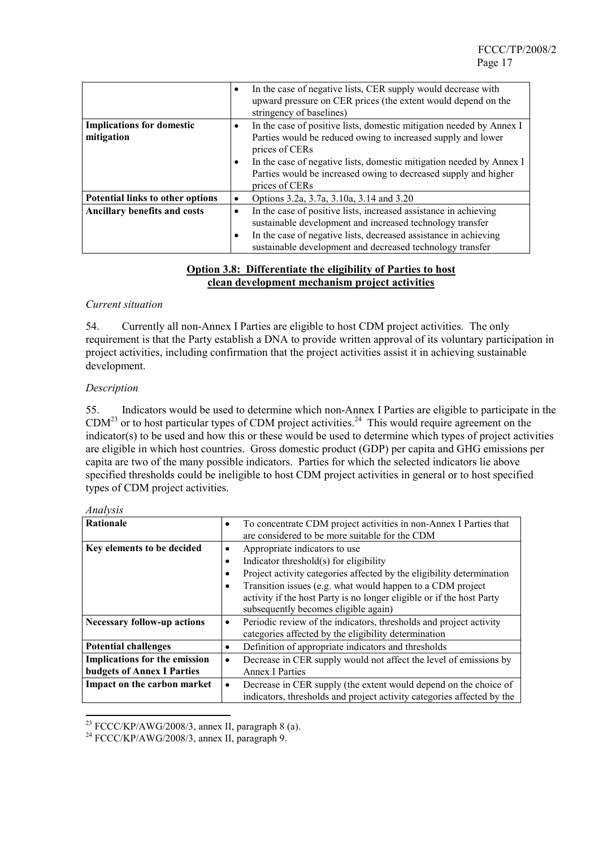|                                         | $\bullet$ | In the case of negative lists, CER supply would decrease with<br>upward pressure on CER prices (the extent would depend on the<br>stringency of baselines) |
|-----------------------------------------|-----------|------------------------------------------------------------------------------------------------------------------------------------------------------------|
| <b>Implications for domestic</b>        | $\bullet$ | In the case of positive lists, domestic mitigation needed by Annex I                                                                                       |
| mitigation                              |           | Parties would be reduced owing to increased supply and lower<br>prices of CERs                                                                             |
|                                         | $\bullet$ | In the case of negative lists, domestic mitigation needed by Annex I                                                                                       |
|                                         |           | Parties would be increased owing to decreased supply and higher<br>prices of CERs                                                                          |
| <b>Potential links to other options</b> | ٠         | Options 3.2a, 3.7a, 3.10a, 3.14 and 3.20                                                                                                                   |
| Ancillary benefits and costs            | ٠         | In the case of positive lists, increased assistance in achieving<br>sustainable development and increased technology transfer                              |
|                                         | $\bullet$ | In the case of negative lists, decreased assistance in achieving                                                                                           |
|                                         |           | sustainable development and decreased technology transfer                                                                                                  |

# **Option 3.8: Differentiate the eligibility of Parties to host clean development mechanism project activities**

#### *Current situation*

54. Currently all non-Annex I Parties are eligible to host CDM project activities. The only requirement is that the Party establish a DNA to provide written approval of its voluntary participation in project activities, including confirmation that the project activities assist it in achieving sustainable development.

## *Description*

55. Indicators would be used to determine which non-Annex I Parties are eligible to participate in the  $CDM<sup>23</sup>$  or to host particular types of CDM project activities.<sup>24</sup> This would require agreement on the indicator(s) to be used and how this or these would be used to determine which types of project activities are eligible in which host countries. Gross domestic product (GDP) per capita and GHG emissions per capita are two of the many possible indicators. Parties for which the selected indicators lie above specified thresholds could be ineligible to host CDM project activities in general or to host specified types of CDM project activities.

| Rationale                            | ٠         | To concentrate CDM project activities in non-Annex I Parties that<br>are considered to be more suitable for the CDM |
|--------------------------------------|-----------|---------------------------------------------------------------------------------------------------------------------|
| Key elements to be decided           | ٠         | Appropriate indicators to use                                                                                       |
|                                      | $\bullet$ | Indicator threshold(s) for eligibility                                                                              |
|                                      |           | Project activity categories affected by the eligibility determination                                               |
|                                      | $\bullet$ | Transition issues (e.g. what would happen to a CDM project                                                          |
|                                      |           | activity if the host Party is no longer eligible or if the host Party                                               |
|                                      |           | subsequently becomes eligible again)                                                                                |
| <b>Necessary follow-up actions</b>   | ٠         | Periodic review of the indicators, thresholds and project activity                                                  |
|                                      |           | categories affected by the eligibility determination                                                                |
| <b>Potential challenges</b>          | $\bullet$ | Definition of appropriate indicators and thresholds                                                                 |
| <b>Implications for the emission</b> | ٠         | Decrease in CER supply would not affect the level of emissions by                                                   |
| <b>budgets of Annex I Parties</b>    |           | <b>Annex I Parties</b>                                                                                              |
| Impact on the carbon market          | ٠         | Decrease in CER supply (the extent would depend on the choice of                                                    |
|                                      |           | indicators, thresholds and project activity categories affected by the                                              |

#### *Analysis*

<sup>&</sup>lt;sup>23</sup> FCCC/KP/AWG/2008/3, annex II, paragraph 8 (a).<br><sup>24</sup> FCCC/KP/AWG/2008/3, annex II, paragraph 9.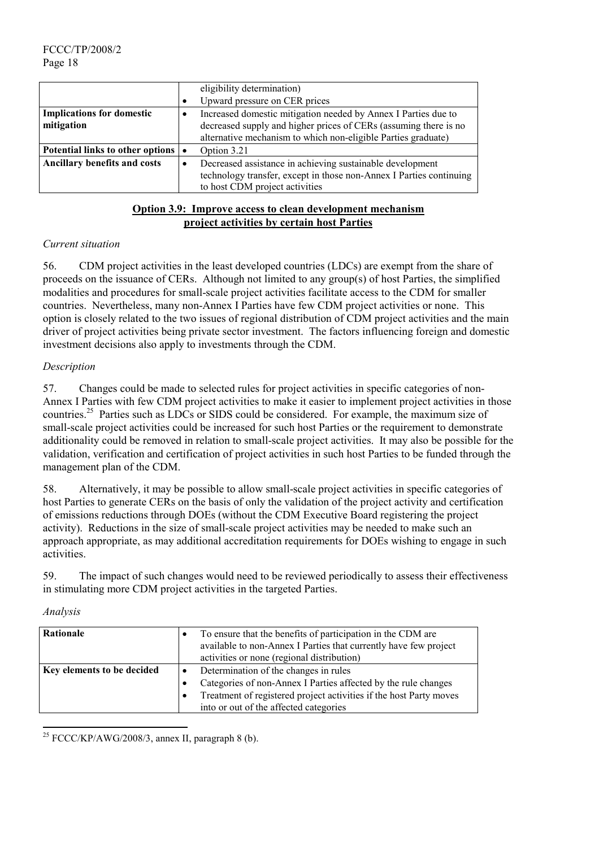|                                      | eligibility determination)                                          |
|--------------------------------------|---------------------------------------------------------------------|
|                                      | Upward pressure on CER prices                                       |
| <b>Implications for domestic</b>     | Increased domestic mitigation needed by Annex I Parties due to      |
| mitigation                           | decreased supply and higher prices of CERs (assuming there is no    |
|                                      | alternative mechanism to which non-eligible Parties graduate)       |
| Potential links to other options   • | Option 3.21                                                         |
| <b>Ancillary benefits and costs</b>  | Decreased assistance in achieving sustainable development           |
|                                      | technology transfer, except in those non-Annex I Parties continuing |
|                                      | to host CDM project activities                                      |

# **Option 3.9: Improve access to clean development mechanism project activities by certain host Parties**

## *Current situation*

56. CDM project activities in the least developed countries (LDCs) are exempt from the share of proceeds on the issuance of CERs. Although not limited to any group(s) of host Parties, the simplified modalities and procedures for small-scale project activities facilitate access to the CDM for smaller countries. Nevertheless, many non-Annex I Parties have few CDM project activities or none. This option is closely related to the two issues of regional distribution of CDM project activities and the main driver of project activities being private sector investment. The factors influencing foreign and domestic investment decisions also apply to investments through the CDM.

# *Description*

57. Changes could be made to selected rules for project activities in specific categories of non-Annex I Parties with few CDM project activities to make it easier to implement project activities in those countries.25 Parties such as LDCs or SIDS could be considered. For example, the maximum size of small-scale project activities could be increased for such host Parties or the requirement to demonstrate additionality could be removed in relation to small-scale project activities. It may also be possible for the validation, verification and certification of project activities in such host Parties to be funded through the management plan of the CDM.

58. Alternatively, it may be possible to allow small-scale project activities in specific categories of host Parties to generate CERs on the basis of only the validation of the project activity and certification of emissions reductions through DOEs (without the CDM Executive Board registering the project activity). Reductions in the size of small-scale project activities may be needed to make such an approach appropriate, as may additional accreditation requirements for DOEs wishing to engage in such activities.

59. The impact of such changes would need to be reviewed periodically to assess their effectiveness in stimulating more CDM project activities in the targeted Parties.

#### *Analysis*

l

| Rationale                  | To ensure that the benefits of participation in the CDM are<br>available to non-Annex I Parties that currently have few project<br>activities or none (regional distribution)                                           |
|----------------------------|-------------------------------------------------------------------------------------------------------------------------------------------------------------------------------------------------------------------------|
| Key elements to be decided | Determination of the changes in rules<br>Categories of non-Annex I Parties affected by the rule changes<br>Treatment of registered project activities if the host Party moves<br>into or out of the affected categories |

 $25$  FCCC/KP/AWG/2008/3, annex II, paragraph 8 (b).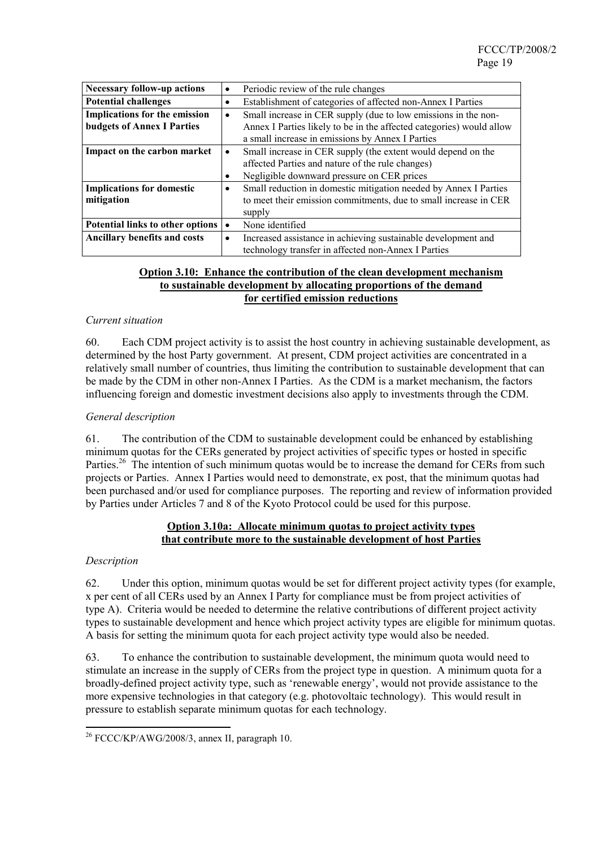| <b>Necessary follow-up actions</b>  | ٠ | Periodic review of the rule changes                                  |
|-------------------------------------|---|----------------------------------------------------------------------|
| <b>Potential challenges</b>         | ٠ | Establishment of categories of affected non-Annex I Parties          |
| Implications for the emission       | ٠ | Small increase in CER supply (due to low emissions in the non-       |
| <b>budgets of Annex I Parties</b>   |   | Annex I Parties likely to be in the affected categories) would allow |
|                                     |   | a small increase in emissions by Annex I Parties                     |
| Impact on the carbon market         | ٠ | Small increase in CER supply (the extent would depend on the         |
|                                     |   | affected Parties and nature of the rule changes)                     |
|                                     |   | Negligible downward pressure on CER prices                           |
| <b>Implications for domestic</b>    | ٠ | Small reduction in domestic mitigation needed by Annex I Parties     |
| mitigation                          |   | to meet their emission commitments, due to small increase in CER     |
|                                     |   | supply                                                               |
| Potential links to other options    |   | None identified                                                      |
| <b>Ancillary benefits and costs</b> | ٠ | Increased assistance in achieving sustainable development and        |
|                                     |   | technology transfer in affected non-Annex I Parties                  |

#### **Option 3.10: Enhance the contribution of the clean development mechanism to sustainable development by allocating proportions of the demand for certified emission reductions**

#### *Current situation*

60. Each CDM project activity is to assist the host country in achieving sustainable development, as determined by the host Party government. At present, CDM project activities are concentrated in a relatively small number of countries, thus limiting the contribution to sustainable development that can be made by the CDM in other non-Annex I Parties. As the CDM is a market mechanism, the factors influencing foreign and domestic investment decisions also apply to investments through the CDM.

## *General description*

61. The contribution of the CDM to sustainable development could be enhanced by establishing minimum quotas for the CERs generated by project activities of specific types or hosted in specific Parties.<sup>26</sup> The intention of such minimum quotas would be to increase the demand for CERs from such projects or Parties. Annex I Parties would need to demonstrate, ex post, that the minimum quotas had been purchased and/or used for compliance purposes. The reporting and review of information provided by Parties under Articles 7 and 8 of the Kyoto Protocol could be used for this purpose.

# **Option 3.10a: Allocate minimum quotas to project activity types that contribute more to the sustainable development of host Parties**

#### *Description*

 $\overline{a}$ 

62. Under this option, minimum quotas would be set for different project activity types (for example, x per cent of all CERs used by an Annex I Party for compliance must be from project activities of type A). Criteria would be needed to determine the relative contributions of different project activity types to sustainable development and hence which project activity types are eligible for minimum quotas. A basis for setting the minimum quota for each project activity type would also be needed.

63. To enhance the contribution to sustainable development, the minimum quota would need to stimulate an increase in the supply of CERs from the project type in question. A minimum quota for a broadly-defined project activity type, such as 'renewable energy', would not provide assistance to the more expensive technologies in that category (e.g. photovoltaic technology). This would result in pressure to establish separate minimum quotas for each technology.

 $26$  FCCC/KP/AWG/2008/3, annex II, paragraph 10.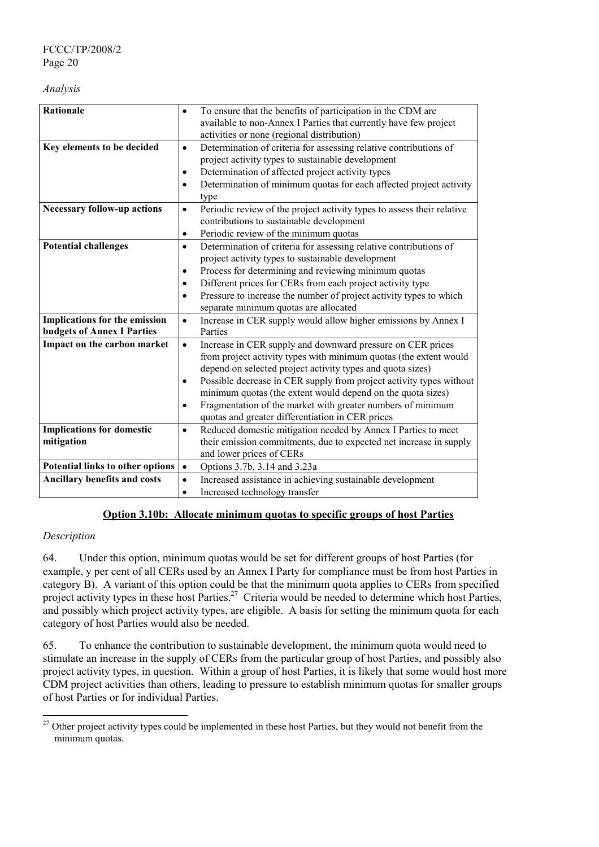#### *Analysis*

| <b>Rationale</b>                        | To ensure that the benefits of participation in the CDM are<br>$\bullet$<br>available to non-Annex I Parties that currently have few project |
|-----------------------------------------|----------------------------------------------------------------------------------------------------------------------------------------------|
|                                         | activities or none (regional distribution)                                                                                                   |
| Key elements to be decided              | Determination of criteria for assessing relative contributions of<br>$\bullet$                                                               |
|                                         | project activity types to sustainable development                                                                                            |
|                                         | Determination of affected project activity types<br>$\bullet$                                                                                |
|                                         | Determination of minimum quotas for each affected project activity<br>$\bullet$                                                              |
| <b>Necessary follow-up actions</b>      | type<br>Periodic review of the project activity types to assess their relative<br>$\bullet$                                                  |
|                                         | contributions to sustainable development                                                                                                     |
|                                         | Periodic review of the minimum quotas<br>$\bullet$                                                                                           |
| <b>Potential challenges</b>             | Determination of criteria for assessing relative contributions of<br>$\bullet$                                                               |
|                                         | project activity types to sustainable development                                                                                            |
|                                         | Process for determining and reviewing minimum quotas<br>$\bullet$                                                                            |
|                                         | Different prices for CERs from each project activity type<br>$\bullet$                                                                       |
|                                         | Pressure to increase the number of project activity types to which<br>$\bullet$                                                              |
|                                         | separate minimum quotas are allocated                                                                                                        |
| Implications for the emission           | Increase in CER supply would allow higher emissions by Annex I<br>$\bullet$                                                                  |
| <b>budgets of Annex I Parties</b>       | Parties                                                                                                                                      |
| Impact on the carbon market             | Increase in CER supply and downward pressure on CER prices<br>$\bullet$                                                                      |
|                                         | from project activity types with minimum quotas (the extent would                                                                            |
|                                         | depend on selected project activity types and quota sizes)                                                                                   |
|                                         | Possible decrease in CER supply from project activity types without                                                                          |
|                                         | minimum quotas (the extent would depend on the quota sizes)                                                                                  |
|                                         | Fragmentation of the market with greater numbers of minimum<br>$\bullet$                                                                     |
|                                         | quotas and greater differentiation in CER prices                                                                                             |
| <b>Implications for domestic</b>        | Reduced domestic mitigation needed by Annex I Parties to meet<br>$\bullet$                                                                   |
| mitigation                              | their emission commitments, due to expected net increase in supply<br>and lower prices of CERs                                               |
| <b>Potential links to other options</b> |                                                                                                                                              |
|                                         | Options 3.7b, 3.14 and 3.23a<br>$\bullet$                                                                                                    |
| <b>Ancillary benefits and costs</b>     | Increased assistance in achieving sustainable development<br>$\bullet$                                                                       |
|                                         | Increased technology transfer<br>$\bullet$                                                                                                   |

# **Option 3.10b: Allocate minimum quotas to specific groups of host Parties**

# *Description*

l

64. Under this option, minimum quotas would be set for different groups of host Parties (for example, y per cent of all CERs used by an Annex I Party for compliance must be from host Parties in category B). A variant of this option could be that the minimum quota applies to CERs from specified project activity types in these host Parties.<sup>27</sup> Criteria would be needed to determine which host Parties, and possibly which project activity types, are eligible. A basis for setting the minimum quota for each category of host Parties would also be needed.

65. To enhance the contribution to sustainable development, the minimum quota would need to stimulate an increase in the supply of CERs from the particular group of host Parties, and possibly also project activity types, in question. Within a group of host Parties, it is likely that some would host more CDM project activities than others, leading to pressure to establish minimum quotas for smaller groups of host Parties or for individual Parties.

<sup>&</sup>lt;sup>27</sup> Other project activity types could be implemented in these host Parties, but they would not benefit from the minimum quotas.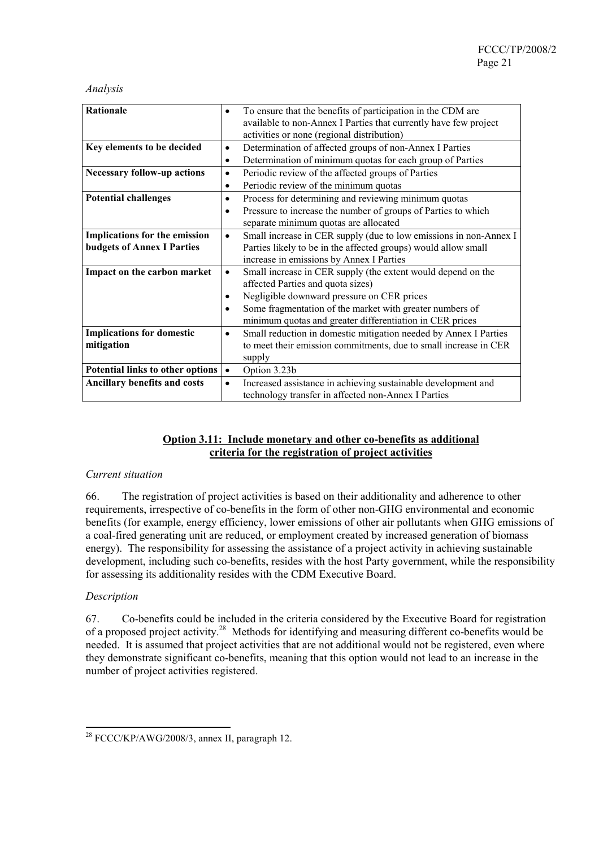#### *Analysis*

| <b>Rationale</b>                        | ٠         | To ensure that the benefits of participation in the CDM are       |
|-----------------------------------------|-----------|-------------------------------------------------------------------|
|                                         |           | available to non-Annex I Parties that currently have few project  |
|                                         |           | activities or none (regional distribution)                        |
| Key elements to be decided              | ٠         | Determination of affected groups of non-Annex I Parties           |
|                                         | $\bullet$ | Determination of minimum quotas for each group of Parties         |
| <b>Necessary follow-up actions</b>      | ٠         | Periodic review of the affected groups of Parties                 |
|                                         | $\bullet$ | Periodic review of the minimum quotas                             |
| <b>Potential challenges</b>             | ٠         | Process for determining and reviewing minimum quotas              |
|                                         |           | Pressure to increase the number of groups of Parties to which     |
|                                         |           | separate minimum quotas are allocated                             |
| <b>Implications for the emission</b>    | $\bullet$ | Small increase in CER supply (due to low emissions in non-Annex I |
| <b>budgets of Annex I Parties</b>       |           | Parties likely to be in the affected groups) would allow small    |
|                                         |           | increase in emissions by Annex I Parties                          |
| Impact on the carbon market             | ٠         | Small increase in CER supply (the extent would depend on the      |
|                                         |           | affected Parties and quota sizes)                                 |
|                                         |           | Negligible downward pressure on CER prices                        |
|                                         |           | Some fragmentation of the market with greater numbers of          |
|                                         |           | minimum quotas and greater differentiation in CER prices          |
| <b>Implications for domestic</b>        | $\bullet$ | Small reduction in domestic mitigation needed by Annex I Parties  |
| mitigation                              |           | to meet their emission commitments, due to small increase in CER  |
|                                         |           | supply                                                            |
| <b>Potential links to other options</b> |           | Option 3.23b                                                      |
| <b>Ancillary benefits and costs</b>     | $\bullet$ | Increased assistance in achieving sustainable development and     |
|                                         |           | technology transfer in affected non-Annex I Parties               |

# **Option 3.11: Include monetary and other co-benefits as additional criteria for the registration of project activities**

#### *Current situation*

66. The registration of project activities is based on their additionality and adherence to other requirements, irrespective of co-benefits in the form of other non-GHG environmental and economic benefits (for example, energy efficiency, lower emissions of other air pollutants when GHG emissions of a coal-fired generating unit are reduced, or employment created by increased generation of biomass energy). The responsibility for assessing the assistance of a project activity in achieving sustainable development, including such co-benefits, resides with the host Party government, while the responsibility for assessing its additionality resides with the CDM Executive Board.

#### *Description*

 $\overline{a}$ 

67. Co-benefits could be included in the criteria considered by the Executive Board for registration of a proposed project activity.28 Methods for identifying and measuring different co-benefits would be needed. It is assumed that project activities that are not additional would not be registered, even where they demonstrate significant co-benefits, meaning that this option would not lead to an increase in the number of project activities registered.

<sup>&</sup>lt;sup>28</sup> FCCC/KP/AWG/2008/3, annex II, paragraph 12.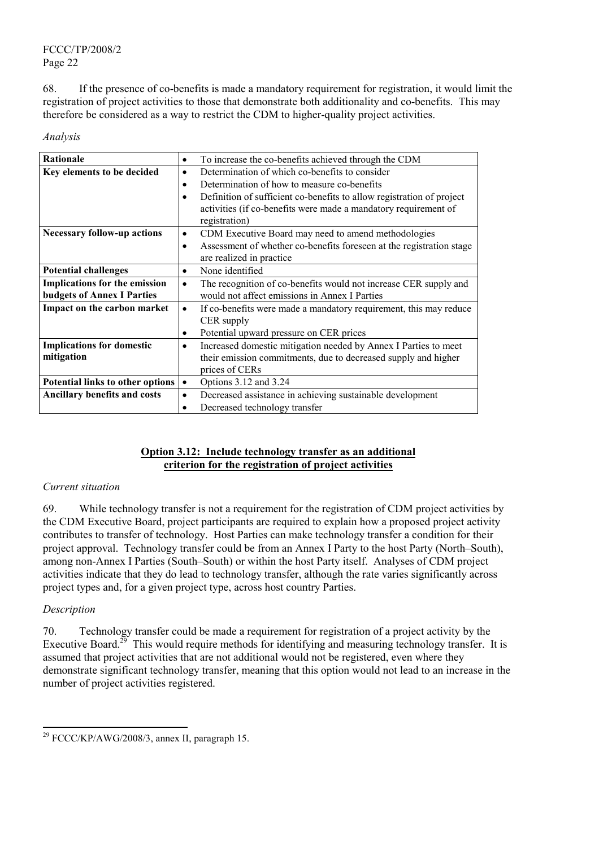68. If the presence of co-benefits is made a mandatory requirement for registration, it would limit the registration of project activities to those that demonstrate both additionality and co-benefits. This may therefore be considered as a way to restrict the CDM to higher-quality project activities.

## *Analysis*

| Rationale                            | $\bullet$ | To increase the co-benefits achieved through the CDM                  |
|--------------------------------------|-----------|-----------------------------------------------------------------------|
|                                      |           |                                                                       |
| Key elements to be decided           | $\bullet$ | Determination of which co-benefits to consider                        |
|                                      | $\bullet$ | Determination of how to measure co-benefits                           |
|                                      |           | Definition of sufficient co-benefits to allow registration of project |
|                                      |           | activities (if co-benefits were made a mandatory requirement of       |
|                                      |           | registration)                                                         |
| <b>Necessary follow-up actions</b>   | $\bullet$ | CDM Executive Board may need to amend methodologies                   |
|                                      |           | Assessment of whether co-benefits foreseen at the registration stage  |
|                                      |           | are realized in practice.                                             |
| <b>Potential challenges</b>          | $\bullet$ | None identified                                                       |
| <b>Implications for the emission</b> | $\bullet$ | The recognition of co-benefits would not increase CER supply and      |
| <b>budgets of Annex I Parties</b>    |           | would not affect emissions in Annex I Parties                         |
| Impact on the carbon market          | $\bullet$ | If co-benefits were made a mandatory requirement, this may reduce     |
|                                      |           | CER supply                                                            |
|                                      | ٠         | Potential upward pressure on CER prices                               |
| <b>Implications for domestic</b>     |           | Increased domestic mitigation needed by Annex I Parties to meet       |
| mitigation                           |           | their emission commitments, due to decreased supply and higher        |
|                                      |           | prices of CERs                                                        |
| Potential links to other options     | $\bullet$ | Options 3.12 and 3.24                                                 |
| <b>Ancillary benefits and costs</b>  | ٠         | Decreased assistance in achieving sustainable development             |
|                                      |           | Decreased technology transfer                                         |

# **Option 3.12: Include technology transfer as an additional criterion for the registration of project activities**

# *Current situation*

69. While technology transfer is not a requirement for the registration of CDM project activities by the CDM Executive Board, project participants are required to explain how a proposed project activity contributes to transfer of technology. Host Parties can make technology transfer a condition for their project approval. Technology transfer could be from an Annex I Party to the host Party (North–South), among non-Annex I Parties (South–South) or within the host Party itself. Analyses of CDM project activities indicate that they do lead to technology transfer, although the rate varies significantly across project types and, for a given project type, across host country Parties.

# *Description*

l

70. Technology transfer could be made a requirement for registration of a project activity by the Executive Board.<sup>29</sup> This would require methods for identifying and measuring technology transfer. It is assumed that project activities that are not additional would not be registered, even where they demonstrate significant technology transfer, meaning that this option would not lead to an increase in the number of project activities registered.

 $29$  FCCC/KP/AWG/2008/3, annex II, paragraph 15.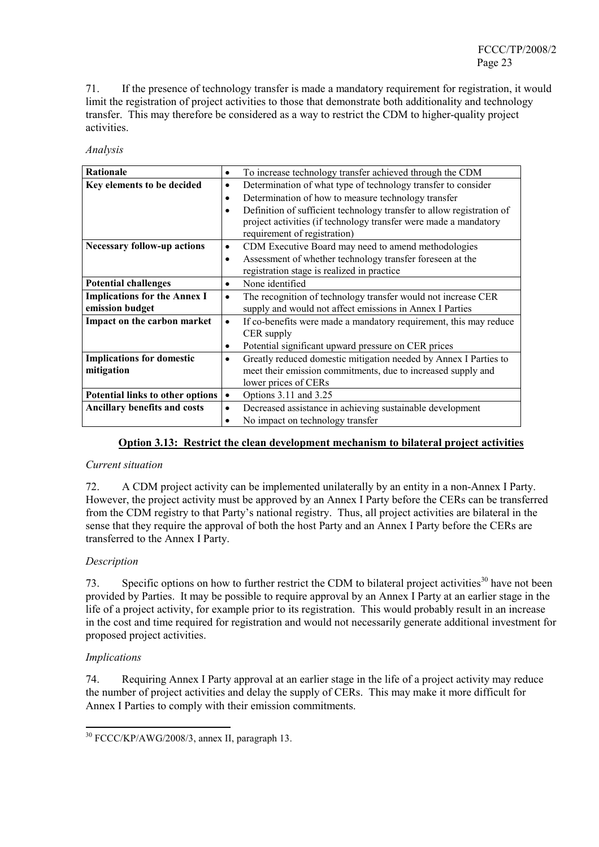71. If the presence of technology transfer is made a mandatory requirement for registration, it would limit the registration of project activities to those that demonstrate both additionality and technology transfer. This may therefore be considered as a way to restrict the CDM to higher-quality project activities.

#### *Analysis*

| Rationale                           | $\bullet$ | To increase technology transfer achieved through the CDM              |
|-------------------------------------|-----------|-----------------------------------------------------------------------|
| Key elements to be decided          | $\bullet$ | Determination of what type of technology transfer to consider         |
|                                     | ٠         | Determination of how to measure technology transfer                   |
|                                     |           | Definition of sufficient technology transfer to allow registration of |
|                                     |           | project activities (if technology transfer were made a mandatory      |
|                                     |           | requirement of registration)                                          |
| <b>Necessary follow-up actions</b>  | $\bullet$ | CDM Executive Board may need to amend methodologies                   |
|                                     | $\bullet$ | Assessment of whether technology transfer foreseen at the             |
|                                     |           | registration stage is realized in practice                            |
| <b>Potential challenges</b>         | $\bullet$ | None identified                                                       |
| <b>Implications for the Annex I</b> | ٠         | The recognition of technology transfer would not increase CER         |
| emission budget                     |           | supply and would not affect emissions in Annex I Parties              |
| Impact on the carbon market         | $\bullet$ | If co-benefits were made a mandatory requirement, this may reduce     |
|                                     |           | CER supply                                                            |
|                                     | ٠         | Potential significant upward pressure on CER prices                   |
| <b>Implications for domestic</b>    | $\bullet$ | Greatly reduced domestic mitigation needed by Annex I Parties to      |
| mitigation                          |           | meet their emission commitments, due to increased supply and          |
|                                     |           | lower prices of CERs                                                  |
| Potential links to other options    | $\bullet$ | Options 3.11 and 3.25                                                 |
| <b>Ancillary benefits and costs</b> | $\bullet$ | Decreased assistance in achieving sustainable development             |
|                                     |           | No impact on technology transfer                                      |

# **Option 3.13: Restrict the clean development mechanism to bilateral project activities**

#### *Current situation*

72. A CDM project activity can be implemented unilaterally by an entity in a non-Annex I Party. However, the project activity must be approved by an Annex I Party before the CERs can be transferred from the CDM registry to that Party's national registry. Thus, all project activities are bilateral in the sense that they require the approval of both the host Party and an Annex I Party before the CERs are transferred to the Annex I Party.

# *Description*

73. Specific options on how to further restrict the CDM to bilateral project activities<sup>30</sup> have not been provided by Parties. It may be possible to require approval by an Annex I Party at an earlier stage in the life of a project activity, for example prior to its registration. This would probably result in an increase in the cost and time required for registration and would not necessarily generate additional investment for proposed project activities.

# *Implications*

 $\overline{a}$ 

74. Requiring Annex I Party approval at an earlier stage in the life of a project activity may reduce the number of project activities and delay the supply of CERs. This may make it more difficult for Annex I Parties to comply with their emission commitments.

<sup>30</sup> FCCC/KP/AWG/2008/3, annex II, paragraph 13.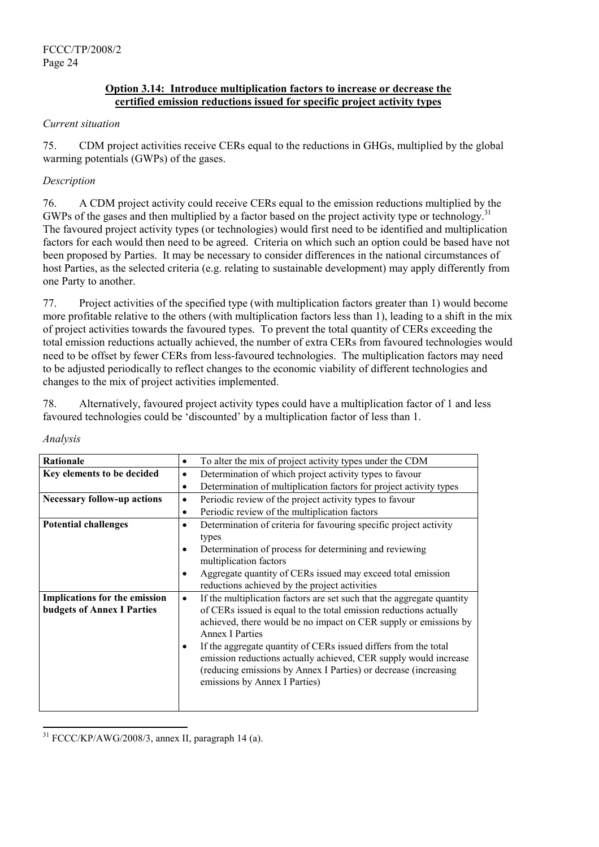# **Option 3.14: Introduce multiplication factors to increase or decrease the certified emission reductions issued for specific project activity types**

## *Current situation*

75. CDM project activities receive CERs equal to the reductions in GHGs, multiplied by the global warming potentials (GWPs) of the gases.

## *Description*

76. A CDM project activity could receive CERs equal to the emission reductions multiplied by the GWPs of the gases and then multiplied by a factor based on the project activity type or technology.<sup>31</sup> The favoured project activity types (or technologies) would first need to be identified and multiplication factors for each would then need to be agreed. Criteria on which such an option could be based have not been proposed by Parties. It may be necessary to consider differences in the national circumstances of host Parties, as the selected criteria (e.g. relating to sustainable development) may apply differently from one Party to another.

77. Project activities of the specified type (with multiplication factors greater than 1) would become more profitable relative to the others (with multiplication factors less than 1), leading to a shift in the mix of project activities towards the favoured types. To prevent the total quantity of CERs exceeding the total emission reductions actually achieved, the number of extra CERs from favoured technologies would need to be offset by fewer CERs from less-favoured technologies. The multiplication factors may need to be adjusted periodically to reflect changes to the economic viability of different technologies and changes to the mix of project activities implemented.

78. Alternatively, favoured project activity types could have a multiplication factor of 1 and less favoured technologies could be 'discounted' by a multiplication factor of less than 1.

| Rationale                          | To alter the mix of project activity types under the CDM<br>$\bullet$               |
|------------------------------------|-------------------------------------------------------------------------------------|
| Key elements to be decided         | Determination of which project activity types to favour<br>$\bullet$                |
|                                    | Determination of multiplication factors for project activity types<br>$\bullet$     |
| <b>Necessary follow-up actions</b> | Periodic review of the project activity types to favour<br>$\bullet$                |
|                                    | Periodic review of the multiplication factors<br>$\bullet$                          |
| <b>Potential challenges</b>        | Determination of criteria for favouring specific project activity<br>$\bullet$      |
|                                    | types                                                                               |
|                                    | Determination of process for determining and reviewing                              |
|                                    | multiplication factors                                                              |
|                                    | Aggregate quantity of CERs issued may exceed total emission                         |
|                                    | reductions achieved by the project activities                                       |
| Implications for the emission      | If the multiplication factors are set such that the aggregate quantity<br>$\bullet$ |
| <b>budgets of Annex I Parties</b>  | of CERs issued is equal to the total emission reductions actually                   |
|                                    | achieved, there would be no impact on CER supply or emissions by                    |
|                                    | <b>Annex I Parties</b>                                                              |
|                                    | If the aggregate quantity of CERs issued differs from the total                     |
|                                    | emission reductions actually achieved, CER supply would increase                    |
|                                    | (reducing emissions by Annex I Parties) or decrease (increasing                     |
|                                    | emissions by Annex I Parties)                                                       |
|                                    |                                                                                     |
|                                    |                                                                                     |

*Analysis*

l 31 FCCC/KP/AWG/2008/3, annex II, paragraph 14 (a).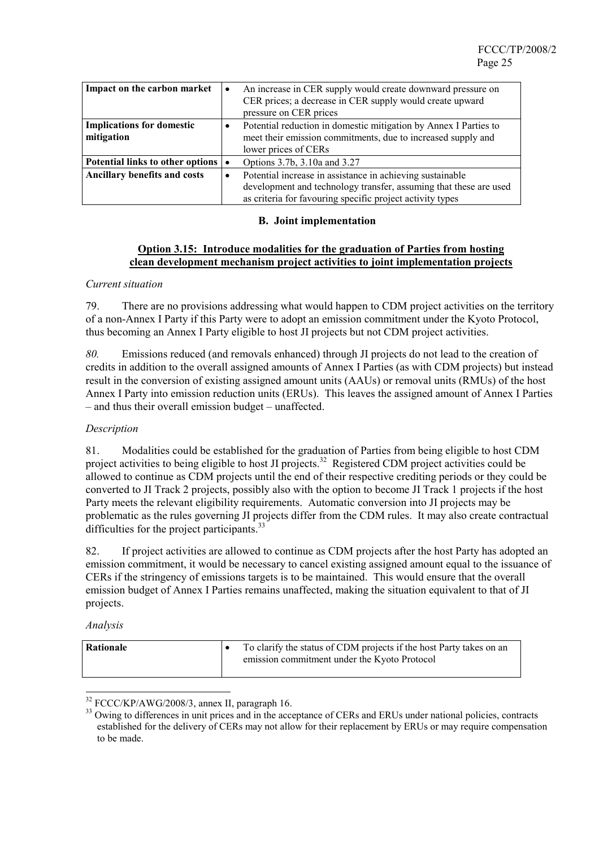| Impact on the carbon market                    | $\bullet$ | An increase in CER supply would create downward pressure on<br>CER prices; a decrease in CER supply would create upward<br>pressure on CER prices                                           |
|------------------------------------------------|-----------|---------------------------------------------------------------------------------------------------------------------------------------------------------------------------------------------|
| <b>Implications for domestic</b><br>mitigation |           | Potential reduction in domestic mitigation by Annex I Parties to<br>meet their emission commitments, due to increased supply and<br>lower prices of CERs                                    |
| Potential links to other options               |           | Options 3.7b, 3.10a and 3.27                                                                                                                                                                |
| <b>Ancillary benefits and costs</b>            | $\bullet$ | Potential increase in assistance in achieving sustainable<br>development and technology transfer, assuming that these are used<br>as criteria for favouring specific project activity types |

## **B. Joint implementation**

## **Option 3.15: Introduce modalities for the graduation of Parties from hosting clean development mechanism project activities to joint implementation projects**

## *Current situation*

79. There are no provisions addressing what would happen to CDM project activities on the territory of a non-Annex I Party if this Party were to adopt an emission commitment under the Kyoto Protocol, thus becoming an Annex I Party eligible to host JI projects but not CDM project activities.

*80.* Emissions reduced (and removals enhanced) through JI projects do not lead to the creation of credits in addition to the overall assigned amounts of Annex I Parties (as with CDM projects) but instead result in the conversion of existing assigned amount units (AAUs) or removal units (RMUs) of the host Annex I Party into emission reduction units (ERUs). This leaves the assigned amount of Annex I Parties – and thus their overall emission budget – unaffected.

## *Description*

81. Modalities could be established for the graduation of Parties from being eligible to host CDM project activities to being eligible to host JI projects.<sup>32</sup> Registered CDM project activities could be allowed to continue as CDM projects until the end of their respective crediting periods or they could be converted to JI Track 2 projects, possibly also with the option to become JI Track 1 projects if the host Party meets the relevant eligibility requirements. Automatic conversion into JI projects may be problematic as the rules governing JI projects differ from the CDM rules. It may also create contractual difficulties for the project participants.<sup>33</sup>

82. If project activities are allowed to continue as CDM projects after the host Party has adopted an emission commitment, it would be necessary to cancel existing assigned amount equal to the issuance of CERs if the stringency of emissions targets is to be maintained. This would ensure that the overall emission budget of Annex I Parties remains unaffected, making the situation equivalent to that of JI projects.

#### *Analysis*

| Rationale | To clarify the status of CDM projects if the host Party takes on an<br>emission commitment under the Kyoto Protocol |
|-----------|---------------------------------------------------------------------------------------------------------------------|
|           |                                                                                                                     |

 $32$  FCCC/KP/AWG/2008/3, annex II, paragraph 16.<br> $33$  Owing to differences in unit prices and in the acceptance of CERs and ERUs under national policies, contracts established for the delivery of CERs may not allow for their replacement by ERUs or may require compensation to be made.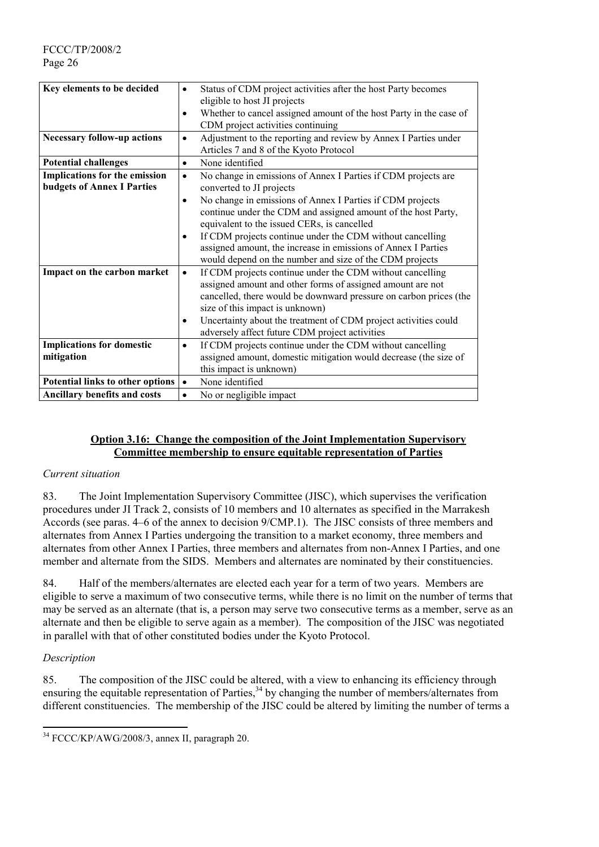FCCC/TP/2008/2 Page 26

| Key elements to be decided          | ٠         | Status of CDM project activities after the host Party becomes      |
|-------------------------------------|-----------|--------------------------------------------------------------------|
|                                     |           | eligible to host JI projects                                       |
|                                     | ٠         | Whether to cancel assigned amount of the host Party in the case of |
|                                     |           | CDM project activities continuing                                  |
| <b>Necessary follow-up actions</b>  | $\bullet$ | Adjustment to the reporting and review by Annex I Parties under    |
|                                     |           | Articles 7 and 8 of the Kyoto Protocol                             |
|                                     |           |                                                                    |
| <b>Potential challenges</b>         | $\bullet$ | None identified                                                    |
| Implications for the emission       | $\bullet$ | No change in emissions of Annex I Parties if CDM projects are      |
| <b>budgets of Annex I Parties</b>   |           | converted to JI projects                                           |
|                                     | $\bullet$ | No change in emissions of Annex I Parties if CDM projects          |
|                                     |           | continue under the CDM and assigned amount of the host Party,      |
|                                     |           | equivalent to the issued CERs, is cancelled                        |
|                                     | ٠         | If CDM projects continue under the CDM without cancelling          |
|                                     |           |                                                                    |
|                                     |           | assigned amount, the increase in emissions of Annex I Parties      |
|                                     |           | would depend on the number and size of the CDM projects            |
| Impact on the carbon market         | $\bullet$ | If CDM projects continue under the CDM without cancelling          |
|                                     |           | assigned amount and other forms of assigned amount are not         |
|                                     |           | cancelled, there would be downward pressure on carbon prices (the  |
|                                     |           | size of this impact is unknown)                                    |
|                                     | ٠         | Uncertainty about the treatment of CDM project activities could    |
|                                     |           | adversely affect future CDM project activities                     |
|                                     |           |                                                                    |
| <b>Implications for domestic</b>    | $\bullet$ | If CDM projects continue under the CDM without cancelling          |
| mitigation                          |           | assigned amount, domestic mitigation would decrease (the size of   |
|                                     |           | this impact is unknown)                                            |
| Potential links to other options    | $\bullet$ | None identified                                                    |
| <b>Ancillary benefits and costs</b> | $\bullet$ | No or negligible impact                                            |

## **Option 3.16: Change the composition of the Joint Implementation Supervisory Committee membership to ensure equitable representation of Parties**

#### *Current situation*

83. The Joint Implementation Supervisory Committee (JISC), which supervises the verification procedures under JI Track 2, consists of 10 members and 10 alternates as specified in the Marrakesh Accords (see paras. 4–6 of the annex to decision 9/CMP.1). The JISC consists of three members and alternates from Annex I Parties undergoing the transition to a market economy, three members and alternates from other Annex I Parties, three members and alternates from non-Annex I Parties, and one member and alternate from the SIDS. Members and alternates are nominated by their constituencies.

84. Half of the members/alternates are elected each year for a term of two years. Members are eligible to serve a maximum of two consecutive terms, while there is no limit on the number of terms that may be served as an alternate (that is, a person may serve two consecutive terms as a member, serve as an alternate and then be eligible to serve again as a member). The composition of the JISC was negotiated in parallel with that of other constituted bodies under the Kyoto Protocol.

# *Description*

l

85. The composition of the JISC could be altered, with a view to enhancing its efficiency through ensuring the equitable representation of Parties,<sup>34</sup> by changing the number of members/alternates from different constituencies. The membership of the JISC could be altered by limiting the number of terms a

<sup>34</sup> FCCC/KP/AWG/2008/3, annex II, paragraph 20.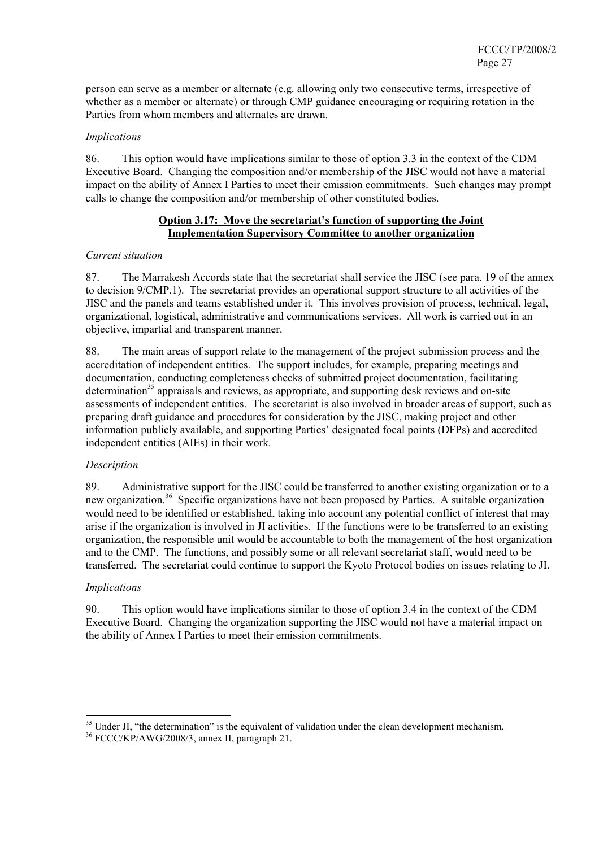person can serve as a member or alternate (e.g. allowing only two consecutive terms, irrespective of whether as a member or alternate) or through CMP guidance encouraging or requiring rotation in the Parties from whom members and alternates are drawn.

## *Implications*

86. This option would have implications similar to those of option 3.3 in the context of the CDM Executive Board. Changing the composition and/or membership of the JISC would not have a material impact on the ability of Annex I Parties to meet their emission commitments. Such changes may prompt calls to change the composition and/or membership of other constituted bodies.

# **Option 3.17: Move the secretariat's function of supporting the Joint Implementation Supervisory Committee to another organization**

## *Current situation*

87. The Marrakesh Accords state that the secretariat shall service the JISC (see para. 19 of the annex to decision 9/CMP.1). The secretariat provides an operational support structure to all activities of the JISC and the panels and teams established under it. This involves provision of process, technical, legal, organizational, logistical, administrative and communications services. All work is carried out in an objective, impartial and transparent manner.

88. The main areas of support relate to the management of the project submission process and the accreditation of independent entities. The support includes, for example, preparing meetings and documentation, conducting completeness checks of submitted project documentation, facilitating  $d$  determination<sup>35</sup> appraisals and reviews, as appropriate, and supporting desk reviews and on-site assessments of independent entities. The secretariat is also involved in broader areas of support, such as preparing draft guidance and procedures for consideration by the JISC, making project and other information publicly available, and supporting Parties' designated focal points (DFPs) and accredited independent entities (AIEs) in their work.

# *Description*

89. Administrative support for the JISC could be transferred to another existing organization or to a new organization.<sup>36</sup> Specific organizations have not been proposed by Parties. A suitable organization would need to be identified or established, taking into account any potential conflict of interest that may arise if the organization is involved in JI activities. If the functions were to be transferred to an existing organization, the responsible unit would be accountable to both the management of the host organization and to the CMP. The functions, and possibly some or all relevant secretariat staff, would need to be transferred. The secretariat could continue to support the Kyoto Protocol bodies on issues relating to JI.

#### *Implications*

90. This option would have implications similar to those of option 3.4 in the context of the CDM Executive Board. Changing the organization supporting the JISC would not have a material impact on the ability of Annex I Parties to meet their emission commitments.

<sup>&</sup>lt;sup>35</sup> Under JI, "the determination" is the equivalent of validation under the clean development mechanism.<br><sup>36</sup> FCCC/KP/AWG/2008/3, annex II, paragraph 21.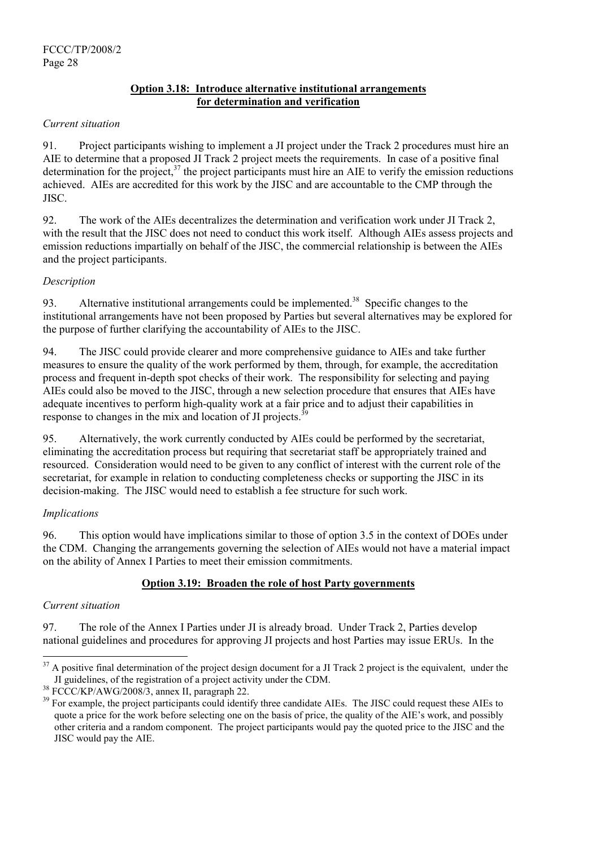# **Option 3.18: Introduce alternative institutional arrangements for determination and verification**

## *Current situation*

91. Project participants wishing to implement a JI project under the Track 2 procedures must hire an AIE to determine that a proposed JI Track 2 project meets the requirements. In case of a positive final determination for the project, $37$  the project participants must hire an AIE to verify the emission reductions achieved. AIEs are accredited for this work by the JISC and are accountable to the CMP through the JISC.

92. The work of the AIEs decentralizes the determination and verification work under JI Track 2, with the result that the JISC does not need to conduct this work itself. Although AIEs assess projects and emission reductions impartially on behalf of the JISC, the commercial relationship is between the AIEs and the project participants.

# *Description*

93. Alternative institutional arrangements could be implemented.<sup>38</sup> Specific changes to the institutional arrangements have not been proposed by Parties but several alternatives may be explored for the purpose of further clarifying the accountability of AIEs to the JISC.

94. The JISC could provide clearer and more comprehensive guidance to AIEs and take further measures to ensure the quality of the work performed by them, through, for example, the accreditation process and frequent in-depth spot checks of their work. The responsibility for selecting and paying AIEs could also be moved to the JISC, through a new selection procedure that ensures that AIEs have adequate incentives to perform high-quality work at a fair price and to adjust their capabilities in response to changes in the mix and location of JI projects.<sup> $39$ </sup>

95. Alternatively, the work currently conducted by AIEs could be performed by the secretariat, eliminating the accreditation process but requiring that secretariat staff be appropriately trained and resourced. Consideration would need to be given to any conflict of interest with the current role of the secretariat, for example in relation to conducting completeness checks or supporting the JISC in its decision-making. The JISC would need to establish a fee structure for such work.

# *Implications*

96. This option would have implications similar to those of option 3.5 in the context of DOEs under the CDM. Changing the arrangements governing the selection of AIEs would not have a material impact on the ability of Annex I Parties to meet their emission commitments.

# **Option 3.19: Broaden the role of host Party governments**

# *Current situation*

l

97. The role of the Annex I Parties under JI is already broad. Under Track 2, Parties develop national guidelines and procedures for approving JI projects and host Parties may issue ERUs. In the

 $37$  A positive final determination of the project design document for a JI Track 2 project is the equivalent, under the JI guidelines, of the registration of a project activity under the CDM.

 $^{38}$  FCCC/KP/AWG/2008/3, annex II, paragraph 22.<br> $^{39}$  For example, the project participants could identify three candidate AIEs. The JISC could request these AIEs to quote a price for the work before selecting one on the basis of price, the quality of the AIE's work, and possibly other criteria and a random component. The project participants would pay the quoted price to the JISC and the JISC would pay the AIE.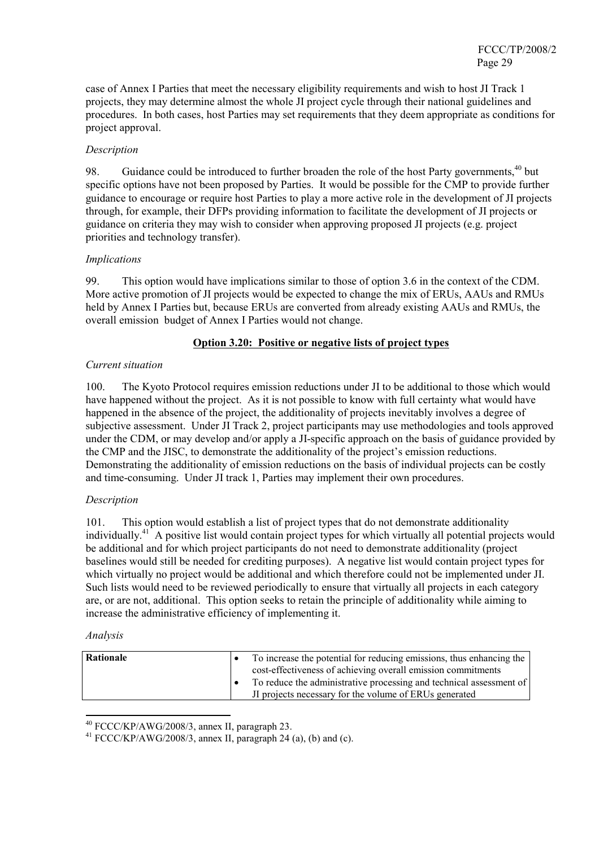case of Annex I Parties that meet the necessary eligibility requirements and wish to host JI Track 1 projects, they may determine almost the whole JI project cycle through their national guidelines and procedures. In both cases, host Parties may set requirements that they deem appropriate as conditions for project approval.

# *Description*

98. Guidance could be introduced to further broaden the role of the host Party governments.<sup>40</sup> but specific options have not been proposed by Parties. It would be possible for the CMP to provide further guidance to encourage or require host Parties to play a more active role in the development of JI projects through, for example, their DFPs providing information to facilitate the development of JI projects or guidance on criteria they may wish to consider when approving proposed JI projects (e.g. project priorities and technology transfer).

## *Implications*

99. This option would have implications similar to those of option 3.6 in the context of the CDM. More active promotion of JI projects would be expected to change the mix of ERUs, AAUs and RMUs held by Annex I Parties but, because ERUs are converted from already existing AAUs and RMUs, the overall emission budget of Annex I Parties would not change.

## **Option 3.20: Positive or negative lists of project types**

## *Current situation*

100. The Kyoto Protocol requires emission reductions under JI to be additional to those which would have happened without the project. As it is not possible to know with full certainty what would have happened in the absence of the project, the additionality of projects inevitably involves a degree of subjective assessment. Under JI Track 2, project participants may use methodologies and tools approved under the CDM, or may develop and/or apply a JI-specific approach on the basis of guidance provided by the CMP and the JISC, to demonstrate the additionality of the project's emission reductions. Demonstrating the additionality of emission reductions on the basis of individual projects can be costly and time-consuming. Under JI track 1, Parties may implement their own procedures.

# *Description*

101. This option would establish a list of project types that do not demonstrate additionality individually.<sup>41</sup> A positive list would contain project types for which virtually all potential projects would be additional and for which project participants do not need to demonstrate additionality (project baselines would still be needed for crediting purposes). A negative list would contain project types for which virtually no project would be additional and which therefore could not be implemented under JI. Such lists would need to be reviewed periodically to ensure that virtually all projects in each category are, or are not, additional. This option seeks to retain the principle of additionality while aiming to increase the administrative efficiency of implementing it.

#### *Analysis*

| Rationale | To increase the potential for reducing emissions, thus enhancing the |  |
|-----------|----------------------------------------------------------------------|--|
|           | cost-effectiveness of achieving overall emission commitments         |  |
|           | To reduce the administrative processing and technical assessment of  |  |
|           | If projects necessary for the volume of ERUs generated               |  |

 $40$  FCCC/KP/AWG/2008/3, annex II, paragraph 23.

 $41$  FCCC/KP/AWG/2008/3, annex II, paragraph 24 (a), (b) and (c).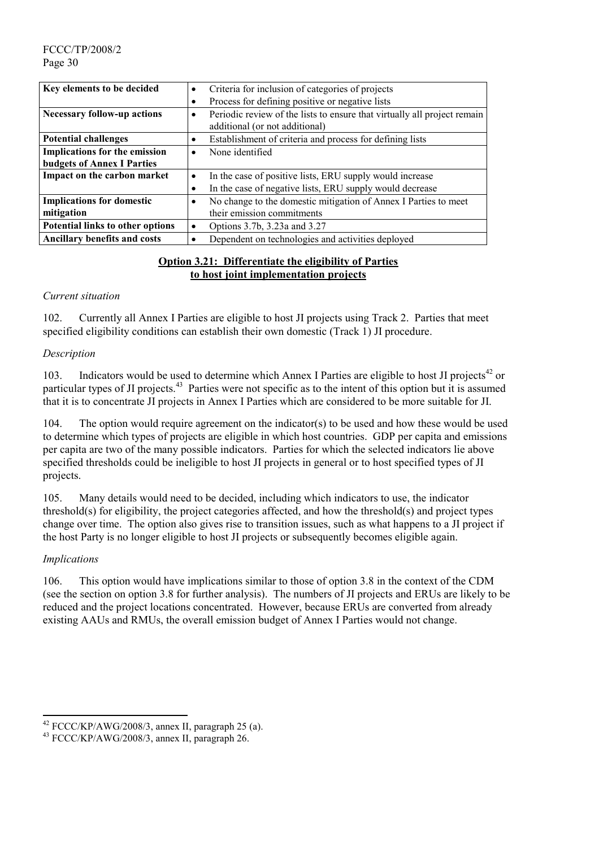FCCC/TP/2008/2 Page 30

| Key elements to be decided           | Criteria for inclusion of categories of projects<br>$\bullet$                         |  |  |
|--------------------------------------|---------------------------------------------------------------------------------------|--|--|
|                                      | Process for defining positive or negative lists                                       |  |  |
| <b>Necessary follow-up actions</b>   | Periodic review of the lists to ensure that virtually all project remain<br>$\bullet$ |  |  |
|                                      | additional (or not additional)                                                        |  |  |
| <b>Potential challenges</b>          | Establishment of criteria and process for defining lists<br>٠                         |  |  |
| <b>Implications for the emission</b> | None identified<br>$\bullet$                                                          |  |  |
| <b>budgets of Annex I Parties</b>    |                                                                                       |  |  |
| Impact on the carbon market          | In the case of positive lists, ERU supply would increase<br>$\bullet$                 |  |  |
|                                      | In the case of negative lists, ERU supply would decrease                              |  |  |
| <b>Implications for domestic</b>     | No change to the domestic mitigation of Annex I Parties to meet<br>$\bullet$          |  |  |
| mitigation                           | their emission commitments                                                            |  |  |
| Potential links to other options     | Options 3.7b, 3.23a and 3.27<br>٠                                                     |  |  |
| <b>Ancillary benefits and costs</b>  | Dependent on technologies and activities deployed<br>$\bullet$                        |  |  |

## **Option 3.21: Differentiate the eligibility of Parties to host joint implementation projects**

#### *Current situation*

102. Currently all Annex I Parties are eligible to host JI projects using Track 2. Parties that meet specified eligibility conditions can establish their own domestic (Track 1) JI procedure.

## *Description*

103. Indicators would be used to determine which Annex I Parties are eligible to host JI projects<sup>42</sup> or particular types of JI projects.<sup>43</sup> Parties were not specific as to the intent of this option but it is assumed that it is to concentrate JI projects in Annex I Parties which are considered to be more suitable for JI.

104. The option would require agreement on the indicator(s) to be used and how these would be used to determine which types of projects are eligible in which host countries. GDP per capita and emissions per capita are two of the many possible indicators. Parties for which the selected indicators lie above specified thresholds could be ineligible to host JI projects in general or to host specified types of JI projects.

105. Many details would need to be decided, including which indicators to use, the indicator threshold(s) for eligibility, the project categories affected, and how the threshold(s) and project types change over time. The option also gives rise to transition issues, such as what happens to a JI project if the host Party is no longer eligible to host JI projects or subsequently becomes eligible again.

# *Implications*

l

106. This option would have implications similar to those of option 3.8 in the context of the CDM (see the section on option 3.8 for further analysis). The numbers of JI projects and ERUs are likely to be reduced and the project locations concentrated. However, because ERUs are converted from already existing AAUs and RMUs, the overall emission budget of Annex I Parties would not change.

<sup>&</sup>lt;sup>42</sup> FCCC/KP/AWG/2008/3, annex II, paragraph 25 (a).<br><sup>43</sup> FCCC/KP/AWG/2008/3, annex II, paragraph 26.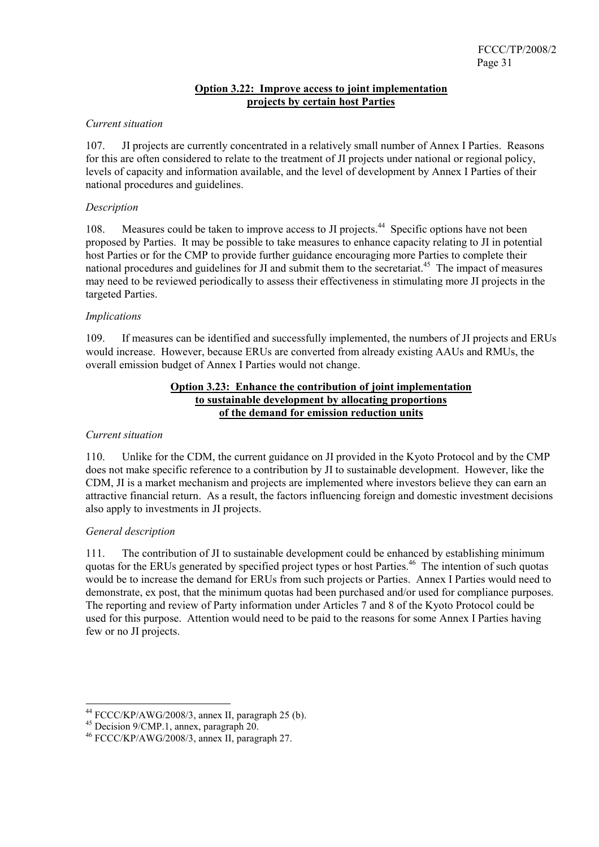# **Option 3.22: Improve access to joint implementation projects by certain host Parties**

## *Current situation*

107. JI projects are currently concentrated in a relatively small number of Annex I Parties. Reasons for this are often considered to relate to the treatment of JI projects under national or regional policy, levels of capacity and information available, and the level of development by Annex I Parties of their national procedures and guidelines.

#### *Description*

108. Measures could be taken to improve access to JI projects.<sup>44</sup> Specific options have not been proposed by Parties. It may be possible to take measures to enhance capacity relating to JI in potential host Parties or for the CMP to provide further guidance encouraging more Parties to complete their national procedures and guidelines for JI and submit them to the secretariat.<sup>45</sup> The impact of measures may need to be reviewed periodically to assess their effectiveness in stimulating more JI projects in the targeted Parties.

## *Implications*

109. If measures can be identified and successfully implemented, the numbers of JI projects and ERUs would increase. However, because ERUs are converted from already existing AAUs and RMUs, the overall emission budget of Annex I Parties would not change.

#### **Option 3.23: Enhance the contribution of joint implementation to sustainable development by allocating proportions of the demand for emission reduction units**

#### *Current situation*

110. Unlike for the CDM, the current guidance on JI provided in the Kyoto Protocol and by the CMP does not make specific reference to a contribution by JI to sustainable development. However, like the CDM, JI is a market mechanism and projects are implemented where investors believe they can earn an attractive financial return. As a result, the factors influencing foreign and domestic investment decisions also apply to investments in JI projects.

# *General description*

 $\overline{a}$ 

111. The contribution of JI to sustainable development could be enhanced by establishing minimum quotas for the ERUs generated by specified project types or host Parties.<sup>46</sup> The intention of such quotas would be to increase the demand for ERUs from such projects or Parties. Annex I Parties would need to demonstrate, ex post, that the minimum quotas had been purchased and/or used for compliance purposes. The reporting and review of Party information under Articles 7 and 8 of the Kyoto Protocol could be used for this purpose. Attention would need to be paid to the reasons for some Annex I Parties having few or no JI projects.

<sup>&</sup>lt;sup>44</sup> FCCC/KP/AWG/2008/3, annex II, paragraph 25 (b).<br><sup>45</sup> Decision 9/CMP.1, annex, paragraph 20.

<sup>46</sup> FCCC/KP/AWG/2008/3, annex II, paragraph 27.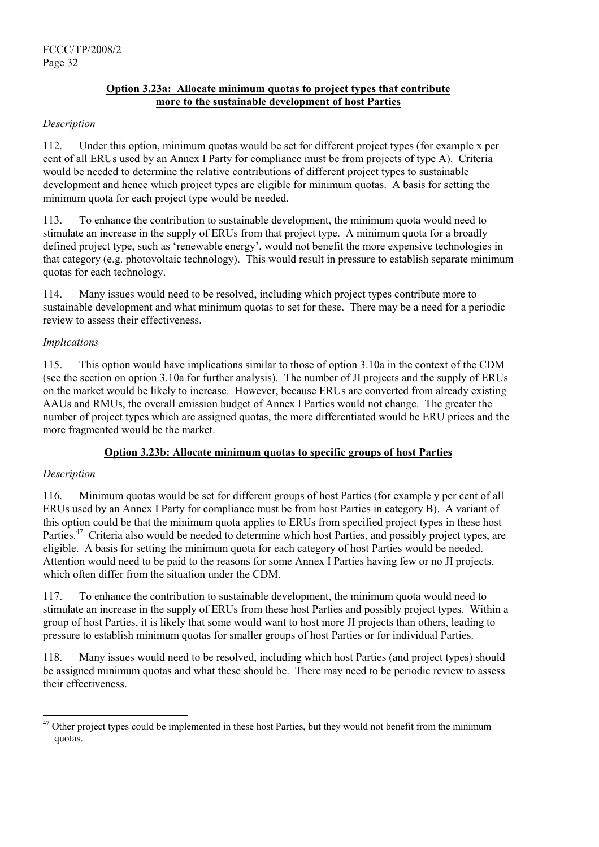# **Option 3.23a: Allocate minimum quotas to project types that contribute more to the sustainable development of host Parties**

# *Description*

112. Under this option, minimum quotas would be set for different project types (for example x per cent of all ERUs used by an Annex I Party for compliance must be from projects of type A). Criteria would be needed to determine the relative contributions of different project types to sustainable development and hence which project types are eligible for minimum quotas. A basis for setting the minimum quota for each project type would be needed.

113. To enhance the contribution to sustainable development, the minimum quota would need to stimulate an increase in the supply of ERUs from that project type. A minimum quota for a broadly defined project type, such as 'renewable energy', would not benefit the more expensive technologies in that category (e.g. photovoltaic technology). This would result in pressure to establish separate minimum quotas for each technology.

114. Many issues would need to be resolved, including which project types contribute more to sustainable development and what minimum quotas to set for these. There may be a need for a periodic review to assess their effectiveness.

# *Implications*

115. This option would have implications similar to those of option 3.10a in the context of the CDM (see the section on option 3.10a for further analysis). The number of JI projects and the supply of ERUs on the market would be likely to increase. However, because ERUs are converted from already existing AAUs and RMUs, the overall emission budget of Annex I Parties would not change. The greater the number of project types which are assigned quotas, the more differentiated would be ERU prices and the more fragmented would be the market.

# **Option 3.23b: Allocate minimum quotas to specific groups of host Parties**

# *Description*

l

116. Minimum quotas would be set for different groups of host Parties (for example y per cent of all ERUs used by an Annex I Party for compliance must be from host Parties in category B). A variant of this option could be that the minimum quota applies to ERUs from specified project types in these host Parties.<sup>47</sup> Criteria also would be needed to determine which host Parties, and possibly project types, are eligible. A basis for setting the minimum quota for each category of host Parties would be needed. Attention would need to be paid to the reasons for some Annex I Parties having few or no JI projects, which often differ from the situation under the CDM.

117. To enhance the contribution to sustainable development, the minimum quota would need to stimulate an increase in the supply of ERUs from these host Parties and possibly project types. Within a group of host Parties, it is likely that some would want to host more JI projects than others, leading to pressure to establish minimum quotas for smaller groups of host Parties or for individual Parties.

118. Many issues would need to be resolved, including which host Parties (and project types) should be assigned minimum quotas and what these should be. There may need to be periodic review to assess their effectiveness.

 $47$  Other project types could be implemented in these host Parties, but they would not benefit from the minimum quotas.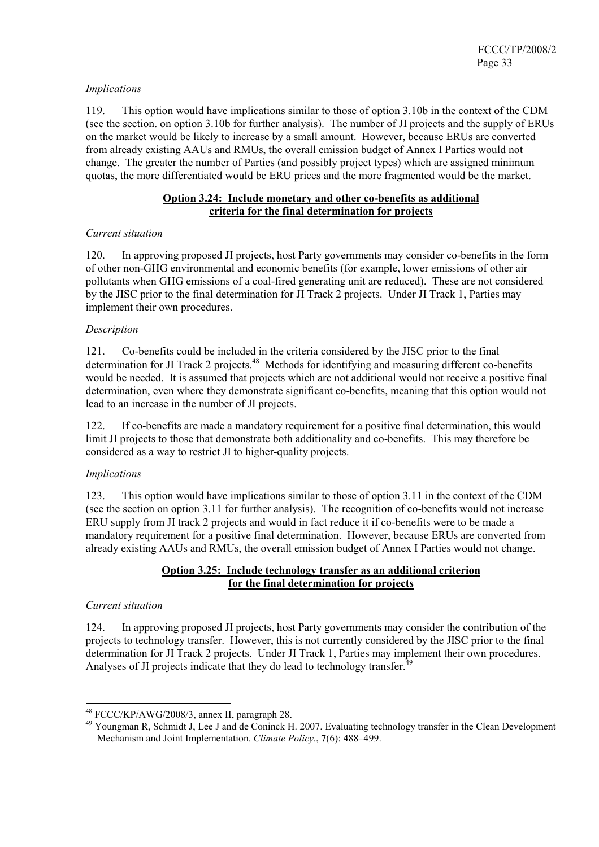## *Implications*

119. This option would have implications similar to those of option 3.10b in the context of the CDM (see the section. on option 3.10b for further analysis). The number of JI projects and the supply of ERUs on the market would be likely to increase by a small amount. However, because ERUs are converted from already existing AAUs and RMUs, the overall emission budget of Annex I Parties would not change. The greater the number of Parties (and possibly project types) which are assigned minimum quotas, the more differentiated would be ERU prices and the more fragmented would be the market.

## **Option 3.24: Include monetary and other co-benefits as additional criteria for the final determination for projects**

## *Current situation*

120. In approving proposed JI projects, host Party governments may consider co-benefits in the form of other non-GHG environmental and economic benefits (for example, lower emissions of other air pollutants when GHG emissions of a coal-fired generating unit are reduced). These are not considered by the JISC prior to the final determination for JI Track 2 projects. Under JI Track 1, Parties may implement their own procedures.

## *Description*

121. Co-benefits could be included in the criteria considered by the JISC prior to the final determination for JI Track 2 projects.<sup>48</sup> Methods for identifying and measuring different co-benefits would be needed. It is assumed that projects which are not additional would not receive a positive final determination, even where they demonstrate significant co-benefits, meaning that this option would not lead to an increase in the number of JI projects.

122. If co-benefits are made a mandatory requirement for a positive final determination, this would limit JI projects to those that demonstrate both additionality and co-benefits. This may therefore be considered as a way to restrict JI to higher-quality projects.

# *Implications*

123. This option would have implications similar to those of option 3.11 in the context of the CDM (see the section on option 3.11 for further analysis). The recognition of co-benefits would not increase ERU supply from JI track 2 projects and would in fact reduce it if co-benefits were to be made a mandatory requirement for a positive final determination. However, because ERUs are converted from already existing AAUs and RMUs, the overall emission budget of Annex I Parties would not change.

# **Option 3.25: Include technology transfer as an additional criterion for the final determination for projects**

#### *Current situation*

 $\overline{a}$ 

124. In approving proposed JI projects, host Party governments may consider the contribution of the projects to technology transfer. However, this is not currently considered by the JISC prior to the final determination for JI Track 2 projects. Under JI Track 1, Parties may implement their own procedures. Analyses of JI projects indicate that they do lead to technology transfer.<sup> $49$ </sup>

<sup>&</sup>lt;sup>48</sup> FCCC/KP/AWG/2008/3, annex II, paragraph 28.<br><sup>49</sup> Youngman R, Schmidt J, Lee J and de Coninck H. 2007. Evaluating technology transfer in the Clean Development Mechanism and Joint Implementation. *Climate Policy.*, **7**(6): 488–499.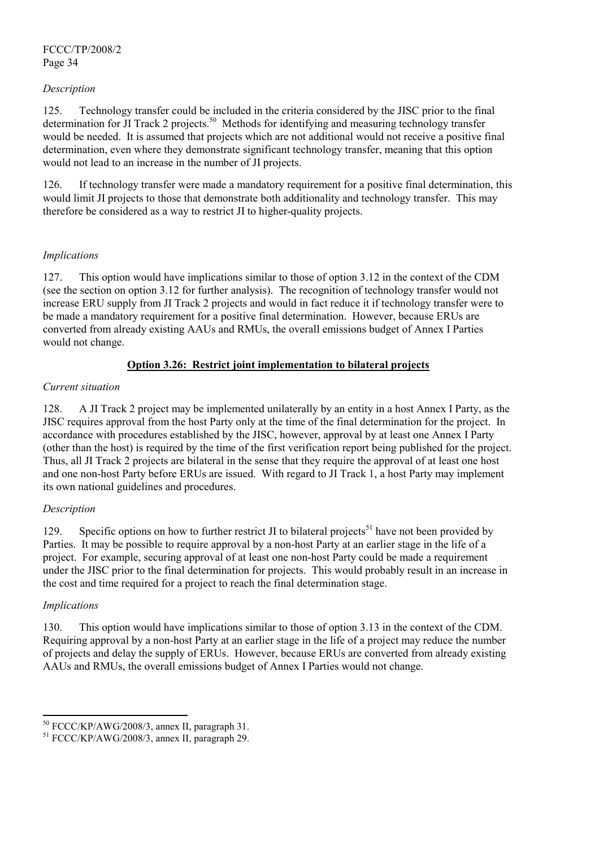## *Description*

125. Technology transfer could be included in the criteria considered by the JISC prior to the final determination for JI Track 2 projects.<sup>50</sup> Methods for identifying and measuring technology transfer would be needed. It is assumed that projects which are not additional would not receive a positive final determination, even where they demonstrate significant technology transfer, meaning that this option would not lead to an increase in the number of JI projects.

126. If technology transfer were made a mandatory requirement for a positive final determination, this would limit JI projects to those that demonstrate both additionality and technology transfer. This may therefore be considered as a way to restrict JI to higher-quality projects.

## *Implications*

127. This option would have implications similar to those of option 3.12 in the context of the CDM (see the section on option 3.12 for further analysis). The recognition of technology transfer would not increase ERU supply from JI Track 2 projects and would in fact reduce it if technology transfer were to be made a mandatory requirement for a positive final determination. However, because ERUs are converted from already existing AAUs and RMUs, the overall emissions budget of Annex I Parties would not change.

# **Option 3.26: Restrict joint implementation to bilateral projects**

#### *Current situation*

128. A JI Track 2 project may be implemented unilaterally by an entity in a host Annex I Party, as the JISC requires approval from the host Party only at the time of the final determination for the project. In accordance with procedures established by the JISC, however, approval by at least one Annex I Party (other than the host) is required by the time of the first verification report being published for the project. Thus, all JI Track 2 projects are bilateral in the sense that they require the approval of at least one host and one non-host Party before ERUs are issued. With regard to JI Track 1, a host Party may implement its own national guidelines and procedures.

# *Description*

129. Specific options on how to further restrict JI to bilateral projects<sup>51</sup> have not been provided by Parties. It may be possible to require approval by a non-host Party at an earlier stage in the life of a project. For example, securing approval of at least one non-host Party could be made a requirement under the JISC prior to the final determination for projects. This would probably result in an increase in the cost and time required for a project to reach the final determination stage.

#### *Implications*

130. This option would have implications similar to those of option 3.13 in the context of the CDM. Requiring approval by a non-host Party at an earlier stage in the life of a project may reduce the number of projects and delay the supply of ERUs. However, because ERUs are converted from already existing AAUs and RMUs, the overall emissions budget of Annex I Parties would not change.

 $50$  FCCC/KP/AWG/2008/3, annex II, paragraph 31.

 $51$  FCCC/KP/AWG/2008/3, annex II, paragraph 29.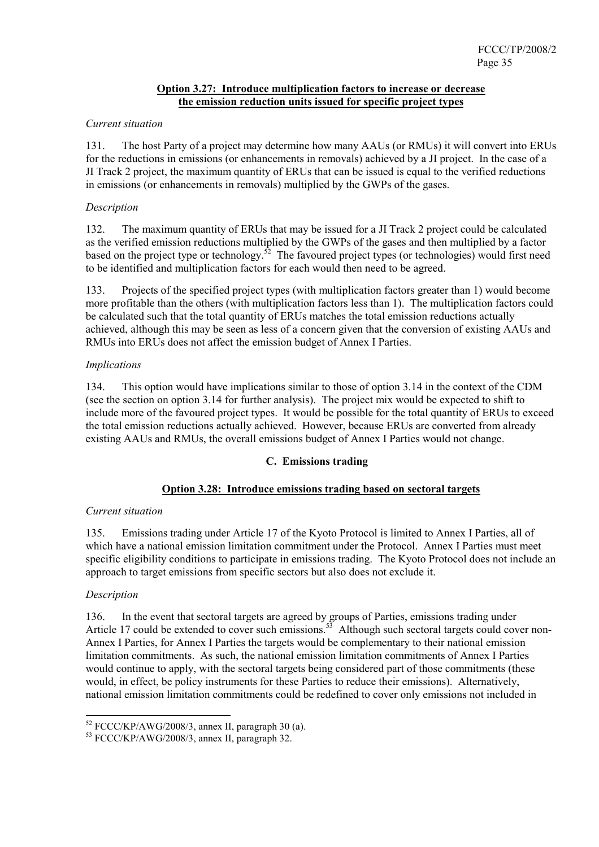## **Option 3.27: Introduce multiplication factors to increase or decrease the emission reduction units issued for specific project types**

## *Current situation*

131. The host Party of a project may determine how many AAUs (or RMUs) it will convert into ERUs for the reductions in emissions (or enhancements in removals) achieved by a JI project. In the case of a JI Track 2 project, the maximum quantity of ERUs that can be issued is equal to the verified reductions in emissions (or enhancements in removals) multiplied by the GWPs of the gases.

## *Description*

132. The maximum quantity of ERUs that may be issued for a JI Track 2 project could be calculated as the verified emission reductions multiplied by the GWPs of the gases and then multiplied by a factor based on the project type or technology.<sup>52</sup> The favoured project types (or technologies) would first need to be identified and multiplication factors for each would then need to be agreed.

133. Projects of the specified project types (with multiplication factors greater than 1) would become more profitable than the others (with multiplication factors less than 1). The multiplication factors could be calculated such that the total quantity of ERUs matches the total emission reductions actually achieved, although this may be seen as less of a concern given that the conversion of existing AAUs and RMUs into ERUs does not affect the emission budget of Annex I Parties.

# *Implications*

134. This option would have implications similar to those of option 3.14 in the context of the CDM (see the section on option 3.14 for further analysis). The project mix would be expected to shift to include more of the favoured project types. It would be possible for the total quantity of ERUs to exceed the total emission reductions actually achieved. However, because ERUs are converted from already existing AAUs and RMUs, the overall emissions budget of Annex I Parties would not change.

# **C. Emissions trading**

# **Option 3.28: Introduce emissions trading based on sectoral targets**

#### *Current situation*

135. Emissions trading under Article 17 of the Kyoto Protocol is limited to Annex I Parties, all of which have a national emission limitation commitment under the Protocol. Annex I Parties must meet specific eligibility conditions to participate in emissions trading. The Kyoto Protocol does not include an approach to target emissions from specific sectors but also does not exclude it.

#### *Description*

136. In the event that sectoral targets are agreed by groups of Parties, emissions trading under Article 17 could be extended to cover such emissions.<sup>53</sup> Although such sectoral targets could cover non-Annex I Parties, for Annex I Parties the targets would be complementary to their national emission limitation commitments. As such, the national emission limitation commitments of Annex I Parties would continue to apply, with the sectoral targets being considered part of those commitments (these would, in effect, be policy instruments for these Parties to reduce their emissions). Alternatively, national emission limitation commitments could be redefined to cover only emissions not included in

<sup>&</sup>lt;sup>52</sup> FCCC/KP/AWG/2008/3, annex II, paragraph 30 (a).<br><sup>53</sup> FCCC/KP/AWG/2008/3, annex II, paragraph 32.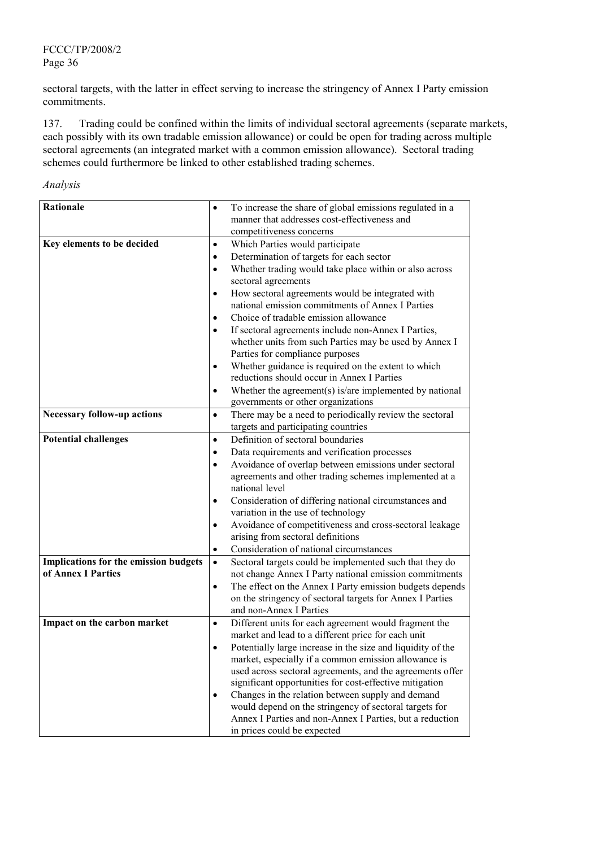# FCCC/TP/2008/2 Page 36

sectoral targets, with the latter in effect serving to increase the stringency of Annex I Party emission commitments.

137. Trading could be confined within the limits of individual sectoral agreements (separate markets, each possibly with its own tradable emission allowance) or could be open for trading across multiple sectoral agreements (an integrated market with a common emission allowance). Sectoral trading schemes could furthermore be linked to other established trading schemes.

| Analysis |
|----------|
|          |

| <b>Rationale</b>                                            |           | To increase the share of global emissions regulated in a                             |
|-------------------------------------------------------------|-----------|--------------------------------------------------------------------------------------|
|                                                             |           | manner that addresses cost-effectiveness and                                         |
|                                                             |           | competitiveness concerns                                                             |
| Key elements to be decided                                  | $\bullet$ | Which Parties would participate                                                      |
|                                                             | $\bullet$ | Determination of targets for each sector                                             |
|                                                             | $\bullet$ | Whether trading would take place within or also across<br>sectoral agreements        |
|                                                             | $\bullet$ | How sectoral agreements would be integrated with                                     |
|                                                             |           | national emission commitments of Annex I Parties                                     |
|                                                             | $\bullet$ | Choice of tradable emission allowance                                                |
|                                                             | ٠         | If sectoral agreements include non-Annex I Parties,                                  |
|                                                             |           | whether units from such Parties may be used by Annex I                               |
|                                                             |           | Parties for compliance purposes                                                      |
|                                                             | $\bullet$ | Whether guidance is required on the extent to which                                  |
|                                                             |           | reductions should occur in Annex I Parties                                           |
|                                                             | $\bullet$ | Whether the agreement(s) is/are implemented by national                              |
|                                                             |           | governments or other organizations                                                   |
| <b>Necessary follow-up actions</b>                          | $\bullet$ | There may be a need to periodically review the sectoral                              |
|                                                             |           | targets and participating countries                                                  |
| <b>Potential challenges</b>                                 | $\bullet$ | Definition of sectoral boundaries                                                    |
|                                                             | $\bullet$ | Data requirements and verification processes                                         |
|                                                             | $\bullet$ | Avoidance of overlap between emissions under sectoral                                |
|                                                             |           | agreements and other trading schemes implemented at a                                |
|                                                             |           | national level                                                                       |
|                                                             | $\bullet$ | Consideration of differing national circumstances and                                |
|                                                             |           | variation in the use of technology                                                   |
|                                                             | $\bullet$ | Avoidance of competitiveness and cross-sectoral leakage                              |
|                                                             |           | arising from sectoral definitions                                                    |
|                                                             | $\bullet$ | Consideration of national circumstances                                              |
| Implications for the emission budgets<br>of Annex I Parties | $\bullet$ | Sectoral targets could be implemented such that they do                              |
|                                                             |           | not change Annex I Party national emission commitments                               |
|                                                             | $\bullet$ | The effect on the Annex I Party emission budgets depends                             |
|                                                             |           | on the stringency of sectoral targets for Annex I Parties<br>and non-Annex I Parties |
| Impact on the carbon market                                 | $\bullet$ | Different units for each agreement would fragment the                                |
|                                                             |           | market and lead to a different price for each unit                                   |
|                                                             |           | Potentially large increase in the size and liquidity of the                          |
|                                                             |           | market, especially if a common emission allowance is                                 |
|                                                             |           | used across sectoral agreements, and the agreements offer                            |
|                                                             |           | significant opportunities for cost-effective mitigation                              |
|                                                             |           | Changes in the relation between supply and demand                                    |
|                                                             |           | would depend on the stringency of sectoral targets for                               |
|                                                             |           | Annex I Parties and non-Annex I Parties, but a reduction                             |
|                                                             |           | in prices could be expected                                                          |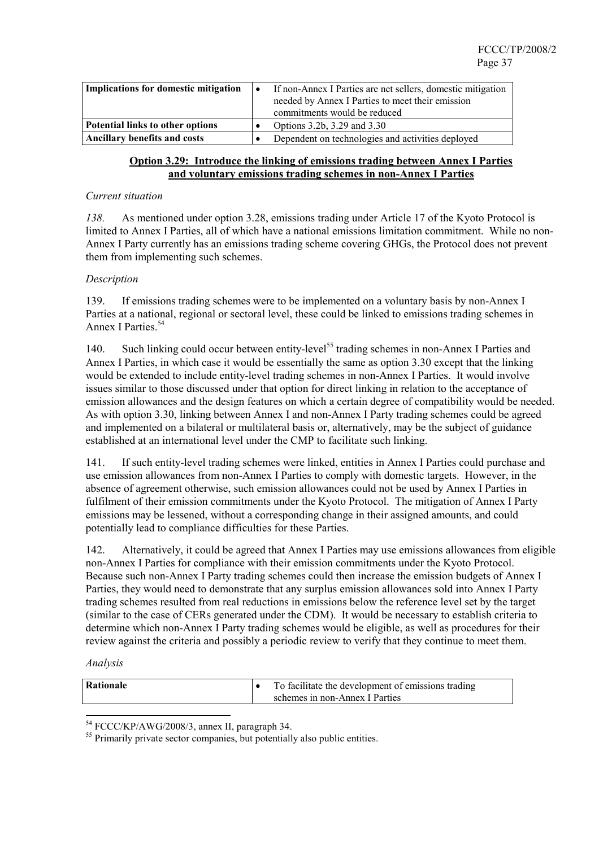| <b>Implications for domestic mitigation</b> | If non-Annex I Parties are net sellers, domestic mitigation<br>needed by Annex I Parties to meet their emission<br>commitments would be reduced |
|---------------------------------------------|-------------------------------------------------------------------------------------------------------------------------------------------------|
| <b>Potential links to other options</b>     | Options 3.2b, 3.29 and 3.30                                                                                                                     |
| <b>Ancillary benefits and costs</b>         | Dependent on technologies and activities deployed                                                                                               |

### **Option 3.29: Introduce the linking of emissions trading between Annex I Parties and voluntary emissions trading schemes in non-Annex I Parties**

#### *Current situation*

*138.* As mentioned under option 3.28, emissions trading under Article 17 of the Kyoto Protocol is limited to Annex I Parties, all of which have a national emissions limitation commitment. While no non-Annex I Party currently has an emissions trading scheme covering GHGs, the Protocol does not prevent them from implementing such schemes.

#### *Description*

139. If emissions trading schemes were to be implemented on a voluntary basis by non-Annex I Parties at a national, regional or sectoral level, these could be linked to emissions trading schemes in Annex I Parties.<sup>54</sup>

140. Such linking could occur between entity-level<sup>55</sup> trading schemes in non-Annex I Parties and Annex I Parties, in which case it would be essentially the same as option 3.30 except that the linking would be extended to include entity-level trading schemes in non-Annex I Parties. It would involve issues similar to those discussed under that option for direct linking in relation to the acceptance of emission allowances and the design features on which a certain degree of compatibility would be needed. As with option 3.30, linking between Annex I and non-Annex I Party trading schemes could be agreed and implemented on a bilateral or multilateral basis or, alternatively, may be the subject of guidance established at an international level under the CMP to facilitate such linking.

141. If such entity-level trading schemes were linked, entities in Annex I Parties could purchase and use emission allowances from non-Annex I Parties to comply with domestic targets. However, in the absence of agreement otherwise, such emission allowances could not be used by Annex I Parties in fulfilment of their emission commitments under the Kyoto Protocol. The mitigation of Annex I Party emissions may be lessened, without a corresponding change in their assigned amounts, and could potentially lead to compliance difficulties for these Parties.

142. Alternatively, it could be agreed that Annex I Parties may use emissions allowances from eligible non-Annex I Parties for compliance with their emission commitments under the Kyoto Protocol. Because such non-Annex I Party trading schemes could then increase the emission budgets of Annex I Parties, they would need to demonstrate that any surplus emission allowances sold into Annex I Party trading schemes resulted from real reductions in emissions below the reference level set by the target (similar to the case of CERs generated under the CDM). It would be necessary to establish criteria to determine which non-Annex I Party trading schemes would be eligible, as well as procedures for their review against the criteria and possibly a periodic review to verify that they continue to meet them.

| Rationale | To facilitate the development of emissions trading |
|-----------|----------------------------------------------------|
|           | schemes in non-Annex I Parties                     |

<sup>&</sup>lt;sup>54</sup> FCCC/KP/AWG/2008/3, annex II, paragraph 34.

<sup>&</sup>lt;sup>55</sup> Primarily private sector companies, but potentially also public entities.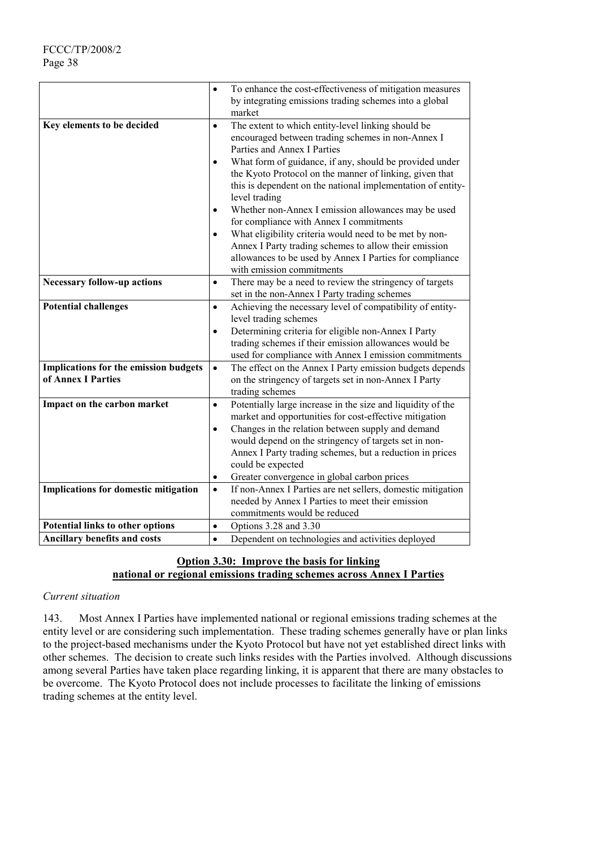|                                         | $\bullet$ | To enhance the cost-effectiveness of mitigation measures<br>by integrating emissions trading schemes into a global<br>market                                                                            |
|-----------------------------------------|-----------|---------------------------------------------------------------------------------------------------------------------------------------------------------------------------------------------------------|
| Key elements to be decided              | $\bullet$ | The extent to which entity-level linking should be<br>encouraged between trading schemes in non-Annex I<br>Parties and Annex I Parties                                                                  |
|                                         |           | What form of guidance, if any, should be provided under<br>the Kyoto Protocol on the manner of linking, given that<br>this is dependent on the national implementation of entity-<br>level trading      |
|                                         |           | Whether non-Annex I emission allowances may be used<br>for compliance with Annex I commitments                                                                                                          |
|                                         |           | What eligibility criteria would need to be met by non-<br>Annex I Party trading schemes to allow their emission<br>allowances to be used by Annex I Parties for compliance<br>with emission commitments |
| <b>Necessary follow-up actions</b>      | $\bullet$ | There may be a need to review the stringency of targets                                                                                                                                                 |
|                                         |           | set in the non-Annex I Party trading schemes                                                                                                                                                            |
| <b>Potential challenges</b>             | $\bullet$ | Achieving the necessary level of compatibility of entity-                                                                                                                                               |
|                                         |           | level trading schemes<br>Determining criteria for eligible non-Annex I Party                                                                                                                            |
|                                         | ٠         | trading schemes if their emission allowances would be                                                                                                                                                   |
|                                         |           | used for compliance with Annex I emission commitments                                                                                                                                                   |
| Implications for the emission budgets   | $\bullet$ | The effect on the Annex I Party emission budgets depends                                                                                                                                                |
| of Annex I Parties                      |           | on the stringency of targets set in non-Annex I Party                                                                                                                                                   |
|                                         |           | trading schemes                                                                                                                                                                                         |
| Impact on the carbon market             | $\bullet$ | Potentially large increase in the size and liquidity of the                                                                                                                                             |
|                                         |           | market and opportunities for cost-effective mitigation                                                                                                                                                  |
|                                         | $\bullet$ | Changes in the relation between supply and demand<br>would depend on the stringency of targets set in non-                                                                                              |
|                                         |           | Annex I Party trading schemes, but a reduction in prices                                                                                                                                                |
|                                         |           | could be expected                                                                                                                                                                                       |
|                                         | $\bullet$ | Greater convergence in global carbon prices                                                                                                                                                             |
| Implications for domestic mitigation    | $\bullet$ | If non-Annex I Parties are net sellers, domestic mitigation                                                                                                                                             |
|                                         |           | needed by Annex I Parties to meet their emission                                                                                                                                                        |
|                                         |           | commitments would be reduced                                                                                                                                                                            |
| <b>Potential links to other options</b> | $\bullet$ | Options 3.28 and 3.30                                                                                                                                                                                   |
| <b>Ancillary benefits and costs</b>     | $\bullet$ | Dependent on technologies and activities deployed                                                                                                                                                       |

# **Option 3.30: Improve the basis for linking national or regional emissions trading schemes across Annex I Parties**

### *Current situation*

143. Most Annex I Parties have implemented national or regional emissions trading schemes at the entity level or are considering such implementation. These trading schemes generally have or plan links to the project-based mechanisms under the Kyoto Protocol but have not yet established direct links with other schemes. The decision to create such links resides with the Parties involved. Although discussions among several Parties have taken place regarding linking, it is apparent that there are many obstacles to be overcome. The Kyoto Protocol does not include processes to facilitate the linking of emissions trading schemes at the entity level.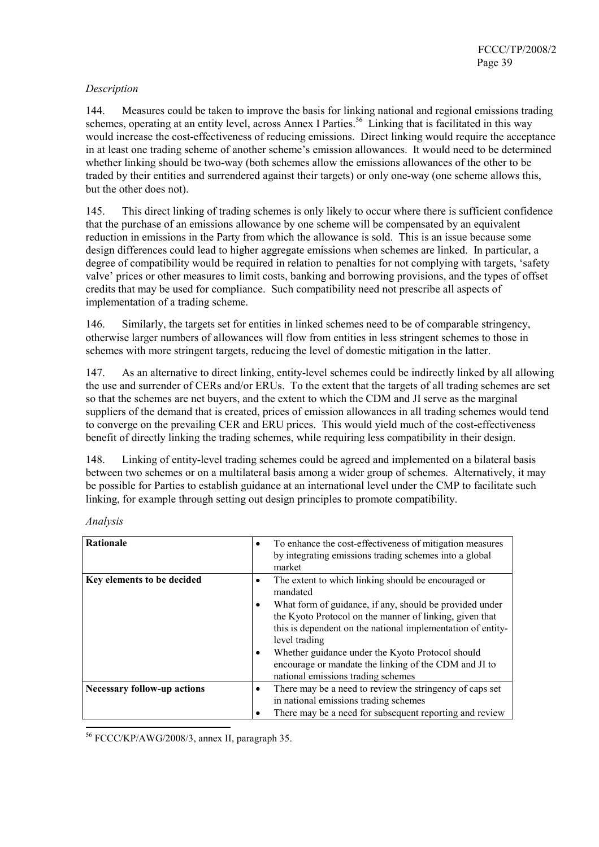### *Description*

144. Measures could be taken to improve the basis for linking national and regional emissions trading schemes, operating at an entity level, across Annex I Parties.<sup>56</sup> Linking that is facilitated in this way would increase the cost-effectiveness of reducing emissions. Direct linking would require the acceptance in at least one trading scheme of another scheme's emission allowances. It would need to be determined whether linking should be two-way (both schemes allow the emissions allowances of the other to be traded by their entities and surrendered against their targets) or only one-way (one scheme allows this, but the other does not).

145. This direct linking of trading schemes is only likely to occur where there is sufficient confidence that the purchase of an emissions allowance by one scheme will be compensated by an equivalent reduction in emissions in the Party from which the allowance is sold. This is an issue because some design differences could lead to higher aggregate emissions when schemes are linked. In particular, a degree of compatibility would be required in relation to penalties for not complying with targets, 'safety valve' prices or other measures to limit costs, banking and borrowing provisions, and the types of offset credits that may be used for compliance. Such compatibility need not prescribe all aspects of implementation of a trading scheme.

146. Similarly, the targets set for entities in linked schemes need to be of comparable stringency, otherwise larger numbers of allowances will flow from entities in less stringent schemes to those in schemes with more stringent targets, reducing the level of domestic mitigation in the latter.

147. As an alternative to direct linking, entity-level schemes could be indirectly linked by all allowing the use and surrender of CERs and/or ERUs. To the extent that the targets of all trading schemes are set so that the schemes are net buyers, and the extent to which the CDM and JI serve as the marginal suppliers of the demand that is created, prices of emission allowances in all trading schemes would tend to converge on the prevailing CER and ERU prices. This would yield much of the cost-effectiveness benefit of directly linking the trading schemes, while requiring less compatibility in their design.

148. Linking of entity-level trading schemes could be agreed and implemented on a bilateral basis between two schemes or on a multilateral basis among a wider group of schemes. Alternatively, it may be possible for Parties to establish guidance at an international level under the CMP to facilitate such linking, for example through setting out design principles to promote compatibility.

| <b>Rationale</b>                   | To enhance the cost-effectiveness of mitigation measures<br>$\bullet$<br>by integrating emissions trading schemes into a global<br>market                                                                                                                                                                                                             |
|------------------------------------|-------------------------------------------------------------------------------------------------------------------------------------------------------------------------------------------------------------------------------------------------------------------------------------------------------------------------------------------------------|
| Key elements to be decided         | The extent to which linking should be encouraged or<br>mandated                                                                                                                                                                                                                                                                                       |
|                                    | What form of guidance, if any, should be provided under<br>the Kyoto Protocol on the manner of linking, given that<br>this is dependent on the national implementation of entity-<br>level trading<br>Whether guidance under the Kyoto Protocol should<br>encourage or mandate the linking of the CDM and JI to<br>national emissions trading schemes |
| <b>Necessary follow-up actions</b> | There may be a need to review the stringency of caps set<br>٠<br>in national emissions trading schemes<br>There may be a need for subsequent reporting and review<br>٠                                                                                                                                                                                |

*Analysis* 

56 FCCC/KP/AWG/2008/3, annex II, paragraph 35.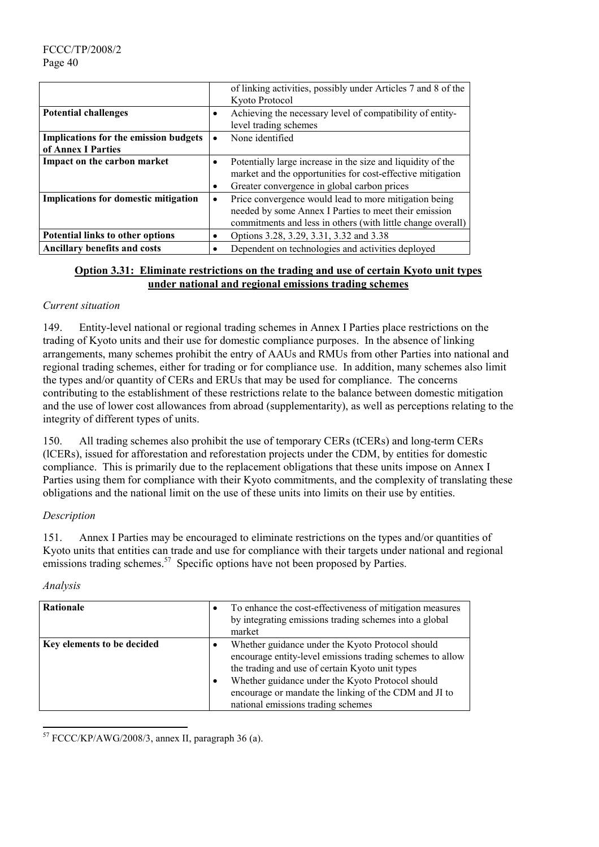|                                              |           | of linking activities, possibly under Articles 7 and 8 of the |
|----------------------------------------------|-----------|---------------------------------------------------------------|
|                                              |           | Kyoto Protocol                                                |
| <b>Potential challenges</b>                  | ٠         | Achieving the necessary level of compatibility of entity-     |
|                                              |           | level trading schemes                                         |
| <b>Implications for the emission budgets</b> | $\bullet$ | None identified                                               |
| of Annex I Parties                           |           |                                                               |
| Impact on the carbon market                  | $\bullet$ | Potentially large increase in the size and liquidity of the   |
|                                              |           | market and the opportunities for cost-effective mitigation    |
|                                              | ٠         | Greater convergence in global carbon prices                   |
| <b>Implications for domestic mitigation</b>  | ٠         | Price convergence would lead to more mitigation being         |
|                                              |           | needed by some Annex I Parties to meet their emission         |
|                                              |           | commitments and less in others (with little change overall)   |
| Potential links to other options             | ٠         | Options 3.28, 3.29, 3.31, 3.32 and 3.38                       |
| <b>Ancillary benefits and costs</b>          | ٠         | Dependent on technologies and activities deployed             |

### **Option 3.31: Eliminate restrictions on the trading and use of certain Kyoto unit types under national and regional emissions trading schemes**

### *Current situation*

149. Entity-level national or regional trading schemes in Annex I Parties place restrictions on the trading of Kyoto units and their use for domestic compliance purposes. In the absence of linking arrangements, many schemes prohibit the entry of AAUs and RMUs from other Parties into national and regional trading schemes, either for trading or for compliance use. In addition, many schemes also limit the types and/or quantity of CERs and ERUs that may be used for compliance. The concerns contributing to the establishment of these restrictions relate to the balance between domestic mitigation and the use of lower cost allowances from abroad (supplementarity), as well as perceptions relating to the integrity of different types of units.

150. All trading schemes also prohibit the use of temporary CERs (tCERs) and long-term CERs (lCERs), issued for afforestation and reforestation projects under the CDM, by entities for domestic compliance. This is primarily due to the replacement obligations that these units impose on Annex I Parties using them for compliance with their Kyoto commitments, and the complexity of translating these obligations and the national limit on the use of these units into limits on their use by entities.

### *Description*

151. Annex I Parties may be encouraged to eliminate restrictions on the types and/or quantities of Kyoto units that entities can trade and use for compliance with their targets under national and regional emissions trading schemes.<sup>57</sup> Specific options have not been proposed by Parties.

#### *Analysis*

 $\overline{\phantom{a}}$ 

| Rationale                  | ٠      | To enhance the cost-effectiveness of mitigation measures<br>by integrating emissions trading schemes into a global<br>market                                                                                                                                                                                        |
|----------------------------|--------|---------------------------------------------------------------------------------------------------------------------------------------------------------------------------------------------------------------------------------------------------------------------------------------------------------------------|
| Key elements to be decided | ٠<br>٠ | Whether guidance under the Kyoto Protocol should<br>encourage entity-level emissions trading schemes to allow<br>the trading and use of certain Kyoto unit types<br>Whether guidance under the Kyoto Protocol should<br>encourage or mandate the linking of the CDM and JI to<br>national emissions trading schemes |

<sup>57</sup> FCCC/KP/AWG/2008/3, annex II, paragraph 36 (a).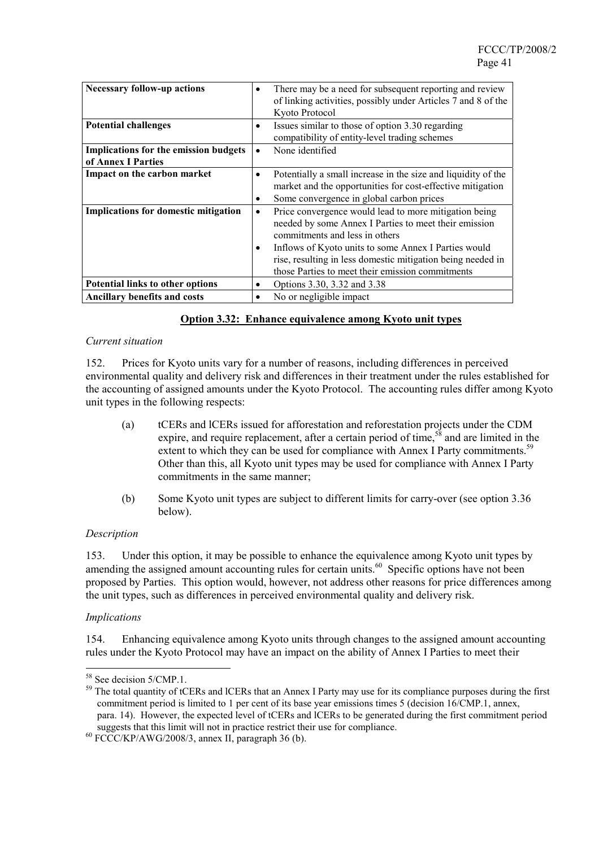| <b>Necessary follow-up actions</b>                          | ٠         | There may be a need for subsequent reporting and review<br>of linking activities, possibly under Articles 7 and 8 of the<br>Kyoto Protocol                                                                                                                                                                                  |
|-------------------------------------------------------------|-----------|-----------------------------------------------------------------------------------------------------------------------------------------------------------------------------------------------------------------------------------------------------------------------------------------------------------------------------|
| <b>Potential challenges</b>                                 | ٠         | Issues similar to those of option 3.30 regarding<br>compatibility of entity-level trading schemes                                                                                                                                                                                                                           |
| Implications for the emission budgets<br>of Annex I Parties | $\bullet$ | None identified                                                                                                                                                                                                                                                                                                             |
| Impact on the carbon market                                 | ٠<br>٠    | Potentially a small increase in the size and liquidity of the<br>market and the opportunities for cost-effective mitigation<br>Some convergence in global carbon prices                                                                                                                                                     |
| Implications for domestic mitigation                        | $\bullet$ | Price convergence would lead to more mitigation being<br>needed by some Annex I Parties to meet their emission<br>commitments and less in others<br>Inflows of Kyoto units to some Annex I Parties would<br>rise, resulting in less domestic mitigation being needed in<br>those Parties to meet their emission commitments |
| Potential links to other options                            | $\bullet$ | Options 3.30, 3.32 and 3.38                                                                                                                                                                                                                                                                                                 |
| <b>Ancillary benefits and costs</b>                         | $\bullet$ | No or negligible impact                                                                                                                                                                                                                                                                                                     |

#### **Option 3.32: Enhance equivalence among Kyoto unit types**

#### *Current situation*

152. Prices for Kyoto units vary for a number of reasons, including differences in perceived environmental quality and delivery risk and differences in their treatment under the rules established for the accounting of assigned amounts under the Kyoto Protocol. The accounting rules differ among Kyoto unit types in the following respects:

- (a) tCERs and lCERs issued for afforestation and reforestation projects under the CDM expire, and require replacement, after a certain period of time,  $5\overline{8}$  and are limited in the extent to which they can be used for compliance with Annex I Party commitments.<sup>59</sup> Other than this, all Kyoto unit types may be used for compliance with Annex I Party commitments in the same manner;
- (b) Some Kyoto unit types are subject to different limits for carry-over (see option 3.36 below).

#### *Description*

153. Under this option, it may be possible to enhance the equivalence among Kyoto unit types by amending the assigned amount accounting rules for certain units.<sup>60</sup> Specific options have not been proposed by Parties. This option would, however, not address other reasons for price differences among the unit types, such as differences in perceived environmental quality and delivery risk.

#### *Implications*

 $\overline{a}$ 

154. Enhancing equivalence among Kyoto units through changes to the assigned amount accounting rules under the Kyoto Protocol may have an impact on the ability of Annex I Parties to meet their

<sup>&</sup>lt;sup>58</sup> See decision 5/CMP.1.

<sup>&</sup>lt;sup>59</sup> The total quantity of tCERs and lCERs that an Annex I Party may use for its compliance purposes during the first commitment period is limited to 1 per cent of its base year emissions times 5 (decision 16/CMP.1, annex, para. 14). However, the expected level of tCERs and lCERs to be generated during the first commitment period suggests that this limit will not in practice restrict their use for compliance.  $^{60}$  FCCC/KP/AWG/2008/3, annex II, paragraph 36 (b).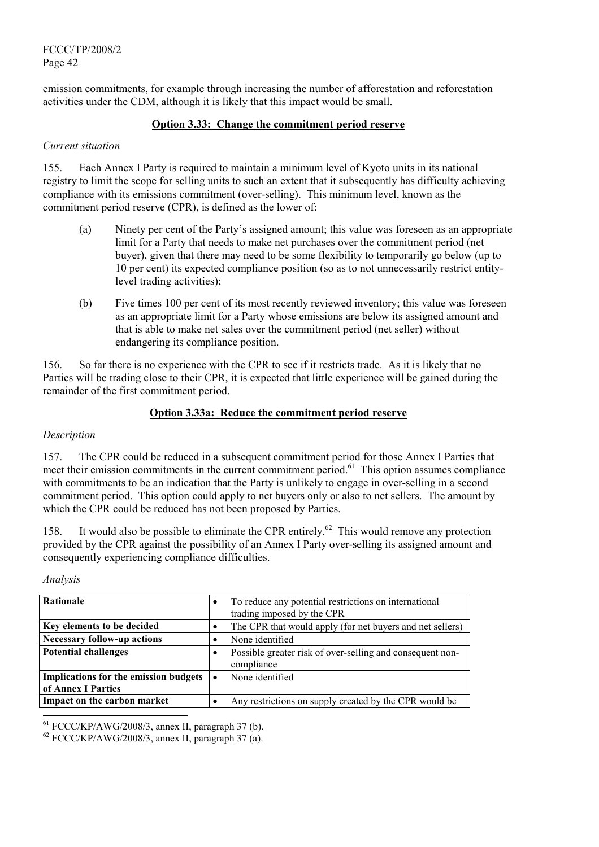emission commitments, for example through increasing the number of afforestation and reforestation activities under the CDM, although it is likely that this impact would be small.

### **Option 3.33: Change the commitment period reserve**

#### *Current situation*

155. Each Annex I Party is required to maintain a minimum level of Kyoto units in its national registry to limit the scope for selling units to such an extent that it subsequently has difficulty achieving compliance with its emissions commitment (over-selling). This minimum level, known as the commitment period reserve (CPR), is defined as the lower of:

- (a) Ninety per cent of the Party's assigned amount; this value was foreseen as an appropriate limit for a Party that needs to make net purchases over the commitment period (net buyer), given that there may need to be some flexibility to temporarily go below (up to 10 per cent) its expected compliance position (so as to not unnecessarily restrict entitylevel trading activities);
- (b) Five times 100 per cent of its most recently reviewed inventory; this value was foreseen as an appropriate limit for a Party whose emissions are below its assigned amount and that is able to make net sales over the commitment period (net seller) without endangering its compliance position.

156. So far there is no experience with the CPR to see if it restricts trade. As it is likely that no Parties will be trading close to their CPR, it is expected that little experience will be gained during the remainder of the first commitment period.

### **Option 3.33a: Reduce the commitment period reserve**

#### *Description*

157. The CPR could be reduced in a subsequent commitment period for those Annex I Parties that meet their emission commitments in the current commitment period.<sup>61</sup> This option assumes compliance with commitments to be an indication that the Party is unlikely to engage in over-selling in a second commitment period. This option could apply to net buyers only or also to net sellers. The amount by which the CPR could be reduced has not been proposed by Parties.

158. It would also be possible to eliminate the CPR entirely.<sup>62</sup> This would remove any protection provided by the CPR against the possibility of an Annex I Party over-selling its assigned amount and consequently experiencing compliance difficulties.

#### *Analysis*

l

| <b>Rationale</b>                             | $\bullet$ | To reduce any potential restrictions on international     |
|----------------------------------------------|-----------|-----------------------------------------------------------|
|                                              |           | trading imposed by the CPR                                |
| Key elements to be decided                   | ٠         | The CPR that would apply (for net buyers and net sellers) |
| <b>Necessary follow-up actions</b>           | ٠         | None identified                                           |
| <b>Potential challenges</b>                  |           | Possible greater risk of over-selling and consequent non- |
|                                              |           | compliance                                                |
| <b>Implications for the emission budgets</b> | $\bullet$ | None identified                                           |
| of Annex I Parties                           |           |                                                           |
| Impact on the carbon market                  | ٠         | Any restrictions on supply created by the CPR would be    |

<sup>61</sup> FCCC/KP/AWG/2008/3, annex II, paragraph 37 (b).<br><sup>62</sup> FCCC/KP/AWG/2008/3, annex II, paragraph 37 (a).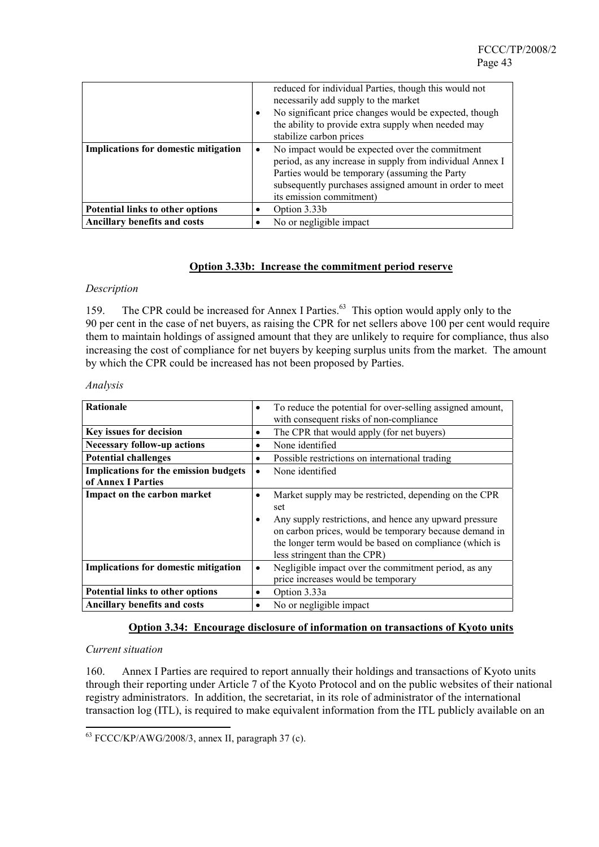|                                             | ٠         | reduced for individual Parties, though this would not<br>necessarily add supply to the market<br>No significant price changes would be expected, though<br>the ability to provide extra supply when needed may<br>stabilize carbon prices             |
|---------------------------------------------|-----------|-------------------------------------------------------------------------------------------------------------------------------------------------------------------------------------------------------------------------------------------------------|
| <b>Implications for domestic mitigation</b> | $\bullet$ | No impact would be expected over the commitment<br>period, as any increase in supply from individual Annex I<br>Parties would be temporary (assuming the Party<br>subsequently purchases assigned amount in order to meet<br>its emission commitment) |
| Potential links to other options            |           | Option 3.33b                                                                                                                                                                                                                                          |
| Ancillary benefits and costs                |           | No or negligible impact                                                                                                                                                                                                                               |

#### **Option 3.33b: Increase the commitment period reserve**

#### *Description*

159. The CPR could be increased for Annex I Parties.<sup>63</sup> This option would apply only to the 90 per cent in the case of net buyers, as raising the CPR for net sellers above 100 per cent would require them to maintain holdings of assigned amount that they are unlikely to require for compliance, thus also increasing the cost of compliance for net buyers by keeping surplus units from the market. The amount by which the CPR could be increased has not been proposed by Parties.

| <b>Rationale</b>                             | $\bullet$ | To reduce the potential for over-selling assigned amount, |
|----------------------------------------------|-----------|-----------------------------------------------------------|
|                                              |           | with consequent risks of non-compliance                   |
| Key issues for decision                      | ٠         | The CPR that would apply (for net buyers)                 |
| <b>Necessary follow-up actions</b>           | ٠         | None identified                                           |
| <b>Potential challenges</b>                  | $\bullet$ | Possible restrictions on international trading            |
| <b>Implications for the emission budgets</b> | $\bullet$ | None identified                                           |
| of Annex I Parties                           |           |                                                           |
| Impact on the carbon market                  | $\bullet$ | Market supply may be restricted, depending on the CPR     |
|                                              |           | set                                                       |
|                                              | ٠         | Any supply restrictions, and hence any upward pressure    |
|                                              |           | on carbon prices, would be temporary because demand in    |
|                                              |           | the longer term would be based on compliance (which is    |
|                                              |           | less stringent than the CPR)                              |
| <b>Implications for domestic mitigation</b>  | $\bullet$ | Negligible impact over the commitment period, as any      |
|                                              |           | price increases would be temporary                        |
| Potential links to other options             | $\bullet$ | Option 3.33a                                              |
| <b>Ancillary benefits and costs</b>          | ٠         | No or negligible impact                                   |

#### *Analysis*

#### **Option 3.34: Encourage disclosure of information on transactions of Kyoto units**

#### *Current situation*

 $\overline{a}$ 

160. Annex I Parties are required to report annually their holdings and transactions of Kyoto units through their reporting under Article 7 of the Kyoto Protocol and on the public websites of their national registry administrators. In addition, the secretariat, in its role of administrator of the international transaction log (ITL), is required to make equivalent information from the ITL publicly available on an

 $63$  FCCC/KP/AWG/2008/3, annex II, paragraph 37 (c).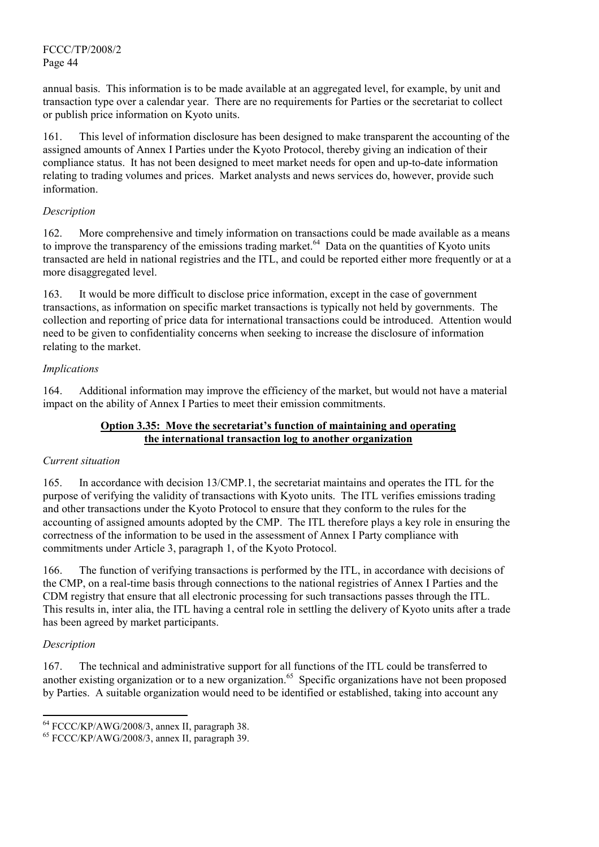annual basis. This information is to be made available at an aggregated level, for example, by unit and transaction type over a calendar year. There are no requirements for Parties or the secretariat to collect or publish price information on Kyoto units.

161. This level of information disclosure has been designed to make transparent the accounting of the assigned amounts of Annex I Parties under the Kyoto Protocol, thereby giving an indication of their compliance status. It has not been designed to meet market needs for open and up-to-date information relating to trading volumes and prices. Market analysts and news services do, however, provide such information.

### *Description*

162. More comprehensive and timely information on transactions could be made available as a means to improve the transparency of the emissions trading market.<sup>64</sup> Data on the quantities of Kyoto units transacted are held in national registries and the ITL, and could be reported either more frequently or at a more disaggregated level.

163. It would be more difficult to disclose price information, except in the case of government transactions, as information on specific market transactions is typically not held by governments. The collection and reporting of price data for international transactions could be introduced. Attention would need to be given to confidentiality concerns when seeking to increase the disclosure of information relating to the market.

### *Implications*

164. Additional information may improve the efficiency of the market, but would not have a material impact on the ability of Annex I Parties to meet their emission commitments.

### **Option 3.35: Move the secretariat's function of maintaining and operating the international transaction log to another organization**

#### *Current situation*

165. In accordance with decision 13/CMP.1, the secretariat maintains and operates the ITL for the purpose of verifying the validity of transactions with Kyoto units. The ITL verifies emissions trading and other transactions under the Kyoto Protocol to ensure that they conform to the rules for the accounting of assigned amounts adopted by the CMP. The ITL therefore plays a key role in ensuring the correctness of the information to be used in the assessment of Annex I Party compliance with commitments under Article 3, paragraph 1, of the Kyoto Protocol.

166. The function of verifying transactions is performed by the ITL, in accordance with decisions of the CMP, on a real-time basis through connections to the national registries of Annex I Parties and the CDM registry that ensure that all electronic processing for such transactions passes through the ITL. This results in, inter alia, the ITL having a central role in settling the delivery of Kyoto units after a trade has been agreed by market participants.

#### *Description*

l

167. The technical and administrative support for all functions of the ITL could be transferred to another existing organization or to a new organization.<sup>65</sup> Specific organizations have not been proposed by Parties. A suitable organization would need to be identified or established, taking into account any

<sup>&</sup>lt;sup>64</sup> FCCC/KP/AWG/2008/3, annex II, paragraph 38.<br><sup>65</sup> FCCC/KP/AWG/2008/3, annex II, paragraph 39.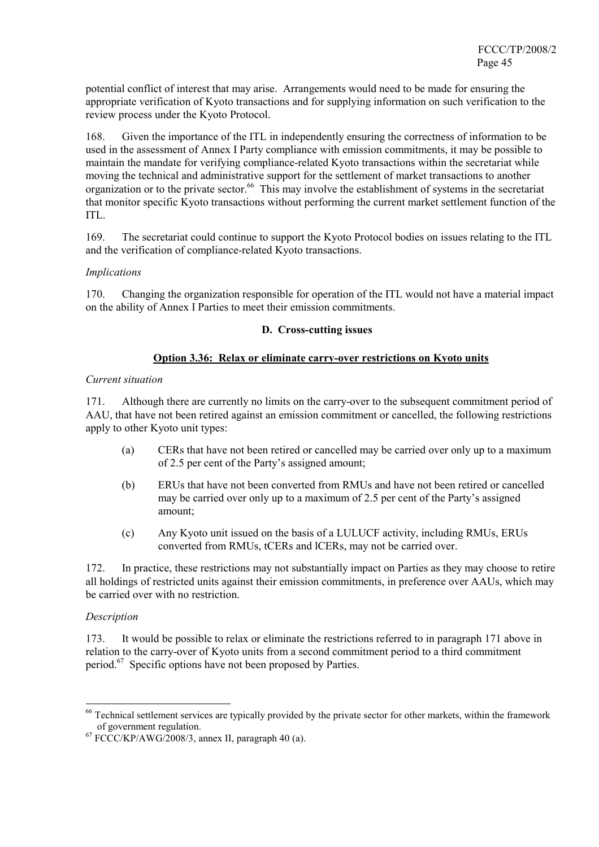potential conflict of interest that may arise. Arrangements would need to be made for ensuring the appropriate verification of Kyoto transactions and for supplying information on such verification to the review process under the Kyoto Protocol.

168. Given the importance of the ITL in independently ensuring the correctness of information to be used in the assessment of Annex I Party compliance with emission commitments, it may be possible to maintain the mandate for verifying compliance-related Kyoto transactions within the secretariat while moving the technical and administrative support for the settlement of market transactions to another organization or to the private sector.<sup>66</sup> This may involve the establishment of systems in the secretariat that monitor specific Kyoto transactions without performing the current market settlement function of the ITL.

169. The secretariat could continue to support the Kyoto Protocol bodies on issues relating to the ITL and the verification of compliance-related Kyoto transactions.

### *Implications*

170. Changing the organization responsible for operation of the ITL would not have a material impact on the ability of Annex I Parties to meet their emission commitments.

### **D. Cross-cutting issues**

### **Option 3.36: Relax or eliminate carry-over restrictions on Kyoto units**

#### *Current situation*

171. Although there are currently no limits on the carry-over to the subsequent commitment period of AAU, that have not been retired against an emission commitment or cancelled, the following restrictions apply to other Kyoto unit types:

- (a) CERs that have not been retired or cancelled may be carried over only up to a maximum of 2.5 per cent of the Party's assigned amount;
- (b) ERUs that have not been converted from RMUs and have not been retired or cancelled may be carried over only up to a maximum of 2.5 per cent of the Party's assigned amount;
- (c) Any Kyoto unit issued on the basis of a LULUCF activity, including RMUs, ERUs converted from RMUs, tCERs and lCERs, may not be carried over.

172. In practice, these restrictions may not substantially impact on Parties as they may choose to retire all holdings of restricted units against their emission commitments, in preference over AAUs, which may be carried over with no restriction.

### *Description*

 $\overline{a}$ 

173. It would be possible to relax or eliminate the restrictions referred to in paragraph 171 above in relation to the carry-over of Kyoto units from a second commitment period to a third commitment period.<sup>67</sup> Specific options have not been proposed by Parties.

<sup>&</sup>lt;sup>66</sup> Technical settlement services are typically provided by the private sector for other markets, within the framework of government regulation.<br>
<sup>67</sup> FCCC/KP/AWG/2008/3, annex II, paragraph 40 (a).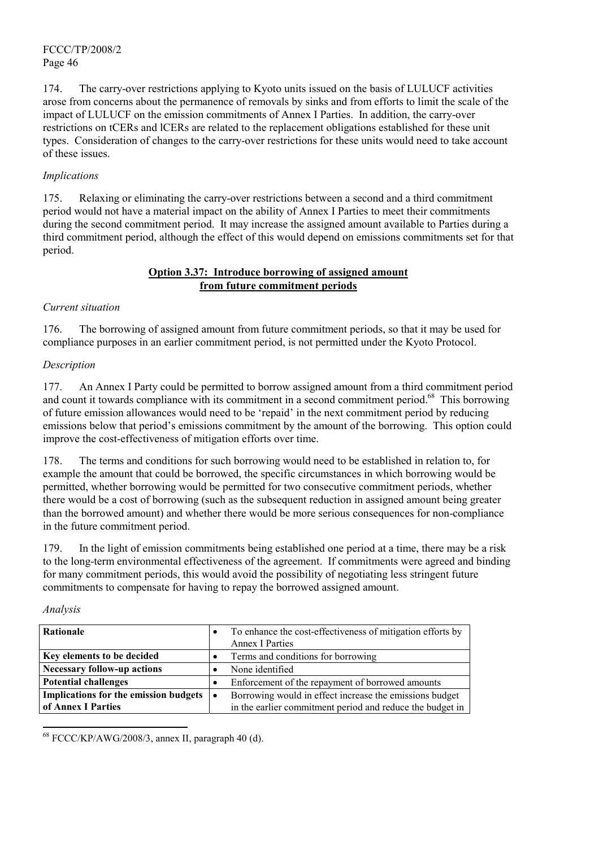174. The carry-over restrictions applying to Kyoto units issued on the basis of LULUCF activities arose from concerns about the permanence of removals by sinks and from efforts to limit the scale of the impact of LULUCF on the emission commitments of Annex I Parties. In addition, the carry-over restrictions on tCERs and lCERs are related to the replacement obligations established for these unit types. Consideration of changes to the carry-over restrictions for these units would need to take account of these issues.

# *Implications*

175. Relaxing or eliminating the carry-over restrictions between a second and a third commitment period would not have a material impact on the ability of Annex I Parties to meet their commitments during the second commitment period. It may increase the assigned amount available to Parties during a third commitment period, although the effect of this would depend on emissions commitments set for that period.

### **Option 3.37: Introduce borrowing of assigned amount from future commitment periods**

# *Current situation*

176. The borrowing of assigned amount from future commitment periods, so that it may be used for compliance purposes in an earlier commitment period, is not permitted under the Kyoto Protocol.

# *Description*

177. An Annex I Party could be permitted to borrow assigned amount from a third commitment period and count it towards compliance with its commitment in a second commitment period.<sup>68</sup> This borrowing of future emission allowances would need to be 'repaid' in the next commitment period by reducing emissions below that period's emissions commitment by the amount of the borrowing. This option could improve the cost-effectiveness of mitigation efforts over time.

178. The terms and conditions for such borrowing would need to be established in relation to, for example the amount that could be borrowed, the specific circumstances in which borrowing would be permitted, whether borrowing would be permitted for two consecutive commitment periods, whether there would be a cost of borrowing (such as the subsequent reduction in assigned amount being greater than the borrowed amount) and whether there would be more serious consequences for non-compliance in the future commitment period.

179. In the light of emission commitments being established one period at a time, there may be a risk to the long-term environmental effectiveness of the agreement. If commitments were agreed and binding for many commitment periods, this would avoid the possibility of negotiating less stringent future commitments to compensate for having to repay the borrowed assigned amount.

#### *Analysis*

 $\overline{\phantom{a}}$ 

| Rationale                             | ٠         | To enhance the cost-effectiveness of mitigation efforts by |
|---------------------------------------|-----------|------------------------------------------------------------|
|                                       |           | <b>Annex I Parties</b>                                     |
| Key elements to be decided            |           | Terms and conditions for borrowing                         |
| <b>Necessary follow-up actions</b>    |           | None identified                                            |
| <b>Potential challenges</b>           | ٠         | Enforcement of the repayment of borrowed amounts           |
| Implications for the emission budgets | $\bullet$ | Borrowing would in effect increase the emissions budget    |
| of Annex I Parties                    |           | in the earlier commitment period and reduce the budget in  |

 $68$  FCCC/KP/AWG/2008/3, annex II, paragraph 40 (d).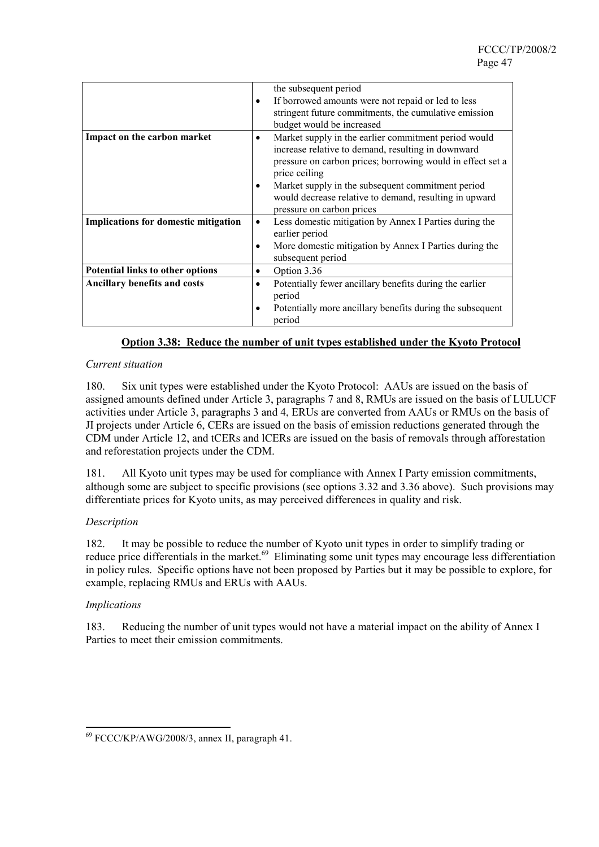|                                      | $\bullet$ | the subsequent period<br>If borrowed amounts were not repaid or led to less<br>stringent future commitments, the cumulative emission<br>budget would be increased                         |
|--------------------------------------|-----------|-------------------------------------------------------------------------------------------------------------------------------------------------------------------------------------------|
| Impact on the carbon market          |           | Market supply in the earlier commitment period would<br>increase relative to demand, resulting in downward<br>pressure on carbon prices; borrowing would in effect set a<br>price ceiling |
|                                      |           | Market supply in the subsequent commitment period<br>would decrease relative to demand, resulting in upward<br>pressure on carbon prices                                                  |
| Implications for domestic mitigation |           | Less domestic mitigation by Annex I Parties during the<br>earlier period                                                                                                                  |
|                                      |           | More domestic mitigation by Annex I Parties during the<br>subsequent period                                                                                                               |
| Potential links to other options     | $\bullet$ | Option 3.36                                                                                                                                                                               |
| <b>Ancillary benefits and costs</b>  |           | Potentially fewer ancillary benefits during the earlier<br>period                                                                                                                         |
|                                      | ٠         | Potentially more ancillary benefits during the subsequent<br>period                                                                                                                       |

### **Option 3.38: Reduce the number of unit types established under the Kyoto Protocol**

#### *Current situation*

180. Six unit types were established under the Kyoto Protocol: AAUs are issued on the basis of assigned amounts defined under Article 3, paragraphs 7 and 8, RMUs are issued on the basis of LULUCF activities under Article 3, paragraphs 3 and 4, ERUs are converted from AAUs or RMUs on the basis of JI projects under Article 6, CERs are issued on the basis of emission reductions generated through the CDM under Article 12, and tCERs and lCERs are issued on the basis of removals through afforestation and reforestation projects under the CDM.

181. All Kyoto unit types may be used for compliance with Annex I Party emission commitments, although some are subject to specific provisions (see options 3.32 and 3.36 above). Such provisions may differentiate prices for Kyoto units, as may perceived differences in quality and risk.

#### *Description*

182. It may be possible to reduce the number of Kyoto unit types in order to simplify trading or reduce price differentials in the market.<sup>69</sup> Eliminating some unit types may encourage less differentiation in policy rules. Specific options have not been proposed by Parties but it may be possible to explore, for example, replacing RMUs and ERUs with AAUs.

#### *Implications*

 $\overline{a}$ 

183. Reducing the number of unit types would not have a material impact on the ability of Annex I Parties to meet their emission commitments.

<sup>69</sup> FCCC/KP/AWG/2008/3, annex II, paragraph 41.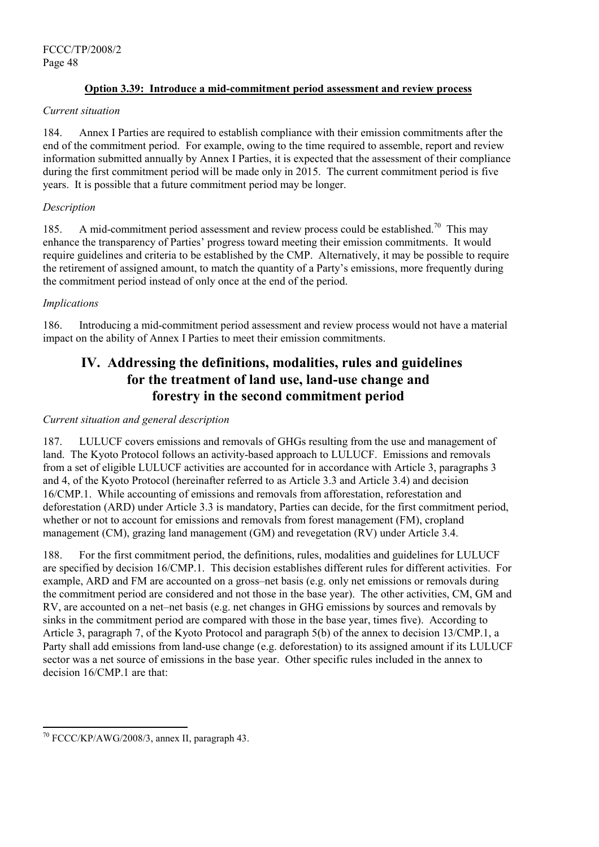### **Option 3.39: Introduce a mid-commitment period assessment and review process**

#### *Current situation*

184. Annex I Parties are required to establish compliance with their emission commitments after the end of the commitment period. For example, owing to the time required to assemble, report and review information submitted annually by Annex I Parties, it is expected that the assessment of their compliance during the first commitment period will be made only in 2015. The current commitment period is five years. It is possible that a future commitment period may be longer.

#### *Description*

185. A mid-commitment period assessment and review process could be established.<sup>70</sup> This may enhance the transparency of Parties' progress toward meeting their emission commitments. It would require guidelines and criteria to be established by the CMP. Alternatively, it may be possible to require the retirement of assigned amount, to match the quantity of a Party's emissions, more frequently during the commitment period instead of only once at the end of the period.

### *Implications*

186. Introducing a mid-commitment period assessment and review process would not have a material impact on the ability of Annex I Parties to meet their emission commitments.

# **IV. Addressing the definitions, modalities, rules and guidelines for the treatment of land use, land-use change and forestry in the second commitment period**

### *Current situation and general description*

187. LULUCF covers emissions and removals of GHGs resulting from the use and management of land. The Kyoto Protocol follows an activity-based approach to LULUCF. Emissions and removals from a set of eligible LULUCF activities are accounted for in accordance with Article 3, paragraphs 3 and 4, of the Kyoto Protocol (hereinafter referred to as Article 3.3 and Article 3.4) and decision 16/CMP.1. While accounting of emissions and removals from afforestation, reforestation and deforestation (ARD) under Article 3.3 is mandatory, Parties can decide, for the first commitment period, whether or not to account for emissions and removals from forest management (FM), cropland management (CM), grazing land management (GM) and revegetation (RV) under Article 3.4.

188. For the first commitment period, the definitions, rules, modalities and guidelines for LULUCF are specified by decision 16/CMP.1. This decision establishes different rules for different activities. For example, ARD and FM are accounted on a gross–net basis (e.g. only net emissions or removals during the commitment period are considered and not those in the base year). The other activities, CM, GM and RV, are accounted on a net–net basis (e.g. net changes in GHG emissions by sources and removals by sinks in the commitment period are compared with those in the base year, times five). According to Article 3, paragraph 7, of the Kyoto Protocol and paragraph 5(b) of the annex to decision 13/CMP.1, a Party shall add emissions from land-use change (e.g. deforestation) to its assigned amount if its LULUCF sector was a net source of emissions in the base year. Other specific rules included in the annex to decision 16/CMP 1 are that:

 $\overline{a}$ 

<sup>70</sup> FCCC/KP/AWG/2008/3, annex II, paragraph 43.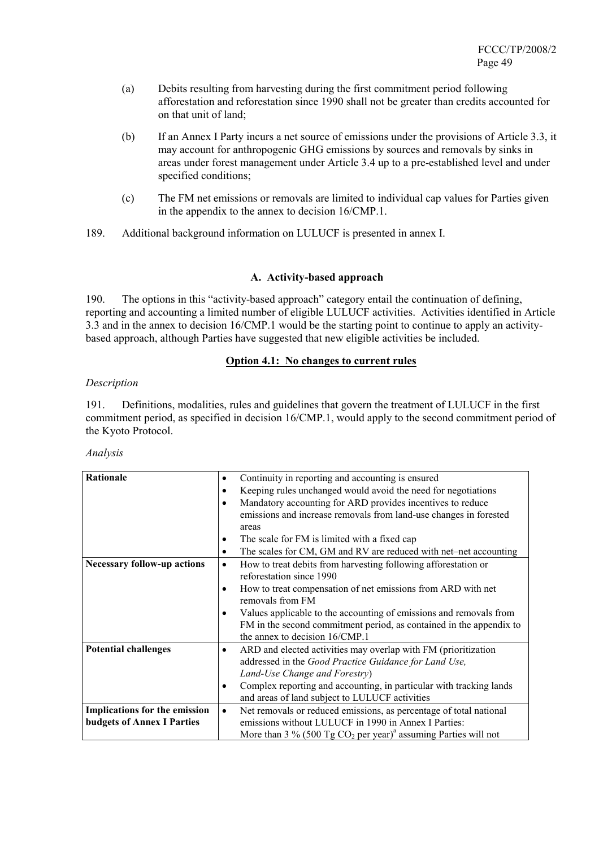- (a) Debits resulting from harvesting during the first commitment period following afforestation and reforestation since 1990 shall not be greater than credits accounted for on that unit of land;
- (b) If an Annex I Party incurs a net source of emissions under the provisions of Article 3.3, it may account for anthropogenic GHG emissions by sources and removals by sinks in areas under forest management under Article 3.4 up to a pre-established level and under specified conditions;
- (c) The FM net emissions or removals are limited to individual cap values for Parties given in the appendix to the annex to decision 16/CMP.1.
- 189. Additional background information on LULUCF is presented in annex I.

### **A. Activity-based approach**

190. The options in this "activity-based approach" category entail the continuation of defining, reporting and accounting a limited number of eligible LULUCF activities. Activities identified in Article 3.3 and in the annex to decision 16/CMP.1 would be the starting point to continue to apply an activitybased approach, although Parties have suggested that new eligible activities be included.

### **Option 4.1: No changes to current rules**

### *Description*

191. Definitions, modalities, rules and guidelines that govern the treatment of LULUCF in the first commitment period, as specified in decision 16/CMP.1, would apply to the second commitment period of the Kyoto Protocol.

| Rationale                          | Continuity in reporting and accounting is ensured<br>$\bullet$                                                                                                              |
|------------------------------------|-----------------------------------------------------------------------------------------------------------------------------------------------------------------------------|
|                                    | Keeping rules unchanged would avoid the need for negotiations<br>$\bullet$                                                                                                  |
|                                    | Mandatory accounting for ARD provides incentives to reduce                                                                                                                  |
|                                    | emissions and increase removals from land-use changes in forested                                                                                                           |
|                                    | areas                                                                                                                                                                       |
|                                    | The scale for FM is limited with a fixed cap<br>٠                                                                                                                           |
|                                    | The scales for CM, GM and RV are reduced with net-net accounting<br>$\bullet$                                                                                               |
| <b>Necessary follow-up actions</b> | How to treat debits from harvesting following afforestation or<br>$\bullet$<br>reforestation since 1990                                                                     |
|                                    | How to treat compensation of net emissions from ARD with net<br>$\bullet$<br>removals from FM                                                                               |
|                                    | Values applicable to the accounting of emissions and removals from<br>FM in the second commitment period, as contained in the appendix to<br>the annex to decision 16/CMP.1 |
| <b>Potential challenges</b>        | ARD and elected activities may overlap with FM (prioritization<br>$\bullet$                                                                                                 |
|                                    | addressed in the Good Practice Guidance for Land Use,                                                                                                                       |
|                                    | Land-Use Change and Forestry)                                                                                                                                               |
|                                    | Complex reporting and accounting, in particular with tracking lands<br>$\bullet$                                                                                            |
|                                    | and areas of land subject to LULUCF activities                                                                                                                              |
| Implications for the emission      | Net removals or reduced emissions, as percentage of total national<br>$\bullet$                                                                                             |
| <b>budgets of Annex I Parties</b>  | emissions without LULUCF in 1990 in Annex I Parties:                                                                                                                        |
|                                    | More than 3 % (500 Tg $CO_2$ per year) <sup>a</sup> assuming Parties will not                                                                                               |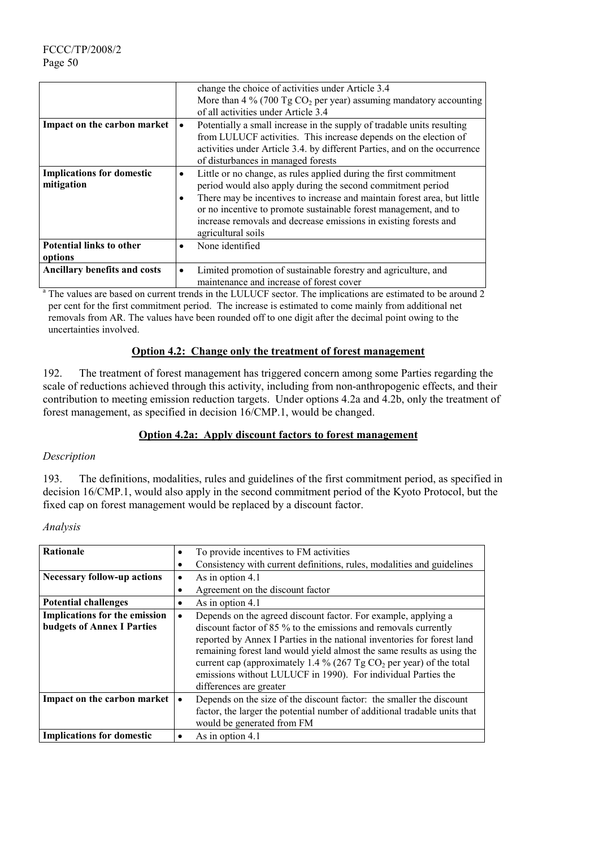|                                     | change the choice of activities under Article 3.4                                     |
|-------------------------------------|---------------------------------------------------------------------------------------|
|                                     | More than 4 % (700 Tg $CO2$ per year) assuming mandatory accounting                   |
|                                     | of all activities under Article 3.4                                                   |
| Impact on the carbon market         | Potentially a small increase in the supply of tradable units resulting<br>$\bullet$   |
|                                     | from LULUCF activities. This increase depends on the election of                      |
|                                     | activities under Article 3.4. by different Parties, and on the occurrence             |
|                                     | of disturbances in managed forests                                                    |
| <b>Implications for domestic</b>    | Little or no change, as rules applied during the first commitment<br>$\bullet$        |
| mitigation                          | period would also apply during the second commitment period                           |
|                                     | There may be incentives to increase and maintain forest area, but little<br>$\bullet$ |
|                                     | or no incentive to promote sustainable forest management, and to                      |
|                                     | increase removals and decrease emissions in existing forests and                      |
|                                     | agricultural soils                                                                    |
| <b>Potential links to other</b>     | None identified<br>$\bullet$                                                          |
| options                             |                                                                                       |
| <b>Ancillary benefits and costs</b> | Limited promotion of sustainable forestry and agriculture, and<br>$\bullet$           |
|                                     | maintenance and increase of forest cover                                              |

maintenance and increase of forest cover<br>
<sup>a</sup> The values are based on current trends in the LULUCF sector. The implications are estimated to be around 2 per cent for the first commitment period. The increase is estimated to come mainly from additional net removals from AR. The values have been rounded off to one digit after the decimal point owing to the uncertainties involved.

### **Option 4.2: Change only the treatment of forest management**

192. The treatment of forest management has triggered concern among some Parties regarding the scale of reductions achieved through this activity, including from non-anthropogenic effects, and their contribution to meeting emission reduction targets. Under options 4.2a and 4.2b, only the treatment of forest management, as specified in decision 16/CMP.1, would be changed.

### **Option 4.2a: Apply discount factors to forest management**

#### *Description*

193. The definitions, modalities, rules and guidelines of the first commitment period, as specified in decision 16/CMP.1, would also apply in the second commitment period of the Kyoto Protocol, but the fixed cap on forest management would be replaced by a discount factor.

| <b>Rationale</b>                                                          | To provide incentives to FM activities<br>٠                                                                                                                                                                                                                                                                                                                                                                                                                              |
|---------------------------------------------------------------------------|--------------------------------------------------------------------------------------------------------------------------------------------------------------------------------------------------------------------------------------------------------------------------------------------------------------------------------------------------------------------------------------------------------------------------------------------------------------------------|
|                                                                           | Consistency with current definitions, rules, modalities and guidelines<br>٠                                                                                                                                                                                                                                                                                                                                                                                              |
| <b>Necessary follow-up actions</b>                                        | As in option 4.1<br>٠                                                                                                                                                                                                                                                                                                                                                                                                                                                    |
|                                                                           | Agreement on the discount factor<br>٠                                                                                                                                                                                                                                                                                                                                                                                                                                    |
| <b>Potential challenges</b>                                               | As in option 4.1<br>٠                                                                                                                                                                                                                                                                                                                                                                                                                                                    |
| <b>Implications for the emission</b><br><b>budgets of Annex I Parties</b> | Depends on the agreed discount factor. For example, applying a<br>$\bullet$<br>discount factor of 85 % to the emissions and removals currently<br>reported by Annex I Parties in the national inventories for forest land<br>remaining forest land would yield almost the same results as using the<br>current cap (approximately 1.4 % (267 Tg $CO2$ per year) of the total<br>emissions without LULUCF in 1990). For individual Parties the<br>differences are greater |
| Impact on the carbon market                                               | Depends on the size of the discount factor: the smaller the discount<br>factor, the larger the potential number of additional tradable units that<br>would be generated from FM                                                                                                                                                                                                                                                                                          |
| <b>Implications for domestic</b>                                          | As in option 4.1<br>$\bullet$                                                                                                                                                                                                                                                                                                                                                                                                                                            |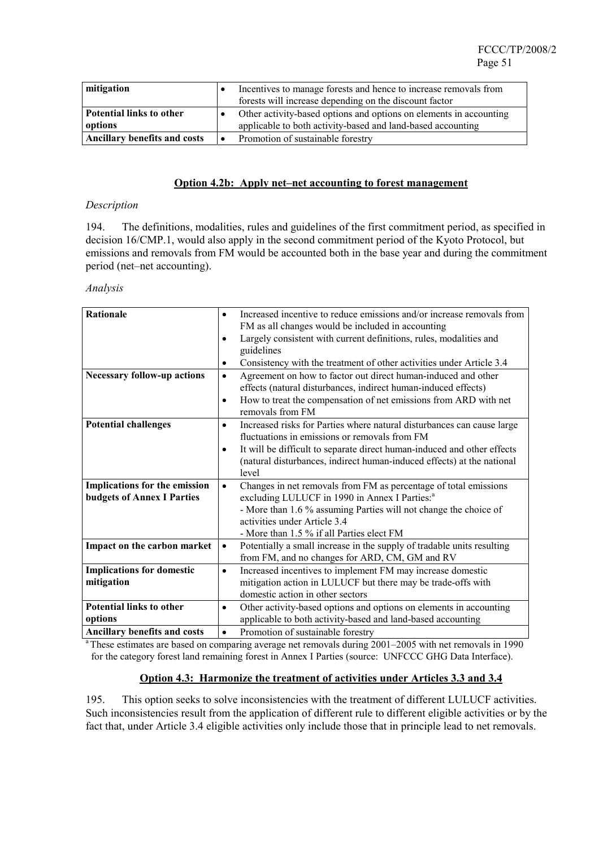| mitigation                          | Incentives to manage forests and hence to increase removals from<br>forests will increase depending on the discount factor        |
|-------------------------------------|-----------------------------------------------------------------------------------------------------------------------------------|
| Potential links to other<br>options | Other activity-based options and options on elements in accounting<br>applicable to both activity-based and land-based accounting |
| <b>Ancillary benefits and costs</b> | Promotion of sustainable forestry                                                                                                 |

#### **Option 4.2b: Apply net–net accounting to forest management**

#### *Description*

194. The definitions, modalities, rules and guidelines of the first commitment period, as specified in decision 16/CMP.1, would also apply in the second commitment period of the Kyoto Protocol, but emissions and removals from FM would be accounted both in the base year and during the commitment period (net–net accounting).

#### *Analysis*

| Rationale                                                          | Increased incentive to reduce emissions and/or increase removals from<br>$\bullet$<br>FM as all changes would be included in accounting<br>Largely consistent with current definitions, rules, modalities and<br>$\bullet$<br>guidelines<br>Consistency with the treatment of other activities under Article 3.4<br>$\bullet$ |
|--------------------------------------------------------------------|-------------------------------------------------------------------------------------------------------------------------------------------------------------------------------------------------------------------------------------------------------------------------------------------------------------------------------|
| <b>Necessary follow-up actions</b>                                 | Agreement on how to factor out direct human-induced and other<br>$\bullet$<br>effects (natural disturbances, indirect human-induced effects)<br>How to treat the compensation of net emissions from ARD with net<br>$\bullet$<br>removals from FM                                                                             |
| <b>Potential challenges</b>                                        | Increased risks for Parties where natural disturbances can cause large<br>$\bullet$<br>fluctuations in emissions or removals from FM<br>It will be difficult to separate direct human-induced and other effects<br>$\bullet$<br>(natural disturbances, indirect human-induced effects) at the national<br>level               |
| Implications for the emission<br><b>budgets of Annex I Parties</b> | Changes in net removals from FM as percentage of total emissions<br>$\bullet$<br>excluding LULUCF in 1990 in Annex I Parties: <sup>a</sup><br>- More than 1.6 % assuming Parties will not change the choice of<br>activities under Article 3.4<br>- More than 1.5 % if all Parties elect FM                                   |
| Impact on the carbon market                                        | Potentially a small increase in the supply of tradable units resulting<br>$\bullet$<br>from FM, and no changes for ARD, CM, GM and RV                                                                                                                                                                                         |
| <b>Implications for domestic</b><br>mitigation                     | Increased incentives to implement FM may increase domestic<br>$\bullet$<br>mitigation action in LULUCF but there may be trade-offs with<br>domestic action in other sectors                                                                                                                                                   |
| <b>Potential links to other</b><br>options                         | Other activity-based options and options on elements in accounting<br>$\bullet$<br>applicable to both activity-based and land-based accounting                                                                                                                                                                                |
| <b>Ancillary benefits and costs</b>                                | Promotion of sustainable forestry<br>$\bullet$                                                                                                                                                                                                                                                                                |

<sup>a</sup> These estimates are based on comparing average net removals during 2001–2005 with net removals in 1990 for the category forest land remaining forest in Annex I Parties (source: UNFCCC GHG Data Interface).

#### **Option 4.3: Harmonize the treatment of activities under Articles 3.3 and 3.4**

195. This option seeks to solve inconsistencies with the treatment of different LULUCF activities. Such inconsistencies result from the application of different rule to different eligible activities or by the fact that, under Article 3.4 eligible activities only include those that in principle lead to net removals.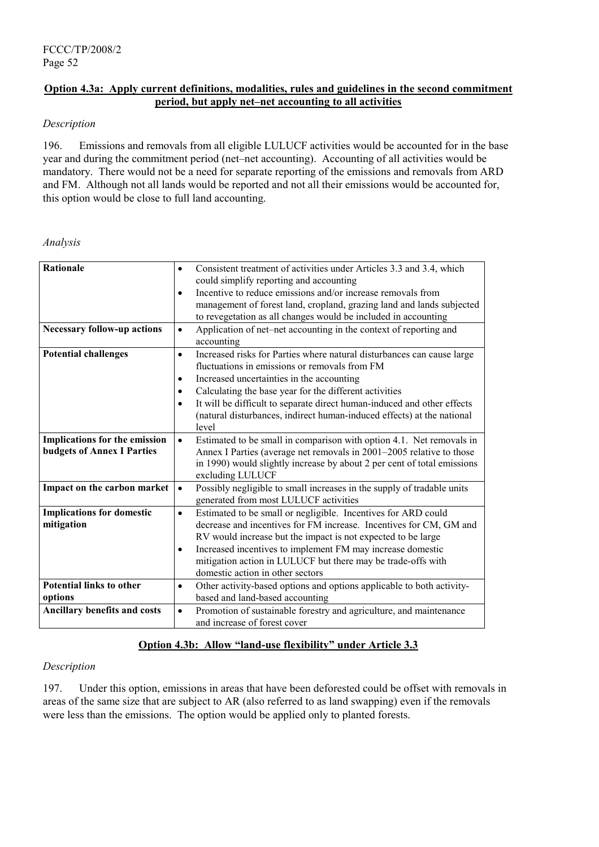## **Option 4.3a: Apply current definitions, modalities, rules and guidelines in the second commitment period, but apply net–net accounting to all activities**

### *Description*

196. Emissions and removals from all eligible LULUCF activities would be accounted for in the base year and during the commitment period (net–net accounting). Accounting of all activities would be mandatory. There would not be a need for separate reporting of the emissions and removals from ARD and FM. Although not all lands would be reported and not all their emissions would be accounted for, this option would be close to full land accounting.

### *Analysis*

| <b>Rationale</b>                    | Consistent treatment of activities under Articles 3.3 and 3.4, which<br>٠            |
|-------------------------------------|--------------------------------------------------------------------------------------|
|                                     | could simplify reporting and accounting                                              |
|                                     | Incentive to reduce emissions and/or increase removals from<br>$\bullet$             |
|                                     | management of forest land, cropland, grazing land and lands subjected                |
|                                     | to revegetation as all changes would be included in accounting                       |
| <b>Necessary follow-up actions</b>  | Application of net-net accounting in the context of reporting and<br>$\bullet$       |
|                                     | accounting                                                                           |
| <b>Potential challenges</b>         | $\bullet$                                                                            |
|                                     | Increased risks for Parties where natural disturbances can cause large               |
|                                     | fluctuations in emissions or removals from FM                                        |
|                                     | Increased uncertainties in the accounting<br>$\bullet$                               |
|                                     | Calculating the base year for the different activities<br>٠                          |
|                                     | It will be difficult to separate direct human-induced and other effects<br>$\bullet$ |
|                                     | (natural disturbances, indirect human-induced effects) at the national               |
|                                     | level                                                                                |
| Implications for the emission       | Estimated to be small in comparison with option 4.1. Net removals in<br>$\bullet$    |
| <b>budgets of Annex I Parties</b>   | Annex I Parties (average net removals in 2001-2005 relative to those                 |
|                                     | in 1990) would slightly increase by about 2 per cent of total emissions              |
|                                     | excluding LULUCF                                                                     |
|                                     | $\bullet$                                                                            |
| Impact on the carbon market         | Possibly negligible to small increases in the supply of tradable units               |
|                                     | generated from most LULUCF activities                                                |
| <b>Implications for domestic</b>    | Estimated to be small or negligible. Incentives for ARD could<br>$\bullet$           |
| mitigation                          | decrease and incentives for FM increase. Incentives for CM, GM and                   |
|                                     | RV would increase but the impact is not expected to be large                         |
|                                     | Increased incentives to implement FM may increase domestic<br>٠                      |
|                                     | mitigation action in LULUCF but there may be trade-offs with                         |
|                                     | domestic action in other sectors                                                     |
| <b>Potential links to other</b>     | Other activity-based options and options applicable to both activity-<br>$\bullet$   |
| options                             | based and land-based accounting                                                      |
| <b>Ancillary benefits and costs</b> | Promotion of sustainable forestry and agriculture, and maintenance<br>$\bullet$      |
|                                     | and increase of forest cover                                                         |
|                                     |                                                                                      |

### **Option 4.3b: Allow "land-use flexibility" under Article 3.3**

### *Description*

197. Under this option, emissions in areas that have been deforested could be offset with removals in areas of the same size that are subject to AR (also referred to as land swapping) even if the removals were less than the emissions. The option would be applied only to planted forests.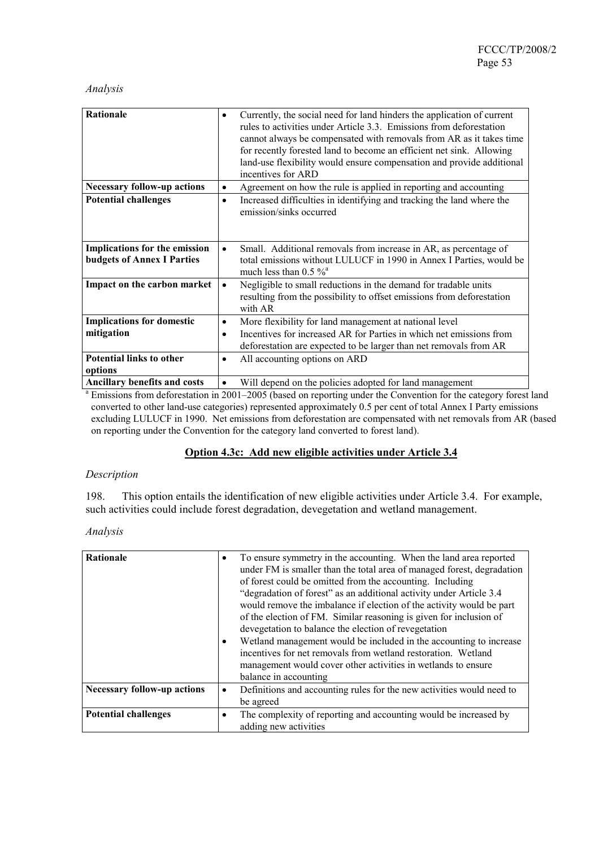### *Analysis*

| Rationale                                                          | Currently, the social need for land hinders the application of current<br>$\bullet$<br>rules to activities under Article 3.3. Emissions from deforestation<br>cannot always be compensated with removals from AR as it takes time<br>for recently forested land to become an efficient net sink. Allowing<br>land-use flexibility would ensure compensation and provide additional<br>incentives for ARD |
|--------------------------------------------------------------------|----------------------------------------------------------------------------------------------------------------------------------------------------------------------------------------------------------------------------------------------------------------------------------------------------------------------------------------------------------------------------------------------------------|
| <b>Necessary follow-up actions</b>                                 | Agreement on how the rule is applied in reporting and accounting                                                                                                                                                                                                                                                                                                                                         |
| <b>Potential challenges</b>                                        | Increased difficulties in identifying and tracking the land where the<br>$\bullet$<br>emission/sinks occurred                                                                                                                                                                                                                                                                                            |
| Implications for the emission<br><b>budgets of Annex I Parties</b> | Small. Additional removals from increase in AR, as percentage of<br>total emissions without LULUCF in 1990 in Annex I Parties, would be<br>much less than $0.5 \%$ <sup>a</sup>                                                                                                                                                                                                                          |
| Impact on the carbon market                                        | Negligible to small reductions in the demand for tradable units<br>$\bullet$<br>resulting from the possibility to offset emissions from deforestation<br>with AR                                                                                                                                                                                                                                         |
| <b>Implications for domestic</b>                                   | More flexibility for land management at national level<br>٠                                                                                                                                                                                                                                                                                                                                              |
| mitigation                                                         | Incentives for increased AR for Parties in which net emissions from<br>$\bullet$<br>deforestation are expected to be larger than net removals from AR                                                                                                                                                                                                                                                    |
| <b>Potential links to other</b><br>options                         | All accounting options on ARD<br>$\bullet$                                                                                                                                                                                                                                                                                                                                                               |
| <b>Ancillary benefits and costs</b>                                | Will denend on the policies adonted for land management                                                                                                                                                                                                                                                                                                                                                  |

Ancillary benefits and costs  $\cdot$  Will depend on the policies adopted for land management<br>
<sup>a</sup> Emissions from deforestation in 2001–2005 (based on reporting under the Convention for the category forest land converted to other land-use categories) represented approximately 0.5 per cent of total Annex I Party emissions excluding LULUCF in 1990. Net emissions from deforestation are compensated with net removals from AR (based on reporting under the Convention for the category land converted to forest land).

#### **Option 4.3c: Add new eligible activities under Article 3.4**

#### *Description*

198. This option entails the identification of new eligible activities under Article 3.4. For example, such activities could include forest degradation, devegetation and wetland management.

| <b>Rationale</b>                   | To ensure symmetry in the accounting. When the land area reported<br>$\bullet$<br>under FM is smaller than the total area of managed forest, degradation<br>of forest could be omitted from the accounting. Including<br>"degradation of forest" as an additional activity under Article 3.4<br>would remove the imbalance if election of the activity would be part<br>of the election of FM. Similar reasoning is given for inclusion of<br>devegetation to balance the election of revegetation<br>Wetland management would be included in the accounting to increase<br>$\bullet$<br>incentives for net removals from wetland restoration. Wetland<br>management would cover other activities in wetlands to ensure<br>balance in accounting |
|------------------------------------|--------------------------------------------------------------------------------------------------------------------------------------------------------------------------------------------------------------------------------------------------------------------------------------------------------------------------------------------------------------------------------------------------------------------------------------------------------------------------------------------------------------------------------------------------------------------------------------------------------------------------------------------------------------------------------------------------------------------------------------------------|
| <b>Necessary follow-up actions</b> | Definitions and accounting rules for the new activities would need to<br>$\bullet$                                                                                                                                                                                                                                                                                                                                                                                                                                                                                                                                                                                                                                                               |
|                                    | be agreed                                                                                                                                                                                                                                                                                                                                                                                                                                                                                                                                                                                                                                                                                                                                        |
| <b>Potential challenges</b>        | The complexity of reporting and accounting would be increased by<br>$\bullet$                                                                                                                                                                                                                                                                                                                                                                                                                                                                                                                                                                                                                                                                    |
|                                    | adding new activities                                                                                                                                                                                                                                                                                                                                                                                                                                                                                                                                                                                                                                                                                                                            |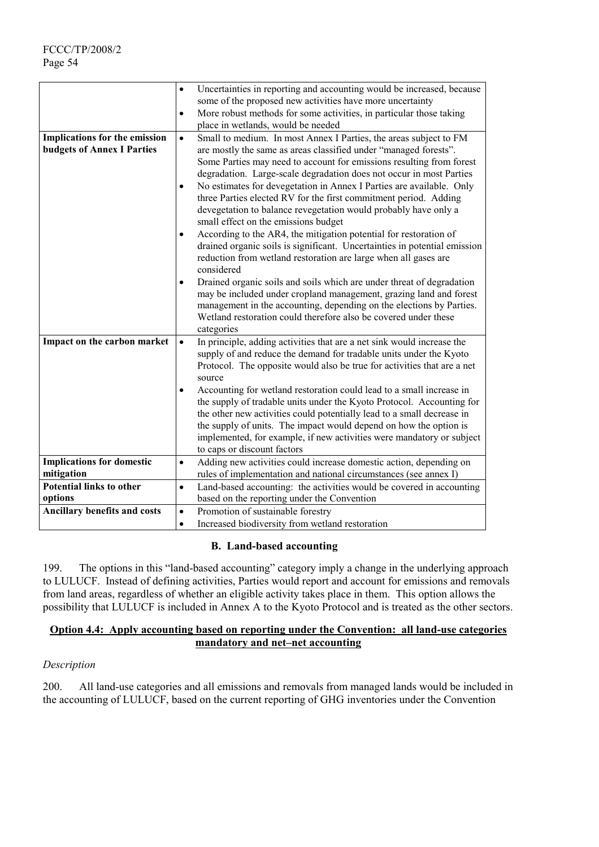|                                                                    | Uncertainties in reporting and accounting would be increased, because<br>$\bullet$<br>some of the proposed new activities have more uncertainty<br>More robust methods for some activities, in particular those taking<br>٠<br>place in wetlands, would be needed                                                                                                                                                                                                                                                                                                                                                                                                                                                                                                                                                                                                                                                                                                                                                                                                                                                            |
|--------------------------------------------------------------------|------------------------------------------------------------------------------------------------------------------------------------------------------------------------------------------------------------------------------------------------------------------------------------------------------------------------------------------------------------------------------------------------------------------------------------------------------------------------------------------------------------------------------------------------------------------------------------------------------------------------------------------------------------------------------------------------------------------------------------------------------------------------------------------------------------------------------------------------------------------------------------------------------------------------------------------------------------------------------------------------------------------------------------------------------------------------------------------------------------------------------|
| Implications for the emission<br><b>budgets of Annex I Parties</b> | $\bullet$<br>Small to medium. In most Annex I Parties, the areas subject to FM<br>are mostly the same as areas classified under "managed forests".<br>Some Parties may need to account for emissions resulting from forest<br>degradation. Large-scale degradation does not occur in most Parties<br>No estimates for devegetation in Annex I Parties are available. Only<br>$\bullet$<br>three Parties elected RV for the first commitment period. Adding<br>devegetation to balance revegetation would probably have only a<br>small effect on the emissions budget<br>According to the AR4, the mitigation potential for restoration of<br>$\bullet$<br>drained organic soils is significant. Uncertainties in potential emission<br>reduction from wetland restoration are large when all gases are<br>considered<br>Drained organic soils and soils which are under threat of degradation<br>$\bullet$<br>may be included under cropland management, grazing land and forest<br>management in the accounting, depending on the elections by Parties.<br>Wetland restoration could therefore also be covered under these |
|                                                                    | categories                                                                                                                                                                                                                                                                                                                                                                                                                                                                                                                                                                                                                                                                                                                                                                                                                                                                                                                                                                                                                                                                                                                   |
| Impact on the carbon market                                        | In principle, adding activities that are a net sink would increase the<br>$\bullet$<br>supply of and reduce the demand for tradable units under the Kyoto<br>Protocol. The opposite would also be true for activities that are a net<br>source                                                                                                                                                                                                                                                                                                                                                                                                                                                                                                                                                                                                                                                                                                                                                                                                                                                                               |
|                                                                    | Accounting for wetland restoration could lead to a small increase in<br>$\bullet$<br>the supply of tradable units under the Kyoto Protocol. Accounting for<br>the other new activities could potentially lead to a small decrease in<br>the supply of units. The impact would depend on how the option is<br>implemented, for example, if new activities were mandatory or subject<br>to caps or discount factors                                                                                                                                                                                                                                                                                                                                                                                                                                                                                                                                                                                                                                                                                                            |
| <b>Implications for domestic</b>                                   | Adding new activities could increase domestic action, depending on<br>$\bullet$                                                                                                                                                                                                                                                                                                                                                                                                                                                                                                                                                                                                                                                                                                                                                                                                                                                                                                                                                                                                                                              |
| mitigation                                                         | rules of implementation and national circumstances (see annex I)                                                                                                                                                                                                                                                                                                                                                                                                                                                                                                                                                                                                                                                                                                                                                                                                                                                                                                                                                                                                                                                             |
| <b>Potential links to other</b><br>options                         | Land-based accounting: the activities would be covered in accounting<br>$\bullet$<br>based on the reporting under the Convention                                                                                                                                                                                                                                                                                                                                                                                                                                                                                                                                                                                                                                                                                                                                                                                                                                                                                                                                                                                             |
| Ancillary benefits and costs                                       | Promotion of sustainable forestry<br>$\bullet$                                                                                                                                                                                                                                                                                                                                                                                                                                                                                                                                                                                                                                                                                                                                                                                                                                                                                                                                                                                                                                                                               |
|                                                                    | Increased biodiversity from wetland restoration<br>$\bullet$                                                                                                                                                                                                                                                                                                                                                                                                                                                                                                                                                                                                                                                                                                                                                                                                                                                                                                                                                                                                                                                                 |

#### **B. Land-based accounting**

199. The options in this "land-based accounting" category imply a change in the underlying approach to LULUCF. Instead of defining activities, Parties would report and account for emissions and removals from land areas, regardless of whether an eligible activity takes place in them. This option allows the possibility that LULUCF is included in Annex A to the Kyoto Protocol and is treated as the other sectors.

### **Option 4.4: Apply accounting based on reporting under the Convention: all land-use categories mandatory and net–net accounting**

### *Description*

200. All land-use categories and all emissions and removals from managed lands would be included in the accounting of LULUCF, based on the current reporting of GHG inventories under the Convention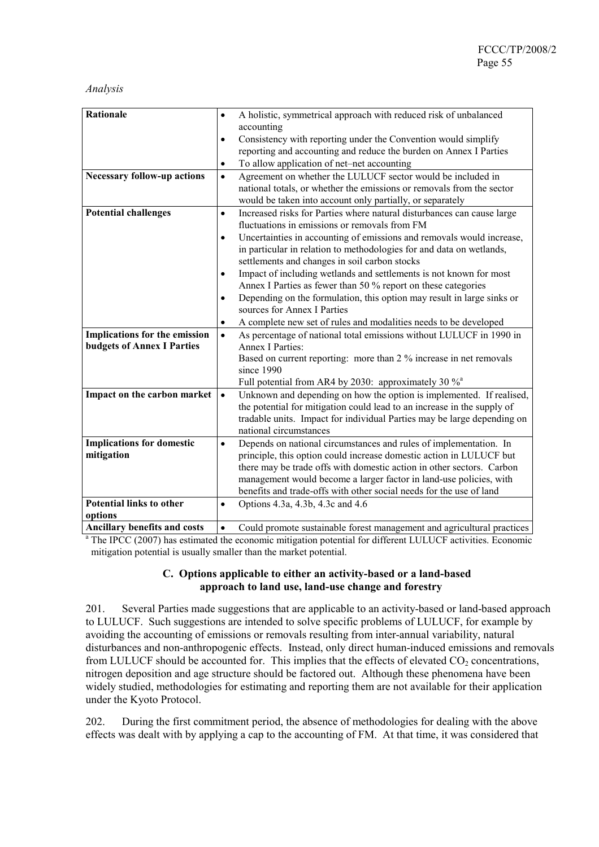#### *Analysis*

| Rationale<br>A holistic, symmetrical approach with reduced risk of unbalanced<br>$\bullet$<br>accounting<br>Consistency with reporting under the Convention would simplify<br>$\bullet$<br>reporting and accounting and reduce the burden on Annex I Parties<br>To allow application of net-net accounting<br>$\bullet$<br>Agreement on whether the LULUCF sector would be included in<br><b>Necessary follow-up actions</b><br>$\bullet$<br>national totals, or whether the emissions or removals from the sector<br>would be taken into account only partially, or separately<br><b>Potential challenges</b><br>Increased risks for Parties where natural disturbances can cause large<br>$\bullet$<br>fluctuations in emissions or removals from FM<br>Uncertainties in accounting of emissions and removals would increase,<br>$\bullet$<br>in particular in relation to methodologies for and data on wetlands,<br>settlements and changes in soil carbon stocks<br>Impact of including wetlands and settlements is not known for most<br>$\bullet$<br>Annex I Parties as fewer than 50 % report on these categories<br>Depending on the formulation, this option may result in large sinks or<br>$\bullet$<br>sources for Annex I Parties<br>A complete new set of rules and modalities needs to be developed<br>$\bullet$<br>Implications for the emission<br>As percentage of national total emissions without LULUCF in 1990 in<br>$\bullet$<br><b>budgets of Annex I Parties</b><br><b>Annex I Parties:</b><br>Based on current reporting: more than 2 % increase in net removals<br>since 1990<br>Full potential from AR4 by 2030: approximately 30 % <sup>a</sup><br>Impact on the carbon market<br>Unknown and depending on how the option is implemented. If realised,<br>$\bullet$<br>the potential for mitigation could lead to an increase in the supply of<br>tradable units. Impact for individual Parties may be large depending on<br>national circumstances<br><b>Implications for domestic</b><br>Depends on national circumstances and rules of implementation. In<br>$\bullet$<br>mitigation<br>principle, this option could increase domestic action in LULUCF but<br>there may be trade offs with domestic action in other sectors. Carbon<br>management would become a larger factor in land-use policies, with<br>benefits and trade-offs with other social needs for the use of land |                                 |                                               |
|--------------------------------------------------------------------------------------------------------------------------------------------------------------------------------------------------------------------------------------------------------------------------------------------------------------------------------------------------------------------------------------------------------------------------------------------------------------------------------------------------------------------------------------------------------------------------------------------------------------------------------------------------------------------------------------------------------------------------------------------------------------------------------------------------------------------------------------------------------------------------------------------------------------------------------------------------------------------------------------------------------------------------------------------------------------------------------------------------------------------------------------------------------------------------------------------------------------------------------------------------------------------------------------------------------------------------------------------------------------------------------------------------------------------------------------------------------------------------------------------------------------------------------------------------------------------------------------------------------------------------------------------------------------------------------------------------------------------------------------------------------------------------------------------------------------------------------------------------------------------------------------------------------------------------------------------------------------------------------------------------------------------------------------------------------------------------------------------------------------------------------------------------------------------------------------------------------------------------------------------------------------------------------------------------------------------------------------------------------------------------------------------------------------------|---------------------------------|-----------------------------------------------|
|                                                                                                                                                                                                                                                                                                                                                                                                                                                                                                                                                                                                                                                                                                                                                                                                                                                                                                                                                                                                                                                                                                                                                                                                                                                                                                                                                                                                                                                                                                                                                                                                                                                                                                                                                                                                                                                                                                                                                                                                                                                                                                                                                                                                                                                                                                                                                                                                                    |                                 |                                               |
|                                                                                                                                                                                                                                                                                                                                                                                                                                                                                                                                                                                                                                                                                                                                                                                                                                                                                                                                                                                                                                                                                                                                                                                                                                                                                                                                                                                                                                                                                                                                                                                                                                                                                                                                                                                                                                                                                                                                                                                                                                                                                                                                                                                                                                                                                                                                                                                                                    |                                 |                                               |
|                                                                                                                                                                                                                                                                                                                                                                                                                                                                                                                                                                                                                                                                                                                                                                                                                                                                                                                                                                                                                                                                                                                                                                                                                                                                                                                                                                                                                                                                                                                                                                                                                                                                                                                                                                                                                                                                                                                                                                                                                                                                                                                                                                                                                                                                                                                                                                                                                    |                                 |                                               |
|                                                                                                                                                                                                                                                                                                                                                                                                                                                                                                                                                                                                                                                                                                                                                                                                                                                                                                                                                                                                                                                                                                                                                                                                                                                                                                                                                                                                                                                                                                                                                                                                                                                                                                                                                                                                                                                                                                                                                                                                                                                                                                                                                                                                                                                                                                                                                                                                                    |                                 |                                               |
|                                                                                                                                                                                                                                                                                                                                                                                                                                                                                                                                                                                                                                                                                                                                                                                                                                                                                                                                                                                                                                                                                                                                                                                                                                                                                                                                                                                                                                                                                                                                                                                                                                                                                                                                                                                                                                                                                                                                                                                                                                                                                                                                                                                                                                                                                                                                                                                                                    |                                 |                                               |
|                                                                                                                                                                                                                                                                                                                                                                                                                                                                                                                                                                                                                                                                                                                                                                                                                                                                                                                                                                                                                                                                                                                                                                                                                                                                                                                                                                                                                                                                                                                                                                                                                                                                                                                                                                                                                                                                                                                                                                                                                                                                                                                                                                                                                                                                                                                                                                                                                    |                                 |                                               |
|                                                                                                                                                                                                                                                                                                                                                                                                                                                                                                                                                                                                                                                                                                                                                                                                                                                                                                                                                                                                                                                                                                                                                                                                                                                                                                                                                                                                                                                                                                                                                                                                                                                                                                                                                                                                                                                                                                                                                                                                                                                                                                                                                                                                                                                                                                                                                                                                                    |                                 |                                               |
|                                                                                                                                                                                                                                                                                                                                                                                                                                                                                                                                                                                                                                                                                                                                                                                                                                                                                                                                                                                                                                                                                                                                                                                                                                                                                                                                                                                                                                                                                                                                                                                                                                                                                                                                                                                                                                                                                                                                                                                                                                                                                                                                                                                                                                                                                                                                                                                                                    |                                 |                                               |
|                                                                                                                                                                                                                                                                                                                                                                                                                                                                                                                                                                                                                                                                                                                                                                                                                                                                                                                                                                                                                                                                                                                                                                                                                                                                                                                                                                                                                                                                                                                                                                                                                                                                                                                                                                                                                                                                                                                                                                                                                                                                                                                                                                                                                                                                                                                                                                                                                    |                                 |                                               |
|                                                                                                                                                                                                                                                                                                                                                                                                                                                                                                                                                                                                                                                                                                                                                                                                                                                                                                                                                                                                                                                                                                                                                                                                                                                                                                                                                                                                                                                                                                                                                                                                                                                                                                                                                                                                                                                                                                                                                                                                                                                                                                                                                                                                                                                                                                                                                                                                                    |                                 |                                               |
|                                                                                                                                                                                                                                                                                                                                                                                                                                                                                                                                                                                                                                                                                                                                                                                                                                                                                                                                                                                                                                                                                                                                                                                                                                                                                                                                                                                                                                                                                                                                                                                                                                                                                                                                                                                                                                                                                                                                                                                                                                                                                                                                                                                                                                                                                                                                                                                                                    |                                 |                                               |
|                                                                                                                                                                                                                                                                                                                                                                                                                                                                                                                                                                                                                                                                                                                                                                                                                                                                                                                                                                                                                                                                                                                                                                                                                                                                                                                                                                                                                                                                                                                                                                                                                                                                                                                                                                                                                                                                                                                                                                                                                                                                                                                                                                                                                                                                                                                                                                                                                    |                                 |                                               |
|                                                                                                                                                                                                                                                                                                                                                                                                                                                                                                                                                                                                                                                                                                                                                                                                                                                                                                                                                                                                                                                                                                                                                                                                                                                                                                                                                                                                                                                                                                                                                                                                                                                                                                                                                                                                                                                                                                                                                                                                                                                                                                                                                                                                                                                                                                                                                                                                                    |                                 |                                               |
|                                                                                                                                                                                                                                                                                                                                                                                                                                                                                                                                                                                                                                                                                                                                                                                                                                                                                                                                                                                                                                                                                                                                                                                                                                                                                                                                                                                                                                                                                                                                                                                                                                                                                                                                                                                                                                                                                                                                                                                                                                                                                                                                                                                                                                                                                                                                                                                                                    |                                 |                                               |
|                                                                                                                                                                                                                                                                                                                                                                                                                                                                                                                                                                                                                                                                                                                                                                                                                                                                                                                                                                                                                                                                                                                                                                                                                                                                                                                                                                                                                                                                                                                                                                                                                                                                                                                                                                                                                                                                                                                                                                                                                                                                                                                                                                                                                                                                                                                                                                                                                    |                                 |                                               |
|                                                                                                                                                                                                                                                                                                                                                                                                                                                                                                                                                                                                                                                                                                                                                                                                                                                                                                                                                                                                                                                                                                                                                                                                                                                                                                                                                                                                                                                                                                                                                                                                                                                                                                                                                                                                                                                                                                                                                                                                                                                                                                                                                                                                                                                                                                                                                                                                                    |                                 |                                               |
|                                                                                                                                                                                                                                                                                                                                                                                                                                                                                                                                                                                                                                                                                                                                                                                                                                                                                                                                                                                                                                                                                                                                                                                                                                                                                                                                                                                                                                                                                                                                                                                                                                                                                                                                                                                                                                                                                                                                                                                                                                                                                                                                                                                                                                                                                                                                                                                                                    |                                 |                                               |
|                                                                                                                                                                                                                                                                                                                                                                                                                                                                                                                                                                                                                                                                                                                                                                                                                                                                                                                                                                                                                                                                                                                                                                                                                                                                                                                                                                                                                                                                                                                                                                                                                                                                                                                                                                                                                                                                                                                                                                                                                                                                                                                                                                                                                                                                                                                                                                                                                    |                                 |                                               |
|                                                                                                                                                                                                                                                                                                                                                                                                                                                                                                                                                                                                                                                                                                                                                                                                                                                                                                                                                                                                                                                                                                                                                                                                                                                                                                                                                                                                                                                                                                                                                                                                                                                                                                                                                                                                                                                                                                                                                                                                                                                                                                                                                                                                                                                                                                                                                                                                                    |                                 |                                               |
|                                                                                                                                                                                                                                                                                                                                                                                                                                                                                                                                                                                                                                                                                                                                                                                                                                                                                                                                                                                                                                                                                                                                                                                                                                                                                                                                                                                                                                                                                                                                                                                                                                                                                                                                                                                                                                                                                                                                                                                                                                                                                                                                                                                                                                                                                                                                                                                                                    |                                 |                                               |
|                                                                                                                                                                                                                                                                                                                                                                                                                                                                                                                                                                                                                                                                                                                                                                                                                                                                                                                                                                                                                                                                                                                                                                                                                                                                                                                                                                                                                                                                                                                                                                                                                                                                                                                                                                                                                                                                                                                                                                                                                                                                                                                                                                                                                                                                                                                                                                                                                    |                                 |                                               |
|                                                                                                                                                                                                                                                                                                                                                                                                                                                                                                                                                                                                                                                                                                                                                                                                                                                                                                                                                                                                                                                                                                                                                                                                                                                                                                                                                                                                                                                                                                                                                                                                                                                                                                                                                                                                                                                                                                                                                                                                                                                                                                                                                                                                                                                                                                                                                                                                                    |                                 |                                               |
|                                                                                                                                                                                                                                                                                                                                                                                                                                                                                                                                                                                                                                                                                                                                                                                                                                                                                                                                                                                                                                                                                                                                                                                                                                                                                                                                                                                                                                                                                                                                                                                                                                                                                                                                                                                                                                                                                                                                                                                                                                                                                                                                                                                                                                                                                                                                                                                                                    |                                 |                                               |
|                                                                                                                                                                                                                                                                                                                                                                                                                                                                                                                                                                                                                                                                                                                                                                                                                                                                                                                                                                                                                                                                                                                                                                                                                                                                                                                                                                                                                                                                                                                                                                                                                                                                                                                                                                                                                                                                                                                                                                                                                                                                                                                                                                                                                                                                                                                                                                                                                    |                                 |                                               |
|                                                                                                                                                                                                                                                                                                                                                                                                                                                                                                                                                                                                                                                                                                                                                                                                                                                                                                                                                                                                                                                                                                                                                                                                                                                                                                                                                                                                                                                                                                                                                                                                                                                                                                                                                                                                                                                                                                                                                                                                                                                                                                                                                                                                                                                                                                                                                                                                                    |                                 |                                               |
|                                                                                                                                                                                                                                                                                                                                                                                                                                                                                                                                                                                                                                                                                                                                                                                                                                                                                                                                                                                                                                                                                                                                                                                                                                                                                                                                                                                                                                                                                                                                                                                                                                                                                                                                                                                                                                                                                                                                                                                                                                                                                                                                                                                                                                                                                                                                                                                                                    |                                 |                                               |
|                                                                                                                                                                                                                                                                                                                                                                                                                                                                                                                                                                                                                                                                                                                                                                                                                                                                                                                                                                                                                                                                                                                                                                                                                                                                                                                                                                                                                                                                                                                                                                                                                                                                                                                                                                                                                                                                                                                                                                                                                                                                                                                                                                                                                                                                                                                                                                                                                    |                                 |                                               |
|                                                                                                                                                                                                                                                                                                                                                                                                                                                                                                                                                                                                                                                                                                                                                                                                                                                                                                                                                                                                                                                                                                                                                                                                                                                                                                                                                                                                                                                                                                                                                                                                                                                                                                                                                                                                                                                                                                                                                                                                                                                                                                                                                                                                                                                                                                                                                                                                                    |                                 |                                               |
|                                                                                                                                                                                                                                                                                                                                                                                                                                                                                                                                                                                                                                                                                                                                                                                                                                                                                                                                                                                                                                                                                                                                                                                                                                                                                                                                                                                                                                                                                                                                                                                                                                                                                                                                                                                                                                                                                                                                                                                                                                                                                                                                                                                                                                                                                                                                                                                                                    |                                 |                                               |
|                                                                                                                                                                                                                                                                                                                                                                                                                                                                                                                                                                                                                                                                                                                                                                                                                                                                                                                                                                                                                                                                                                                                                                                                                                                                                                                                                                                                                                                                                                                                                                                                                                                                                                                                                                                                                                                                                                                                                                                                                                                                                                                                                                                                                                                                                                                                                                                                                    |                                 |                                               |
|                                                                                                                                                                                                                                                                                                                                                                                                                                                                                                                                                                                                                                                                                                                                                                                                                                                                                                                                                                                                                                                                                                                                                                                                                                                                                                                                                                                                                                                                                                                                                                                                                                                                                                                                                                                                                                                                                                                                                                                                                                                                                                                                                                                                                                                                                                                                                                                                                    | <b>Potential links to other</b> | Options 4.3a, 4.3b, 4.3c and 4.6<br>$\bullet$ |
| options                                                                                                                                                                                                                                                                                                                                                                                                                                                                                                                                                                                                                                                                                                                                                                                                                                                                                                                                                                                                                                                                                                                                                                                                                                                                                                                                                                                                                                                                                                                                                                                                                                                                                                                                                                                                                                                                                                                                                                                                                                                                                                                                                                                                                                                                                                                                                                                                            |                                 |                                               |
| <b>Ancillary benefits and costs</b><br>Could promote sustainable forest management and agricultural practices<br>$\bullet$                                                                                                                                                                                                                                                                                                                                                                                                                                                                                                                                                                                                                                                                                                                                                                                                                                                                                                                                                                                                                                                                                                                                                                                                                                                                                                                                                                                                                                                                                                                                                                                                                                                                                                                                                                                                                                                                                                                                                                                                                                                                                                                                                                                                                                                                                         |                                 |                                               |

<sup>a</sup> The IPCC (2007) has estimated the economic mitigation potential for different LULUCF activities. Economic mitigation potential is usually smaller than the market potential.

### **C. Options applicable to either an activity-based or a land-based approach to land use, land-use change and forestry**

201. Several Parties made suggestions that are applicable to an activity-based or land-based approach to LULUCF. Such suggestions are intended to solve specific problems of LULUCF, for example by avoiding the accounting of emissions or removals resulting from inter-annual variability, natural disturbances and non-anthropogenic effects. Instead, only direct human-induced emissions and removals from LULUCF should be accounted for. This implies that the effects of elevated  $CO<sub>2</sub>$  concentrations, nitrogen deposition and age structure should be factored out. Although these phenomena have been widely studied, methodologies for estimating and reporting them are not available for their application under the Kyoto Protocol.

202. During the first commitment period, the absence of methodologies for dealing with the above effects was dealt with by applying a cap to the accounting of FM. At that time, it was considered that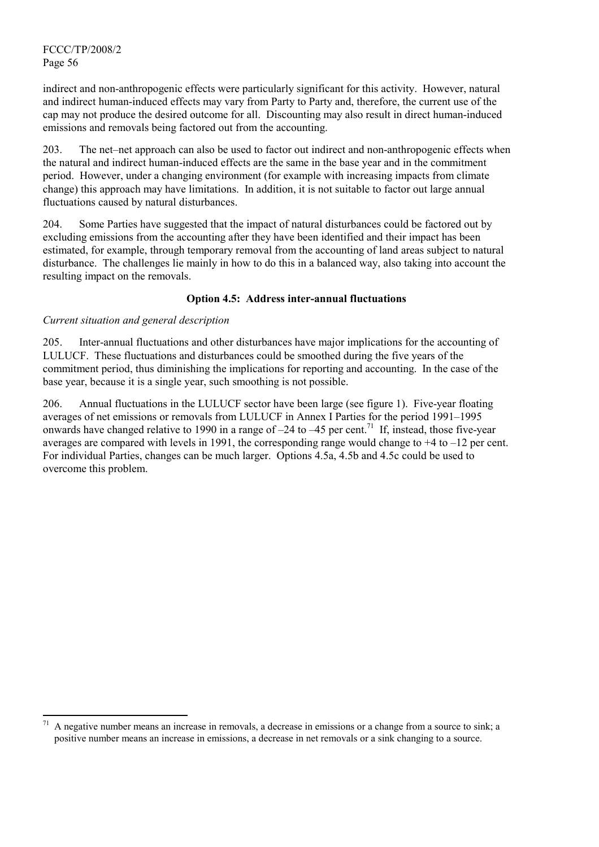l

indirect and non-anthropogenic effects were particularly significant for this activity. However, natural and indirect human-induced effects may vary from Party to Party and, therefore, the current use of the cap may not produce the desired outcome for all. Discounting may also result in direct human-induced emissions and removals being factored out from the accounting.

203. The net–net approach can also be used to factor out indirect and non-anthropogenic effects when the natural and indirect human-induced effects are the same in the base year and in the commitment period. However, under a changing environment (for example with increasing impacts from climate change) this approach may have limitations. In addition, it is not suitable to factor out large annual fluctuations caused by natural disturbances.

204. Some Parties have suggested that the impact of natural disturbances could be factored out by excluding emissions from the accounting after they have been identified and their impact has been estimated, for example, through temporary removal from the accounting of land areas subject to natural disturbance. The challenges lie mainly in how to do this in a balanced way, also taking into account the resulting impact on the removals.

### **Option 4.5: Address inter-annual fluctuations**

### *Current situation and general description*

205. Inter-annual fluctuations and other disturbances have major implications for the accounting of LULUCF. These fluctuations and disturbances could be smoothed during the five years of the commitment period, thus diminishing the implications for reporting and accounting. In the case of the base year, because it is a single year, such smoothing is not possible.

206. Annual fluctuations in the LULUCF sector have been large (see figure 1). Five-year floating averages of net emissions or removals from LULUCF in Annex I Parties for the period 1991–1995 onwards have changed relative to 1990 in a range of  $-24$  to  $-45$  per cent.<sup>71</sup> If, instead, those five-year averages are compared with levels in 1991, the corresponding range would change to +4 to –12 per cent. For individual Parties, changes can be much larger. Options 4.5a, 4.5b and 4.5c could be used to overcome this problem.

<sup>71</sup> A negative number means an increase in removals, a decrease in emissions or a change from a source to sink; a positive number means an increase in emissions, a decrease in net removals or a sink changing to a source.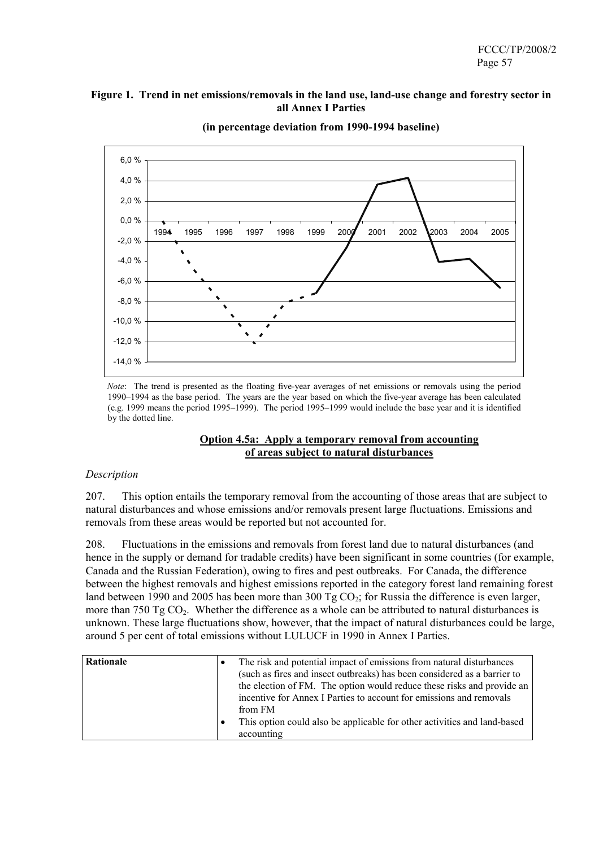### **Figure 1. Trend in net emissions/removals in the land use, land-use change and forestry sector in all Annex I Parties**



**(in percentage deviation from 1990-1994 baseline)** 

*Note*: The trend is presented as the floating five-year averages of net emissions or removals using the period 1990–1994 as the base period. The years are the year based on which the five-year average has been calculated (e.g. 1999 means the period 1995–1999). The period 1995–1999 would include the base year and it is identified by the dotted line.

#### **Option 4.5a: Apply a temporary removal from accounting of areas subject to natural disturbances**

#### *Description*

207. This option entails the temporary removal from the accounting of those areas that are subject to natural disturbances and whose emissions and/or removals present large fluctuations. Emissions and removals from these areas would be reported but not accounted for.

208. Fluctuations in the emissions and removals from forest land due to natural disturbances (and hence in the supply or demand for tradable credits) have been significant in some countries (for example, Canada and the Russian Federation), owing to fires and pest outbreaks. For Canada, the difference between the highest removals and highest emissions reported in the category forest land remaining forest land between 1990 and 2005 has been more than 300 Tg  $CO<sub>2</sub>$ ; for Russia the difference is even larger, more than 750 Tg  $CO<sub>2</sub>$ . Whether the difference as a whole can be attributed to natural disturbances is unknown. These large fluctuations show, however, that the impact of natural disturbances could be large, around 5 per cent of total emissions without LULUCF in 1990 in Annex I Parties.

| from FM<br>This option could also be applicable for other activities and land-based | incentive for Annex I Parties to account for emissions and removals | the election of FM. The option would reduce these risks and provide an |
|-------------------------------------------------------------------------------------|---------------------------------------------------------------------|------------------------------------------------------------------------|
|                                                                                     | accounting                                                          |                                                                        |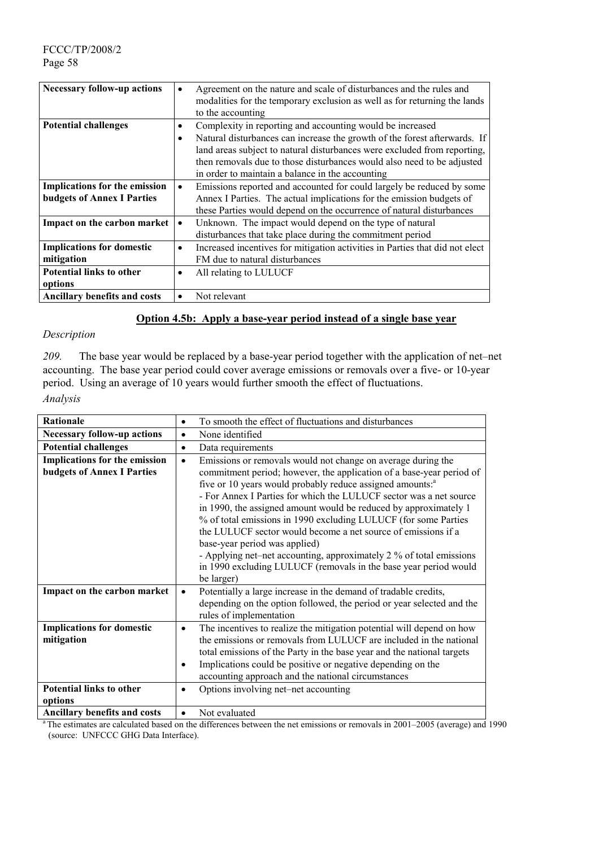| <b>Necessary follow-up actions</b>   | ٠         | Agreement on the nature and scale of disturbances and the rules and          |
|--------------------------------------|-----------|------------------------------------------------------------------------------|
|                                      |           | modalities for the temporary exclusion as well as for returning the lands    |
|                                      |           | to the accounting                                                            |
| <b>Potential challenges</b>          | ٠         | Complexity in reporting and accounting would be increased                    |
|                                      | $\bullet$ | Natural disturbances can increase the growth of the forest afterwards. If    |
|                                      |           | land areas subject to natural disturbances were excluded from reporting,     |
|                                      |           | then removals due to those disturbances would also need to be adjusted       |
|                                      |           | in order to maintain a balance in the accounting                             |
| <b>Implications for the emission</b> | $\bullet$ | Emissions reported and accounted for could largely be reduced by some        |
| <b>budgets of Annex I Parties</b>    |           | Annex I Parties. The actual implications for the emission budgets of         |
|                                      |           | these Parties would depend on the occurrence of natural disturbances         |
| Impact on the carbon market          | $\bullet$ | Unknown. The impact would depend on the type of natural                      |
|                                      |           | disturbances that take place during the commitment period                    |
| <b>Implications for domestic</b>     | $\bullet$ | Increased incentives for mitigation activities in Parties that did not elect |
| mitigation                           |           | FM due to natural disturbances                                               |
| <b>Potential links to other</b>      | $\bullet$ | All relating to LULUCF                                                       |
| options                              |           |                                                                              |
| <b>Ancillary benefits and costs</b>  | $\bullet$ | Not relevant                                                                 |

### **Option 4.5b: Apply a base-year period instead of a single base year**

#### *Description*

*209.* The base year would be replaced by a base-year period together with the application of net–net accounting. The base year period could cover average emissions or removals over a five- or 10-year period. Using an average of 10 years would further smooth the effect of fluctuations. *Analysis*

| Rationale                                                          | $\bullet$      | To smooth the effect of fluctuations and disturbances                                                                                                                                                                                                                                                                                                                                                                                                                                                                                                                                                                                                                                 |
|--------------------------------------------------------------------|----------------|---------------------------------------------------------------------------------------------------------------------------------------------------------------------------------------------------------------------------------------------------------------------------------------------------------------------------------------------------------------------------------------------------------------------------------------------------------------------------------------------------------------------------------------------------------------------------------------------------------------------------------------------------------------------------------------|
| <b>Necessary follow-up actions</b>                                 | $\bullet$      | None identified                                                                                                                                                                                                                                                                                                                                                                                                                                                                                                                                                                                                                                                                       |
| <b>Potential challenges</b>                                        | $\bullet$      | Data requirements                                                                                                                                                                                                                                                                                                                                                                                                                                                                                                                                                                                                                                                                     |
| Implications for the emission<br><b>budgets of Annex I Parties</b> | $\bullet$      | Emissions or removals would not change on average during the<br>commitment period; however, the application of a base-year period of<br>five or 10 years would probably reduce assigned amounts: <sup>a</sup><br>- For Annex I Parties for which the LULUCF sector was a net source<br>in 1990, the assigned amount would be reduced by approximately 1<br>% of total emissions in 1990 excluding LULUCF (for some Parties<br>the LULUCF sector would become a net source of emissions if a<br>base-year period was applied)<br>- Applying net–net accounting, approximately 2 % of total emissions<br>in 1990 excluding LULUCF (removals in the base year period would<br>be larger) |
| Impact on the carbon market                                        | $\bullet$      | Potentially a large increase in the demand of tradable credits,<br>depending on the option followed, the period or year selected and the<br>rules of implementation                                                                                                                                                                                                                                                                                                                                                                                                                                                                                                                   |
| <b>Implications for domestic</b><br>mitigation                     | $\bullet$<br>٠ | The incentives to realize the mitigation potential will depend on how<br>the emissions or removals from LULUCF are included in the national<br>total emissions of the Party in the base year and the national targets<br>Implications could be positive or negative depending on the<br>accounting approach and the national circumstances                                                                                                                                                                                                                                                                                                                                            |
| <b>Potential links to other</b><br>options                         |                | Options involving net-net accounting                                                                                                                                                                                                                                                                                                                                                                                                                                                                                                                                                                                                                                                  |
| <b>Ancillary benefits and costs</b>                                | $\bullet$      | Not evaluated                                                                                                                                                                                                                                                                                                                                                                                                                                                                                                                                                                                                                                                                         |

<sup>a</sup> The estimates are calculated based on the differences between the net emissions or removals in 2001–2005 (average) and 1990 (source: UNFCCC GHG Data Interface).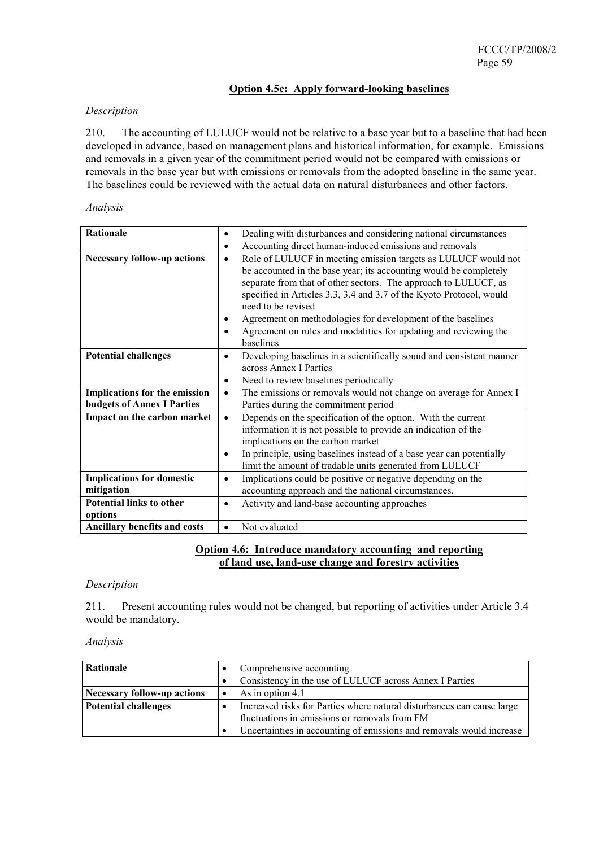### **Option 4.5c: Apply forward-looking baselines**

### *Description*

210. The accounting of LULUCF would not be relative to a base year but to a baseline that had been developed in advance, based on management plans and historical information, for example. Emissions and removals in a given year of the commitment period would not be compared with emissions or removals in the base year but with emissions or removals from the adopted baseline in the same year. The baselines could be reviewed with the actual data on natural disturbances and other factors.

#### *Analysis*

| Rationale                          | $\bullet$ | Dealing with disturbances and considering national circumstances     |
|------------------------------------|-----------|----------------------------------------------------------------------|
|                                    | $\bullet$ | Accounting direct human-induced emissions and removals               |
| <b>Necessary follow-up actions</b> | $\bullet$ | Role of LULUCF in meeting emission targets as LULUCF would not       |
|                                    |           | be accounted in the base year; its accounting would be completely    |
|                                    |           | separate from that of other sectors. The approach to LULUCF, as      |
|                                    |           | specified in Articles 3.3, 3.4 and 3.7 of the Kyoto Protocol, would  |
|                                    |           | need to be revised                                                   |
|                                    | $\bullet$ | Agreement on methodologies for development of the baselines          |
|                                    | $\bullet$ | Agreement on rules and modalities for updating and reviewing the     |
|                                    |           | baselines                                                            |
| <b>Potential challenges</b>        | $\bullet$ | Developing baselines in a scientifically sound and consistent manner |
|                                    |           | across Annex I Parties                                               |
|                                    | $\bullet$ | Need to review baselines periodically                                |
| Implications for the emission      | $\bullet$ | The emissions or removals would not change on average for Annex I    |
| <b>budgets of Annex I Parties</b>  |           | Parties during the commitment period                                 |
| Impact on the carbon market        | $\bullet$ | Depends on the specification of the option. With the current         |
|                                    |           | information it is not possible to provide an indication of the       |
|                                    |           | implications on the carbon market                                    |
|                                    | $\bullet$ | In principle, using baselines instead of a base year can potentially |
|                                    |           | limit the amount of tradable units generated from LULUCF             |
| <b>Implications for domestic</b>   | $\bullet$ | Implications could be positive or negative depending on the          |
| mitigation                         |           | accounting approach and the national circumstances.                  |
| Potential links to other           | $\bullet$ | Activity and land-base accounting approaches                         |
| options                            |           |                                                                      |
| Ancillary benefits and costs       | $\bullet$ | Not evaluated                                                        |

### **Option 4.6: Introduce mandatory accounting and reporting of land use, land-use change and forestry activities**

#### *Description*

211. Present accounting rules would not be changed, but reporting of activities under Article 3.4 would be mandatory.

| Rationale                   |           | Comprehensive accounting                                                                                                |
|-----------------------------|-----------|-------------------------------------------------------------------------------------------------------------------------|
|                             | $\bullet$ | Consistency in the use of LULUCF across Annex I Parties                                                                 |
| Necessary follow-up actions | $\bullet$ | As in option 4.1                                                                                                        |
| <b>Potential challenges</b> |           | Increased risks for Parties where natural disturbances can cause large<br>fluctuations in emissions or removals from FM |
|                             |           | Uncertainties in accounting of emissions and removals would increase                                                    |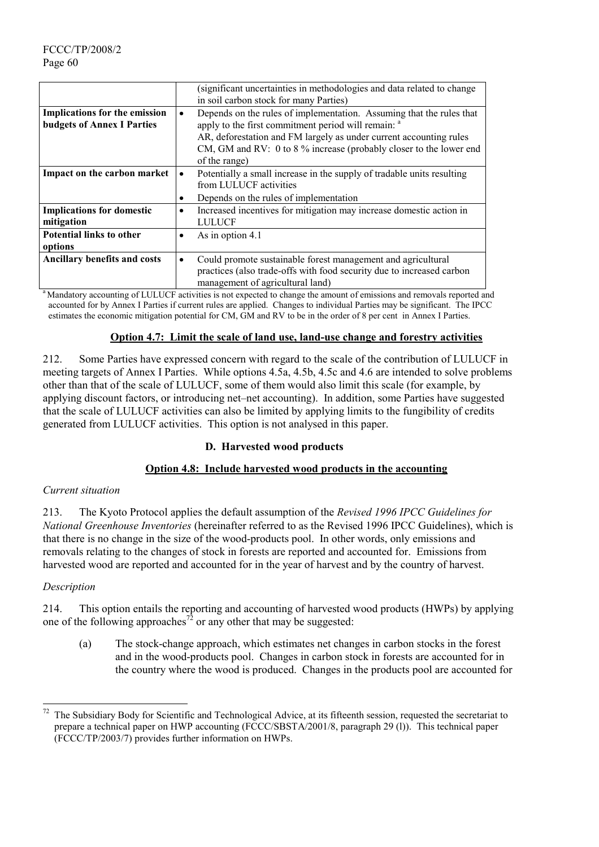|                                                                           | (significant uncertainties in methodologies and data related to change<br>in soil carbon stock for many Parties)                                                                                                                                                                                                 |
|---------------------------------------------------------------------------|------------------------------------------------------------------------------------------------------------------------------------------------------------------------------------------------------------------------------------------------------------------------------------------------------------------|
| <b>Implications for the emission</b><br><b>budgets of Annex I Parties</b> | Depends on the rules of implementation. Assuming that the rules that<br>$\bullet$<br>apply to the first commitment period will remain: <sup>a</sup><br>AR, deforestation and FM largely as under current accounting rules<br>CM, GM and RV: 0 to 8 % increase (probably closer to the lower end<br>of the range) |
| Impact on the carbon market                                               | Potentially a small increase in the supply of tradable units resulting<br>$\bullet$<br>from LULUCF activities<br>Depends on the rules of implementation<br>٠                                                                                                                                                     |
| <b>Implications for domestic</b><br>mitigation                            | Increased incentives for mitigation may increase domestic action in<br>$\bullet$<br><b>LULUCF</b>                                                                                                                                                                                                                |
| <b>Potential links to other</b><br>options                                | As in option 4.1<br>$\bullet$                                                                                                                                                                                                                                                                                    |
| Ancillary benefits and costs                                              | Could promote sustainable forest management and agricultural<br>$\bullet$<br>practices (also trade-offs with food security due to increased carbon<br>management of agricultural land)                                                                                                                           |

<sup>a</sup> Mandatory accounting of LULUCF activities is not expected to change the amount of emissions and removals reported and accounted for by Annex I Parties if current rules are applied. Changes to individual Parties may be significant. The IPCC estimates the economic mitigation potential for CM, GM and RV to be in the order of 8 per cent in Annex I Parties.

### **Option 4.7: Limit the scale of land use, land-use change and forestry activities**

212. Some Parties have expressed concern with regard to the scale of the contribution of LULUCF in meeting targets of Annex I Parties. While options 4.5a, 4.5b, 4.5c and 4.6 are intended to solve problems other than that of the scale of LULUCF, some of them would also limit this scale (for example, by applying discount factors, or introducing net–net accounting). In addition, some Parties have suggested that the scale of LULUCF activities can also be limited by applying limits to the fungibility of credits generated from LULUCF activities. This option is not analysed in this paper.

#### **D. Harvested wood products**

### **Option 4.8: Include harvested wood products in the accounting**

#### *Current situation*

213. The Kyoto Protocol applies the default assumption of the *Revised 1996 IPCC Guidelines for National Greenhouse Inventories* (hereinafter referred to as the Revised 1996 IPCC Guidelines), which is that there is no change in the size of the wood-products pool. In other words, only emissions and removals relating to the changes of stock in forests are reported and accounted for. Emissions from harvested wood are reported and accounted for in the year of harvest and by the country of harvest.

#### *Description*

 $\overline{\phantom{a}}$ 

214. This option entails the reporting and accounting of harvested wood products (HWPs) by applying one of the following approaches<sup>72</sup> or any other that may be suggested:

(a) The stock-change approach, which estimates net changes in carbon stocks in the forest and in the wood-products pool. Changes in carbon stock in forests are accounted for in the country where the wood is produced. Changes in the products pool are accounted for

<sup>72</sup> The Subsidiary Body for Scientific and Technological Advice, at its fifteenth session, requested the secretariat to prepare a technical paper on HWP accounting (FCCC/SBSTA/2001/8, paragraph 29 (l)). This technical paper (FCCC/TP/2003/7) provides further information on HWPs.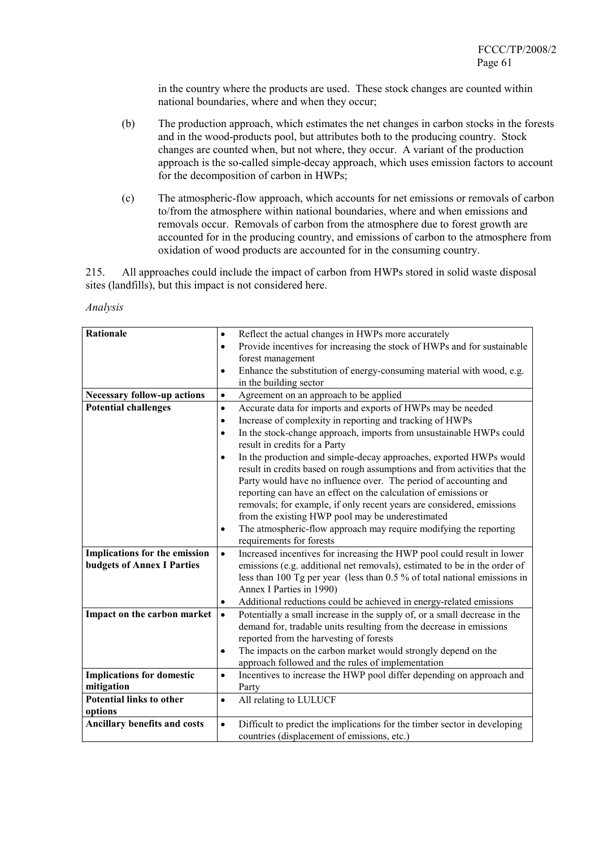in the country where the products are used. These stock changes are counted within national boundaries, where and when they occur;

- (b) The production approach, which estimates the net changes in carbon stocks in the forests and in the wood-products pool, but attributes both to the producing country. Stock changes are counted when, but not where, they occur. A variant of the production approach is the so-called simple-decay approach, which uses emission factors to account for the decomposition of carbon in HWPs;
- (c) The atmospheric-flow approach, which accounts for net emissions or removals of carbon to/from the atmosphere within national boundaries, where and when emissions and removals occur. Removals of carbon from the atmosphere due to forest growth are accounted for in the producing country, and emissions of carbon to the atmosphere from oxidation of wood products are accounted for in the consuming country.

215. All approaches could include the impact of carbon from HWPs stored in solid waste disposal sites (landfills), but this impact is not considered here.

| <b>Rationale</b>                     | Reflect the actual changes in HWPs more accurately<br>$\bullet$                                                                                               |
|--------------------------------------|---------------------------------------------------------------------------------------------------------------------------------------------------------------|
|                                      | Provide incentives for increasing the stock of HWPs and for sustainable<br>$\bullet$                                                                          |
|                                      | forest management                                                                                                                                             |
|                                      | Enhance the substitution of energy-consuming material with wood, e.g.<br>$\bullet$                                                                            |
|                                      | in the building sector                                                                                                                                        |
| <b>Necessary follow-up actions</b>   | Agreement on an approach to be applied<br>$\bullet$                                                                                                           |
| <b>Potential challenges</b>          | Accurate data for imports and exports of HWPs may be needed<br>$\bullet$                                                                                      |
|                                      | Increase of complexity in reporting and tracking of HWPs<br>$\bullet$                                                                                         |
|                                      | In the stock-change approach, imports from unsustainable HWPs could<br>$\bullet$                                                                              |
|                                      | result in credits for a Party                                                                                                                                 |
|                                      | In the production and simple-decay approaches, exported HWPs would<br>$\bullet$                                                                               |
|                                      | result in credits based on rough assumptions and from activities that the                                                                                     |
|                                      | Party would have no influence over. The period of accounting and                                                                                              |
|                                      | reporting can have an effect on the calculation of emissions or                                                                                               |
|                                      | removals; for example, if only recent years are considered, emissions                                                                                         |
|                                      | from the existing HWP pool may be underestimated                                                                                                              |
|                                      | The atmospheric-flow approach may require modifying the reporting<br>$\bullet$                                                                                |
|                                      | requirements for forests                                                                                                                                      |
| <b>Implications for the emission</b> | Increased incentives for increasing the HWP pool could result in lower<br>$\bullet$                                                                           |
| <b>budgets of Annex I Parties</b>    | emissions (e.g. additional net removals), estimated to be in the order of                                                                                     |
|                                      | less than 100 Tg per year (less than $0.5\%$ of total national emissions in                                                                                   |
|                                      | Annex I Parties in 1990)                                                                                                                                      |
|                                      | Additional reductions could be achieved in energy-related emissions<br>$\bullet$                                                                              |
| Impact on the carbon market          | Potentially a small increase in the supply of, or a small decrease in the<br>$\bullet$<br>demand for, tradable units resulting from the decrease in emissions |
|                                      | reported from the harvesting of forests                                                                                                                       |
|                                      | The impacts on the carbon market would strongly depend on the<br>۰                                                                                            |
|                                      | approach followed and the rules of implementation                                                                                                             |
| <b>Implications for domestic</b>     | Incentives to increase the HWP pool differ depending on approach and<br>$\bullet$                                                                             |
| mitigation                           | Party                                                                                                                                                         |
| <b>Potential links to other</b>      | All relating to LULUCF<br>$\bullet$                                                                                                                           |
| options                              |                                                                                                                                                               |
| <b>Ancillary benefits and costs</b>  | Difficult to predict the implications for the timber sector in developing<br>$\bullet$                                                                        |
|                                      | countries (displacement of emissions, etc.)                                                                                                                   |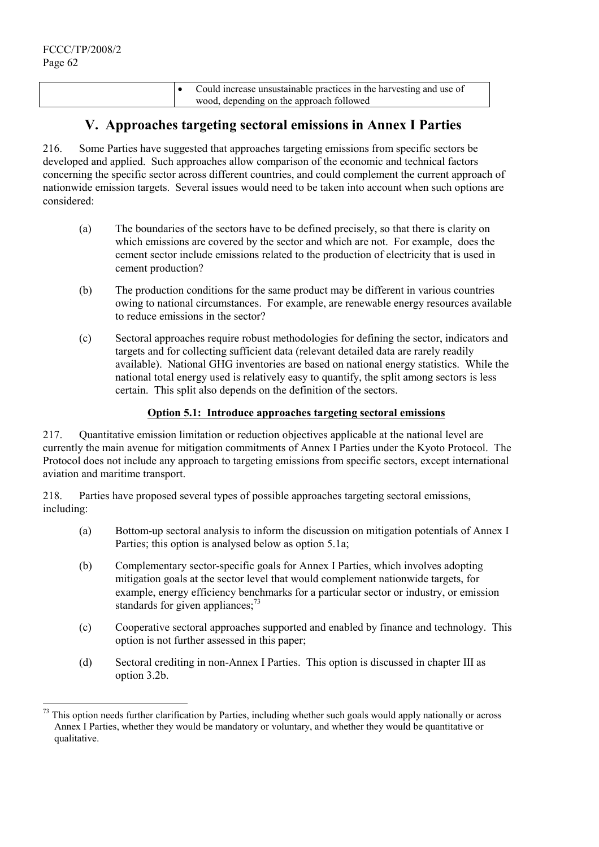$\overline{a}$ 

|  | Could increase unsustainable practices in the harvesting and use of |
|--|---------------------------------------------------------------------|
|  | wood, depending on the approach followed                            |

# **V. Approaches targeting sectoral emissions in Annex I Parties**

216. Some Parties have suggested that approaches targeting emissions from specific sectors be developed and applied. Such approaches allow comparison of the economic and technical factors concerning the specific sector across different countries, and could complement the current approach of nationwide emission targets. Several issues would need to be taken into account when such options are considered:

- (a) The boundaries of the sectors have to be defined precisely, so that there is clarity on which emissions are covered by the sector and which are not. For example, does the cement sector include emissions related to the production of electricity that is used in cement production?
- (b) The production conditions for the same product may be different in various countries owing to national circumstances. For example, are renewable energy resources available to reduce emissions in the sector?
- (c) Sectoral approaches require robust methodologies for defining the sector, indicators and targets and for collecting sufficient data (relevant detailed data are rarely readily available). National GHG inventories are based on national energy statistics. While the national total energy used is relatively easy to quantify, the split among sectors is less certain. This split also depends on the definition of the sectors.

### **Option 5.1: Introduce approaches targeting sectoral emissions**

217. Quantitative emission limitation or reduction objectives applicable at the national level are currently the main avenue for mitigation commitments of Annex I Parties under the Kyoto Protocol. The Protocol does not include any approach to targeting emissions from specific sectors, except international aviation and maritime transport.

218. Parties have proposed several types of possible approaches targeting sectoral emissions, including:

- (a) Bottom-up sectoral analysis to inform the discussion on mitigation potentials of Annex I Parties; this option is analysed below as option 5.1a;
- (b) Complementary sector-specific goals for Annex I Parties, which involves adopting mitigation goals at the sector level that would complement nationwide targets, for example, energy efficiency benchmarks for a particular sector or industry, or emission standards for given appliances;<sup>73</sup>
- (c) Cooperative sectoral approaches supported and enabled by finance and technology. This option is not further assessed in this paper;
- (d) Sectoral crediting in non-Annex I Parties. This option is discussed in chapter III as option 3.2b.

This option needs further clarification by Parties, including whether such goals would apply nationally or across Annex I Parties, whether they would be mandatory or voluntary, and whether they would be quantitative or qualitative.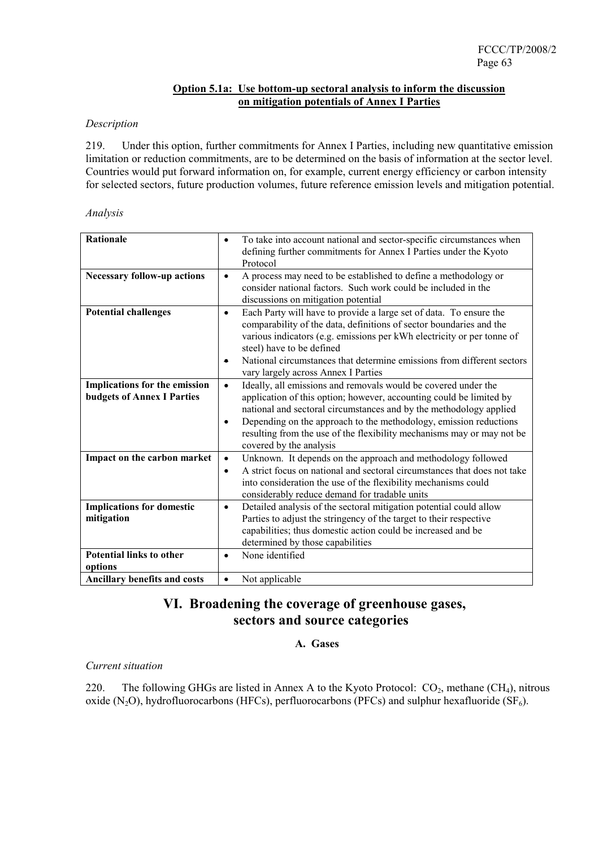### **Option 5.1a: Use bottom-up sectoral analysis to inform the discussion on mitigation potentials of Annex I Parties**

### *Description*

219. Under this option, further commitments for Annex I Parties, including new quantitative emission limitation or reduction commitments, are to be determined on the basis of information at the sector level. Countries would put forward information on, for example, current energy efficiency or carbon intensity for selected sectors, future production volumes, future reference emission levels and mitigation potential.

#### *Analysis*

| <b>Rationale</b>                                                   | To take into account national and sector-specific circumstances when<br>٠<br>defining further commitments for Annex I Parties under the Kyoto<br>Protocol                                                                                                                                                                                                                                                       |
|--------------------------------------------------------------------|-----------------------------------------------------------------------------------------------------------------------------------------------------------------------------------------------------------------------------------------------------------------------------------------------------------------------------------------------------------------------------------------------------------------|
| <b>Necessary follow-up actions</b>                                 | A process may need to be established to define a methodology or<br>$\bullet$<br>consider national factors. Such work could be included in the<br>discussions on mitigation potential                                                                                                                                                                                                                            |
| <b>Potential challenges</b>                                        | Each Party will have to provide a large set of data. To ensure the<br>$\bullet$<br>comparability of the data, definitions of sector boundaries and the<br>various indicators (e.g. emissions per kWh electricity or per tonne of<br>steel) have to be defined<br>National circumstances that determine emissions from different sectors<br>$\bullet$<br>vary largely across Annex I Parties                     |
| Implications for the emission<br><b>budgets of Annex I Parties</b> | Ideally, all emissions and removals would be covered under the<br>$\bullet$<br>application of this option; however, accounting could be limited by<br>national and sectoral circumstances and by the methodology applied<br>Depending on the approach to the methodology, emission reductions<br>$\bullet$<br>resulting from the use of the flexibility mechanisms may or may not be<br>covered by the analysis |
| Impact on the carbon market                                        | Unknown. It depends on the approach and methodology followed<br>$\bullet$<br>A strict focus on national and sectoral circumstances that does not take<br>$\bullet$<br>into consideration the use of the flexibility mechanisms could<br>considerably reduce demand for tradable units                                                                                                                           |
| <b>Implications for domestic</b><br>mitigation                     | Detailed analysis of the sectoral mitigation potential could allow<br>$\bullet$<br>Parties to adjust the stringency of the target to their respective<br>capabilities; thus domestic action could be increased and be<br>determined by those capabilities                                                                                                                                                       |
| <b>Potential links to other</b><br>options                         | None identified<br>$\bullet$                                                                                                                                                                                                                                                                                                                                                                                    |
| Ancillary benefits and costs                                       | Not applicable<br>$\bullet$                                                                                                                                                                                                                                                                                                                                                                                     |

# **VI. Broadening the coverage of greenhouse gases, sectors and source categories**

# **A. Gases**

#### *Current situation*

220. The following GHGs are listed in Annex A to the Kyoto Protocol:  $CO_2$ , methane (CH<sub>4</sub>), nitrous oxide (N<sub>2</sub>O), hydrofluorocarbons (HFCs), perfluorocarbons (PFCs) and sulphur hexafluoride (SF<sub>6</sub>).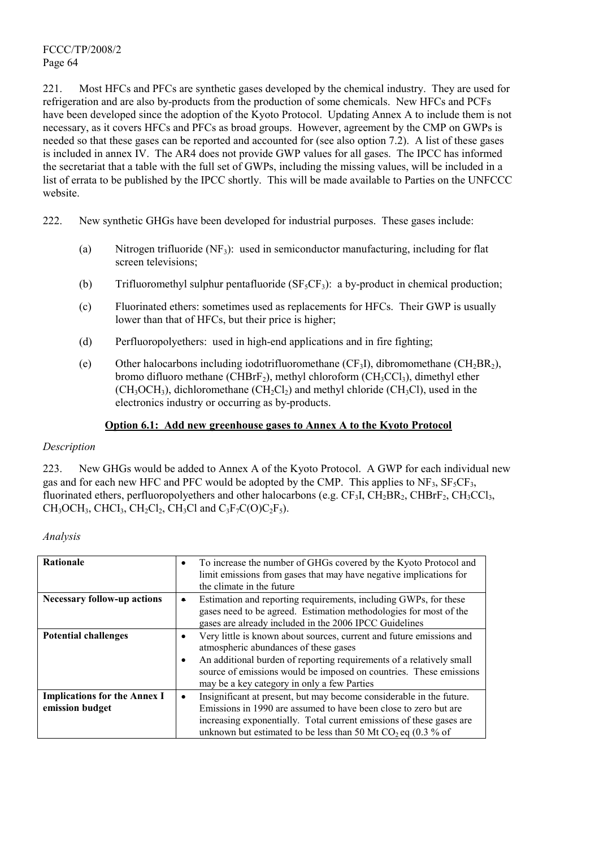221. Most HFCs and PFCs are synthetic gases developed by the chemical industry. They are used for refrigeration and are also by-products from the production of some chemicals. New HFCs and PCFs have been developed since the adoption of the Kyoto Protocol. Updating Annex A to include them is not necessary, as it covers HFCs and PFCs as broad groups. However, agreement by the CMP on GWPs is needed so that these gases can be reported and accounted for (see also option 7.2). A list of these gases is included in annex IV. The AR4 does not provide GWP values for all gases. The IPCC has informed the secretariat that a table with the full set of GWPs, including the missing values, will be included in a list of errata to be published by the IPCC shortly. This will be made available to Parties on the UNFCCC website.

- 222. New synthetic GHGs have been developed for industrial purposes. These gases include:
	- (a) Nitrogen trifluoride  $(NF_3)$ : used in semiconductor manufacturing, including for flat screen televisions;
	- (b) Trifluoromethyl sulphur pentafluoride  $(SF<sub>5</sub>CF<sub>3</sub>)$ : a by-product in chemical production;
	- (c) Fluorinated ethers: sometimes used as replacements for HFCs. Their GWP is usually lower than that of HFCs, but their price is higher;
	- (d) Perfluoropolyethers: used in high-end applications and in fire fighting;
	- (e) Other halocarbons including iodotrifluoromethane  $(CF_3I)$ , dibromomethane  $(CH_2BR_2)$ , bromo difluoro methane (CHBrF<sub>2</sub>), methyl chloroform (CH<sub>3</sub>CCl<sub>3</sub>), dimethyl ether  $(CH_3OCH_3)$ , dichloromethane  $(CH_2Cl_2)$  and methyl chloride  $(CH_3Cl)$ , used in the electronics industry or occurring as by-products.

### **Option 6.1: Add new greenhouse gases to Annex A to the Kyoto Protocol**

#### *Description*

223. New GHGs would be added to Annex A of the Kyoto Protocol. A GWP for each individual new gas and for each new HFC and PFC would be adopted by the CMP. This applies to  $NF_3$ ,  $SF_5CF_3$ , fluorinated ethers, perfluoropolyethers and other halocarbons (e.g.  $CF_3I$ ,  $CH_2BR_2$ ,  $CHBrF_2$ ,  $CH_3CCl_3$ ,  $CH_3OCH_3$ , CHCI<sub>3</sub>, CH<sub>2</sub>Cl<sub>2</sub>, CH<sub>3</sub>Cl and C<sub>3</sub>F<sub>7</sub>C(O)C<sub>2</sub>F<sub>5</sub>).

| Analysis |  |
|----------|--|
|          |  |

| <b>Rationale</b>                                       | To increase the number of GHGs covered by the Kyoto Protocol and<br>$\bullet$<br>limit emissions from gases that may have negative implications for<br>the climate in the future                                                                                                                                             |
|--------------------------------------------------------|------------------------------------------------------------------------------------------------------------------------------------------------------------------------------------------------------------------------------------------------------------------------------------------------------------------------------|
| <b>Necessary follow-up actions</b>                     | Estimation and reporting requirements, including GWPs, for these<br>$\bullet$<br>gases need to be agreed. Estimation methodologies for most of the<br>gases are already included in the 2006 IPCC Guidelines                                                                                                                 |
| <b>Potential challenges</b>                            | Very little is known about sources, current and future emissions and<br>٠<br>atmospheric abundances of these gases<br>An additional burden of reporting requirements of a relatively small<br>$\bullet$<br>source of emissions would be imposed on countries. These emissions<br>may be a key category in only a few Parties |
| <b>Implications for the Annex I</b><br>emission budget | Insignificant at present, but may become considerable in the future.<br>$\bullet$<br>Emissions in 1990 are assumed to have been close to zero but are<br>increasing exponentially. Total current emissions of these gases are<br>unknown but estimated to be less than 50 Mt CO <sub>2</sub> eq $(0.3\%$ of                  |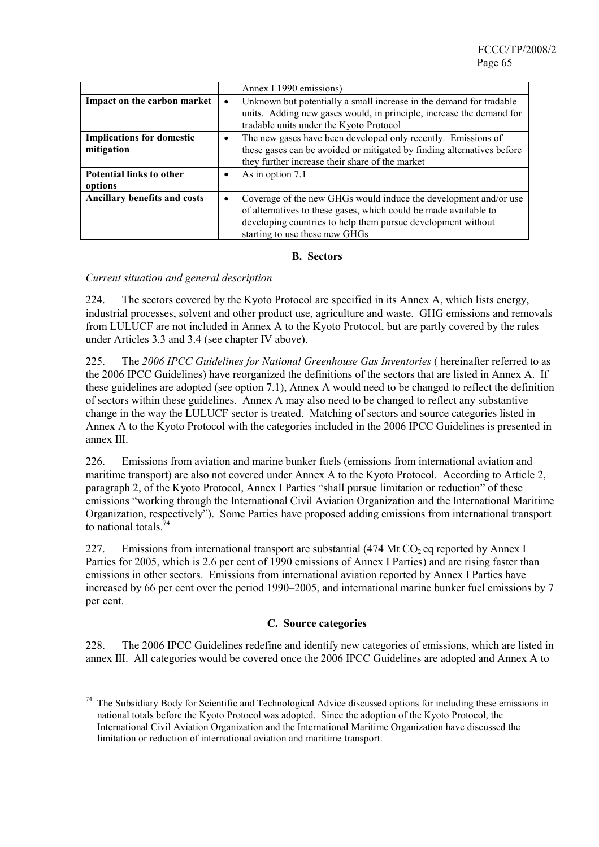|                                                |           | Annex I 1990 emissions)                                                                                                                                                                                                                |
|------------------------------------------------|-----------|----------------------------------------------------------------------------------------------------------------------------------------------------------------------------------------------------------------------------------------|
| Impact on the carbon market                    | $\bullet$ | Unknown but potentially a small increase in the demand for tradable<br>units. Adding new gases would, in principle, increase the demand for<br>tradable units under the Kyoto Protocol                                                 |
| <b>Implications for domestic</b><br>mitigation | ٠         | The new gases have been developed only recently. Emissions of<br>these gases can be avoided or mitigated by finding alternatives before<br>they further increase their share of the market                                             |
| <b>Potential links to other</b><br>options     |           | As in option 7.1                                                                                                                                                                                                                       |
| Ancillary benefits and costs                   | $\bullet$ | Coverage of the new GHGs would induce the development and/or use<br>of alternatives to these gases, which could be made available to<br>developing countries to help them pursue development without<br>starting to use these new GHGs |

#### **B. Sectors**

### *Current situation and general description*

 $\overline{a}$ 

224. The sectors covered by the Kyoto Protocol are specified in its Annex A, which lists energy, industrial processes, solvent and other product use, agriculture and waste. GHG emissions and removals from LULUCF are not included in Annex A to the Kyoto Protocol, but are partly covered by the rules under Articles 3.3 and 3.4 (see chapter IV above).

225. The *2006 IPCC Guidelines for National Greenhouse Gas Inventories* ( hereinafter referred to as the 2006 IPCC Guidelines) have reorganized the definitions of the sectors that are listed in Annex A. If these guidelines are adopted (see option 7.1), Annex A would need to be changed to reflect the definition of sectors within these guidelines. Annex A may also need to be changed to reflect any substantive change in the way the LULUCF sector is treated. Matching of sectors and source categories listed in Annex A to the Kyoto Protocol with the categories included in the 2006 IPCC Guidelines is presented in annex III.

226. Emissions from aviation and marine bunker fuels (emissions from international aviation and maritime transport) are also not covered under Annex A to the Kyoto Protocol. According to Article 2, paragraph 2, of the Kyoto Protocol, Annex I Parties "shall pursue limitation or reduction" of these emissions "working through the International Civil Aviation Organization and the International Maritime Organization, respectively"). Some Parties have proposed adding emissions from international transport to national totals  $74$ 

227. Emissions from international transport are substantial  $(474 \text{ Mt CO}_2)$  eq reported by Annex I Parties for 2005, which is 2.6 per cent of 1990 emissions of Annex I Parties) and are rising faster than emissions in other sectors. Emissions from international aviation reported by Annex I Parties have increased by 66 per cent over the period 1990–2005, and international marine bunker fuel emissions by 7 per cent.

### **C. Source categories**

228. The 2006 IPCC Guidelines redefine and identify new categories of emissions, which are listed in annex III. All categories would be covered once the 2006 IPCC Guidelines are adopted and Annex A to

<sup>&</sup>lt;sup>74</sup> The Subsidiary Body for Scientific and Technological Advice discussed options for including these emissions in national totals before the Kyoto Protocol was adopted. Since the adoption of the Kyoto Protocol, the International Civil Aviation Organization and the International Maritime Organization have discussed the limitation or reduction of international aviation and maritime transport.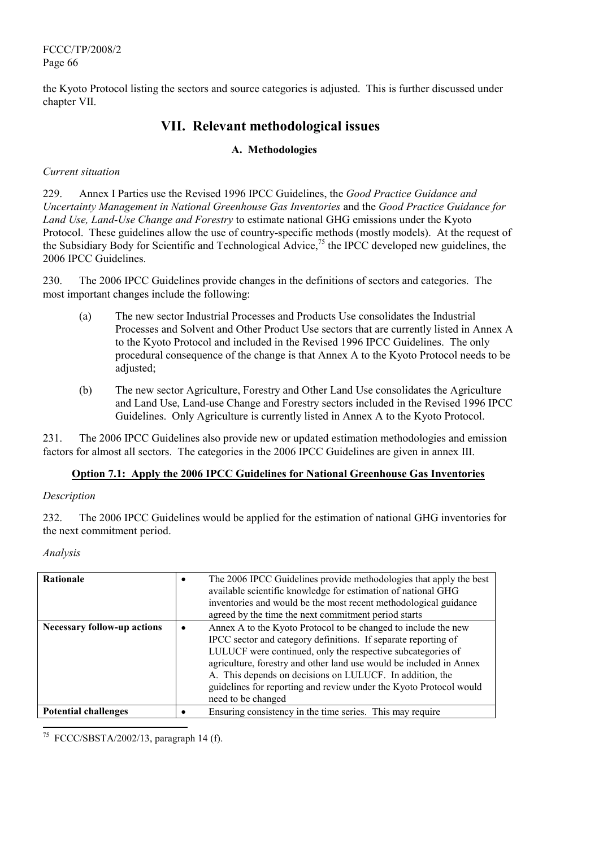the Kyoto Protocol listing the sectors and source categories is adjusted. This is further discussed under chapter VII.

# **VII. Relevant methodological issues**

# **A. Methodologies**

### *Current situation*

229. Annex I Parties use the Revised 1996 IPCC Guidelines, the *Good Practice Guidance and Uncertainty Management in National Greenhouse Gas Inventories* and the *Good Practice Guidance for Land Use, Land-Use Change and Forestry* to estimate national GHG emissions under the Kyoto Protocol. These guidelines allow the use of country-specific methods (mostly models). At the request of the Subsidiary Body for Scientific and Technological Advice,75 the IPCC developed new guidelines, the 2006 IPCC Guidelines.

230. The 2006 IPCC Guidelines provide changes in the definitions of sectors and categories. The most important changes include the following:

- (a) The new sector Industrial Processes and Products Use consolidates the Industrial Processes and Solvent and Other Product Use sectors that are currently listed in Annex A to the Kyoto Protocol and included in the Revised 1996 IPCC Guidelines. The only procedural consequence of the change is that Annex A to the Kyoto Protocol needs to be adjusted;
- (b) The new sector Agriculture, Forestry and Other Land Use consolidates the Agriculture and Land Use, Land-use Change and Forestry sectors included in the Revised 1996 IPCC Guidelines. Only Agriculture is currently listed in Annex A to the Kyoto Protocol.

231. The 2006 IPCC Guidelines also provide new or updated estimation methodologies and emission factors for almost all sectors. The categories in the 2006 IPCC Guidelines are given in annex III.

### **Option 7.1: Apply the 2006 IPCC Guidelines for National Greenhouse Gas Inventories**

### *Description*

232. The 2006 IPCC Guidelines would be applied for the estimation of national GHG inventories for the next commitment period.

### *Analysis*

 $\overline{\phantom{a}}$ 

| Rationale                          | The 2006 IPCC Guidelines provide methodologies that apply the best<br>available scientific knowledge for estimation of national GHG<br>inventories and would be the most recent methodological guidance<br>agreed by the time the next commitment period starts                                                                                                                                                                |
|------------------------------------|--------------------------------------------------------------------------------------------------------------------------------------------------------------------------------------------------------------------------------------------------------------------------------------------------------------------------------------------------------------------------------------------------------------------------------|
| <b>Necessary follow-up actions</b> | Annex A to the Kyoto Protocol to be changed to include the new<br>IPCC sector and category definitions. If separate reporting of<br>LULUCF were continued, only the respective subcategories of<br>agriculture, forestry and other land use would be included in Annex<br>A. This depends on decisions on LULUCF. In addition, the<br>guidelines for reporting and review under the Kyoto Protocol would<br>need to be changed |
| <b>Potential challenges</b>        | Ensuring consistency in the time series. This may require                                                                                                                                                                                                                                                                                                                                                                      |

75 FCCC/SBSTA/2002/13, paragraph 14 (f).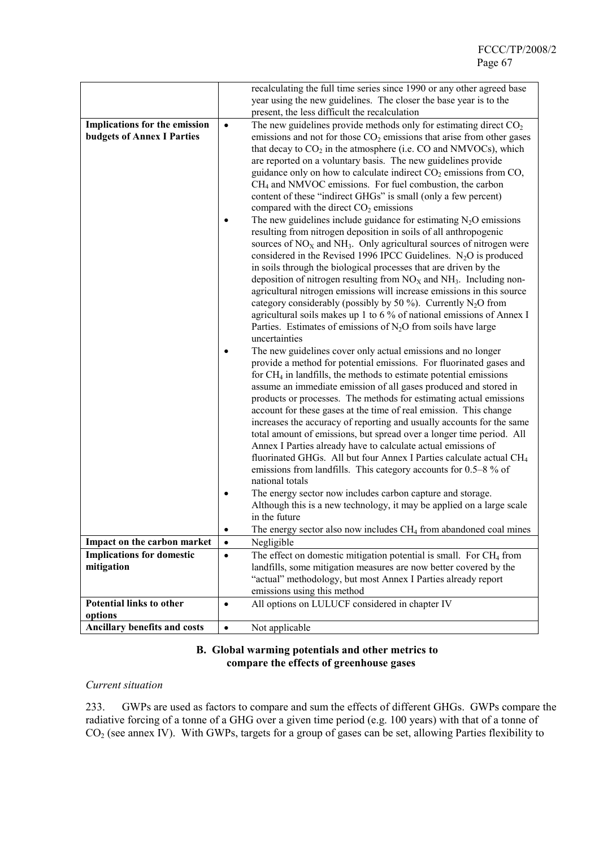|                                   |           | recalculating the full time series since 1990 or any other agreed base                                                                                                                                                                                                                                                                                                                                                                                                                                                                                                                                                                                                                                                                                                                                                                                                                                                                                                                                                                                         |
|-----------------------------------|-----------|----------------------------------------------------------------------------------------------------------------------------------------------------------------------------------------------------------------------------------------------------------------------------------------------------------------------------------------------------------------------------------------------------------------------------------------------------------------------------------------------------------------------------------------------------------------------------------------------------------------------------------------------------------------------------------------------------------------------------------------------------------------------------------------------------------------------------------------------------------------------------------------------------------------------------------------------------------------------------------------------------------------------------------------------------------------|
|                                   |           | year using the new guidelines. The closer the base year is to the                                                                                                                                                                                                                                                                                                                                                                                                                                                                                                                                                                                                                                                                                                                                                                                                                                                                                                                                                                                              |
|                                   |           | present, the less difficult the recalculation                                                                                                                                                                                                                                                                                                                                                                                                                                                                                                                                                                                                                                                                                                                                                                                                                                                                                                                                                                                                                  |
| Implications for the emission     | $\bullet$ | The new guidelines provide methods only for estimating direct $CO2$                                                                                                                                                                                                                                                                                                                                                                                                                                                                                                                                                                                                                                                                                                                                                                                                                                                                                                                                                                                            |
| <b>budgets of Annex I Parties</b> |           | emissions and not for those $CO2$ emissions that arise from other gases                                                                                                                                                                                                                                                                                                                                                                                                                                                                                                                                                                                                                                                                                                                                                                                                                                                                                                                                                                                        |
|                                   |           | that decay to $CO2$ in the atmosphere (i.e. $CO$ and NMVOCs), which<br>are reported on a voluntary basis. The new guidelines provide<br>guidance only on how to calculate indirect $CO2$ emissions from $CO2$ ,<br>$CH4$ and NMVOC emissions. For fuel combustion, the carbon<br>content of these "indirect GHGs" is small (only a few percent)<br>compared with the direct $CO2$ emissions                                                                                                                                                                                                                                                                                                                                                                                                                                                                                                                                                                                                                                                                    |
|                                   |           | The new guidelines include guidance for estimating $N_2O$ emissions<br>resulting from nitrogen deposition in soils of all anthropogenic<br>sources of $NOX$ and $NH3$ . Only agricultural sources of nitrogen were<br>considered in the Revised 1996 IPCC Guidelines. $N_2O$ is produced<br>in soils through the biological processes that are driven by the<br>deposition of nitrogen resulting from $NOX$ and $NH3$ . Including non-<br>agricultural nitrogen emissions will increase emissions in this source<br>category considerably (possibly by 50 %). Currently $N_2O$ from<br>agricultural soils makes up 1 to 6 % of national emissions of Annex I<br>Parties. Estimates of emissions of $N_2O$ from soils have large<br>uncertainties                                                                                                                                                                                                                                                                                                               |
|                                   |           | The new guidelines cover only actual emissions and no longer<br>provide a method for potential emissions. For fluorinated gases and<br>for $CH_4$ in landfills, the methods to estimate potential emissions<br>assume an immediate emission of all gases produced and stored in<br>products or processes. The methods for estimating actual emissions<br>account for these gases at the time of real emission. This change<br>increases the accuracy of reporting and usually accounts for the same<br>total amount of emissions, but spread over a longer time period. All<br>Annex I Parties already have to calculate actual emissions of<br>fluorinated GHGs. All but four Annex I Parties calculate actual CH <sub>4</sub><br>emissions from landfills. This category accounts for 0.5–8 % of<br>national totals<br>The energy sector now includes carbon capture and storage.<br>Although this is a new technology, it may be applied on a large scale<br>in the future<br>The energy sector also now includes CH <sub>4</sub> from abandoned coal mines |
| Impact on the carbon market       | $\bullet$ | Negligible                                                                                                                                                                                                                                                                                                                                                                                                                                                                                                                                                                                                                                                                                                                                                                                                                                                                                                                                                                                                                                                     |
| <b>Implications for domestic</b>  | $\bullet$ | The effect on domestic mitigation potential is small. For CH <sub>4</sub> from                                                                                                                                                                                                                                                                                                                                                                                                                                                                                                                                                                                                                                                                                                                                                                                                                                                                                                                                                                                 |
|                                   |           |                                                                                                                                                                                                                                                                                                                                                                                                                                                                                                                                                                                                                                                                                                                                                                                                                                                                                                                                                                                                                                                                |
| mitigation                        |           | landfills, some mitigation measures are now better covered by the                                                                                                                                                                                                                                                                                                                                                                                                                                                                                                                                                                                                                                                                                                                                                                                                                                                                                                                                                                                              |
|                                   |           | "actual" methodology, but most Annex I Parties already report                                                                                                                                                                                                                                                                                                                                                                                                                                                                                                                                                                                                                                                                                                                                                                                                                                                                                                                                                                                                  |
|                                   |           | emissions using this method                                                                                                                                                                                                                                                                                                                                                                                                                                                                                                                                                                                                                                                                                                                                                                                                                                                                                                                                                                                                                                    |
| <b>Potential links to other</b>   | $\bullet$ | All options on LULUCF considered in chapter IV                                                                                                                                                                                                                                                                                                                                                                                                                                                                                                                                                                                                                                                                                                                                                                                                                                                                                                                                                                                                                 |
| options                           |           |                                                                                                                                                                                                                                                                                                                                                                                                                                                                                                                                                                                                                                                                                                                                                                                                                                                                                                                                                                                                                                                                |
| Ancillary benefits and costs      | $\bullet$ | Not applicable                                                                                                                                                                                                                                                                                                                                                                                                                                                                                                                                                                                                                                                                                                                                                                                                                                                                                                                                                                                                                                                 |
|                                   |           |                                                                                                                                                                                                                                                                                                                                                                                                                                                                                                                                                                                                                                                                                                                                                                                                                                                                                                                                                                                                                                                                |

### **B. Global warming potentials and other metrics to compare the effects of greenhouse gases**

#### *Current situation*

233. GWPs are used as factors to compare and sum the effects of different GHGs. GWPs compare the radiative forcing of a tonne of a GHG over a given time period (e.g. 100 years) with that of a tonne of  $CO<sub>2</sub>$  (see annex IV). With GWPs, targets for a group of gases can be set, allowing Parties flexibility to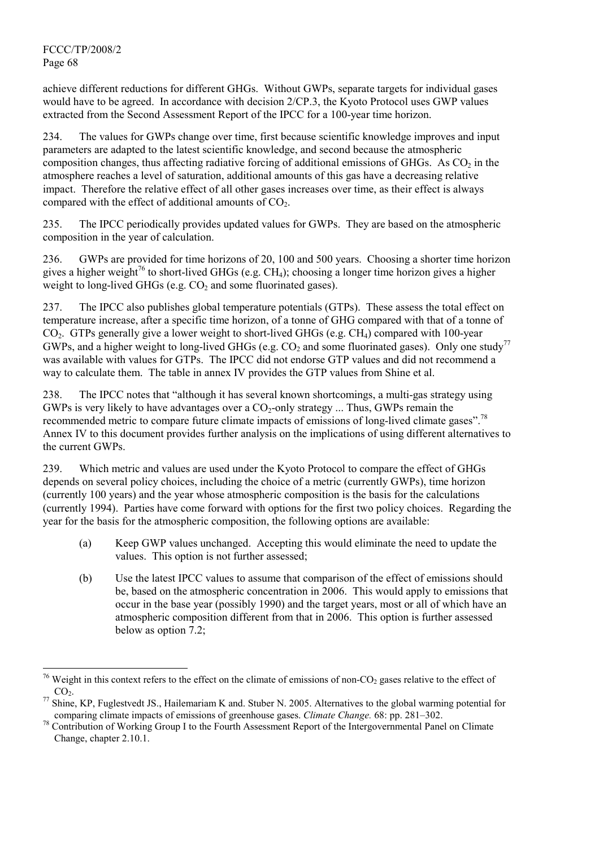achieve different reductions for different GHGs. Without GWPs, separate targets for individual gases would have to be agreed. In accordance with decision 2/CP.3, the Kyoto Protocol uses GWP values extracted from the Second Assessment Report of the IPCC for a 100-year time horizon.

234. The values for GWPs change over time, first because scientific knowledge improves and input parameters are adapted to the latest scientific knowledge, and second because the atmospheric composition changes, thus affecting radiative forcing of additional emissions of GHGs. As  $CO<sub>2</sub>$  in the atmosphere reaches a level of saturation, additional amounts of this gas have a decreasing relative impact. Therefore the relative effect of all other gases increases over time, as their effect is always compared with the effect of additional amounts of  $CO<sub>2</sub>$ .

235. The IPCC periodically provides updated values for GWPs. They are based on the atmospheric composition in the year of calculation.

236. GWPs are provided for time horizons of 20, 100 and 500 years. Choosing a shorter time horizon gives a higher weight<sup>76</sup> to short-lived GHGs (e.g. CH<sub>4</sub>); choosing a longer time horizon gives a higher weight to long-lived GHGs (e.g.  $CO<sub>2</sub>$  and some fluorinated gases).

237. The IPCC also publishes global temperature potentials (GTPs). These assess the total effect on temperature increase, after a specific time horizon, of a tonne of GHG compared with that of a tonne of CO<sub>2</sub>. GTPs generally give a lower weight to short-lived GHGs (e.g. CH<sub>4</sub>) compared with 100-year GWPs, and a higher weight to long-lived GHGs (e.g.  $CO<sub>2</sub>$  and some fluorinated gases). Only one study<sup>77</sup> was available with values for GTPs. The IPCC did not endorse GTP values and did not recommend a way to calculate them. The table in annex IV provides the GTP values from Shine et al.

238. The IPCC notes that "although it has several known shortcomings, a multi-gas strategy using GWPs is very likely to have advantages over a  $CO_2$ -only strategy ... Thus, GWPs remain the recommended metric to compare future climate impacts of emissions of long-lived climate gases".78 Annex IV to this document provides further analysis on the implications of using different alternatives to the current GWPs.

239. Which metric and values are used under the Kyoto Protocol to compare the effect of GHGs depends on several policy choices, including the choice of a metric (currently GWPs), time horizon (currently 100 years) and the year whose atmospheric composition is the basis for the calculations (currently 1994). Parties have come forward with options for the first two policy choices. Regarding the year for the basis for the atmospheric composition, the following options are available:

- (a) Keep GWP values unchanged. Accepting this would eliminate the need to update the values. This option is not further assessed;
- (b) Use the latest IPCC values to assume that comparison of the effect of emissions should be, based on the atmospheric concentration in 2006. This would apply to emissions that occur in the base year (possibly 1990) and the target years, most or all of which have an atmospheric composition different from that in 2006. This option is further assessed below as option 7.2;

 $\overline{\phantom{a}}$ <sup>76</sup> Weight in this context refers to the effect on the climate of emissions of non-CO<sub>2</sub> gases relative to the effect of  $CO<sub>2</sub>$ .<br><sup>77</sup> Shine, KP, Fuglestvedt JS., Hailemariam K and. Stuber N. 2005. Alternatives to the global warming potential for

comparing climate impacts of emissions of greenhouse gases. *Climate Change*. 68: pp. 281–302.<br><sup>78</sup> Contribution of Working Group I to the Fourth Assessment Report of the Intergovernmental Panel on Climate

Change, chapter 2.10.1.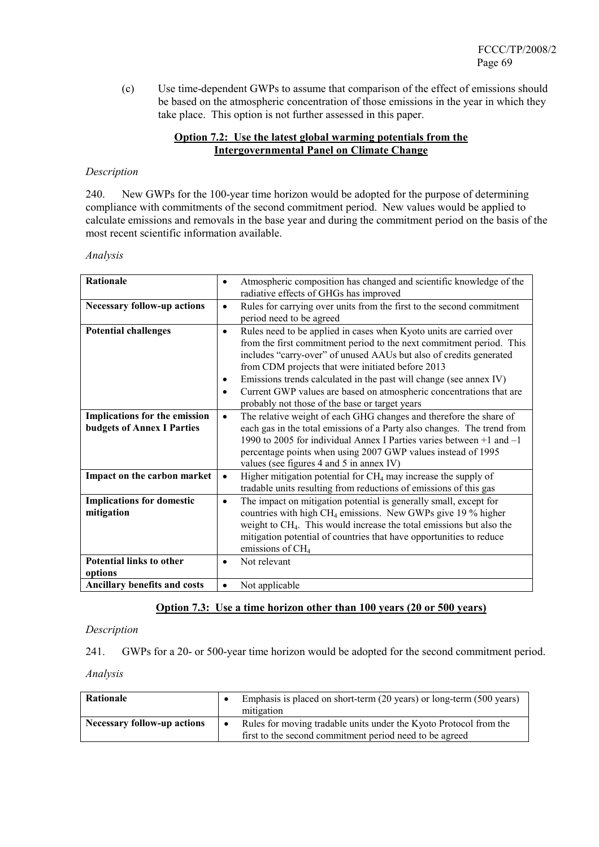(c) Use time-dependent GWPs to assume that comparison of the effect of emissions should be based on the atmospheric concentration of those emissions in the year in which they take place. This option is not further assessed in this paper.

### **Option 7.2: Use the latest global warming potentials from the Intergovernmental Panel on Climate Change**

### *Description*

240. New GWPs for the 100-year time horizon would be adopted for the purpose of determining compliance with commitments of the second commitment period. New values would be applied to calculate emissions and removals in the base year and during the commitment period on the basis of the most recent scientific information available.

*Analysis* 

| Rationale                                                          | $\bullet$                           | Atmospheric composition has changed and scientific knowledge of the<br>radiative effects of GHGs has improved                                                                                                                                                                                                                                                                                                                                                         |
|--------------------------------------------------------------------|-------------------------------------|-----------------------------------------------------------------------------------------------------------------------------------------------------------------------------------------------------------------------------------------------------------------------------------------------------------------------------------------------------------------------------------------------------------------------------------------------------------------------|
| <b>Necessary follow-up actions</b>                                 | $\bullet$                           | Rules for carrying over units from the first to the second commitment<br>period need to be agreed                                                                                                                                                                                                                                                                                                                                                                     |
| <b>Potential challenges</b>                                        | $\bullet$<br>$\bullet$<br>$\bullet$ | Rules need to be applied in cases when Kyoto units are carried over<br>from the first commitment period to the next commitment period. This<br>includes "carry-over" of unused AAUs but also of credits generated<br>from CDM projects that were initiated before 2013<br>Emissions trends calculated in the past will change (see annex IV)<br>Current GWP values are based on atmospheric concentrations that are<br>probably not those of the base or target years |
| Implications for the emission<br><b>budgets of Annex I Parties</b> | $\bullet$                           | The relative weight of each GHG changes and therefore the share of<br>each gas in the total emissions of a Party also changes. The trend from<br>1990 to 2005 for individual Annex I Parties varies between $+1$ and $-1$<br>percentage points when using 2007 GWP values instead of 1995<br>values (see figures 4 and 5 in annex IV)                                                                                                                                 |
| Impact on the carbon market                                        | $\bullet$                           | Higher mitigation potential for $CH_4$ may increase the supply of<br>tradable units resulting from reductions of emissions of this gas                                                                                                                                                                                                                                                                                                                                |
| <b>Implications for domestic</b><br>mitigation                     | $\bullet$                           | The impact on mitigation potential is generally small, except for<br>countries with high CH <sub>4</sub> emissions. New GWPs give 19 % higher<br>weight to CH <sub>4</sub> . This would increase the total emissions but also the<br>mitigation potential of countries that have opportunities to reduce<br>emissions of CH <sub>4</sub>                                                                                                                              |
| <b>Potential links to other</b><br>options                         | $\bullet$                           | Not relevant                                                                                                                                                                                                                                                                                                                                                                                                                                                          |
| Ancillary benefits and costs                                       | $\bullet$                           | Not applicable                                                                                                                                                                                                                                                                                                                                                                                                                                                        |

### **Option 7.3: Use a time horizon other than 100 years (20 or 500 years)**

*Description*

241. GWPs for a 20- or 500-year time horizon would be adopted for the second commitment period.

| Rationale                          | Emphasis is placed on short-term (20 years) or long-term (500 years)<br>mitigation                                           |
|------------------------------------|------------------------------------------------------------------------------------------------------------------------------|
| <b>Necessary follow-up actions</b> | Rules for moving tradable units under the Kyoto Protocol from the<br>first to the second commitment period need to be agreed |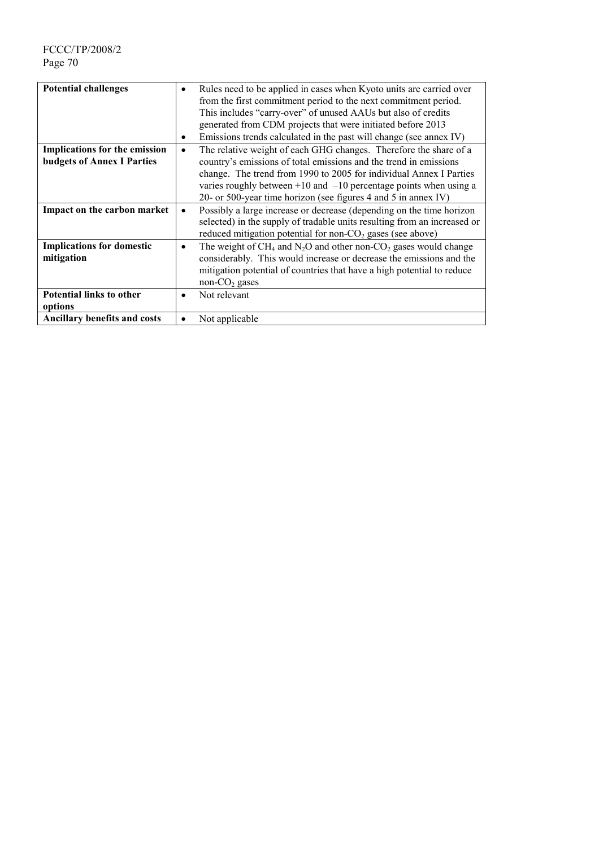| <b>Potential challenges</b>                                               | $\bullet$<br>٠ | Rules need to be applied in cases when Kyoto units are carried over<br>from the first commitment period to the next commitment period.<br>This includes "carry-over" of unused AAUs but also of credits<br>generated from CDM projects that were initiated before 2013<br>Emissions trends calculated in the past will change (see annex IV) |
|---------------------------------------------------------------------------|----------------|----------------------------------------------------------------------------------------------------------------------------------------------------------------------------------------------------------------------------------------------------------------------------------------------------------------------------------------------|
| <b>Implications for the emission</b><br><b>budgets of Annex I Parties</b> | $\bullet$      | The relative weight of each GHG changes. Therefore the share of a<br>country's emissions of total emissions and the trend in emissions<br>change. The trend from 1990 to 2005 for individual Annex I Parties<br>varies roughly between $+10$ and $-10$ percentage points when using a                                                        |
| Impact on the carbon market                                               | $\bullet$      | 20- or 500-year time horizon (see figures 4 and 5 in annex IV)<br>Possibly a large increase or decrease (depending on the time horizon<br>selected) in the supply of tradable units resulting from an increased or<br>reduced mitigation potential for non- $CO2$ gases (see above)                                                          |
| <b>Implications for domestic</b><br>mitigation                            | ٠              | The weight of $CH_4$ and $N_2O$ and other non-CO <sub>2</sub> gases would change<br>considerably. This would increase or decrease the emissions and the<br>mitigation potential of countries that have a high potential to reduce<br>non- $CO2$ gases                                                                                        |
| <b>Potential links to other</b><br>options                                | $\bullet$      | Not relevant                                                                                                                                                                                                                                                                                                                                 |
| Ancillary benefits and costs                                              | $\bullet$      | Not applicable                                                                                                                                                                                                                                                                                                                               |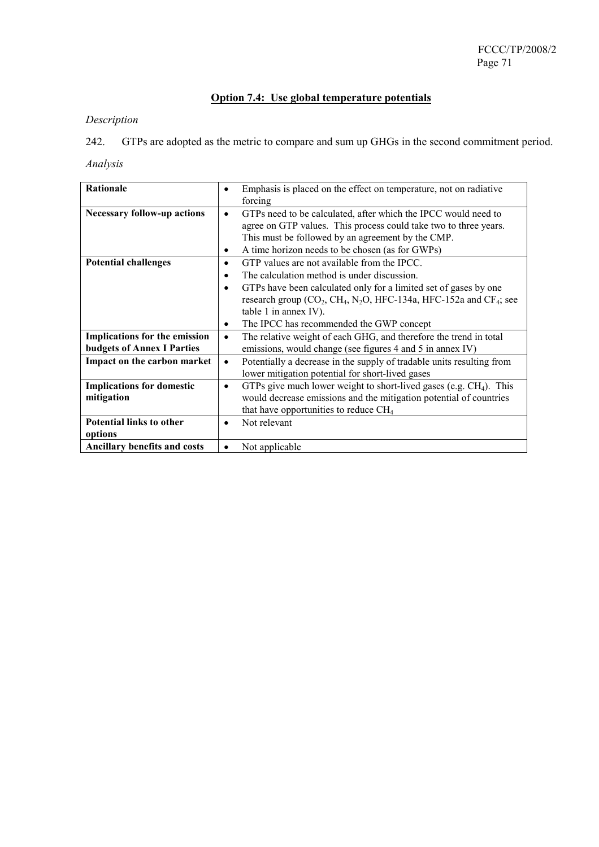# **Option 7.4: Use global temperature potentials**

# *Description*

242. GTPs are adopted as the metric to compare and sum up GHGs in the second commitment period.

| Rationale                          | $\bullet$ | Emphasis is placed on the effect on temperature, not on radiative                                                  |
|------------------------------------|-----------|--------------------------------------------------------------------------------------------------------------------|
|                                    |           | forcing                                                                                                            |
| <b>Necessary follow-up actions</b> | $\bullet$ | GTPs need to be calculated, after which the IPCC would need to                                                     |
|                                    |           | agree on GTP values. This process could take two to three years.                                                   |
|                                    |           | This must be followed by an agreement by the CMP.                                                                  |
|                                    | $\bullet$ | A time horizon needs to be chosen (as for GWPs)                                                                    |
| <b>Potential challenges</b>        | $\bullet$ | GTP values are not available from the IPCC.                                                                        |
|                                    | $\bullet$ | The calculation method is under discussion.                                                                        |
|                                    | $\bullet$ | GTPs have been calculated only for a limited set of gases by one                                                   |
|                                    |           | research group (CO <sub>2</sub> , CH <sub>4</sub> , N <sub>2</sub> O, HFC-134a, HFC-152a and CF <sub>4</sub> ; see |
|                                    |           | table 1 in annex IV).                                                                                              |
|                                    | ٠         | The IPCC has recommended the GWP concept                                                                           |
| Implications for the emission      | $\bullet$ | The relative weight of each GHG, and therefore the trend in total                                                  |
| <b>budgets of Annex I Parties</b>  |           | emissions, would change (see figures 4 and 5 in annex IV)                                                          |
| Impact on the carbon market        | $\bullet$ | Potentially a decrease in the supply of tradable units resulting from                                              |
|                                    |           | lower mitigation potential for short-lived gases                                                                   |
| <b>Implications for domestic</b>   | $\bullet$ | GTPs give much lower weight to short-lived gases (e.g. $CH4$ ). This                                               |
| mitigation                         |           | would decrease emissions and the mitigation potential of countries                                                 |
|                                    |           | that have opportunities to reduce $CH4$                                                                            |
| <b>Potential links to other</b>    | $\bullet$ | Not relevant                                                                                                       |
| options                            |           |                                                                                                                    |
| Ancillary benefits and costs       | $\bullet$ | Not applicable                                                                                                     |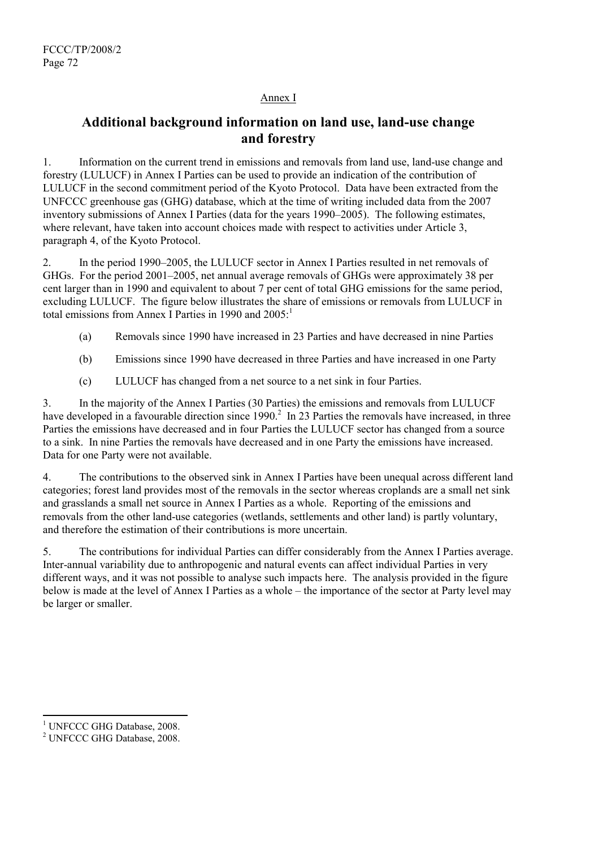# Annex I

# **Additional background information on land use, land-use change and forestry**

1. Information on the current trend in emissions and removals from land use, land-use change and forestry (LULUCF) in Annex I Parties can be used to provide an indication of the contribution of LULUCF in the second commitment period of the Kyoto Protocol. Data have been extracted from the UNFCCC greenhouse gas (GHG) database, which at the time of writing included data from the 2007 inventory submissions of Annex I Parties (data for the years 1990–2005). The following estimates, where relevant, have taken into account choices made with respect to activities under Article 3. paragraph 4, of the Kyoto Protocol.

2. In the period 1990–2005, the LULUCF sector in Annex I Parties resulted in net removals of GHGs. For the period 2001–2005, net annual average removals of GHGs were approximately 38 per cent larger than in 1990 and equivalent to about 7 per cent of total GHG emissions for the same period, excluding LULUCF. The figure below illustrates the share of emissions or removals from LULUCF in total emissions from Annex I Parties in 1990 and  $2005<sup>1</sup>$ 

- (a) Removals since 1990 have increased in 23 Parties and have decreased in nine Parties
- (b) Emissions since 1990 have decreased in three Parties and have increased in one Party
- (c) LULUCF has changed from a net source to a net sink in four Parties.

3. In the majority of the Annex I Parties (30 Parties) the emissions and removals from LULUCF have developed in a favourable direction since 1990.<sup>2</sup> In 23 Parties the removals have increased, in three Parties the emissions have decreased and in four Parties the LULUCF sector has changed from a source to a sink. In nine Parties the removals have decreased and in one Party the emissions have increased. Data for one Party were not available.

4. The contributions to the observed sink in Annex I Parties have been unequal across different land categories; forest land provides most of the removals in the sector whereas croplands are a small net sink and grasslands a small net source in Annex I Parties as a whole. Reporting of the emissions and removals from the other land-use categories (wetlands, settlements and other land) is partly voluntary, and therefore the estimation of their contributions is more uncertain.

5. The contributions for individual Parties can differ considerably from the Annex I Parties average. Inter-annual variability due to anthropogenic and natural events can affect individual Parties in very different ways, and it was not possible to analyse such impacts here. The analysis provided in the figure below is made at the level of Annex I Parties as a whole – the importance of the sector at Party level may be larger or smaller.

l <sup>1</sup> UNFCCC GHG Database, 2008.

<sup>&</sup>lt;sup>2</sup> UNFCCC GHG Database, 2008.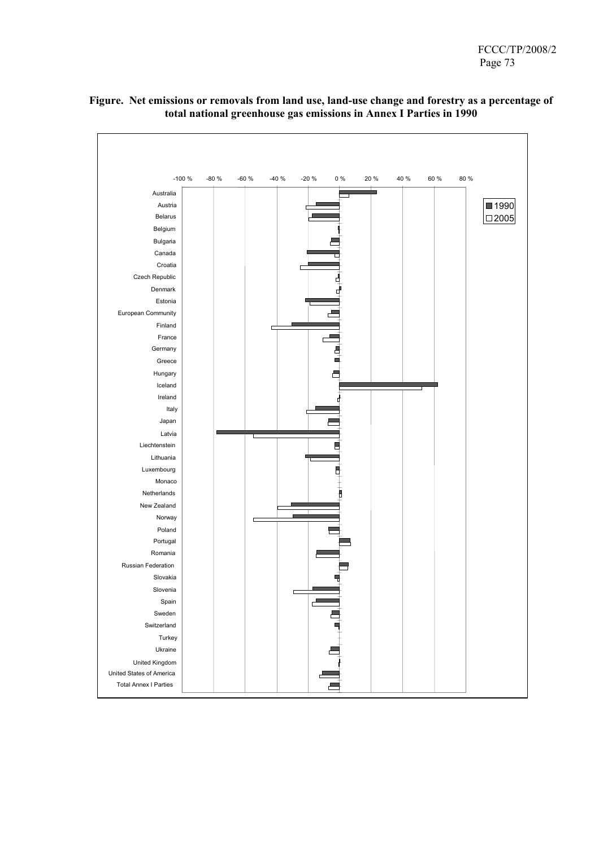

## **Figure. Net emissions or removals from land use, land-use change and forestry as a percentage of total national greenhouse gas emissions in Annex I Parties in 1990**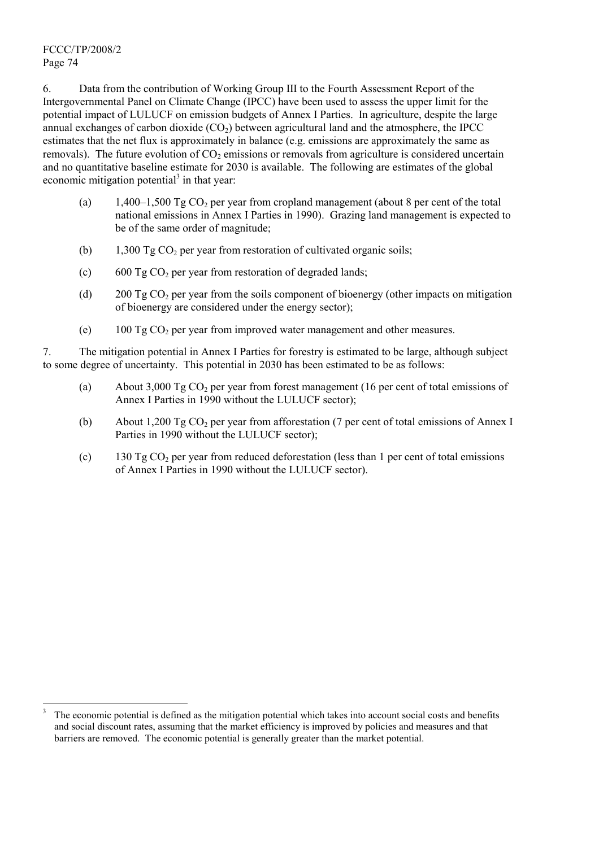FCCC/TP/2008/2 Page 74

l

6. Data from the contribution of Working Group III to the Fourth Assessment Report of the Intergovernmental Panel on Climate Change (IPCC) have been used to assess the upper limit for the potential impact of LULUCF on emission budgets of Annex I Parties. In agriculture, despite the large annual exchanges of carbon dioxide  $(CO<sub>2</sub>)$  between agricultural land and the atmosphere, the IPCC estimates that the net flux is approximately in balance (e.g. emissions are approximately the same as removals). The future evolution of  $CO<sub>2</sub>$  emissions or removals from agriculture is considered uncertain and no quantitative baseline estimate for 2030 is available. The following are estimates of the global economic mitigation potential $3$  in that year:

- (a) 1,400–1,500 Tg  $CO<sub>2</sub>$  per year from cropland management (about 8 per cent of the total national emissions in Annex I Parties in 1990). Grazing land management is expected to be of the same order of magnitude;
- (b)  $1,300 \text{ Tg CO}_2$  per year from restoration of cultivated organic soils;
- (c) 600 Tg  $CO<sub>2</sub>$  per year from restoration of degraded lands;
- (d) 200 Tg CO<sub>2</sub> per year from the soils component of bioenergy (other impacts on mitigation of bioenergy are considered under the energy sector);
- (e)  $100 \text{ Tg CO}$ , per year from improved water management and other measures.

7. The mitigation potential in Annex I Parties for forestry is estimated to be large, although subject to some degree of uncertainty. This potential in 2030 has been estimated to be as follows:

- (a) About 3,000 Tg  $CO<sub>2</sub>$  per year from forest management (16 per cent of total emissions of Annex I Parties in 1990 without the LULUCF sector);
- (b) About 1,200 Tg CO<sub>2</sub> per year from afforestation (7 per cent of total emissions of Annex I Parties in 1990 without the LULUCF sector);
- (c) 130 Tg CO<sub>2</sub> per year from reduced deforestation (less than 1 per cent of total emissions of Annex I Parties in 1990 without the LULUCF sector).

<sup>3</sup> The economic potential is defined as the mitigation potential which takes into account social costs and benefits and social discount rates, assuming that the market efficiency is improved by policies and measures and that barriers are removed. The economic potential is generally greater than the market potential.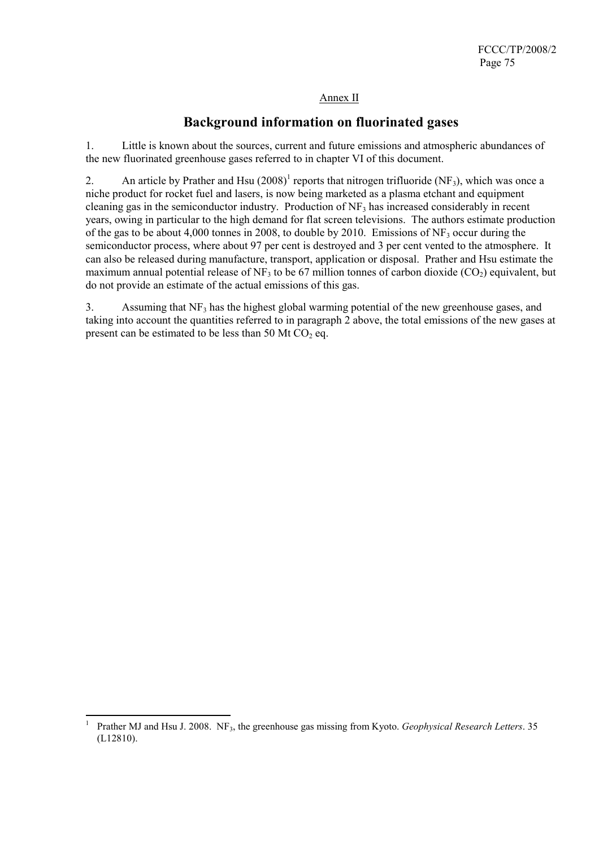# Annex II

# **Background information on fluorinated gases**

1. Little is known about the sources, current and future emissions and atmospheric abundances of the new fluorinated greenhouse gases referred to in chapter VI of this document.

2. An article by Prather and Hsu  $(2008)^1$  reports that nitrogen trifluoride (NF<sub>3</sub>), which was once a niche product for rocket fuel and lasers, is now being marketed as a plasma etchant and equipment cleaning gas in the semiconductor industry. Production of  $NF<sub>3</sub>$  has increased considerably in recent years, owing in particular to the high demand for flat screen televisions. The authors estimate production of the gas to be about 4,000 tonnes in 2008, to double by 2010. Emissions of  $NF_3$  occur during the semiconductor process, where about 97 per cent is destroyed and 3 per cent vented to the atmosphere. It can also be released during manufacture, transport, application or disposal. Prather and Hsu estimate the maximum annual potential release of NF<sub>3</sub> to be 67 million tonnes of carbon dioxide  $(CO<sub>2</sub>)$  equivalent, but do not provide an estimate of the actual emissions of this gas.

3. Assuming that  $NF_3$  has the highest global warming potential of the new greenhouse gases, and taking into account the quantities referred to in paragraph 2 above, the total emissions of the new gases at present can be estimated to be less than 50 Mt  $CO<sub>2</sub>$  eq.

 $\frac{1}{1}$ Prather MJ and Hsu J. 2008. NF<sub>3</sub>, the greenhouse gas missing from Kyoto. *Geophysical Research Letters*. 35 (L12810).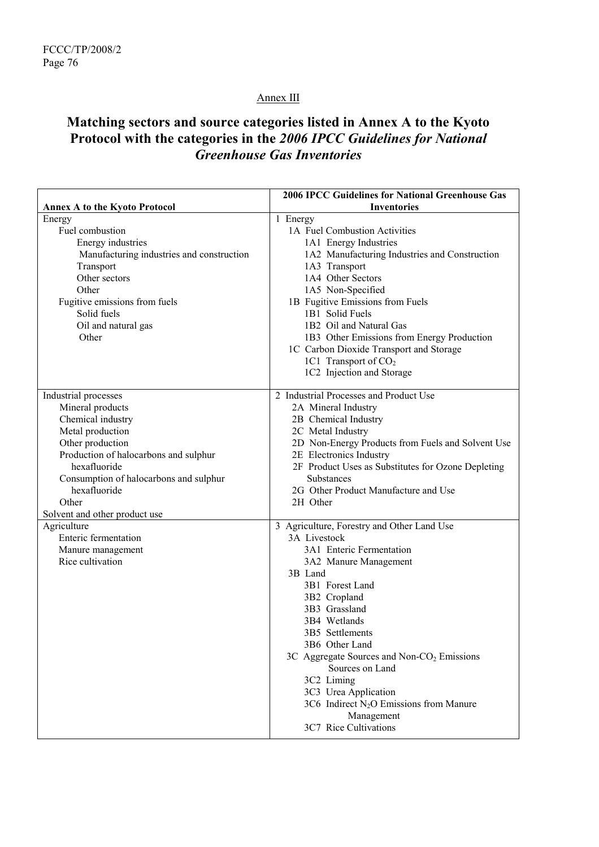# Annex III

# **Matching sectors and source categories listed in Annex A to the Kyoto Protocol with the categories in the** *2006 IPCC Guidelines for National Greenhouse Gas Inventories*

|                                                                                                                                                                                                                                                                    | <b>2006 IPCC Guidelines for National Greenhouse Gas</b>                                                                                                                                                                                                                                                            |
|--------------------------------------------------------------------------------------------------------------------------------------------------------------------------------------------------------------------------------------------------------------------|--------------------------------------------------------------------------------------------------------------------------------------------------------------------------------------------------------------------------------------------------------------------------------------------------------------------|
| <b>Annex A to the Kyoto Protocol</b>                                                                                                                                                                                                                               | <b>Inventories</b>                                                                                                                                                                                                                                                                                                 |
| Energy<br>Fuel combustion<br>Energy industries                                                                                                                                                                                                                     | 1 Energy<br>1A Fuel Combustion Activities<br>1A1 Energy Industries                                                                                                                                                                                                                                                 |
| Manufacturing industries and construction<br>Transport<br>Other sectors<br>Other<br>Fugitive emissions from fuels<br>Solid fuels<br>Oil and natural gas<br>Other                                                                                                   | 1A2 Manufacturing Industries and Construction<br>1A3 Transport<br>1A4 Other Sectors<br>1A5 Non-Specified<br>1B Fugitive Emissions from Fuels<br>1B1 Solid Fuels<br>1B2 Oil and Natural Gas<br>1B3 Other Emissions from Energy Production                                                                           |
|                                                                                                                                                                                                                                                                    | 1C Carbon Dioxide Transport and Storage<br>1C1 Transport of CO <sub>2</sub><br>1C2 Injection and Storage                                                                                                                                                                                                           |
| Industrial processes<br>Mineral products<br>Chemical industry<br>Metal production<br>Other production<br>Production of halocarbons and sulphur<br>hexafluoride<br>Consumption of halocarbons and sulphur<br>hexafluoride<br>Other<br>Solvent and other product use | 2 Industrial Processes and Product Use<br>2A Mineral Industry<br>2B Chemical Industry<br>2C Metal Industry<br>2D Non-Energy Products from Fuels and Solvent Use<br>2E Electronics Industry<br>2F Product Uses as Substitutes for Ozone Depleting<br>Substances<br>2G Other Product Manufacture and Use<br>2H Other |
| Agriculture<br><b>Enteric fermentation</b><br>Manure management<br>Rice cultivation                                                                                                                                                                                | 3 Agriculture, Forestry and Other Land Use<br>3A Livestock<br>3A1 Enteric Fermentation<br>3A2 Manure Management<br>3B Land                                                                                                                                                                                         |
|                                                                                                                                                                                                                                                                    | 3B1 Forest Land<br>3B2 Cropland<br>3B3 Grassland<br>3B4 Wetlands<br>3B5 Settlements<br>3B6 Other Land<br>3C Aggregate Sources and Non- $CO2$ Emissions<br>Sources on Land<br>3C2 Liming<br>3C3 Urea Application<br>3C6 Indirect $N_2O$ Emissions from Manure<br>Management<br>3C7 Rice Cultivations                |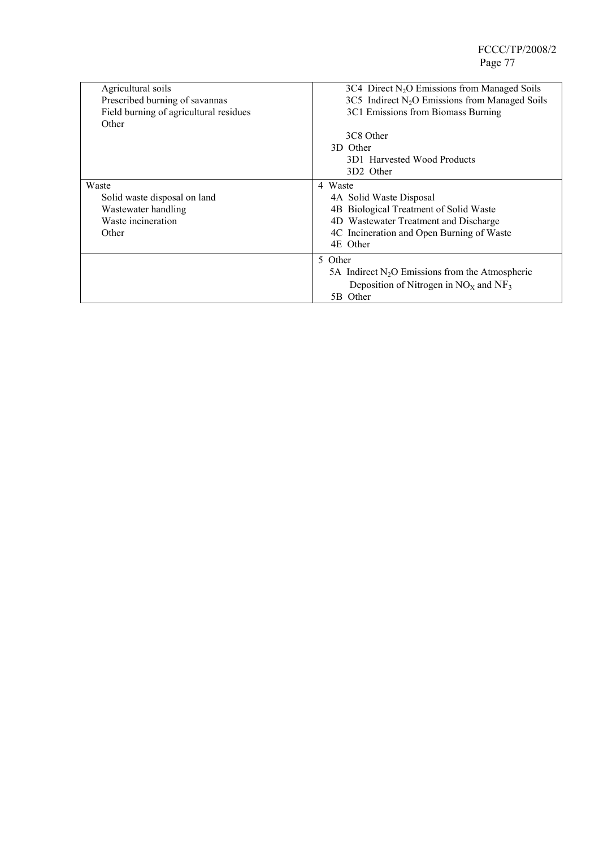| Agricultural soils<br>Prescribed burning of savannas<br>Field burning of agricultural residues<br>Other | $3C4$ Direct N <sub>2</sub> O Emissions from Managed Soils<br>$3C5$ Indirect N <sub>2</sub> O Emissions from Managed Soils<br>3C1 Emissions from Biomass Burning<br>3C8 Other  |
|---------------------------------------------------------------------------------------------------------|--------------------------------------------------------------------------------------------------------------------------------------------------------------------------------|
|                                                                                                         | 3D Other<br>3D1 Harvested Wood Products<br>3D2 Other                                                                                                                           |
| Waste<br>Solid waste disposal on land<br>Wastewater handling<br>Waste incineration<br>Other             | 4 Waste<br>4A Solid Waste Disposal<br>4B Biological Treatment of Solid Waste<br>4D Wastewater Treatment and Discharge<br>4C Incineration and Open Burning of Waste<br>4E Other |
|                                                                                                         | 5 Other<br>5A Indirect $N_2O$ Emissions from the Atmospheric<br>Deposition of Nitrogen in $NOx$ and $NF3$<br>5B Other                                                          |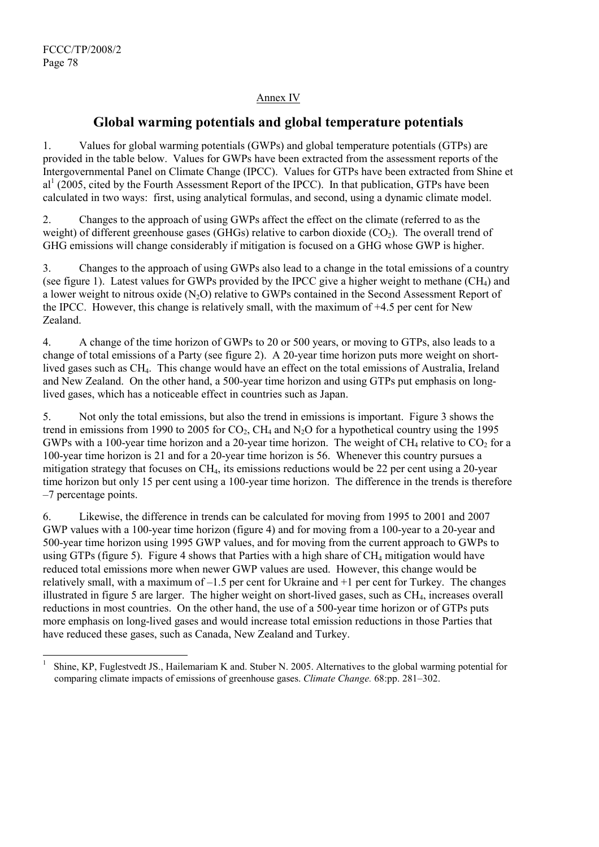l

# Annex IV

# **Global warming potentials and global temperature potentials**

1. Values for global warming potentials (GWPs) and global temperature potentials (GTPs) are provided in the table below. Values for GWPs have been extracted from the assessment reports of the Intergovernmental Panel on Climate Change (IPCC). Values for GTPs have been extracted from Shine et al<sup>1</sup> (2005, cited by the Fourth Assessment Report of the IPCC). In that publication, GTPs have been calculated in two ways: first, using analytical formulas, and second, using a dynamic climate model.

2. Changes to the approach of using GWPs affect the effect on the climate (referred to as the weight) of different greenhouse gases (GHGs) relative to carbon dioxide  $(CO<sub>2</sub>)$ . The overall trend of GHG emissions will change considerably if mitigation is focused on a GHG whose GWP is higher.

3. Changes to the approach of using GWPs also lead to a change in the total emissions of a country (see figure 1). Latest values for GWPs provided by the IPCC give a higher weight to methane  $(CH<sub>4</sub>)$  and a lower weight to nitrous oxide (N2O) relative to GWPs contained in the Second Assessment Report of the IPCC. However, this change is relatively small, with the maximum of +4.5 per cent for New Zealand.

4. A change of the time horizon of GWPs to 20 or 500 years, or moving to GTPs, also leads to a change of total emissions of a Party (see figure 2). A 20-year time horizon puts more weight on shortlived gases such as CH<sub>4</sub>. This change would have an effect on the total emissions of Australia, Ireland and New Zealand. On the other hand, a 500-year time horizon and using GTPs put emphasis on longlived gases, which has a noticeable effect in countries such as Japan.

5. Not only the total emissions, but also the trend in emissions is important. Figure 3 shows the trend in emissions from 1990 to 2005 for  $CO_2$ ,  $CH_4$  and  $N_2O$  for a hypothetical country using the 1995 GWPs with a 100-year time horizon and a 20-year time horizon. The weight of  $CH_4$  relative to  $CO_2$  for a 100-year time horizon is 21 and for a 20-year time horizon is 56. Whenever this country pursues a mitigation strategy that focuses on  $CH<sub>4</sub>$ , its emissions reductions would be 22 per cent using a 20-year time horizon but only 15 per cent using a 100-year time horizon. The difference in the trends is therefore –7 percentage points.

6. Likewise, the difference in trends can be calculated for moving from 1995 to 2001 and 2007 GWP values with a 100-year time horizon (figure 4) and for moving from a 100-year to a 20-year and 500-year time horizon using 1995 GWP values, and for moving from the current approach to GWPs to using GTPs (figure 5). Figure 4 shows that Parties with a high share of  $CH_4$  mitigation would have reduced total emissions more when newer GWP values are used. However, this change would be relatively small, with a maximum of –1.5 per cent for Ukraine and +1 per cent for Turkey. The changes illustrated in figure 5 are larger. The higher weight on short-lived gases, such as  $CH<sub>4</sub>$ , increases overall reductions in most countries. On the other hand, the use of a 500-year time horizon or of GTPs puts more emphasis on long-lived gases and would increase total emission reductions in those Parties that have reduced these gases, such as Canada, New Zealand and Turkey.

<sup>1</sup> Shine, KP, Fuglestvedt JS., Hailemariam K and. Stuber N. 2005. Alternatives to the global warming potential for comparing climate impacts of emissions of greenhouse gases. *Climate Change.* 68:pp. 281–302.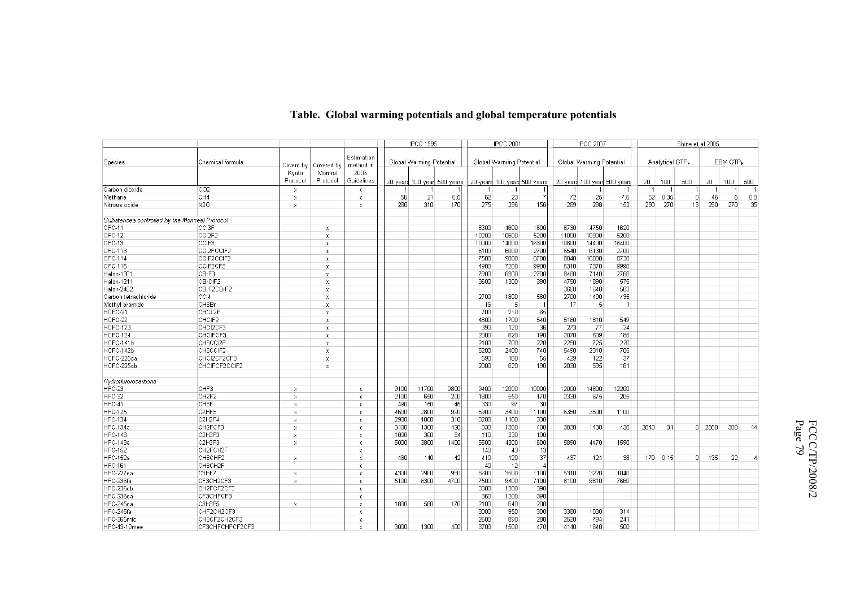| Estimation<br>EBM GTP <sub>P</sub><br>Chemical formula<br>Global Warming Potential<br>Global Warming Potential<br>Global Warming Potential<br>Analytical GTPp<br>Species<br>method in<br>Coverd by Covered by<br>2006<br>Montral<br>Kyoto<br>Guidelines<br>Protoco<br>Protocol<br>20 years 100 year 500 years<br>20 yeard 100 year 500 years<br>20 years 100 year 500 years<br>20 <sub>1</sub><br>100<br>500<br>500<br>20<br>$100 -$<br>Carbon dioxide<br>CO <sub>2</sub><br>$\overline{1}$<br>x<br>$\mathbf x$<br>CH4<br>56<br>21<br>6.5<br>62<br>23<br>$\overline{7}$<br>72<br>25<br>7.6<br>52<br>0.35<br>46<br>5<br>0.8<br>$\Omega$<br>Methane<br>x<br>x<br>275<br>296<br>156<br>289<br>298<br>290<br>270<br>35<br>N <sub>2</sub> O<br>280<br>310<br>170<br>153<br>290<br>270<br>13<br>Nitrous oxide<br>x<br>X<br>Substances controlled by the Montreal Protocol<br>$CFC-11$<br>6300<br>4600<br>1600<br>6730<br>4750<br><b>CCI3F</b><br>1620<br>$\boldsymbol{\mathsf{x}}$<br>CFC-12<br>CCI2F2<br>10200<br>10600<br>5200<br>10900<br>5200<br>11000<br>$\mathbf{x}$<br>CFC-13<br>CCIF3<br>10000<br>14000<br>16300<br>10800<br>14400<br>16400<br>$\boldsymbol{\mathsf{x}}$<br>CFC-113<br>CCI2FCCIF2<br>6100<br>6000<br>2700<br>6540<br>6130<br>2700<br>$\boldsymbol{\mathsf{x}}$<br>CFC-114<br>CCIF2CCIF2<br>7500<br>9800<br>8700<br>8040<br>10000<br>8730<br>$\mathbf{x}$<br><b>CFC-115</b><br>CCIF2CF3<br>4900<br>7200<br>9900<br>5310<br>7370<br>9990<br>$\mathbf{x}$<br>CBrF3<br>7900<br>Halon-1301<br>6900<br>2700<br>8480<br>7140<br>2760<br>$\mathbf{x}$<br>CBrCIF2<br>3600<br>1300<br>390<br>4750<br>1890<br>575<br>Halon-1211<br>$\mathbf{x}$<br>Halon-2402<br>3680<br>503<br>CBrF2CBrF2<br>1640<br>$\mathbf{x}$<br>1800<br>580<br>1400<br>435<br>CCI4<br>2700<br>2700<br>Carbon tetrachloride<br>X<br>CH3Br<br>$\vert$<br>$\mathbf{5}$<br>Methyl bromide<br>16<br>-17<br>X<br>HCFC-21<br>CHCL2F<br>700<br>210<br>65<br>$\mathbf{x}$<br>HCFC-22<br>CHCIF2<br>4800<br>1700<br>540<br>5160<br>1810<br>549<br>X<br>36<br>390<br>24<br>HCFC-123<br>CHCI2CF3<br>120<br>273<br>-77<br>X<br>620<br>190<br>609<br>HCFC-124<br>CHCIFCF3<br>2000<br>2070<br>185<br>x<br>220<br>725<br>HCFC-141b<br>2100<br>700<br>2250<br>220<br>CH3CCI2F<br>$\mathbf{x}$<br>5200<br>2400<br>740<br>5490<br>2310<br>705<br>HCFC-142b<br>CH3CCIF2<br>$\boldsymbol{\mathsf{x}}$<br>55<br>37<br>HCFC-225ca<br>CHCI2CF2CF3<br>590<br>180<br>429<br>122<br>$\boldsymbol{\chi}$<br>HCFC-225cb<br>2000<br>620<br>190<br>2030<br>595<br>181<br>CHCIFCF2CCIF2<br>x<br>Hydroflurorocarbons<br>HFC-23<br>12000<br>CHF3<br>11700<br>9800<br>9400<br>10000<br>12000<br>14800<br>12200<br>9100<br>x<br>$\mathsf{X}$<br>170<br>HFC-32<br>CH <sub>2F2</sub><br>650<br>200<br>1800<br>550<br>2330<br>675<br>205<br>2100<br>x<br>x<br><b>CH3F</b><br>330<br>97<br>30<br>HFC-41<br>490<br>150<br>45<br>X<br>$\mathbf x$<br>1100<br><b>HFC-125</b><br>C2HF5<br>4600<br>2800<br>920<br>5900<br>3400<br>6350<br>3500<br>1100<br>$\mathbf{x}$<br>$\boldsymbol{\times}$<br><b>HFC-134</b><br>330<br>C2H2F4<br>2900<br>1000<br>310<br>3200<br>1100<br>$\boldsymbol{\times}$<br>x<br>400<br>HFC-134a<br>CH <sub>2</sub> FCF3<br>3400<br>1300<br>420<br>330<br>1300<br>2840<br>34<br>2550<br>300<br>3830<br>1430<br>435<br>44<br>-O<br>x<br>x<br>94<br><b>HFC-143</b><br>C <sub>2</sub> H <sub>3F3</sub><br>330<br>100<br>1000<br>300<br>110<br>x<br>x<br>1600<br>4300<br>HFC-143a<br>C <sub>2</sub> H <sub>3F3</sub><br>5000<br>3800<br>1400<br>5500<br>5890<br>4470<br>1590<br>$\times$<br>x<br><b>HFC-152</b><br>CH2FCH2F<br>43<br>13<br>140<br>x<br>37<br>HFC-152a<br>460<br>42<br>410<br>120<br>437<br>124<br>170 0.15<br>135<br>22<br>CH3CHF2<br>140<br>38<br>D.<br>x<br>x<br><b>HFC-161</b><br>CH3CH2F<br>40<br>12<br>$\overline{4}$<br>$\times$<br>HFC-227ea<br>C3HF7<br>4300<br>2900<br>950<br>5600<br>3500<br>5310<br>3220<br>1100<br>1040<br>x<br>x<br>9400<br>7100<br>HFC-236fa<br>CF3CH2CF3<br>5100<br>6300<br>4700<br>7500<br>8100<br>9810<br>7660<br>$\mathbf{x}$<br>x<br>HFC-236cb<br>3300<br>390<br>CH2FCF2CF3<br>1300<br>$\times$<br>360<br>390<br>HFC-236ea<br>CF3CHFCF3<br>1200<br>x<br>HFC-245ca<br>1800<br>560<br>170<br>2100<br>640<br>200<br>C3H3F5<br>x<br>$\mathbf x$<br>HFC-245fa<br>950<br>300<br>3380<br>CHF2CH2CF3<br>3000<br>1030<br>314<br>$\times$<br>HFC-365mfc<br>CH3CF2CH2CF3<br>2600<br>890<br>280<br>2520<br>794<br>241<br>$\mathbf x$<br>3000<br>1300<br>1500<br>470<br>500<br>HFC-43-10mee<br>CF3CHFCHFCF2CF3<br>400<br>3700<br>4140<br>1640<br>X |  |  |  | <b>IPCC 1995</b> |  | <b>IPCC 2001</b> |  | <b>IPCC 2007</b> |  | Shine et al 2005 |  |  |
|-----------------------------------------------------------------------------------------------------------------------------------------------------------------------------------------------------------------------------------------------------------------------------------------------------------------------------------------------------------------------------------------------------------------------------------------------------------------------------------------------------------------------------------------------------------------------------------------------------------------------------------------------------------------------------------------------------------------------------------------------------------------------------------------------------------------------------------------------------------------------------------------------------------------------------------------------------------------------------------------------------------------------------------------------------------------------------------------------------------------------------------------------------------------------------------------------------------------------------------------------------------------------------------------------------------------------------------------------------------------------------------------------------------------------------------------------------------------------------------------------------------------------------------------------------------------------------------------------------------------------------------------------------------------------------------------------------------------------------------------------------------------------------------------------------------------------------------------------------------------------------------------------------------------------------------------------------------------------------------------------------------------------------------------------------------------------------------------------------------------------------------------------------------------------------------------------------------------------------------------------------------------------------------------------------------------------------------------------------------------------------------------------------------------------------------------------------------------------------------------------------------------------------------------------------------------------------------------------------------------------------------------------------------------------------------------------------------------------------------------------------------------------------------------------------------------------------------------------------------------------------------------------------------------------------------------------------------------------------------------------------------------------------------------------------------------------------------------------------------------------------------------------------------------------------------------------------------------------------------------------------------------------------------------------------------------------------------------------------------------------------------------------------------------------------------------------------------------------------------------------------------------------------------------------------------------------------------------------------------------------------------------------------------------------------------------------------------------------------------------------------------------------------------------------------------------------------------------------------------------------------------------------------------------------------------------------------------------------------------------------------------------------------------------------------------------------------------------------------------------------------------------------------------------------------------------------------------------------------------------------------------------------------------------------------------------------------------------------------------------------------------------------------------------------------------------------------------------------------------------------------------------------------------------------|--|--|--|------------------|--|------------------|--|------------------|--|------------------|--|--|
|                                                                                                                                                                                                                                                                                                                                                                                                                                                                                                                                                                                                                                                                                                                                                                                                                                                                                                                                                                                                                                                                                                                                                                                                                                                                                                                                                                                                                                                                                                                                                                                                                                                                                                                                                                                                                                                                                                                                                                                                                                                                                                                                                                                                                                                                                                                                                                                                                                                                                                                                                                                                                                                                                                                                                                                                                                                                                                                                                                                                                                                                                                                                                                                                                                                                                                                                                                                                                                                                                                                                                                                                                                                                                                                                                                                                                                                                                                                                                                                                                                                                                                                                                                                                                                                                                                                                                                                                                                                                                                                                               |  |  |  |                  |  |                  |  |                  |  |                  |  |  |
|                                                                                                                                                                                                                                                                                                                                                                                                                                                                                                                                                                                                                                                                                                                                                                                                                                                                                                                                                                                                                                                                                                                                                                                                                                                                                                                                                                                                                                                                                                                                                                                                                                                                                                                                                                                                                                                                                                                                                                                                                                                                                                                                                                                                                                                                                                                                                                                                                                                                                                                                                                                                                                                                                                                                                                                                                                                                                                                                                                                                                                                                                                                                                                                                                                                                                                                                                                                                                                                                                                                                                                                                                                                                                                                                                                                                                                                                                                                                                                                                                                                                                                                                                                                                                                                                                                                                                                                                                                                                                                                                               |  |  |  |                  |  |                  |  |                  |  |                  |  |  |
|                                                                                                                                                                                                                                                                                                                                                                                                                                                                                                                                                                                                                                                                                                                                                                                                                                                                                                                                                                                                                                                                                                                                                                                                                                                                                                                                                                                                                                                                                                                                                                                                                                                                                                                                                                                                                                                                                                                                                                                                                                                                                                                                                                                                                                                                                                                                                                                                                                                                                                                                                                                                                                                                                                                                                                                                                                                                                                                                                                                                                                                                                                                                                                                                                                                                                                                                                                                                                                                                                                                                                                                                                                                                                                                                                                                                                                                                                                                                                                                                                                                                                                                                                                                                                                                                                                                                                                                                                                                                                                                                               |  |  |  |                  |  |                  |  |                  |  |                  |  |  |
|                                                                                                                                                                                                                                                                                                                                                                                                                                                                                                                                                                                                                                                                                                                                                                                                                                                                                                                                                                                                                                                                                                                                                                                                                                                                                                                                                                                                                                                                                                                                                                                                                                                                                                                                                                                                                                                                                                                                                                                                                                                                                                                                                                                                                                                                                                                                                                                                                                                                                                                                                                                                                                                                                                                                                                                                                                                                                                                                                                                                                                                                                                                                                                                                                                                                                                                                                                                                                                                                                                                                                                                                                                                                                                                                                                                                                                                                                                                                                                                                                                                                                                                                                                                                                                                                                                                                                                                                                                                                                                                                               |  |  |  |                  |  |                  |  |                  |  |                  |  |  |
|                                                                                                                                                                                                                                                                                                                                                                                                                                                                                                                                                                                                                                                                                                                                                                                                                                                                                                                                                                                                                                                                                                                                                                                                                                                                                                                                                                                                                                                                                                                                                                                                                                                                                                                                                                                                                                                                                                                                                                                                                                                                                                                                                                                                                                                                                                                                                                                                                                                                                                                                                                                                                                                                                                                                                                                                                                                                                                                                                                                                                                                                                                                                                                                                                                                                                                                                                                                                                                                                                                                                                                                                                                                                                                                                                                                                                                                                                                                                                                                                                                                                                                                                                                                                                                                                                                                                                                                                                                                                                                                                               |  |  |  |                  |  |                  |  |                  |  |                  |  |  |
|                                                                                                                                                                                                                                                                                                                                                                                                                                                                                                                                                                                                                                                                                                                                                                                                                                                                                                                                                                                                                                                                                                                                                                                                                                                                                                                                                                                                                                                                                                                                                                                                                                                                                                                                                                                                                                                                                                                                                                                                                                                                                                                                                                                                                                                                                                                                                                                                                                                                                                                                                                                                                                                                                                                                                                                                                                                                                                                                                                                                                                                                                                                                                                                                                                                                                                                                                                                                                                                                                                                                                                                                                                                                                                                                                                                                                                                                                                                                                                                                                                                                                                                                                                                                                                                                                                                                                                                                                                                                                                                                               |  |  |  |                  |  |                  |  |                  |  |                  |  |  |
|                                                                                                                                                                                                                                                                                                                                                                                                                                                                                                                                                                                                                                                                                                                                                                                                                                                                                                                                                                                                                                                                                                                                                                                                                                                                                                                                                                                                                                                                                                                                                                                                                                                                                                                                                                                                                                                                                                                                                                                                                                                                                                                                                                                                                                                                                                                                                                                                                                                                                                                                                                                                                                                                                                                                                                                                                                                                                                                                                                                                                                                                                                                                                                                                                                                                                                                                                                                                                                                                                                                                                                                                                                                                                                                                                                                                                                                                                                                                                                                                                                                                                                                                                                                                                                                                                                                                                                                                                                                                                                                                               |  |  |  |                  |  |                  |  |                  |  |                  |  |  |
|                                                                                                                                                                                                                                                                                                                                                                                                                                                                                                                                                                                                                                                                                                                                                                                                                                                                                                                                                                                                                                                                                                                                                                                                                                                                                                                                                                                                                                                                                                                                                                                                                                                                                                                                                                                                                                                                                                                                                                                                                                                                                                                                                                                                                                                                                                                                                                                                                                                                                                                                                                                                                                                                                                                                                                                                                                                                                                                                                                                                                                                                                                                                                                                                                                                                                                                                                                                                                                                                                                                                                                                                                                                                                                                                                                                                                                                                                                                                                                                                                                                                                                                                                                                                                                                                                                                                                                                                                                                                                                                                               |  |  |  |                  |  |                  |  |                  |  |                  |  |  |
|                                                                                                                                                                                                                                                                                                                                                                                                                                                                                                                                                                                                                                                                                                                                                                                                                                                                                                                                                                                                                                                                                                                                                                                                                                                                                                                                                                                                                                                                                                                                                                                                                                                                                                                                                                                                                                                                                                                                                                                                                                                                                                                                                                                                                                                                                                                                                                                                                                                                                                                                                                                                                                                                                                                                                                                                                                                                                                                                                                                                                                                                                                                                                                                                                                                                                                                                                                                                                                                                                                                                                                                                                                                                                                                                                                                                                                                                                                                                                                                                                                                                                                                                                                                                                                                                                                                                                                                                                                                                                                                                               |  |  |  |                  |  |                  |  |                  |  |                  |  |  |
|                                                                                                                                                                                                                                                                                                                                                                                                                                                                                                                                                                                                                                                                                                                                                                                                                                                                                                                                                                                                                                                                                                                                                                                                                                                                                                                                                                                                                                                                                                                                                                                                                                                                                                                                                                                                                                                                                                                                                                                                                                                                                                                                                                                                                                                                                                                                                                                                                                                                                                                                                                                                                                                                                                                                                                                                                                                                                                                                                                                                                                                                                                                                                                                                                                                                                                                                                                                                                                                                                                                                                                                                                                                                                                                                                                                                                                                                                                                                                                                                                                                                                                                                                                                                                                                                                                                                                                                                                                                                                                                                               |  |  |  |                  |  |                  |  |                  |  |                  |  |  |
|                                                                                                                                                                                                                                                                                                                                                                                                                                                                                                                                                                                                                                                                                                                                                                                                                                                                                                                                                                                                                                                                                                                                                                                                                                                                                                                                                                                                                                                                                                                                                                                                                                                                                                                                                                                                                                                                                                                                                                                                                                                                                                                                                                                                                                                                                                                                                                                                                                                                                                                                                                                                                                                                                                                                                                                                                                                                                                                                                                                                                                                                                                                                                                                                                                                                                                                                                                                                                                                                                                                                                                                                                                                                                                                                                                                                                                                                                                                                                                                                                                                                                                                                                                                                                                                                                                                                                                                                                                                                                                                                               |  |  |  |                  |  |                  |  |                  |  |                  |  |  |
|                                                                                                                                                                                                                                                                                                                                                                                                                                                                                                                                                                                                                                                                                                                                                                                                                                                                                                                                                                                                                                                                                                                                                                                                                                                                                                                                                                                                                                                                                                                                                                                                                                                                                                                                                                                                                                                                                                                                                                                                                                                                                                                                                                                                                                                                                                                                                                                                                                                                                                                                                                                                                                                                                                                                                                                                                                                                                                                                                                                                                                                                                                                                                                                                                                                                                                                                                                                                                                                                                                                                                                                                                                                                                                                                                                                                                                                                                                                                                                                                                                                                                                                                                                                                                                                                                                                                                                                                                                                                                                                                               |  |  |  |                  |  |                  |  |                  |  |                  |  |  |
|                                                                                                                                                                                                                                                                                                                                                                                                                                                                                                                                                                                                                                                                                                                                                                                                                                                                                                                                                                                                                                                                                                                                                                                                                                                                                                                                                                                                                                                                                                                                                                                                                                                                                                                                                                                                                                                                                                                                                                                                                                                                                                                                                                                                                                                                                                                                                                                                                                                                                                                                                                                                                                                                                                                                                                                                                                                                                                                                                                                                                                                                                                                                                                                                                                                                                                                                                                                                                                                                                                                                                                                                                                                                                                                                                                                                                                                                                                                                                                                                                                                                                                                                                                                                                                                                                                                                                                                                                                                                                                                                               |  |  |  |                  |  |                  |  |                  |  |                  |  |  |
|                                                                                                                                                                                                                                                                                                                                                                                                                                                                                                                                                                                                                                                                                                                                                                                                                                                                                                                                                                                                                                                                                                                                                                                                                                                                                                                                                                                                                                                                                                                                                                                                                                                                                                                                                                                                                                                                                                                                                                                                                                                                                                                                                                                                                                                                                                                                                                                                                                                                                                                                                                                                                                                                                                                                                                                                                                                                                                                                                                                                                                                                                                                                                                                                                                                                                                                                                                                                                                                                                                                                                                                                                                                                                                                                                                                                                                                                                                                                                                                                                                                                                                                                                                                                                                                                                                                                                                                                                                                                                                                                               |  |  |  |                  |  |                  |  |                  |  |                  |  |  |
|                                                                                                                                                                                                                                                                                                                                                                                                                                                                                                                                                                                                                                                                                                                                                                                                                                                                                                                                                                                                                                                                                                                                                                                                                                                                                                                                                                                                                                                                                                                                                                                                                                                                                                                                                                                                                                                                                                                                                                                                                                                                                                                                                                                                                                                                                                                                                                                                                                                                                                                                                                                                                                                                                                                                                                                                                                                                                                                                                                                                                                                                                                                                                                                                                                                                                                                                                                                                                                                                                                                                                                                                                                                                                                                                                                                                                                                                                                                                                                                                                                                                                                                                                                                                                                                                                                                                                                                                                                                                                                                                               |  |  |  |                  |  |                  |  |                  |  |                  |  |  |
|                                                                                                                                                                                                                                                                                                                                                                                                                                                                                                                                                                                                                                                                                                                                                                                                                                                                                                                                                                                                                                                                                                                                                                                                                                                                                                                                                                                                                                                                                                                                                                                                                                                                                                                                                                                                                                                                                                                                                                                                                                                                                                                                                                                                                                                                                                                                                                                                                                                                                                                                                                                                                                                                                                                                                                                                                                                                                                                                                                                                                                                                                                                                                                                                                                                                                                                                                                                                                                                                                                                                                                                                                                                                                                                                                                                                                                                                                                                                                                                                                                                                                                                                                                                                                                                                                                                                                                                                                                                                                                                                               |  |  |  |                  |  |                  |  |                  |  |                  |  |  |
|                                                                                                                                                                                                                                                                                                                                                                                                                                                                                                                                                                                                                                                                                                                                                                                                                                                                                                                                                                                                                                                                                                                                                                                                                                                                                                                                                                                                                                                                                                                                                                                                                                                                                                                                                                                                                                                                                                                                                                                                                                                                                                                                                                                                                                                                                                                                                                                                                                                                                                                                                                                                                                                                                                                                                                                                                                                                                                                                                                                                                                                                                                                                                                                                                                                                                                                                                                                                                                                                                                                                                                                                                                                                                                                                                                                                                                                                                                                                                                                                                                                                                                                                                                                                                                                                                                                                                                                                                                                                                                                                               |  |  |  |                  |  |                  |  |                  |  |                  |  |  |
|                                                                                                                                                                                                                                                                                                                                                                                                                                                                                                                                                                                                                                                                                                                                                                                                                                                                                                                                                                                                                                                                                                                                                                                                                                                                                                                                                                                                                                                                                                                                                                                                                                                                                                                                                                                                                                                                                                                                                                                                                                                                                                                                                                                                                                                                                                                                                                                                                                                                                                                                                                                                                                                                                                                                                                                                                                                                                                                                                                                                                                                                                                                                                                                                                                                                                                                                                                                                                                                                                                                                                                                                                                                                                                                                                                                                                                                                                                                                                                                                                                                                                                                                                                                                                                                                                                                                                                                                                                                                                                                                               |  |  |  |                  |  |                  |  |                  |  |                  |  |  |
|                                                                                                                                                                                                                                                                                                                                                                                                                                                                                                                                                                                                                                                                                                                                                                                                                                                                                                                                                                                                                                                                                                                                                                                                                                                                                                                                                                                                                                                                                                                                                                                                                                                                                                                                                                                                                                                                                                                                                                                                                                                                                                                                                                                                                                                                                                                                                                                                                                                                                                                                                                                                                                                                                                                                                                                                                                                                                                                                                                                                                                                                                                                                                                                                                                                                                                                                                                                                                                                                                                                                                                                                                                                                                                                                                                                                                                                                                                                                                                                                                                                                                                                                                                                                                                                                                                                                                                                                                                                                                                                                               |  |  |  |                  |  |                  |  |                  |  |                  |  |  |
|                                                                                                                                                                                                                                                                                                                                                                                                                                                                                                                                                                                                                                                                                                                                                                                                                                                                                                                                                                                                                                                                                                                                                                                                                                                                                                                                                                                                                                                                                                                                                                                                                                                                                                                                                                                                                                                                                                                                                                                                                                                                                                                                                                                                                                                                                                                                                                                                                                                                                                                                                                                                                                                                                                                                                                                                                                                                                                                                                                                                                                                                                                                                                                                                                                                                                                                                                                                                                                                                                                                                                                                                                                                                                                                                                                                                                                                                                                                                                                                                                                                                                                                                                                                                                                                                                                                                                                                                                                                                                                                                               |  |  |  |                  |  |                  |  |                  |  |                  |  |  |
|                                                                                                                                                                                                                                                                                                                                                                                                                                                                                                                                                                                                                                                                                                                                                                                                                                                                                                                                                                                                                                                                                                                                                                                                                                                                                                                                                                                                                                                                                                                                                                                                                                                                                                                                                                                                                                                                                                                                                                                                                                                                                                                                                                                                                                                                                                                                                                                                                                                                                                                                                                                                                                                                                                                                                                                                                                                                                                                                                                                                                                                                                                                                                                                                                                                                                                                                                                                                                                                                                                                                                                                                                                                                                                                                                                                                                                                                                                                                                                                                                                                                                                                                                                                                                                                                                                                                                                                                                                                                                                                                               |  |  |  |                  |  |                  |  |                  |  |                  |  |  |
|                                                                                                                                                                                                                                                                                                                                                                                                                                                                                                                                                                                                                                                                                                                                                                                                                                                                                                                                                                                                                                                                                                                                                                                                                                                                                                                                                                                                                                                                                                                                                                                                                                                                                                                                                                                                                                                                                                                                                                                                                                                                                                                                                                                                                                                                                                                                                                                                                                                                                                                                                                                                                                                                                                                                                                                                                                                                                                                                                                                                                                                                                                                                                                                                                                                                                                                                                                                                                                                                                                                                                                                                                                                                                                                                                                                                                                                                                                                                                                                                                                                                                                                                                                                                                                                                                                                                                                                                                                                                                                                                               |  |  |  |                  |  |                  |  |                  |  |                  |  |  |
|                                                                                                                                                                                                                                                                                                                                                                                                                                                                                                                                                                                                                                                                                                                                                                                                                                                                                                                                                                                                                                                                                                                                                                                                                                                                                                                                                                                                                                                                                                                                                                                                                                                                                                                                                                                                                                                                                                                                                                                                                                                                                                                                                                                                                                                                                                                                                                                                                                                                                                                                                                                                                                                                                                                                                                                                                                                                                                                                                                                                                                                                                                                                                                                                                                                                                                                                                                                                                                                                                                                                                                                                                                                                                                                                                                                                                                                                                                                                                                                                                                                                                                                                                                                                                                                                                                                                                                                                                                                                                                                                               |  |  |  |                  |  |                  |  |                  |  |                  |  |  |
|                                                                                                                                                                                                                                                                                                                                                                                                                                                                                                                                                                                                                                                                                                                                                                                                                                                                                                                                                                                                                                                                                                                                                                                                                                                                                                                                                                                                                                                                                                                                                                                                                                                                                                                                                                                                                                                                                                                                                                                                                                                                                                                                                                                                                                                                                                                                                                                                                                                                                                                                                                                                                                                                                                                                                                                                                                                                                                                                                                                                                                                                                                                                                                                                                                                                                                                                                                                                                                                                                                                                                                                                                                                                                                                                                                                                                                                                                                                                                                                                                                                                                                                                                                                                                                                                                                                                                                                                                                                                                                                                               |  |  |  |                  |  |                  |  |                  |  |                  |  |  |
|                                                                                                                                                                                                                                                                                                                                                                                                                                                                                                                                                                                                                                                                                                                                                                                                                                                                                                                                                                                                                                                                                                                                                                                                                                                                                                                                                                                                                                                                                                                                                                                                                                                                                                                                                                                                                                                                                                                                                                                                                                                                                                                                                                                                                                                                                                                                                                                                                                                                                                                                                                                                                                                                                                                                                                                                                                                                                                                                                                                                                                                                                                                                                                                                                                                                                                                                                                                                                                                                                                                                                                                                                                                                                                                                                                                                                                                                                                                                                                                                                                                                                                                                                                                                                                                                                                                                                                                                                                                                                                                                               |  |  |  |                  |  |                  |  |                  |  |                  |  |  |
|                                                                                                                                                                                                                                                                                                                                                                                                                                                                                                                                                                                                                                                                                                                                                                                                                                                                                                                                                                                                                                                                                                                                                                                                                                                                                                                                                                                                                                                                                                                                                                                                                                                                                                                                                                                                                                                                                                                                                                                                                                                                                                                                                                                                                                                                                                                                                                                                                                                                                                                                                                                                                                                                                                                                                                                                                                                                                                                                                                                                                                                                                                                                                                                                                                                                                                                                                                                                                                                                                                                                                                                                                                                                                                                                                                                                                                                                                                                                                                                                                                                                                                                                                                                                                                                                                                                                                                                                                                                                                                                                               |  |  |  |                  |  |                  |  |                  |  |                  |  |  |
|                                                                                                                                                                                                                                                                                                                                                                                                                                                                                                                                                                                                                                                                                                                                                                                                                                                                                                                                                                                                                                                                                                                                                                                                                                                                                                                                                                                                                                                                                                                                                                                                                                                                                                                                                                                                                                                                                                                                                                                                                                                                                                                                                                                                                                                                                                                                                                                                                                                                                                                                                                                                                                                                                                                                                                                                                                                                                                                                                                                                                                                                                                                                                                                                                                                                                                                                                                                                                                                                                                                                                                                                                                                                                                                                                                                                                                                                                                                                                                                                                                                                                                                                                                                                                                                                                                                                                                                                                                                                                                                                               |  |  |  |                  |  |                  |  |                  |  |                  |  |  |
|                                                                                                                                                                                                                                                                                                                                                                                                                                                                                                                                                                                                                                                                                                                                                                                                                                                                                                                                                                                                                                                                                                                                                                                                                                                                                                                                                                                                                                                                                                                                                                                                                                                                                                                                                                                                                                                                                                                                                                                                                                                                                                                                                                                                                                                                                                                                                                                                                                                                                                                                                                                                                                                                                                                                                                                                                                                                                                                                                                                                                                                                                                                                                                                                                                                                                                                                                                                                                                                                                                                                                                                                                                                                                                                                                                                                                                                                                                                                                                                                                                                                                                                                                                                                                                                                                                                                                                                                                                                                                                                                               |  |  |  |                  |  |                  |  |                  |  |                  |  |  |
|                                                                                                                                                                                                                                                                                                                                                                                                                                                                                                                                                                                                                                                                                                                                                                                                                                                                                                                                                                                                                                                                                                                                                                                                                                                                                                                                                                                                                                                                                                                                                                                                                                                                                                                                                                                                                                                                                                                                                                                                                                                                                                                                                                                                                                                                                                                                                                                                                                                                                                                                                                                                                                                                                                                                                                                                                                                                                                                                                                                                                                                                                                                                                                                                                                                                                                                                                                                                                                                                                                                                                                                                                                                                                                                                                                                                                                                                                                                                                                                                                                                                                                                                                                                                                                                                                                                                                                                                                                                                                                                                               |  |  |  |                  |  |                  |  |                  |  |                  |  |  |
|                                                                                                                                                                                                                                                                                                                                                                                                                                                                                                                                                                                                                                                                                                                                                                                                                                                                                                                                                                                                                                                                                                                                                                                                                                                                                                                                                                                                                                                                                                                                                                                                                                                                                                                                                                                                                                                                                                                                                                                                                                                                                                                                                                                                                                                                                                                                                                                                                                                                                                                                                                                                                                                                                                                                                                                                                                                                                                                                                                                                                                                                                                                                                                                                                                                                                                                                                                                                                                                                                                                                                                                                                                                                                                                                                                                                                                                                                                                                                                                                                                                                                                                                                                                                                                                                                                                                                                                                                                                                                                                                               |  |  |  |                  |  |                  |  |                  |  |                  |  |  |
|                                                                                                                                                                                                                                                                                                                                                                                                                                                                                                                                                                                                                                                                                                                                                                                                                                                                                                                                                                                                                                                                                                                                                                                                                                                                                                                                                                                                                                                                                                                                                                                                                                                                                                                                                                                                                                                                                                                                                                                                                                                                                                                                                                                                                                                                                                                                                                                                                                                                                                                                                                                                                                                                                                                                                                                                                                                                                                                                                                                                                                                                                                                                                                                                                                                                                                                                                                                                                                                                                                                                                                                                                                                                                                                                                                                                                                                                                                                                                                                                                                                                                                                                                                                                                                                                                                                                                                                                                                                                                                                                               |  |  |  |                  |  |                  |  |                  |  |                  |  |  |
|                                                                                                                                                                                                                                                                                                                                                                                                                                                                                                                                                                                                                                                                                                                                                                                                                                                                                                                                                                                                                                                                                                                                                                                                                                                                                                                                                                                                                                                                                                                                                                                                                                                                                                                                                                                                                                                                                                                                                                                                                                                                                                                                                                                                                                                                                                                                                                                                                                                                                                                                                                                                                                                                                                                                                                                                                                                                                                                                                                                                                                                                                                                                                                                                                                                                                                                                                                                                                                                                                                                                                                                                                                                                                                                                                                                                                                                                                                                                                                                                                                                                                                                                                                                                                                                                                                                                                                                                                                                                                                                                               |  |  |  |                  |  |                  |  |                  |  |                  |  |  |
|                                                                                                                                                                                                                                                                                                                                                                                                                                                                                                                                                                                                                                                                                                                                                                                                                                                                                                                                                                                                                                                                                                                                                                                                                                                                                                                                                                                                                                                                                                                                                                                                                                                                                                                                                                                                                                                                                                                                                                                                                                                                                                                                                                                                                                                                                                                                                                                                                                                                                                                                                                                                                                                                                                                                                                                                                                                                                                                                                                                                                                                                                                                                                                                                                                                                                                                                                                                                                                                                                                                                                                                                                                                                                                                                                                                                                                                                                                                                                                                                                                                                                                                                                                                                                                                                                                                                                                                                                                                                                                                                               |  |  |  |                  |  |                  |  |                  |  |                  |  |  |
|                                                                                                                                                                                                                                                                                                                                                                                                                                                                                                                                                                                                                                                                                                                                                                                                                                                                                                                                                                                                                                                                                                                                                                                                                                                                                                                                                                                                                                                                                                                                                                                                                                                                                                                                                                                                                                                                                                                                                                                                                                                                                                                                                                                                                                                                                                                                                                                                                                                                                                                                                                                                                                                                                                                                                                                                                                                                                                                                                                                                                                                                                                                                                                                                                                                                                                                                                                                                                                                                                                                                                                                                                                                                                                                                                                                                                                                                                                                                                                                                                                                                                                                                                                                                                                                                                                                                                                                                                                                                                                                                               |  |  |  |                  |  |                  |  |                  |  |                  |  |  |
|                                                                                                                                                                                                                                                                                                                                                                                                                                                                                                                                                                                                                                                                                                                                                                                                                                                                                                                                                                                                                                                                                                                                                                                                                                                                                                                                                                                                                                                                                                                                                                                                                                                                                                                                                                                                                                                                                                                                                                                                                                                                                                                                                                                                                                                                                                                                                                                                                                                                                                                                                                                                                                                                                                                                                                                                                                                                                                                                                                                                                                                                                                                                                                                                                                                                                                                                                                                                                                                                                                                                                                                                                                                                                                                                                                                                                                                                                                                                                                                                                                                                                                                                                                                                                                                                                                                                                                                                                                                                                                                                               |  |  |  |                  |  |                  |  |                  |  |                  |  |  |
|                                                                                                                                                                                                                                                                                                                                                                                                                                                                                                                                                                                                                                                                                                                                                                                                                                                                                                                                                                                                                                                                                                                                                                                                                                                                                                                                                                                                                                                                                                                                                                                                                                                                                                                                                                                                                                                                                                                                                                                                                                                                                                                                                                                                                                                                                                                                                                                                                                                                                                                                                                                                                                                                                                                                                                                                                                                                                                                                                                                                                                                                                                                                                                                                                                                                                                                                                                                                                                                                                                                                                                                                                                                                                                                                                                                                                                                                                                                                                                                                                                                                                                                                                                                                                                                                                                                                                                                                                                                                                                                                               |  |  |  |                  |  |                  |  |                  |  |                  |  |  |
|                                                                                                                                                                                                                                                                                                                                                                                                                                                                                                                                                                                                                                                                                                                                                                                                                                                                                                                                                                                                                                                                                                                                                                                                                                                                                                                                                                                                                                                                                                                                                                                                                                                                                                                                                                                                                                                                                                                                                                                                                                                                                                                                                                                                                                                                                                                                                                                                                                                                                                                                                                                                                                                                                                                                                                                                                                                                                                                                                                                                                                                                                                                                                                                                                                                                                                                                                                                                                                                                                                                                                                                                                                                                                                                                                                                                                                                                                                                                                                                                                                                                                                                                                                                                                                                                                                                                                                                                                                                                                                                                               |  |  |  |                  |  |                  |  |                  |  |                  |  |  |
|                                                                                                                                                                                                                                                                                                                                                                                                                                                                                                                                                                                                                                                                                                                                                                                                                                                                                                                                                                                                                                                                                                                                                                                                                                                                                                                                                                                                                                                                                                                                                                                                                                                                                                                                                                                                                                                                                                                                                                                                                                                                                                                                                                                                                                                                                                                                                                                                                                                                                                                                                                                                                                                                                                                                                                                                                                                                                                                                                                                                                                                                                                                                                                                                                                                                                                                                                                                                                                                                                                                                                                                                                                                                                                                                                                                                                                                                                                                                                                                                                                                                                                                                                                                                                                                                                                                                                                                                                                                                                                                                               |  |  |  |                  |  |                  |  |                  |  |                  |  |  |
|                                                                                                                                                                                                                                                                                                                                                                                                                                                                                                                                                                                                                                                                                                                                                                                                                                                                                                                                                                                                                                                                                                                                                                                                                                                                                                                                                                                                                                                                                                                                                                                                                                                                                                                                                                                                                                                                                                                                                                                                                                                                                                                                                                                                                                                                                                                                                                                                                                                                                                                                                                                                                                                                                                                                                                                                                                                                                                                                                                                                                                                                                                                                                                                                                                                                                                                                                                                                                                                                                                                                                                                                                                                                                                                                                                                                                                                                                                                                                                                                                                                                                                                                                                                                                                                                                                                                                                                                                                                                                                                                               |  |  |  |                  |  |                  |  |                  |  |                  |  |  |
|                                                                                                                                                                                                                                                                                                                                                                                                                                                                                                                                                                                                                                                                                                                                                                                                                                                                                                                                                                                                                                                                                                                                                                                                                                                                                                                                                                                                                                                                                                                                                                                                                                                                                                                                                                                                                                                                                                                                                                                                                                                                                                                                                                                                                                                                                                                                                                                                                                                                                                                                                                                                                                                                                                                                                                                                                                                                                                                                                                                                                                                                                                                                                                                                                                                                                                                                                                                                                                                                                                                                                                                                                                                                                                                                                                                                                                                                                                                                                                                                                                                                                                                                                                                                                                                                                                                                                                                                                                                                                                                                               |  |  |  |                  |  |                  |  |                  |  |                  |  |  |
|                                                                                                                                                                                                                                                                                                                                                                                                                                                                                                                                                                                                                                                                                                                                                                                                                                                                                                                                                                                                                                                                                                                                                                                                                                                                                                                                                                                                                                                                                                                                                                                                                                                                                                                                                                                                                                                                                                                                                                                                                                                                                                                                                                                                                                                                                                                                                                                                                                                                                                                                                                                                                                                                                                                                                                                                                                                                                                                                                                                                                                                                                                                                                                                                                                                                                                                                                                                                                                                                                                                                                                                                                                                                                                                                                                                                                                                                                                                                                                                                                                                                                                                                                                                                                                                                                                                                                                                                                                                                                                                                               |  |  |  |                  |  |                  |  |                  |  |                  |  |  |
|                                                                                                                                                                                                                                                                                                                                                                                                                                                                                                                                                                                                                                                                                                                                                                                                                                                                                                                                                                                                                                                                                                                                                                                                                                                                                                                                                                                                                                                                                                                                                                                                                                                                                                                                                                                                                                                                                                                                                                                                                                                                                                                                                                                                                                                                                                                                                                                                                                                                                                                                                                                                                                                                                                                                                                                                                                                                                                                                                                                                                                                                                                                                                                                                                                                                                                                                                                                                                                                                                                                                                                                                                                                                                                                                                                                                                                                                                                                                                                                                                                                                                                                                                                                                                                                                                                                                                                                                                                                                                                                                               |  |  |  |                  |  |                  |  |                  |  |                  |  |  |
|                                                                                                                                                                                                                                                                                                                                                                                                                                                                                                                                                                                                                                                                                                                                                                                                                                                                                                                                                                                                                                                                                                                                                                                                                                                                                                                                                                                                                                                                                                                                                                                                                                                                                                                                                                                                                                                                                                                                                                                                                                                                                                                                                                                                                                                                                                                                                                                                                                                                                                                                                                                                                                                                                                                                                                                                                                                                                                                                                                                                                                                                                                                                                                                                                                                                                                                                                                                                                                                                                                                                                                                                                                                                                                                                                                                                                                                                                                                                                                                                                                                                                                                                                                                                                                                                                                                                                                                                                                                                                                                                               |  |  |  |                  |  |                  |  |                  |  |                  |  |  |
|                                                                                                                                                                                                                                                                                                                                                                                                                                                                                                                                                                                                                                                                                                                                                                                                                                                                                                                                                                                                                                                                                                                                                                                                                                                                                                                                                                                                                                                                                                                                                                                                                                                                                                                                                                                                                                                                                                                                                                                                                                                                                                                                                                                                                                                                                                                                                                                                                                                                                                                                                                                                                                                                                                                                                                                                                                                                                                                                                                                                                                                                                                                                                                                                                                                                                                                                                                                                                                                                                                                                                                                                                                                                                                                                                                                                                                                                                                                                                                                                                                                                                                                                                                                                                                                                                                                                                                                                                                                                                                                                               |  |  |  |                  |  |                  |  |                  |  |                  |  |  |
|                                                                                                                                                                                                                                                                                                                                                                                                                                                                                                                                                                                                                                                                                                                                                                                                                                                                                                                                                                                                                                                                                                                                                                                                                                                                                                                                                                                                                                                                                                                                                                                                                                                                                                                                                                                                                                                                                                                                                                                                                                                                                                                                                                                                                                                                                                                                                                                                                                                                                                                                                                                                                                                                                                                                                                                                                                                                                                                                                                                                                                                                                                                                                                                                                                                                                                                                                                                                                                                                                                                                                                                                                                                                                                                                                                                                                                                                                                                                                                                                                                                                                                                                                                                                                                                                                                                                                                                                                                                                                                                                               |  |  |  |                  |  |                  |  |                  |  |                  |  |  |
|                                                                                                                                                                                                                                                                                                                                                                                                                                                                                                                                                                                                                                                                                                                                                                                                                                                                                                                                                                                                                                                                                                                                                                                                                                                                                                                                                                                                                                                                                                                                                                                                                                                                                                                                                                                                                                                                                                                                                                                                                                                                                                                                                                                                                                                                                                                                                                                                                                                                                                                                                                                                                                                                                                                                                                                                                                                                                                                                                                                                                                                                                                                                                                                                                                                                                                                                                                                                                                                                                                                                                                                                                                                                                                                                                                                                                                                                                                                                                                                                                                                                                                                                                                                                                                                                                                                                                                                                                                                                                                                                               |  |  |  |                  |  |                  |  |                  |  |                  |  |  |

# **Table. Global warming potentials and global temperature potentials**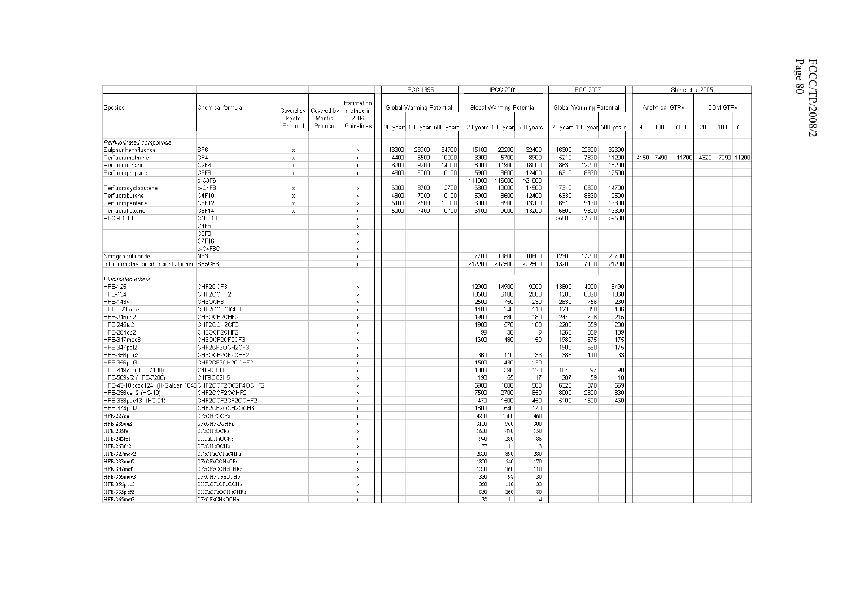|                |      |                 | Shine et al 2005 |                      |      |       |  |  |  |
|----------------|------|-----------------|------------------|----------------------|------|-------|--|--|--|
| tential        |      | Analytical GTPp |                  | EBM GTP <sub>P</sub> |      |       |  |  |  |
| 00 years       | 20   | 100             | 500              | 20                   | 100  | 500   |  |  |  |
|                |      |                 |                  |                      |      |       |  |  |  |
| 32600          |      |                 |                  |                      |      |       |  |  |  |
| 11200          | 4150 | 7490            | 11700            | 4320                 | 7090 | 11200 |  |  |  |
| 18200<br>12500 |      |                 |                  |                      |      |       |  |  |  |
|                |      |                 |                  |                      |      |       |  |  |  |
| 14700          |      |                 |                  |                      |      |       |  |  |  |
| 12500          |      |                 |                  |                      |      |       |  |  |  |
| 13300          |      |                 |                  |                      |      |       |  |  |  |
| 13300          |      |                 |                  |                      |      |       |  |  |  |
| >9500          |      |                 |                  |                      |      |       |  |  |  |

|                                                    |                                  |                           |                     |                           |       | <b>IPCC 1995</b>         |                             |            | <b>IPCC 2001</b>         |                              |       | <b>IPCC 2007</b>         |                             |    |                             | Shine et al 2005 |      |                  |     |
|----------------------------------------------------|----------------------------------|---------------------------|---------------------|---------------------------|-------|--------------------------|-----------------------------|------------|--------------------------|------------------------------|-------|--------------------------|-----------------------------|----|-----------------------------|------------------|------|------------------|-----|
| Species                                            | Chemical formula                 | Coverd by                 | Covered by          | Estimation<br>method in   |       | Global Warming Potential |                             |            | Global Warming Potential |                              |       | Global Warming Potential |                             |    | Analytical GTP <sub>P</sub> |                  |      | EBM GTP.         |     |
|                                                    |                                  | Kyoto<br>Protocol         | Montral<br>Protocol | 2006<br>Guidelines        |       |                          | 20 years 100 year 500 years |            |                          | 20 yeard 100 yeard 500 years |       |                          | 20 yeard 100 year 500 years | 20 | 100                         | 500              | 20   | 100 <sub>1</sub> | 500 |
| Perfluorinated compounds                           |                                  |                           |                     |                           |       |                          |                             |            |                          |                              |       |                          |                             |    |                             |                  |      |                  |     |
| Sulphur hexafluoride                               | SF <sub>6</sub>                  | $\mathbb X$               |                     | Х                         | 16300 | 23900                    | 34900                       | 15100      | 22200                    | 32400                        | 16300 | 22800                    | 32600                       |    |                             |                  |      |                  |     |
| Perfluoromethane                                   | CF4                              | $\mathbf x$               |                     | x                         | 4400  | 6500                     | 10000                       | 3900       | 5700                     | 8900                         | 5210  | 7390                     | 11200                       |    | 4150 7490                   | 11700            | 4320 | 7090 1120        |     |
| Perfluoroethane                                    | C <sub>2F6</sub>                 | $\boldsymbol{\mathsf{x}}$ |                     | X                         | 6200  | 9200                     | 14000                       | 8000       | 11900                    | 18000                        | 8630  | 12200                    | 18200                       |    |                             |                  |      |                  |     |
| Perfluoropropane                                   | C3F8                             | x                         |                     | X                         | 4800  | 7000                     | 10100                       | 5900       | 8600                     | 12400                        | 6310  | 8830                     | 12500                       |    |                             |                  |      |                  |     |
|                                                    | c-C3F6                           |                           |                     |                           |       |                          |                             | >11800     | >16800                   | >21600                       |       |                          |                             |    |                             |                  |      |                  |     |
| Perfluorocyclobutane                               | $c-C4F8$                         | $\mathbf x$               |                     | $\boldsymbol{\mathsf{x}}$ | 6000  | 8700                     | 12700                       | 6800       | 10000                    | 14500                        | 7310  | 10300                    | 14700                       |    |                             |                  |      |                  |     |
| Perfluorobutane                                    | C4F10                            | x                         |                     | X                         | 4800  | 7000                     | 10100                       | 5900       | 8600                     | 12400                        | 6330  | 8860                     | 12500                       |    |                             |                  |      |                  |     |
| Perfluoropentane                                   | C5F12                            | $\mathbf x$               |                     | x                         | 5100  | 7500                     | 11000                       | 6000       | 8900                     | 13200                        | 6510  | 9160                     | 13300                       |    |                             |                  |      |                  |     |
| Perfluorohexane                                    | C6F14                            | X                         |                     | X                         | 5000  | 7400                     | 10700                       | 6100       | 9000                     | 13200                        | 6600  | 9300                     | 13300                       |    |                             |                  |      |                  |     |
| PFC-9-1-18                                         | C10F18                           |                           |                     | X                         |       |                          |                             |            |                          |                              | >5500 | >7500                    | >9500                       |    |                             |                  |      |                  |     |
|                                                    | C4F6                             |                           |                     | X                         |       |                          |                             |            |                          |                              |       |                          |                             |    |                             |                  |      |                  |     |
|                                                    | C5F8                             |                           |                     | x                         |       |                          |                             |            |                          |                              |       |                          |                             |    |                             |                  |      |                  |     |
|                                                    | C7F16                            |                           |                     | X                         |       |                          |                             |            |                          |                              |       |                          |                             |    |                             |                  |      |                  |     |
|                                                    | c-C4F8O                          |                           |                     | X                         |       |                          |                             |            |                          |                              |       |                          |                             |    |                             |                  |      |                  |     |
| Nitrogen trifluoride                               | NF3                              |                           |                     | X                         |       |                          |                             | 7700       | 10800                    | 10800                        | 12300 | 17200                    | 20700                       |    |                             |                  |      |                  |     |
| trifluoromethyl sulphur pentafluoride SF5CF3       |                                  |                           |                     | X                         |       |                          |                             | >12200     | >17500                   | >22500                       | 13200 | 17100                    | 21200                       |    |                             |                  |      |                  |     |
|                                                    |                                  |                           |                     |                           |       |                          |                             |            |                          |                              |       |                          |                             |    |                             |                  |      |                  |     |
| Fluorinated ethers                                 |                                  |                           |                     |                           |       |                          |                             |            |                          |                              |       |                          |                             |    |                             |                  |      |                  |     |
| <b>HFE-125</b>                                     | CHF2OCF3                         |                           |                     | X                         |       |                          |                             | 12900      | 14900                    | 9200                         | 13800 | 14900                    | 8490                        |    |                             |                  |      |                  |     |
| <b>HFE-134</b>                                     | CHF2OCHF2                        |                           |                     | X                         |       |                          |                             | 10500      | 6100                     | 2000                         | 1200  | 6320                     | 1960                        |    |                             |                  |      |                  |     |
| <b>HFE-143a</b>                                    | CH3OCF3                          |                           |                     | X                         |       |                          |                             | 2500       | 750                      | 230                          | 2630  | 756                      | 230                         |    |                             |                  |      |                  |     |
| HCFE-235da2                                        | CHF2OCHCICF3                     |                           |                     | X                         |       |                          |                             | 1100       | 340                      | 110                          | 1230  | 350                      | 106                         |    |                             |                  |      |                  |     |
| HFE-245cb2                                         | CH3OCF2CHF2                      |                           |                     | $\bf{x}$                  |       |                          |                             | 1900       | 580                      | 180                          | 2440  | 708                      | 215                         |    |                             |                  |      |                  |     |
| <b>HFE-245fa2</b>                                  | CHF2OCH2CF3                      |                           |                     | X                         |       |                          |                             | 1900       | 570                      | 180                          | 2280  | 659                      | 200                         |    |                             |                  |      |                  |     |
| HFE-254cb2                                         | CH3OCF2CHF2                      |                           |                     | x                         |       |                          |                             | 99         | 30 <sup>1</sup>          | 9                            | 1260  | 359                      | 109                         |    |                             |                  |      |                  |     |
| HFE-347mcc3                                        | CH3OCF2CF2CF3                    |                           |                     | X                         |       |                          |                             | 1600       | 480                      | 150                          | 1980  | 575                      | 175                         |    |                             |                  |      |                  |     |
| HFE-347pcf2                                        | CHF2CF2OCH2CF3                   |                           |                     | X                         |       |                          |                             |            |                          |                              | 1900  | 580                      | 175                         |    |                             |                  |      |                  |     |
| HFE-356pcc3                                        | CH3OCF2CF2CHF2                   |                           |                     | x                         |       |                          |                             | 360        | 110                      | 33                           | 386   | 110                      | 33                          |    |                             |                  |      |                  |     |
| HFE-356pcf3                                        | CHF2CF2CH2OCHF2                  |                           |                     | x                         |       |                          |                             | 1500       | 430                      | 130                          |       |                          |                             |    |                             |                  |      |                  |     |
| HFE-449sl (HFE-7100)                               | C4F9OCH3                         |                           |                     | X                         |       |                          |                             | 1300       | 390                      | 120                          | 1040  | 297                      | 90                          |    |                             |                  |      |                  |     |
| HFE-569sf2 (HFE-7200)                              | C4F9OC2H5                        |                           |                     | x                         |       |                          |                             | 190        | 55                       | 17                           | 207   | 59                       | 18                          |    |                             |                  |      |                  |     |
| HFE-43-10pccc124 (H-Galden 1040 CHF2OCF2OC2F4OCHF2 |                                  |                           |                     | X                         |       |                          |                             | 5900       | 1800                     | 560                          | 6320  | 1870                     | 569                         |    |                             |                  |      |                  |     |
| HFE-236ca12 (HG-10)                                | CHF2OCF2OCHF2                    |                           |                     | $\bf{x}$                  |       |                          |                             | 7500       | 2700                     | 850                          | 8000  | 2800                     | 860                         |    |                             |                  |      |                  |     |
| HFE-338pcc13 (HG-01)                               | CHF2OCF2CF2OCHF2                 |                           |                     | X                         |       |                          |                             | 470        | 1500                     | 450                          | 5100  | 1500                     | 460                         |    |                             |                  |      |                  |     |
| HFE-374pcf2                                        | CHF2CF2OCH2OCH3                  |                           |                     | $\bar{\mathbf{x}}$        |       |                          |                             | 1800       | 540                      | 170                          |       |                          |                             |    |                             |                  |      |                  |     |
| HFE-227ea                                          | CF3CHFOCF3                       |                           |                     | x                         |       |                          |                             | 4200       | 1500                     | 460                          |       |                          |                             |    |                             |                  |      |                  |     |
| HFE-236ea2                                         | CF3CHFOCHF2                      |                           |                     | X                         |       |                          |                             | 3100       | 960                      | 300                          |       |                          |                             |    |                             |                  |      |                  |     |
| HFE-236fa                                          | CF3CH2OCF3                       |                           |                     | X                         |       |                          |                             | 1600       | 470                      | 150                          |       |                          |                             |    |                             |                  |      |                  |     |
| HFE-245fa1                                         | CHF2CH2OCF3                      |                           |                     | x                         |       |                          |                             | 940        | 280                      | 86                           |       |                          |                             |    |                             |                  |      |                  |     |
| HFE-263fb2                                         | CF3CH2OCH3                       |                           |                     | $\mathsf{x}$              |       |                          |                             | 37         | 11                       | 3                            |       |                          |                             |    |                             |                  |      |                  |     |
| HFE-329mcc2                                        | CF3CF2OCF2CHF2                   |                           |                     | X                         |       |                          |                             | 2800       | 890                      | 280                          |       |                          |                             |    |                             |                  |      |                  |     |
| HFE-338mcf2                                        | CF3CF2OCH2CF3                    |                           |                     | X                         |       |                          |                             | 1800       | 540                      | 170                          |       |                          |                             |    |                             |                  |      |                  |     |
| HFE-347mcf2                                        | CF3CF2OCH2CHF2                   |                           |                     | $\bf{x}$                  |       |                          |                             | 1200       | 360                      | 110                          |       |                          |                             |    |                             |                  |      |                  |     |
|                                                    | CF sCHFCF aOCH3                  |                           |                     | X                         |       |                          |                             |            | 98                       | 30                           |       |                          |                             |    |                             |                  |      |                  |     |
| HFE-356mec3                                        | CHF2CF2CF2OCH3                   |                           |                     | $\bar{\mathbf{x}}$        |       |                          |                             | 330<br>360 | 110                      | 33                           |       |                          |                             |    |                             |                  |      |                  |     |
| HFE-356pcc3                                        |                                  |                           |                     | X                         |       |                          |                             | 860        | 260                      | 80                           |       |                          |                             |    |                             |                  |      |                  |     |
| HFE-356pcf2<br>HFE-365mcf3                         | CHF2CF2OCH2CHF2<br>CF3CF2CH2OCH3 |                           |                     | X                         |       |                          |                             | 38         | 11                       | $\overline{4}$               |       |                          |                             |    |                             |                  |      |                  |     |
|                                                    |                                  |                           |                     |                           |       |                          |                             |            |                          |                              |       |                          |                             |    |                             |                  |      |                  |     |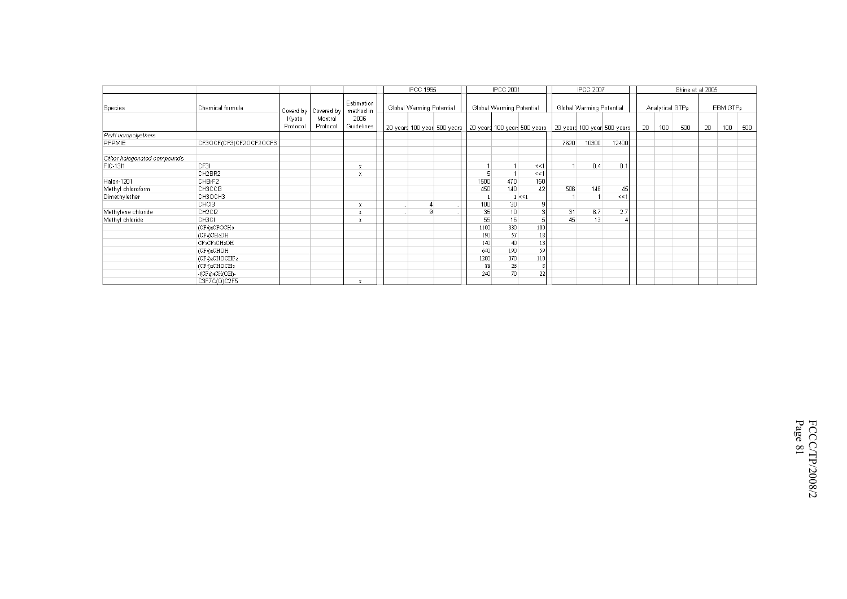|                             |                        |          |                                 |                                 |               | <b>IPCC 1995</b> |                          |      | <b>IPCC 2001</b>         |                                                             |      | <b>IPCC 2007</b>            |       |    |     | Shine et al 2005            |    |                      |     |
|-----------------------------|------------------------|----------|---------------------------------|---------------------------------|---------------|------------------|--------------------------|------|--------------------------|-------------------------------------------------------------|------|-----------------------------|-------|----|-----|-----------------------------|----|----------------------|-----|
| Species                     | Chemical formula       | Kyoto    | Coverd by Covered by<br>Montral | Estimation<br>method in<br>2006 |               |                  | Global Warming Potential |      | Global Warming Potential |                                                             |      | Global Warming Potential    |       |    |     | Analytical GTP <sub>P</sub> |    | EBM GTP <sub>P</sub> |     |
|                             |                        | Protocol | Protocol                        | Guidelines                      |               |                  |                          |      |                          | 20 γears 100 γear  500 γears   20 γears 100 γears 500 γears |      | 20 years 100 year 500 years |       | 20 | 100 | 500                         | 20 | 100                  | 500 |
| Perfl uoropolyethers        |                        |          |                                 |                                 |               |                  |                          |      |                          |                                                             |      |                             |       |    |     |                             |    |                      |     |
| PFPMIE                      | CF3OCF(CF3)CF2OCF2OCF3 |          |                                 |                                 |               |                  |                          |      |                          |                                                             | 7620 | 10300                       | 12400 |    |     |                             |    |                      |     |
| Other halogenated compounds |                        |          |                                 |                                 |               |                  |                          |      |                          |                                                             |      |                             |       |    |     |                             |    |                      |     |
| FIC-13I1                    | CF3L                   |          |                                 |                                 |               |                  |                          |      |                          | <<1                                                         |      | 0.4                         | 0.1   |    |     |                             |    |                      |     |
|                             | CH2BR2                 |          |                                 |                                 |               |                  |                          | 5    |                          | <<1                                                         |      |                             |       |    |     |                             |    |                      |     |
| Halon-1201                  | CHBrF2                 |          |                                 |                                 |               |                  |                          | 1500 | 470                      | 150                                                         |      |                             |       |    |     |                             |    |                      |     |
| Methyl chloroform           | CH3CCI3                |          |                                 |                                 |               |                  |                          | 450  | 140                      | 42                                                          | 506  | 146                         | 45    |    |     |                             |    |                      |     |
| Dimethylether               | CH3OCH3                |          |                                 |                                 |               |                  |                          |      |                          | $1 \le 1$                                                   |      |                             | <<    |    |     |                             |    |                      |     |
|                             | CHC <sub>13</sub>      |          |                                 |                                 | $\cdots$      |                  |                          | 100  | 30                       | 9                                                           |      |                             |       |    |     |                             |    |                      |     |
| Methylene chloride          | CH2CI2                 |          |                                 |                                 | $\sim$ $\sim$ | 9                |                          | 35   | 10 <sup>1</sup>          |                                                             |      | 31<br>8.7                   | 2.7   |    |     |                             |    |                      |     |
| Methyl chloride             | снзсі                  |          |                                 |                                 |               |                  |                          | 55   | 16                       |                                                             |      | 45<br>13                    |       |    |     |                             |    |                      |     |
|                             | (CFs)2CFOCH3           |          |                                 |                                 |               |                  |                          | 1100 | 330                      | 100                                                         |      |                             |       |    |     |                             |    |                      |     |
|                             | (CF3)CH2OH             |          |                                 |                                 |               |                  |                          | 190  | 57                       | 18                                                          |      |                             |       |    |     |                             |    |                      |     |
|                             | CF3CF2CH2OH            |          |                                 |                                 |               |                  |                          | 140  | 40                       | 13                                                          |      |                             |       |    |     |                             |    |                      |     |
|                             | (CF3)2CHOH             |          |                                 |                                 |               |                  |                          | 640  | 190                      | 59                                                          |      |                             |       |    |     |                             |    |                      |     |
|                             | (CF3)2CHOCHF2          |          |                                 |                                 |               |                  |                          | 1200 | 370                      | 110                                                         |      |                             |       |    |     |                             |    |                      |     |
|                             | (CF3)2CHOCH3           |          |                                 |                                 |               |                  |                          | 88   | 26                       | 8                                                           |      |                             |       |    |     |                             |    |                      |     |
|                             | $-CF2$ ) $4CH(OH)$ -   |          |                                 |                                 |               |                  |                          | 240  | 70                       | 22                                                          |      |                             |       |    |     |                             |    |                      |     |
|                             | C3F7C(O)C2F5           |          |                                 |                                 |               |                  |                          |      |                          |                                                             |      |                             |       |    |     |                             |    |                      |     |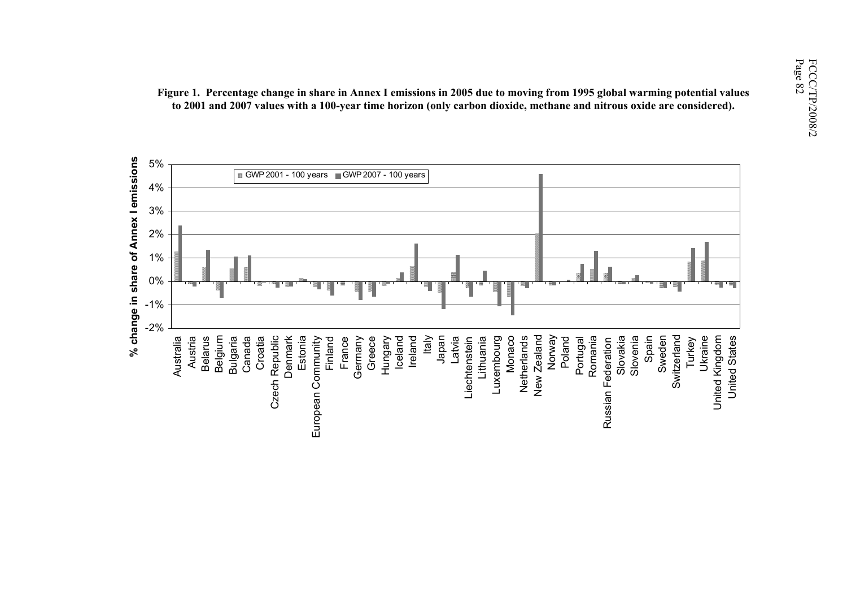

Figure 1. Percentage change in share in Annex I emissions in 2005 due to moving from 1995 global warming potential values<br>to 2001 and 2007 values with a 100-year time horizon (only carbon dioxide, methane and nitrous oxide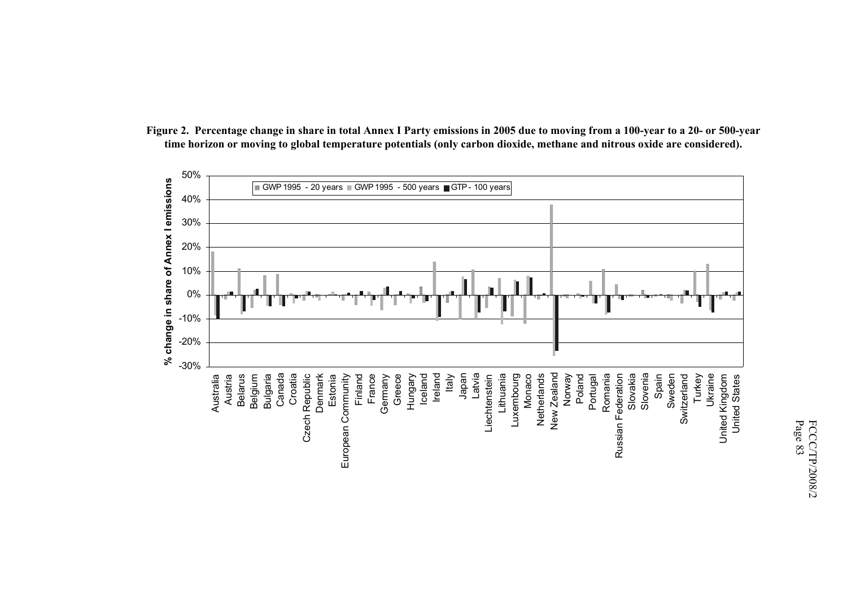

**Figure 2. Percentage change in share in total Annex I Party emissions in 2005 due to moving from a 100-year to a 20- or 500-year time horizon or moving to global temperature potentials (only carbon dioxide, methane and nitrous oxide are considered).**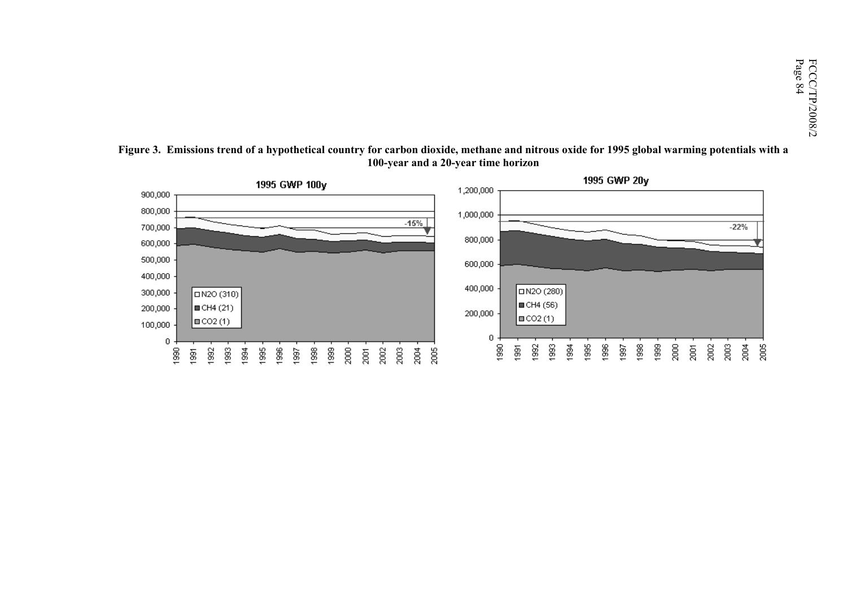

**Figure 3. Emissions trend of a hypothetical country for carbon dioxide, methane and nitrous oxide for 1995 global warming potentials with a 100-year and a 20-year time horizon**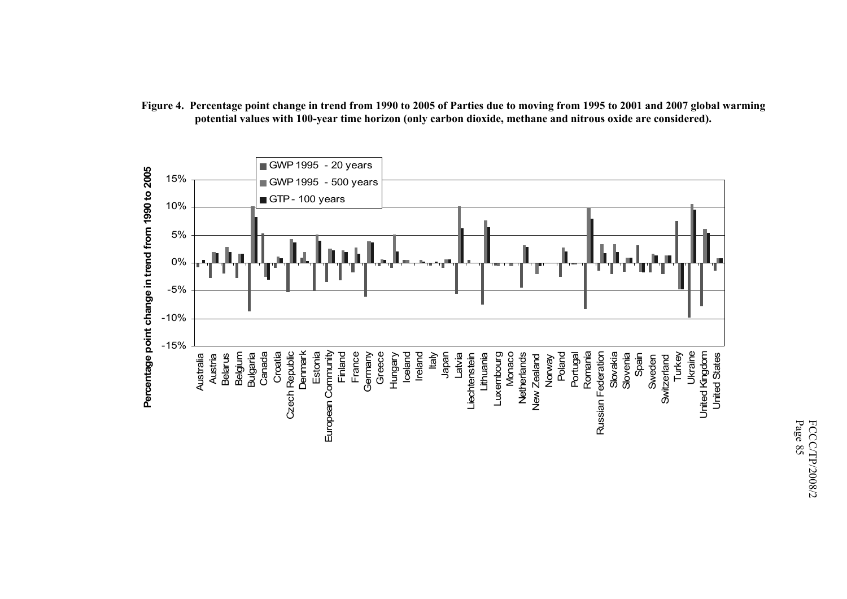

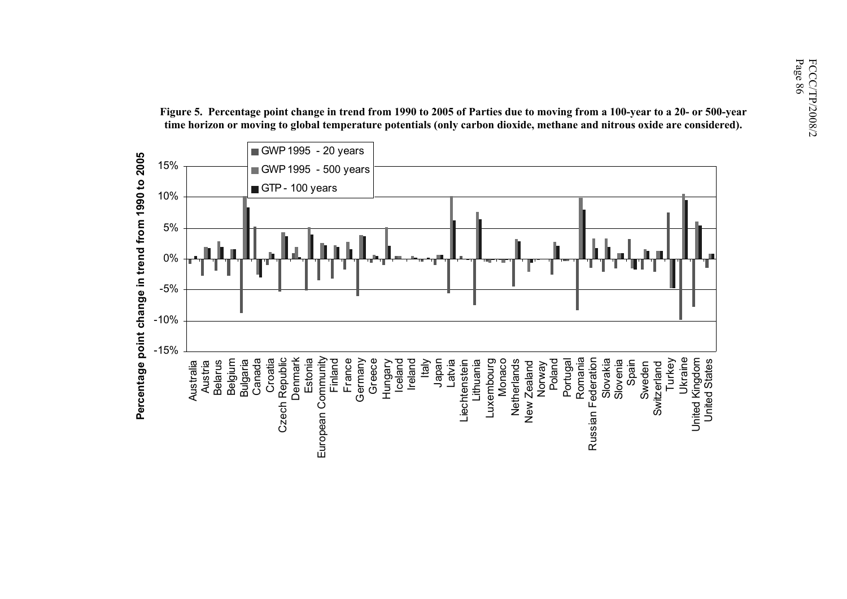

Figure 5. Percentage point change in trend from 1990 to 2005 of Parties due to moving from a 100-year to a 20- or 500-year<br>
time horizon or moving to global temperature potentials (only carbon dioxide, methane and nitrous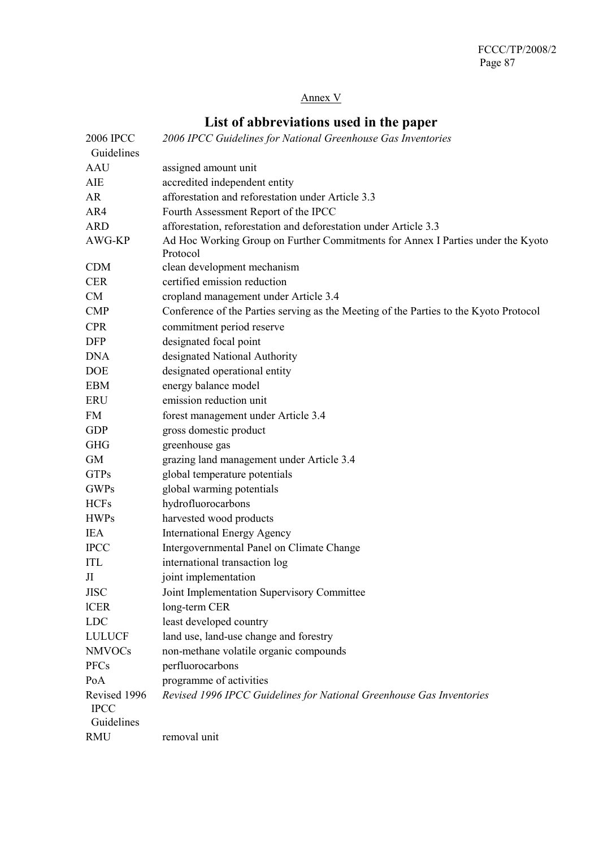# Annex V

# **List of abbreviations used in the paper**

| <b>2006 IPCC</b>            | 2006 IPCC Guidelines for National Greenhouse Gas Inventories                                |
|-----------------------------|---------------------------------------------------------------------------------------------|
| Guidelines                  |                                                                                             |
| <b>AAU</b>                  | assigned amount unit                                                                        |
| AIE                         | accredited independent entity                                                               |
| AR                          | afforestation and reforestation under Article 3.3                                           |
| AR4                         | Fourth Assessment Report of the IPCC                                                        |
| <b>ARD</b>                  | afforestation, reforestation and deforestation under Article 3.3                            |
| AWG-KP                      | Ad Hoc Working Group on Further Commitments for Annex I Parties under the Kyoto<br>Protocol |
| <b>CDM</b>                  | clean development mechanism                                                                 |
| <b>CER</b>                  | certified emission reduction                                                                |
| <b>CM</b>                   | cropland management under Article 3.4                                                       |
| <b>CMP</b>                  | Conference of the Parties serving as the Meeting of the Parties to the Kyoto Protocol       |
| <b>CPR</b>                  | commitment period reserve                                                                   |
| <b>DFP</b>                  | designated focal point                                                                      |
| <b>DNA</b>                  | designated National Authority                                                               |
| <b>DOE</b>                  | designated operational entity                                                               |
| <b>EBM</b>                  | energy balance model                                                                        |
| <b>ERU</b>                  | emission reduction unit                                                                     |
| FM                          | forest management under Article 3.4                                                         |
| <b>GDP</b>                  | gross domestic product                                                                      |
| <b>GHG</b>                  | greenhouse gas                                                                              |
| <b>GM</b>                   | grazing land management under Article 3.4                                                   |
| <b>GTPs</b>                 | global temperature potentials                                                               |
| <b>GWPs</b>                 | global warming potentials                                                                   |
| <b>HCFs</b>                 | hydrofluorocarbons                                                                          |
| <b>HWPs</b>                 | harvested wood products                                                                     |
| <b>IEA</b>                  | <b>International Energy Agency</b>                                                          |
| <b>IPCC</b>                 | Intergovernmental Panel on Climate Change                                                   |
| <b>ITL</b>                  | international transaction log                                                               |
| JI                          | joint implementation                                                                        |
| <b>JISC</b>                 | Joint Implementation Supervisory Committee                                                  |
| <b>ICER</b>                 | long-term CER                                                                               |
| <b>LDC</b>                  | least developed country                                                                     |
| <b>LULUCF</b>               | land use, land-use change and forestry                                                      |
| <b>NMVOCs</b>               | non-methane volatile organic compounds                                                      |
| <b>PFCs</b>                 | perfluorocarbons                                                                            |
| PoA                         | programme of activities                                                                     |
| Revised 1996<br><b>IPCC</b> | Revised 1996 IPCC Guidelines for National Greenhouse Gas Inventories                        |
| Guidelines                  |                                                                                             |
| <b>RMU</b>                  | removal unit                                                                                |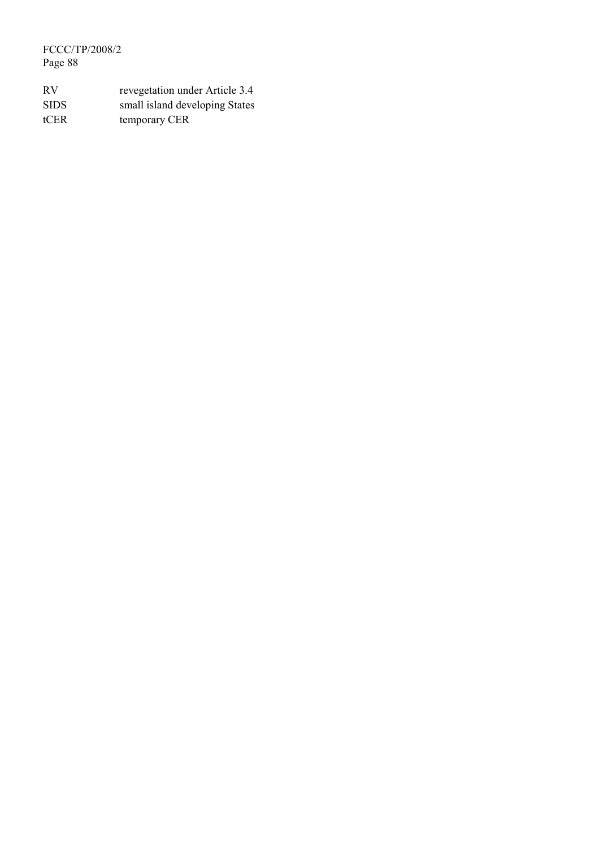FCCC/TP/2008/2 Page 88

| <b>RV</b>   | revegetation under Article 3.4 |
|-------------|--------------------------------|
| <b>SIDS</b> | small island developing States |
| tCER        | temporary CER                  |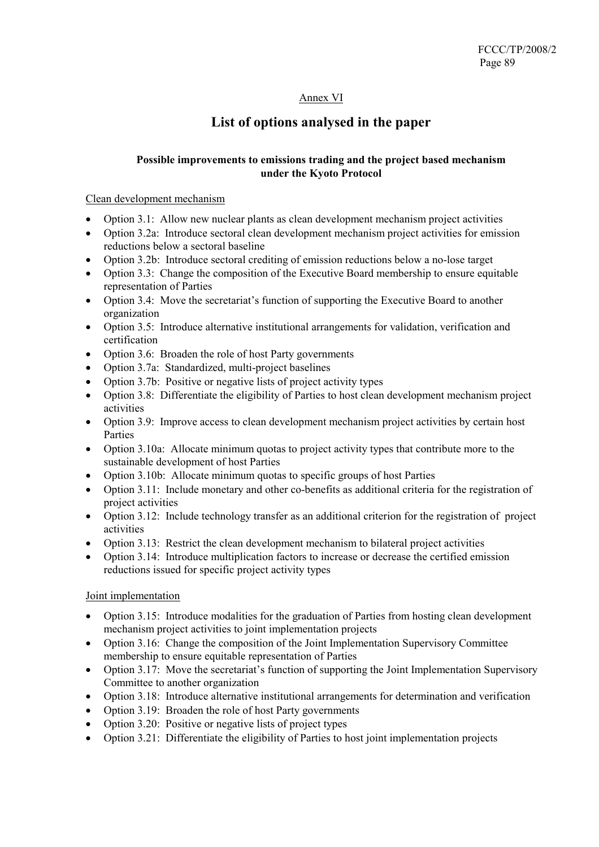# Annex VI

# **List of options analysed in the paper**

# **Possible improvements to emissions trading and the project based mechanism under the Kyoto Protocol**

#### Clean development mechanism

- Option 3.1: Allow new nuclear plants as clean development mechanism project activities
- Option 3.2a: Introduce sectoral clean development mechanism project activities for emission reductions below a sectoral baseline
- Option 3.2b: Introduce sectoral crediting of emission reductions below a no-lose target
- Option 3.3: Change the composition of the Executive Board membership to ensure equitable representation of Parties
- Option 3.4: Move the secretariat's function of supporting the Executive Board to another organization
- Option 3.5: Introduce alternative institutional arrangements for validation, verification and certification
- Option 3.6: Broaden the role of host Party governments
- Option 3.7a: Standardized, multi-project baselines
- Option 3.7b: Positive or negative lists of project activity types
- Option 3.8: Differentiate the eligibility of Parties to host clean development mechanism project activities
- Option 3.9: Improve access to clean development mechanism project activities by certain host Parties
- Option 3.10a: Allocate minimum quotas to project activity types that contribute more to the sustainable development of host Parties
- Option 3.10b: Allocate minimum quotas to specific groups of host Parties
- Option 3.11: Include monetary and other co-benefits as additional criteria for the registration of project activities
- Option 3.12: Include technology transfer as an additional criterion for the registration of project activities
- Option 3.13: Restrict the clean development mechanism to bilateral project activities
- Option 3.14: Introduce multiplication factors to increase or decrease the certified emission reductions issued for specific project activity types

# Joint implementation

- Option 3.15: Introduce modalities for the graduation of Parties from hosting clean development mechanism project activities to joint implementation projects
- Option 3.16: Change the composition of the Joint Implementation Supervisory Committee membership to ensure equitable representation of Parties
- Option 3.17: Move the secretariat's function of supporting the Joint Implementation Supervisory Committee to another organization
- Option 3.18: Introduce alternative institutional arrangements for determination and verification
- Option 3.19: Broaden the role of host Party governments
- Option 3.20: Positive or negative lists of project types
- Option 3.21: Differentiate the eligibility of Parties to host joint implementation projects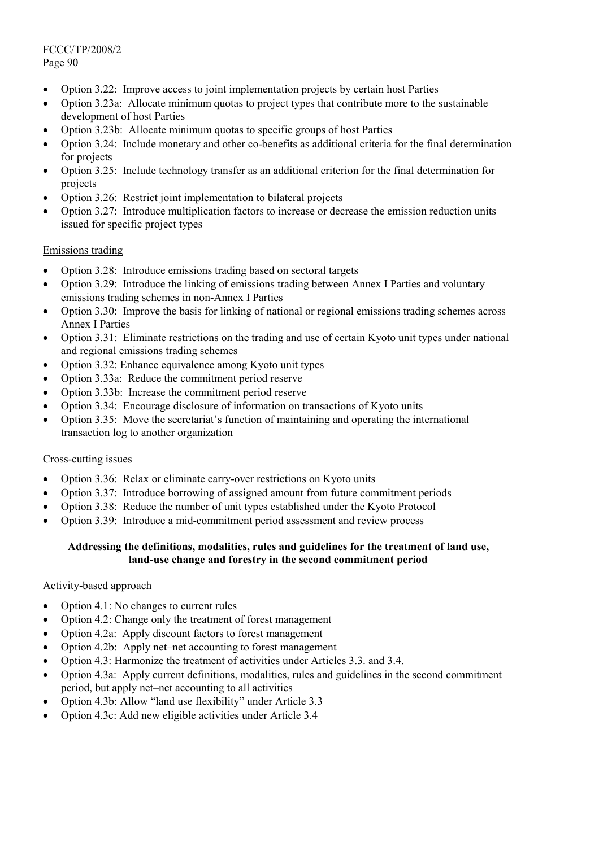FCCC/TP/2008/2 Page 90

- Option 3.22: Improve access to joint implementation projects by certain host Parties
- Option 3.23a: Allocate minimum quotas to project types that contribute more to the sustainable development of host Parties
- Option 3.23b: Allocate minimum quotas to specific groups of host Parties
- Option 3.24: Include monetary and other co-benefits as additional criteria for the final determination for projects
- Option 3.25: Include technology transfer as an additional criterion for the final determination for projects
- Option 3.26: Restrict joint implementation to bilateral projects
- Option 3.27: Introduce multiplication factors to increase or decrease the emission reduction units issued for specific project types

#### Emissions trading

- Option 3.28: Introduce emissions trading based on sectoral targets
- Option 3.29: Introduce the linking of emissions trading between Annex I Parties and voluntary emissions trading schemes in non-Annex I Parties
- Option 3.30: Improve the basis for linking of national or regional emissions trading schemes across Annex I Parties
- Option 3.31: Eliminate restrictions on the trading and use of certain Kyoto unit types under national and regional emissions trading schemes
- Option 3.32: Enhance equivalence among Kyoto unit types
- Option 3.33a: Reduce the commitment period reserve
- Option 3.33b: Increase the commitment period reserve
- Option 3.34: Encourage disclosure of information on transactions of Kyoto units
- Option 3.35: Move the secretariat's function of maintaining and operating the international transaction log to another organization

#### Cross-cutting issues

- Option 3.36: Relax or eliminate carry-over restrictions on Kyoto units
- Option 3.37: Introduce borrowing of assigned amount from future commitment periods
- Option 3.38: Reduce the number of unit types established under the Kyoto Protocol
- Option 3.39: Introduce a mid-commitment period assessment and review process

#### **Addressing the definitions, modalities, rules and guidelines for the treatment of land use, land-use change and forestry in the second commitment period**

# Activity-based approach

- Option 4.1: No changes to current rules
- Option 4.2: Change only the treatment of forest management
- Option 4.2a: Apply discount factors to forest management
- Option 4.2b: Apply net–net accounting to forest management
- Option 4.3: Harmonize the treatment of activities under Articles 3.3. and 3.4.
- Option 4.3a: Apply current definitions, modalities, rules and guidelines in the second commitment period, but apply net–net accounting to all activities
- Option 4.3b: Allow "land use flexibility" under Article 3.3
- Option 4.3c: Add new eligible activities under Article 3.4